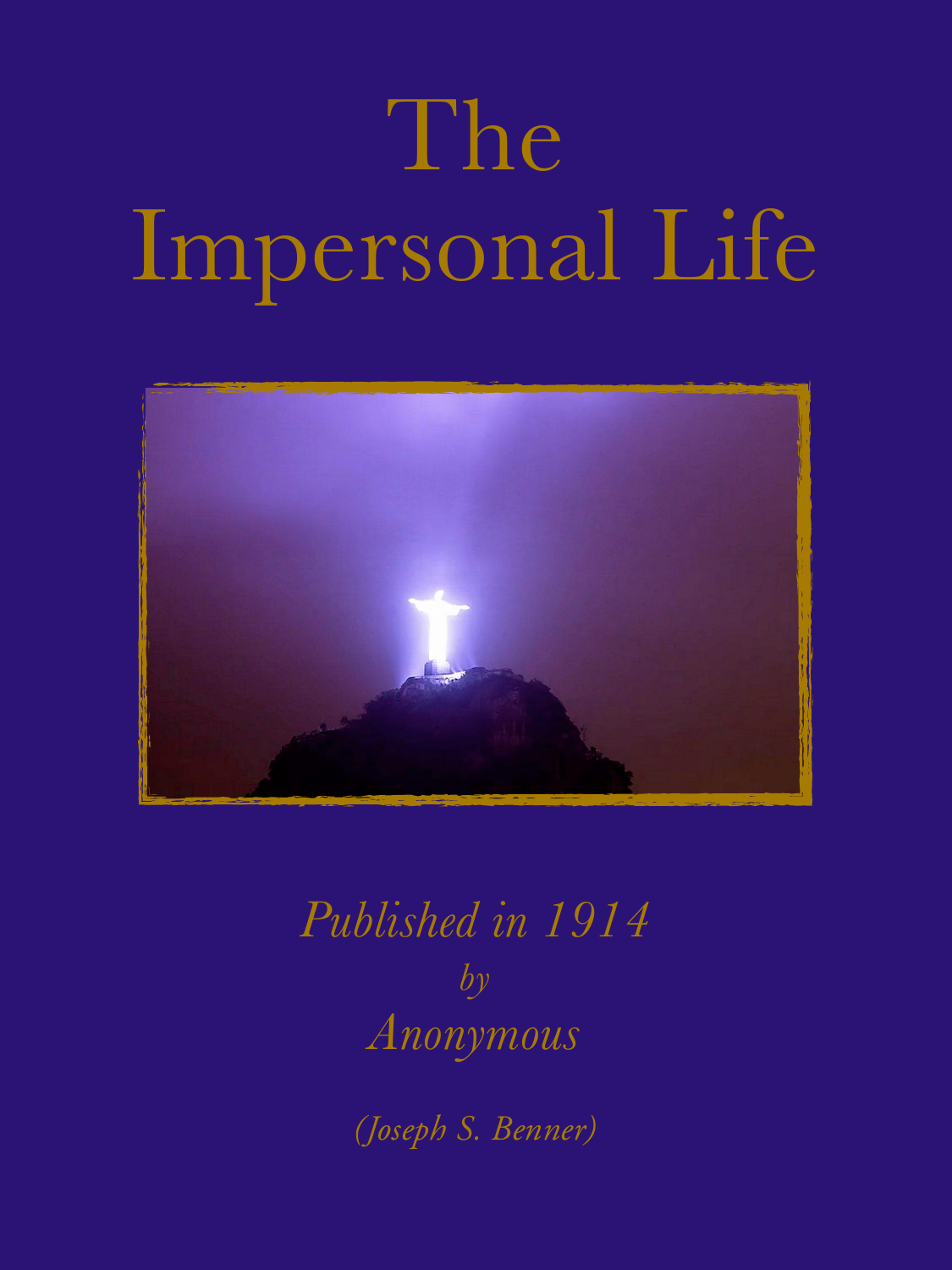# The Impersonal Life



#### *Published in 1914 by Anonymous*

*(Joseph S. Benner)*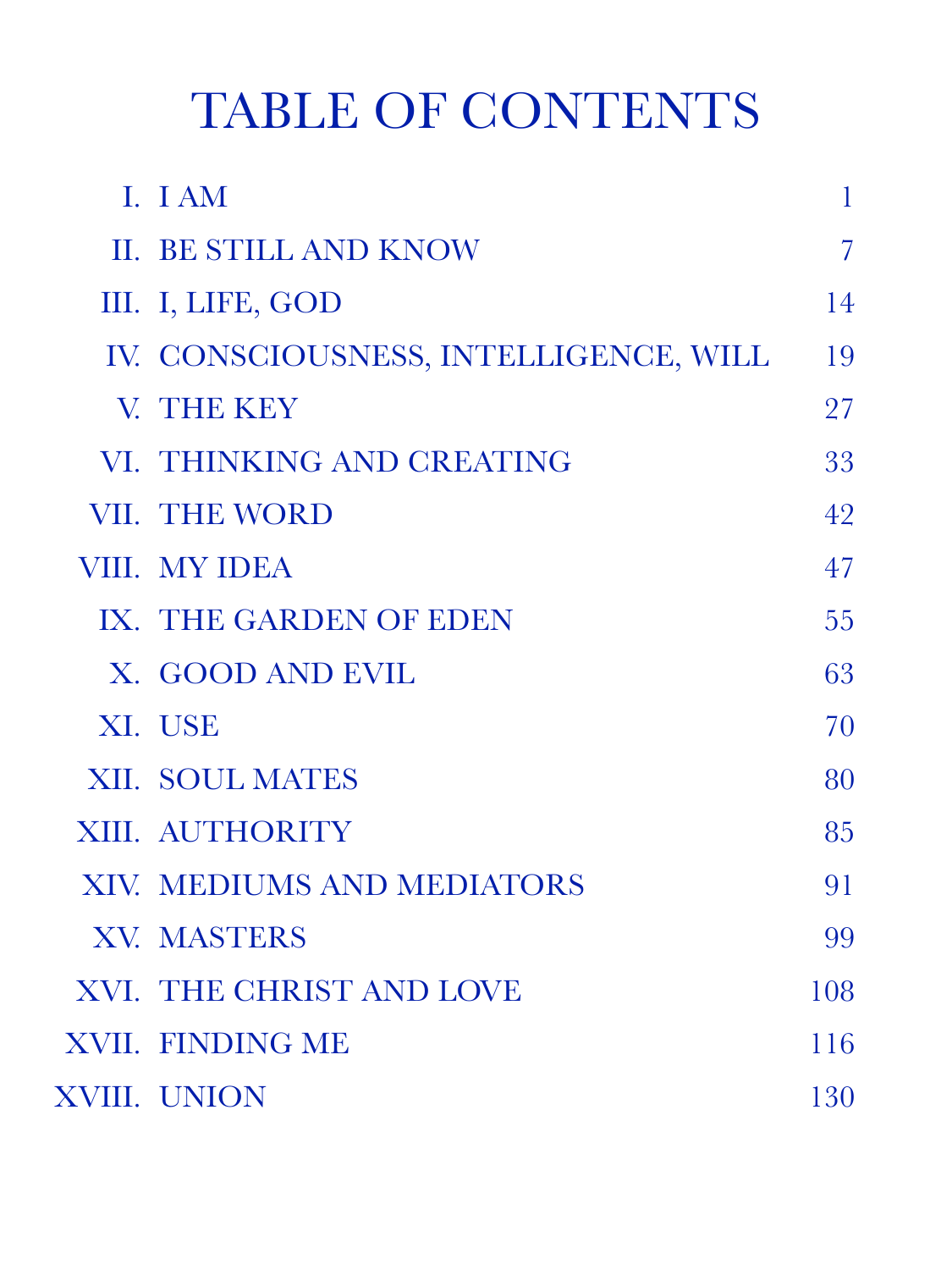### <span id="page-1-0"></span>TABLE OF CONTENTS

| I. I AM                               | 1   |
|---------------------------------------|-----|
| <b>II. BE STILL AND KNOW</b>          | 7   |
| III. I, LIFE, GOD                     | 14  |
| IV. CONSCIOUSNESS, INTELLIGENCE, WILL | 19  |
| <b>V. THE KEY</b>                     | 27  |
| VI. THINKING AND CREATING             | 33  |
| <b>VII. THE WORD</b>                  | 42  |
| VIII. MY IDEA                         | 47  |
| IX. THE GARDEN OF EDEN                | 55  |
| X. GOOD AND EVIL                      | 63  |
| XI. USE                               | 70  |
| <b>XII. SOUL MATES</b>                | 80  |
| XIII. AUTHORITY                       | 85  |
| <b>XIV. MEDIUMS AND MEDIATORS</b>     | 91  |
| <b>XV. MASTERS</b>                    | 99  |
| XVI. THE CHRIST AND LOVE              | 108 |
| XVII. FINDING ME                      | 116 |
| XVIII. UNION                          | 130 |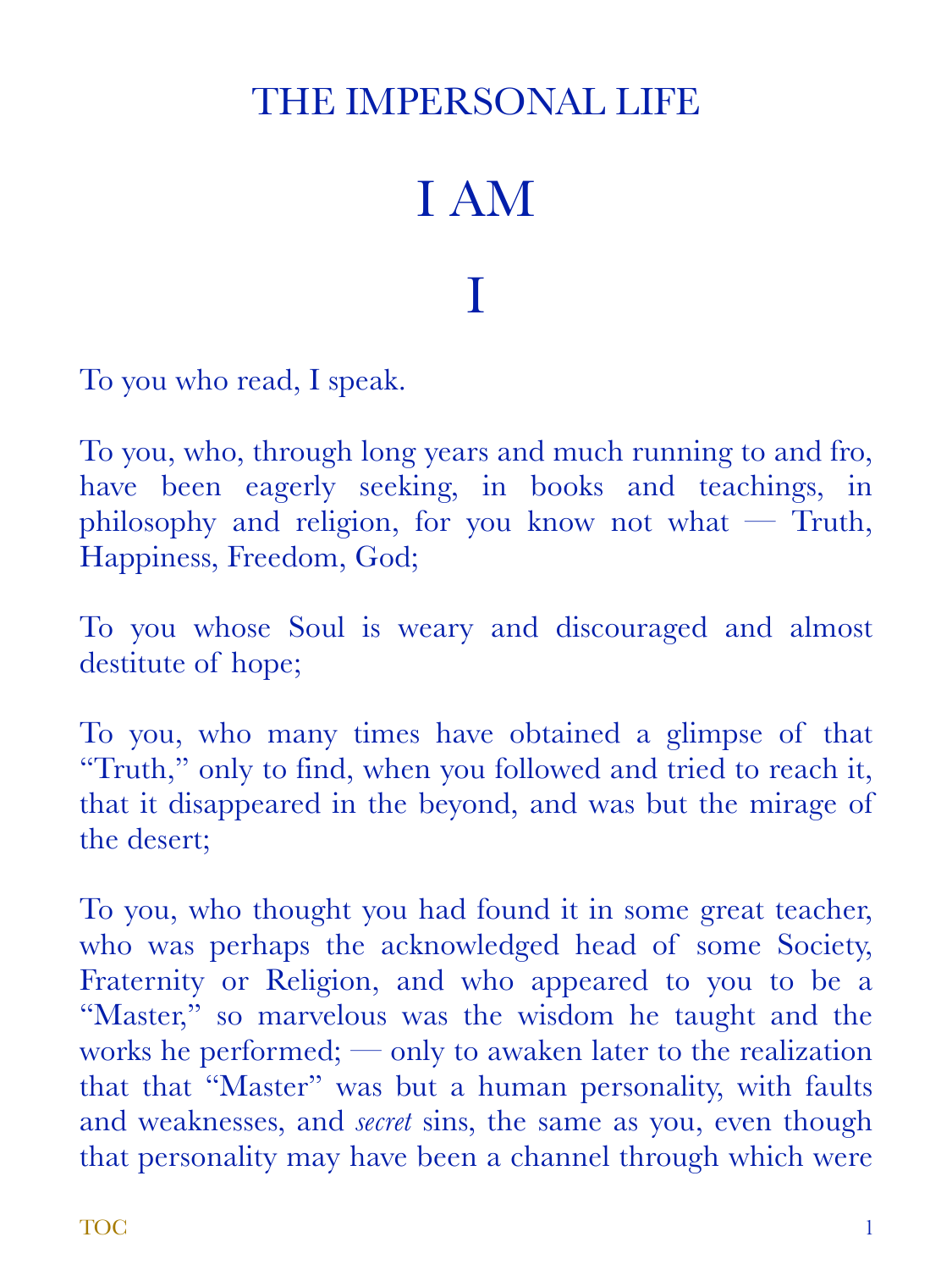#### THE IMPERSONAL LIFE

### <span id="page-2-0"></span>I AM

#### I

To you who read, I speak.

To you, who, through long years and much running to and fro, have been eagerly seeking, in books and teachings, in philosophy and religion, for you know not what  $-$  Truth, Happiness, Freedom, God;

To you whose Soul is weary and discouraged and almost destitute of hope;

To you, who many times have obtained a glimpse of that "Truth," only to find, when you followed and tried to reach it, that it disappeared in the beyond, and was but the mirage of the desert;

To you, who thought you had found it in some great teacher, who was perhaps the acknowledged head of some Society, Fraternity or Religion, and who appeared to you to be a "Master," so marvelous was the wisdom he taught and the works he performed; — only to awaken later to the realization that that "Master" was but a human personality, with faults and weaknesses, and *secret* sins, the same as you, even though that personality may have been a channel through which were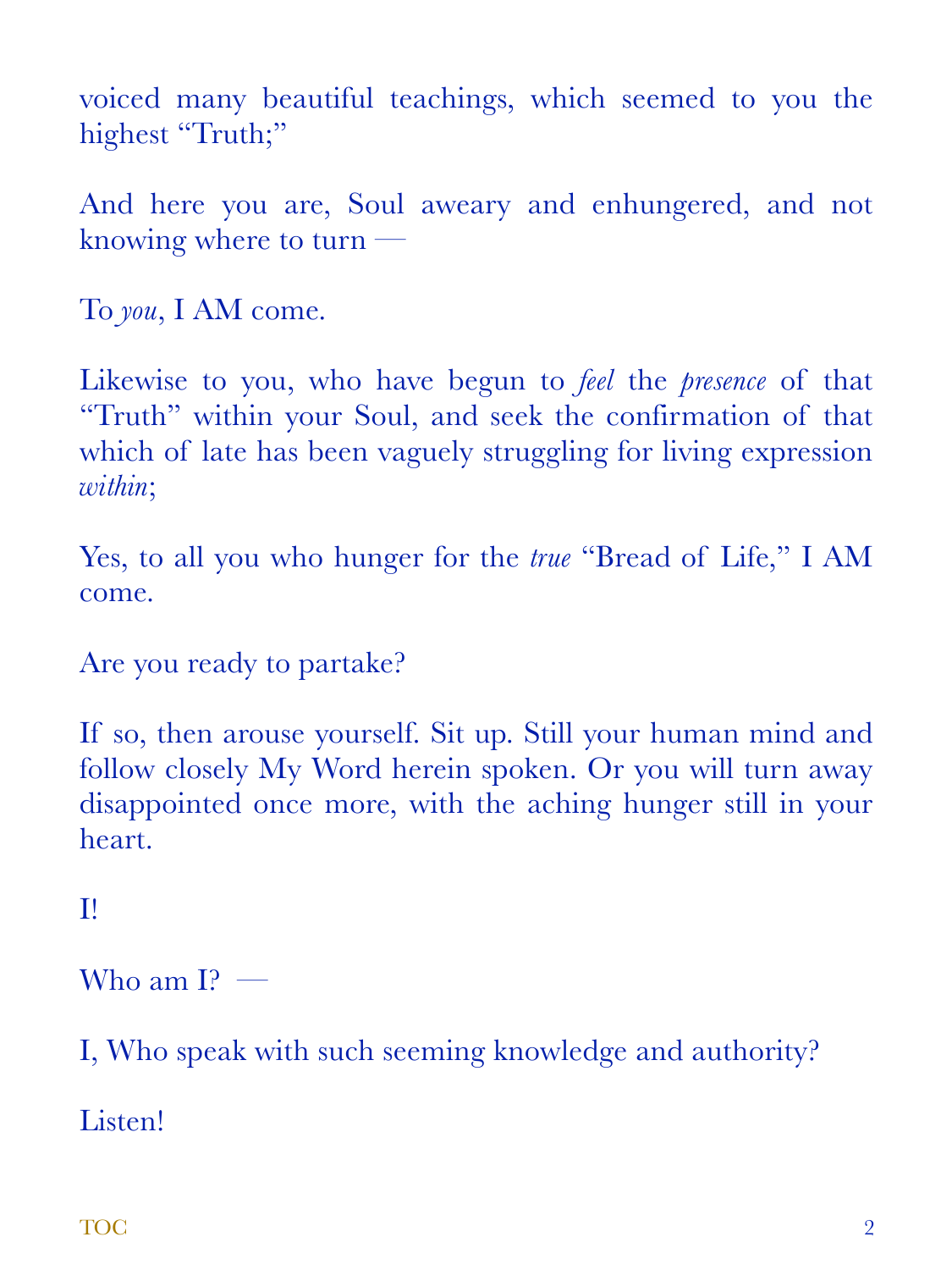voiced many beautiful teachings, which seemed to you the highest "Truth;"

And here you are, Soul aweary and enhungered, and not knowing where to turn  $-$ 

To *you*, I AM come.

Likewise to you, who have begun to *feel* the *presence* of that "Truth" within your Soul, and seek the confirmation of that which of late has been vaguely struggling for living expression *within*;

Yes, to all you who hunger for the *true* "Bread of Life," I AM come.

Are you ready to partake?

If so, then arouse yourself. Sit up. Still your human mind and follow closely My Word herein spoken. Or you will turn away disappointed once more, with the aching hunger still in your heart.

I!

Who am  $I$ ?  $-$ 

I, Who speak with such seeming knowledge and authority?

Listen!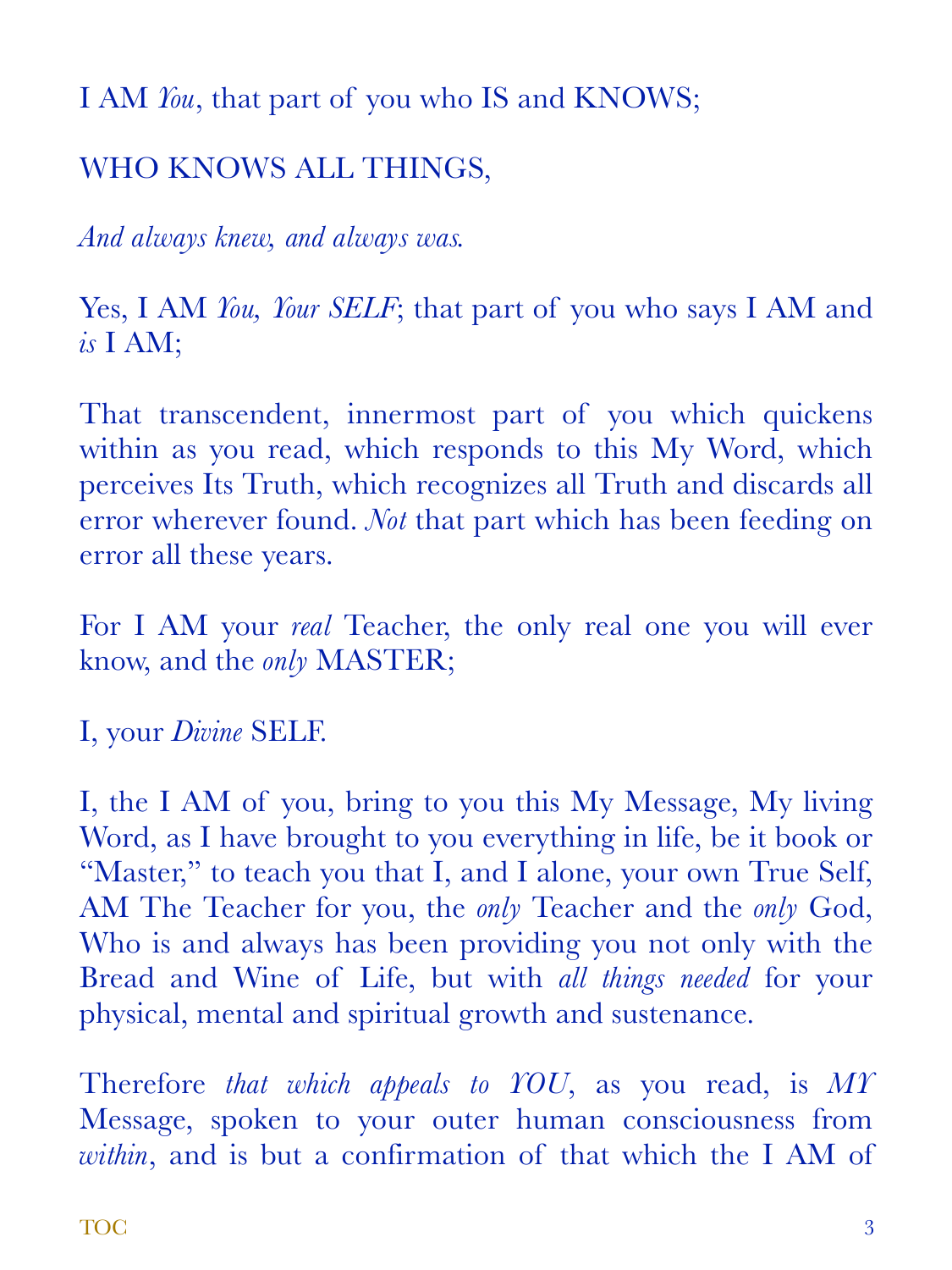I AM *You*, that part of you who IS and KNOWS;

#### WHO KNOWS ALL THINGS,

*And always knew, and always was.*

Yes, I AM *You, Your SELF*; that part of you who says I AM and *is* I AM;

That transcendent, innermost part of you which quickens within as you read, which responds to this My Word, which perceives Its Truth, which recognizes all Truth and discards all error wherever found. *Not* that part which has been feeding on error all these years.

For I AM your *real* Teacher, the only real one you will ever know, and the *only* MASTER;

I, your *Divine* SELF.

I, the I AM of you, bring to you this My Message, My living Word, as I have brought to you everything in life, be it book or "Master," to teach you that I, and I alone, your own True Self, AM The Teacher for you, the *only* Teacher and the *only* God, Who is and always has been providing you not only with the Bread and Wine of Life, but with *all things needed* for your physical, mental and spiritual growth and sustenance.

Therefore *that which appeals to YOU*, as you read, is *MY* Message, spoken to your outer human consciousness from *within*, and is but a confirmation of that which the I AM of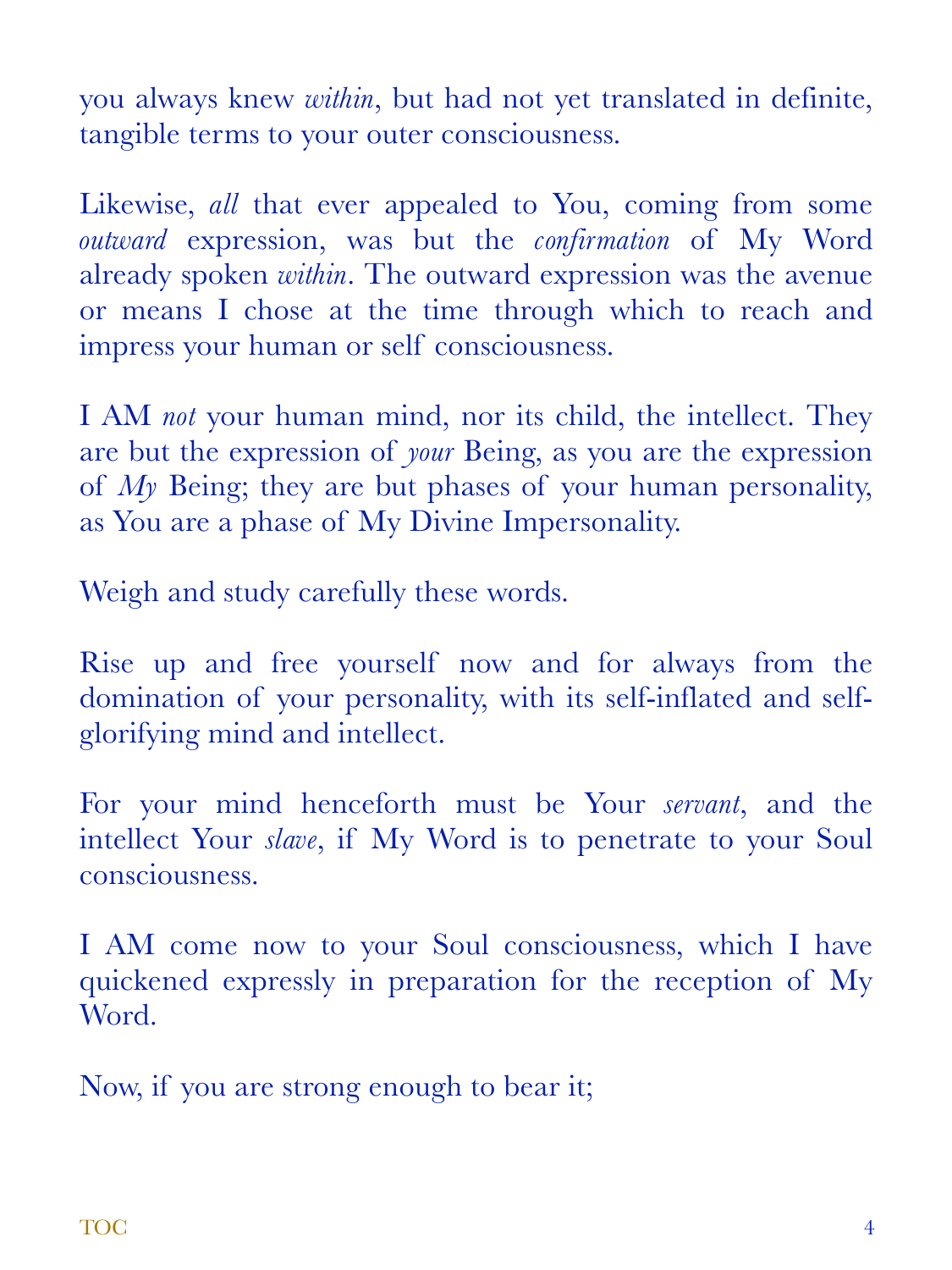you always knew *within*, but had not yet translated in definite, tangible terms to your outer consciousness.

Likewise, *all* that ever appealed to You, coming from some *outward* expression, was but the *confirmation* of My Word already spoken *within*. The outward expression was the avenue or means I chose at the time through which to reach and impress your human or self consciousness.

I AM *not* your human mind, nor its child, the intellect. They are but the expression of *your* Being, as you are the expression of *My* Being; they are but phases of your human personality, as You are a phase of My Divine Impersonality.

Weigh and study carefully these words.

Rise up and free yourself now and for always from the domination of your personality, with its self-inflated and selfglorifying mind and intellect.

For your mind henceforth must be Your *servant*, and the intellect Your *slave*, if My Word is to penetrate to your Soul consciousness.

I AM come now to your Soul consciousness, which I have quickened expressly in preparation for the reception of My Word.

Now, if you are strong enough to bear it;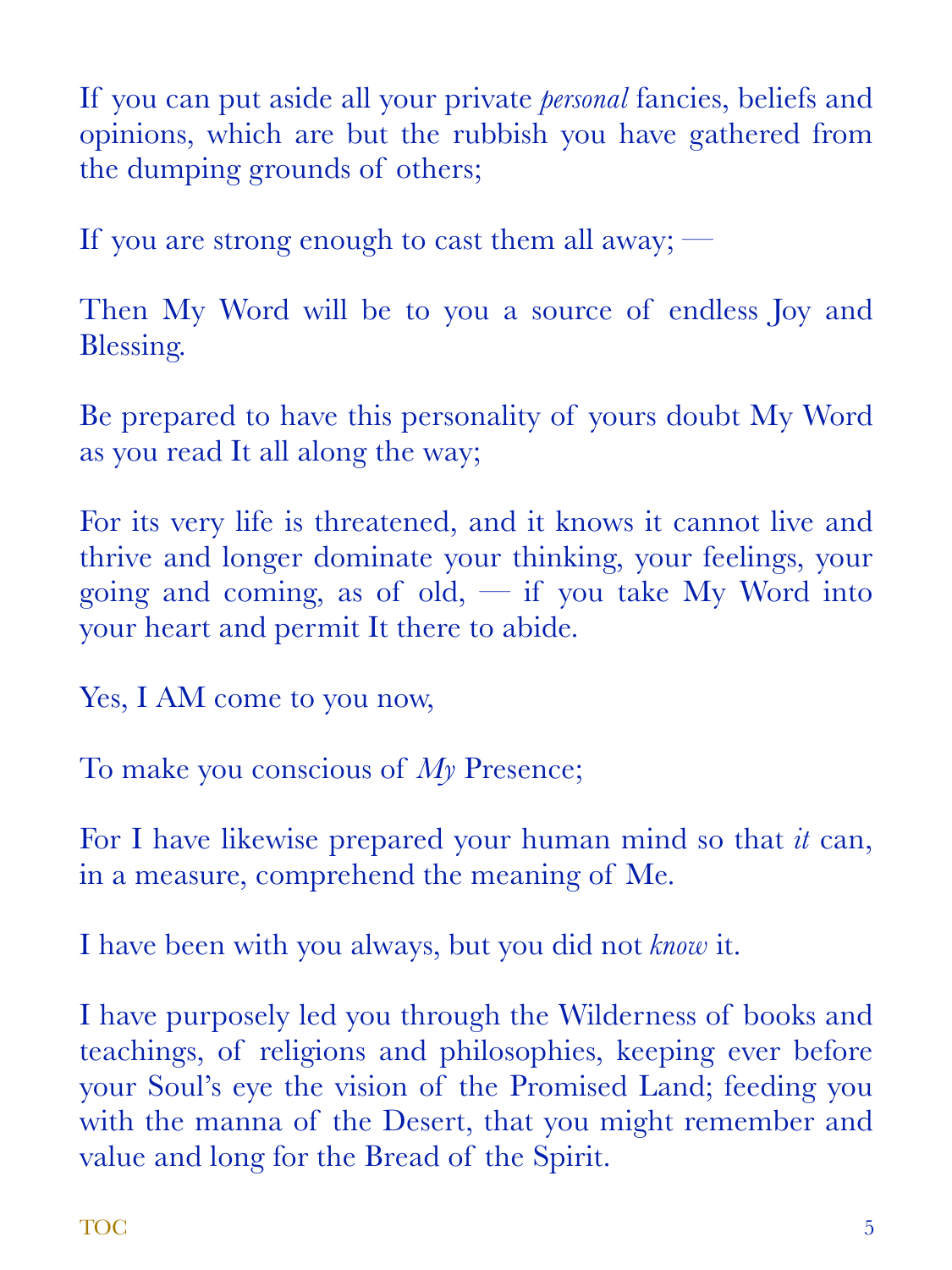If you can put aside all your private *personal* fancies, beliefs and opinions, which are but the rubbish you have gathered from the dumping grounds of others;

If you are strong enough to cast them all away; —

Then My Word will be to you a source of endless Joy and Blessing.

Be prepared to have this personality of yours doubt My Word as you read It all along the way;

For its very life is threatened, and it knows it cannot live and thrive and longer dominate your thinking, your feelings, your going and coming, as of old,  $-$  if you take My Word into your heart and permit It there to abide.

Yes, I AM come to you now,

To make you conscious of *My* Presence;

For I have likewise prepared your human mind so that *it* can, in a measure, comprehend the meaning of Me.

I have been with you always, but you did not *know* it.

I have purposely led you through the Wilderness of books and teachings, of religions and philosophies, keeping ever before your Soul's eye the vision of the Promised Land; feeding you with the manna of the Desert, that you might remember and value and long for the Bread of the Spirit.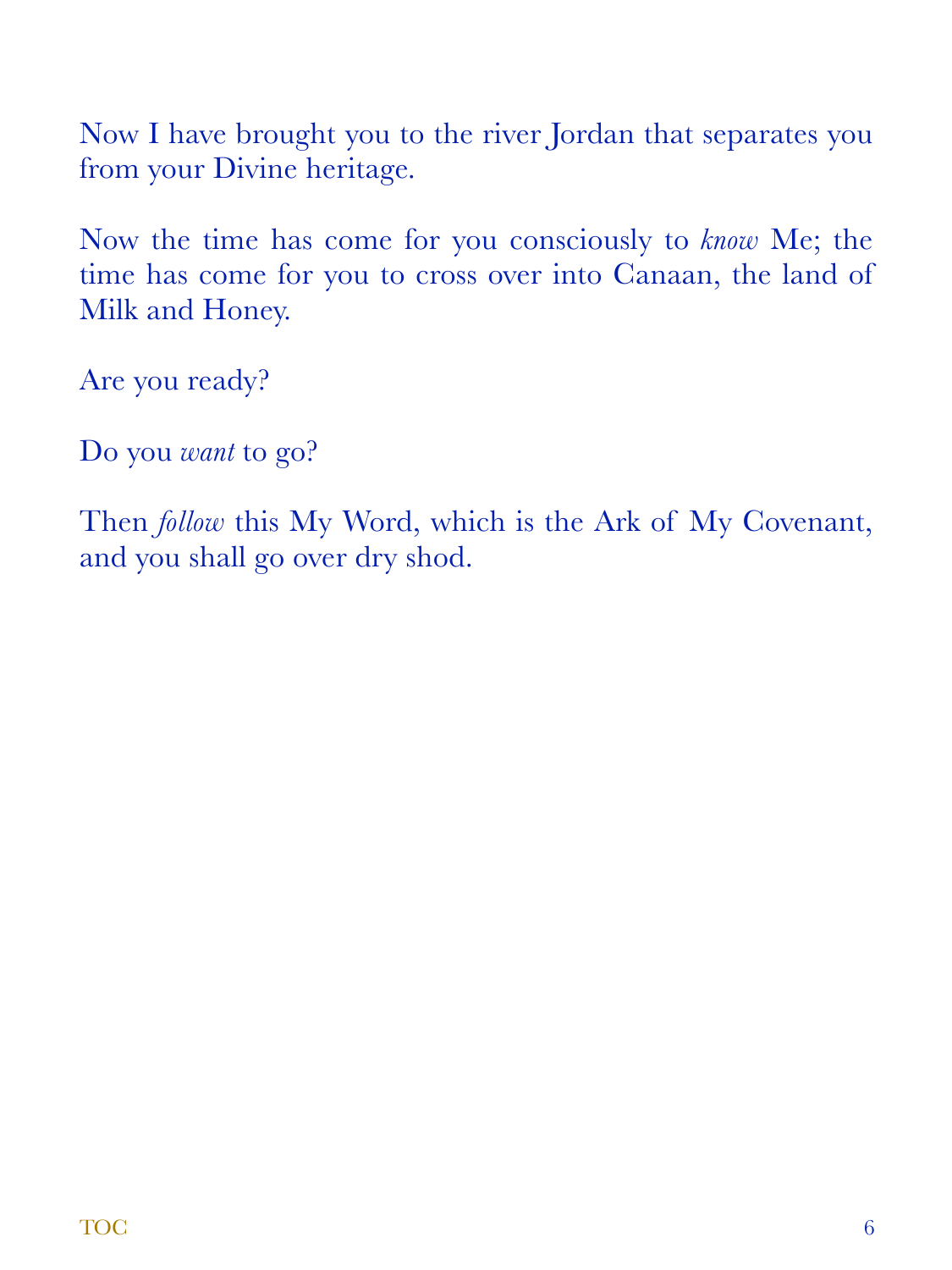Now I have brought you to the river Jordan that separates you from your Divine heritage.

Now the time has come for you consciously to *know* Me; the time has come for you to cross over into Canaan, the land of Milk and Honey.

Are you ready?

Do you *want* to go?

Then *follow* this My Word, which is the Ark of My Covenant, and you shall go over dry shod.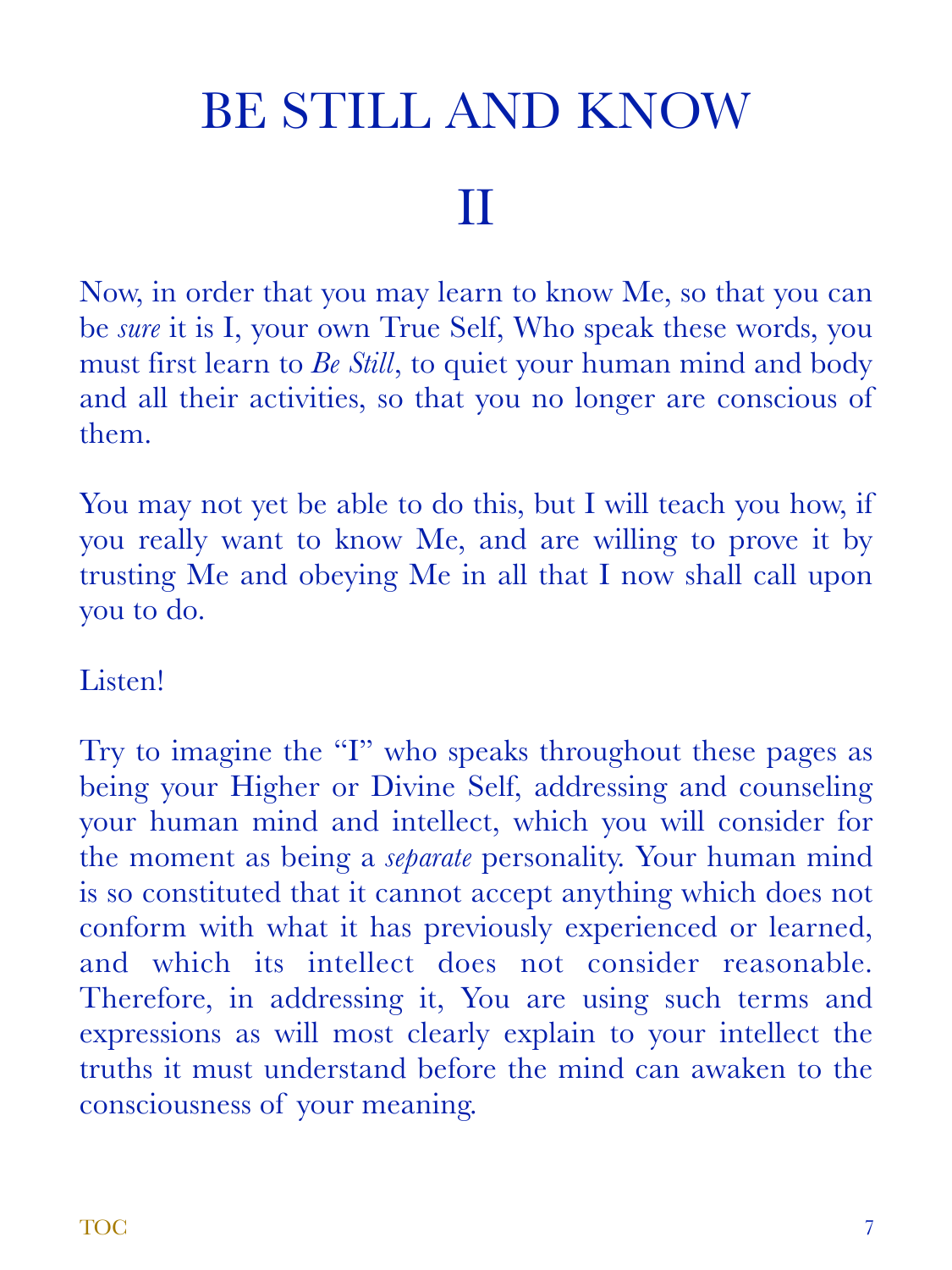## <span id="page-8-0"></span>BE STILL AND KNOW II

Now, in order that you may learn to know Me, so that you can be *sure* it is I, your own True Self, Who speak these words, you must first learn to *Be Still*, to quiet your human mind and body and all their activities, so that you no longer are conscious of them.

You may not yet be able to do this, but I will teach you how, if you really want to know Me, and are willing to prove it by trusting Me and obeying Me in all that I now shall call upon you to do.

Listen!

Try to imagine the "I" who speaks throughout these pages as being your Higher or Divine Self, addressing and counseling your human mind and intellect, which you will consider for the moment as being a *separate* personality. Your human mind is so constituted that it cannot accept anything which does not conform with what it has previously experienced or learned, and which its intellect does not consider reasonable. Therefore, in addressing it, You are using such terms and expressions as will most clearly explain to your intellect the truths it must understand before the mind can awaken to the consciousness of your meaning.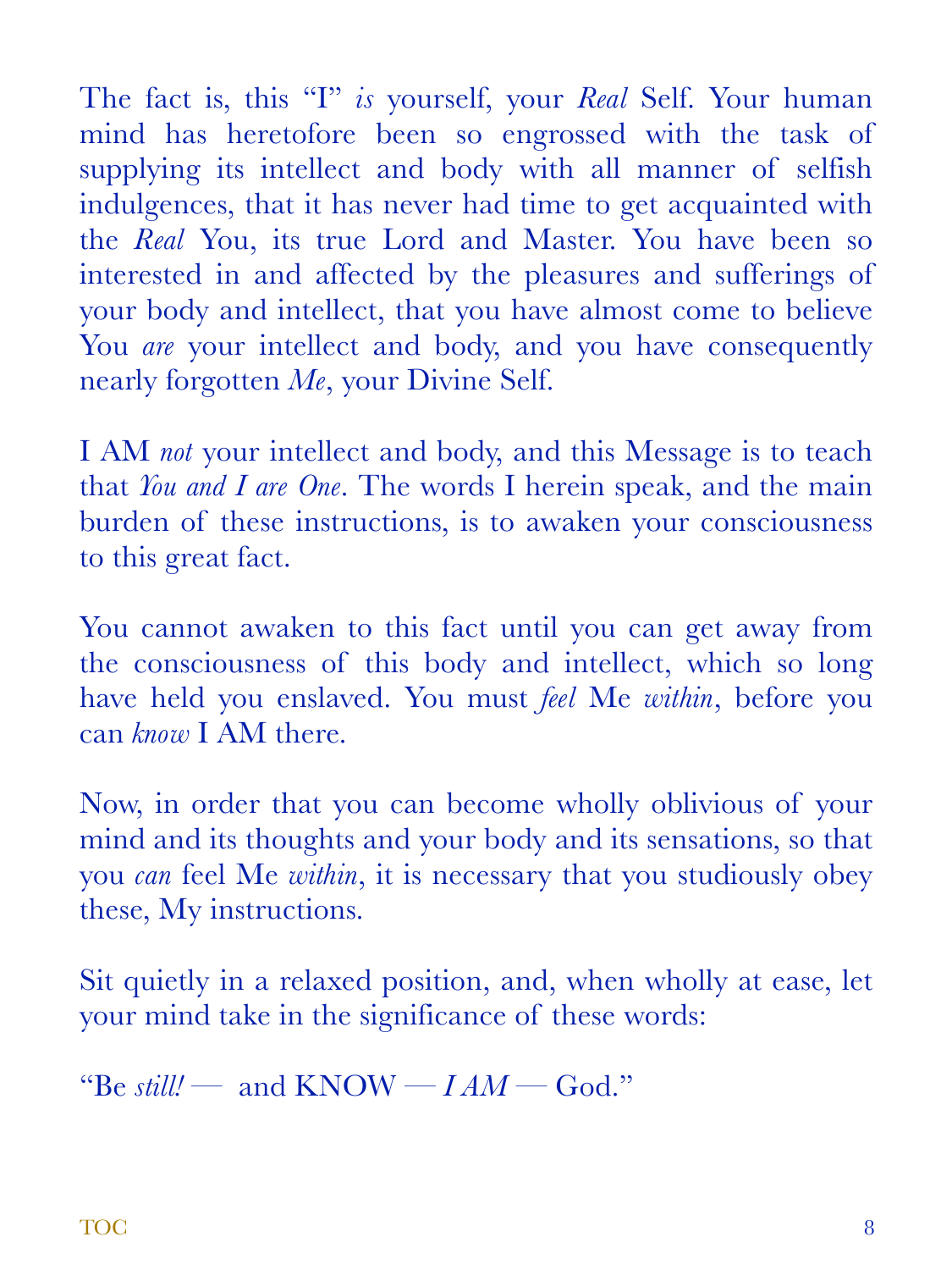The fact is, this "I" *is* yourself, your *Real* Self. Your human mind has heretofore been so engrossed with the task of supplying its intellect and body with all manner of selfish indulgences, that it has never had time to get acquainted with the *Real* You, its true Lord and Master. You have been so interested in and affected by the pleasures and sufferings of your body and intellect, that you have almost come to believe You *are* your intellect and body, and you have consequently nearly forgotten *Me*, your Divine Self.

I AM *not* your intellect and body, and this Message is to teach that *You and I are One*. The words I herein speak, and the main burden of these instructions, is to awaken your consciousness to this great fact.

You cannot awaken to this fact until you can get away from the consciousness of this body and intellect, which so long have held you enslaved. You must *feel* Me *within*, before you can *know* I AM there.

Now, in order that you can become wholly oblivious of your mind and its thoughts and your body and its sensations, so that you *can* feel Me *within*, it is necessary that you studiously obey these, My instructions.

Sit quietly in a relaxed position, and, when wholly at ease, let your mind take in the significance of these words:

"Be *still!* — and KNOW — *I AM* — God."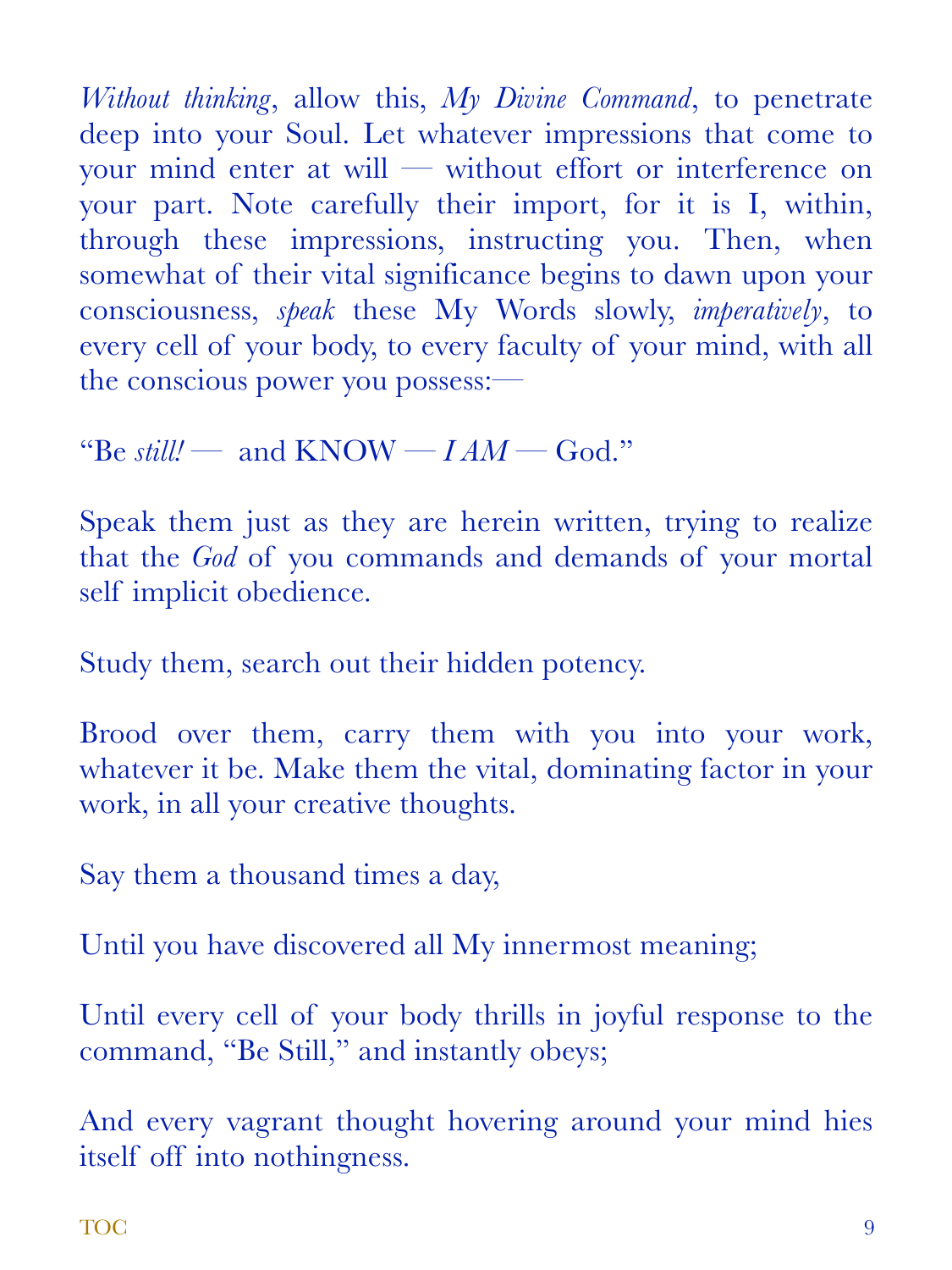*Without thinking*, allow this, *My Divine Command*, to penetrate deep into your Soul. Let whatever impressions that come to your mind enter at will — without effort or interference on your part. Note carefully their import, for it is I, within, through these impressions, instructing you. Then, when somewhat of their vital significance begins to dawn upon your consciousness, *speak* these My Words slowly, *imperatively*, to every cell of your body, to every faculty of your mind, with all the conscious power you possess:—

"Be *still!* — and KNOW — *I AM* — God."

Speak them just as they are herein written, trying to realize that the *God* of you commands and demands of your mortal self implicit obedience.

Study them, search out their hidden potency.

Brood over them, carry them with you into your work, whatever it be. Make them the vital, dominating factor in your work, in all your creative thoughts.

Say them a thousand times a day,

Until you have discovered all My innermost meaning;

Until every cell of your body thrills in joyful response to the command, "Be Still," and instantly obeys;

And every vagrant thought hovering around your mind hies itself off into nothingness.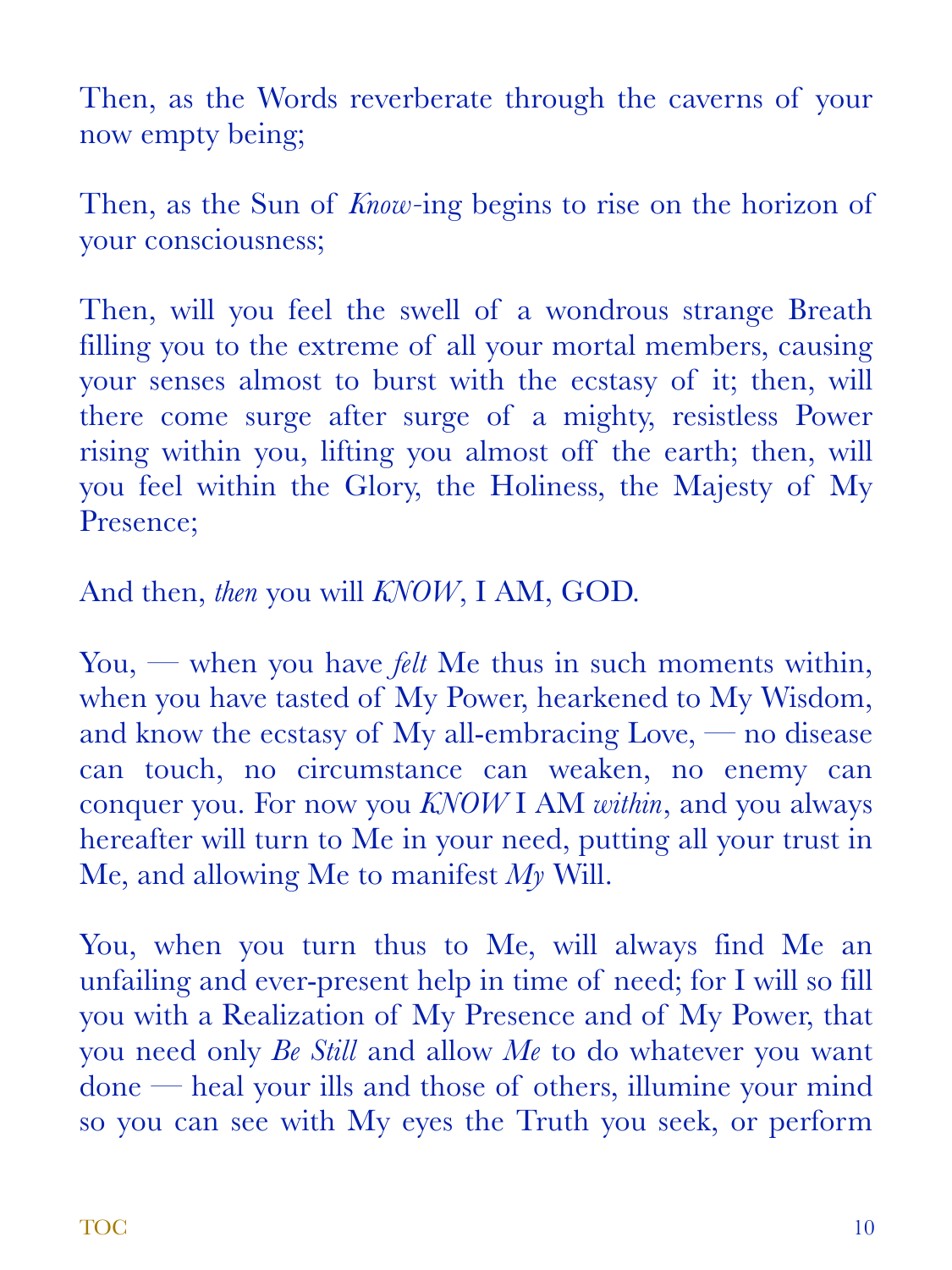Then, as the Words reverberate through the caverns of your now empty being;

Then, as the Sun of *Know-*ing begins to rise on the horizon of your consciousness;

Then, will you feel the swell of a wondrous strange Breath filling you to the extreme of all your mortal members, causing your senses almost to burst with the ecstasy of it; then, will there come surge after surge of a mighty, resistless Power rising within you, lifting you almost off the earth; then, will you feel within the Glory, the Holiness, the Majesty of My Presence;

#### And then, *then* you will *KNOW*, I AM, GOD.

You, — when you have *felt* Me thus in such moments within, when you have tasted of My Power, hearkened to My Wisdom, and know the ecstasy of My all-embracing Love, — no disease can touch, no circumstance can weaken, no enemy can conquer you. For now you *KNOW* I AM *within*, and you always hereafter will turn to Me in your need, putting all your trust in Me, and allowing Me to manifest *My* Will.

You, when you turn thus to Me, will always find Me an unfailing and ever-present help in time of need; for I will so fill you with a Realization of My Presence and of My Power, that you need only *Be Still* and allow *Me* to do whatever you want done — heal your ills and those of others, illumine your mind so you can see with My eyes the Truth you seek, or perform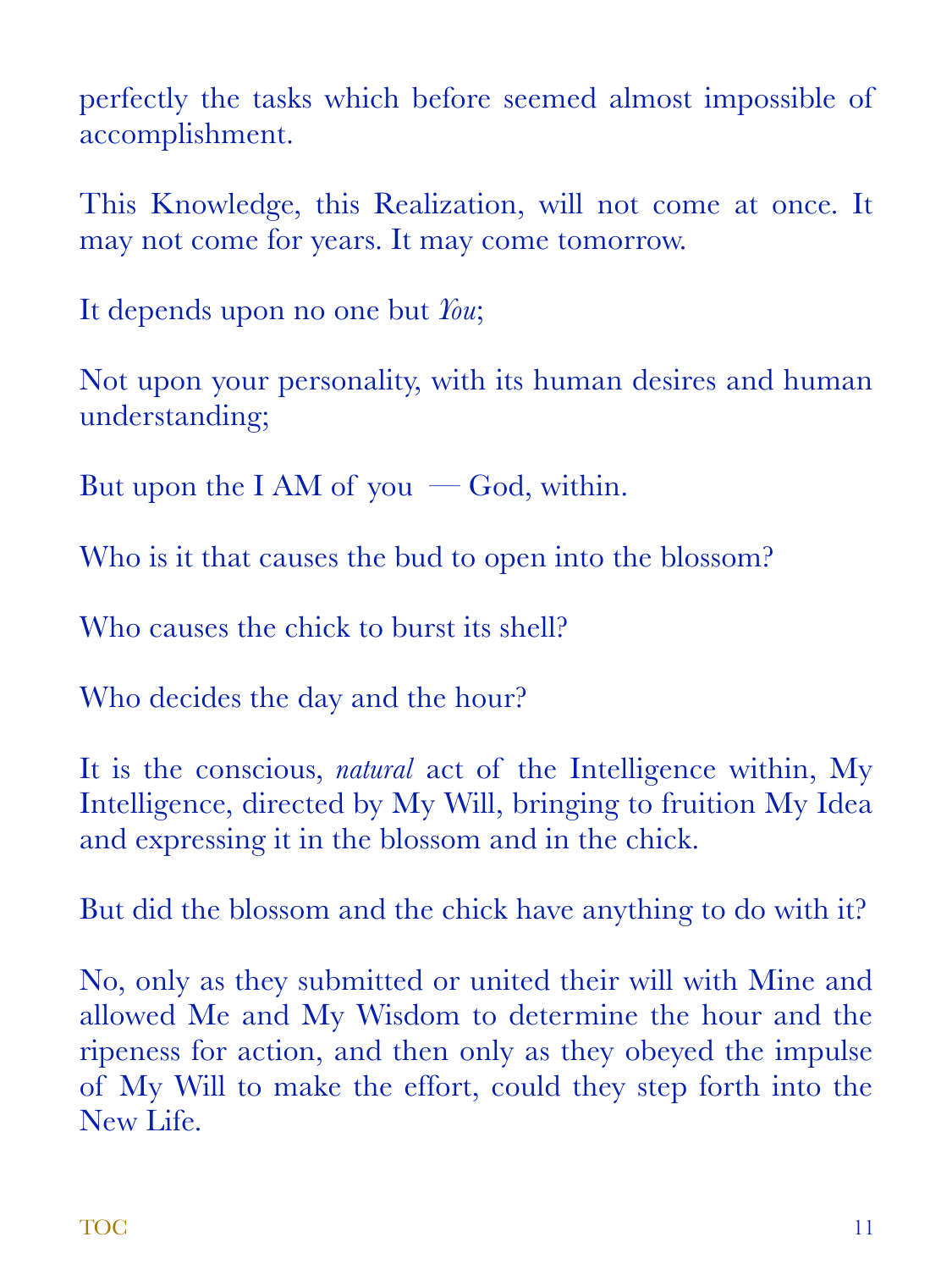perfectly the tasks which before seemed almost impossible of accomplishment.

This Knowledge, this Realization, will not come at once. It may not come for years. It may come tomorrow.

It depends upon no one but *You*;

Not upon your personality, with its human desires and human understanding;

But upon the I AM of you  $\sim$  God, within.

Who is it that causes the bud to open into the blossom?

Who causes the chick to burst its shell?

Who decides the day and the hour?

It is the conscious, *natural* act of the Intelligence within, My Intelligence, directed by My Will, bringing to fruition My Idea and expressing it in the blossom and in the chick.

But did the blossom and the chick have anything to do with it?

No, only as they submitted or united their will with Mine and allowed Me and My Wisdom to determine the hour and the ripeness for action, and then only as they obeyed the impulse of My Will to make the effort, could they step forth into the New Life.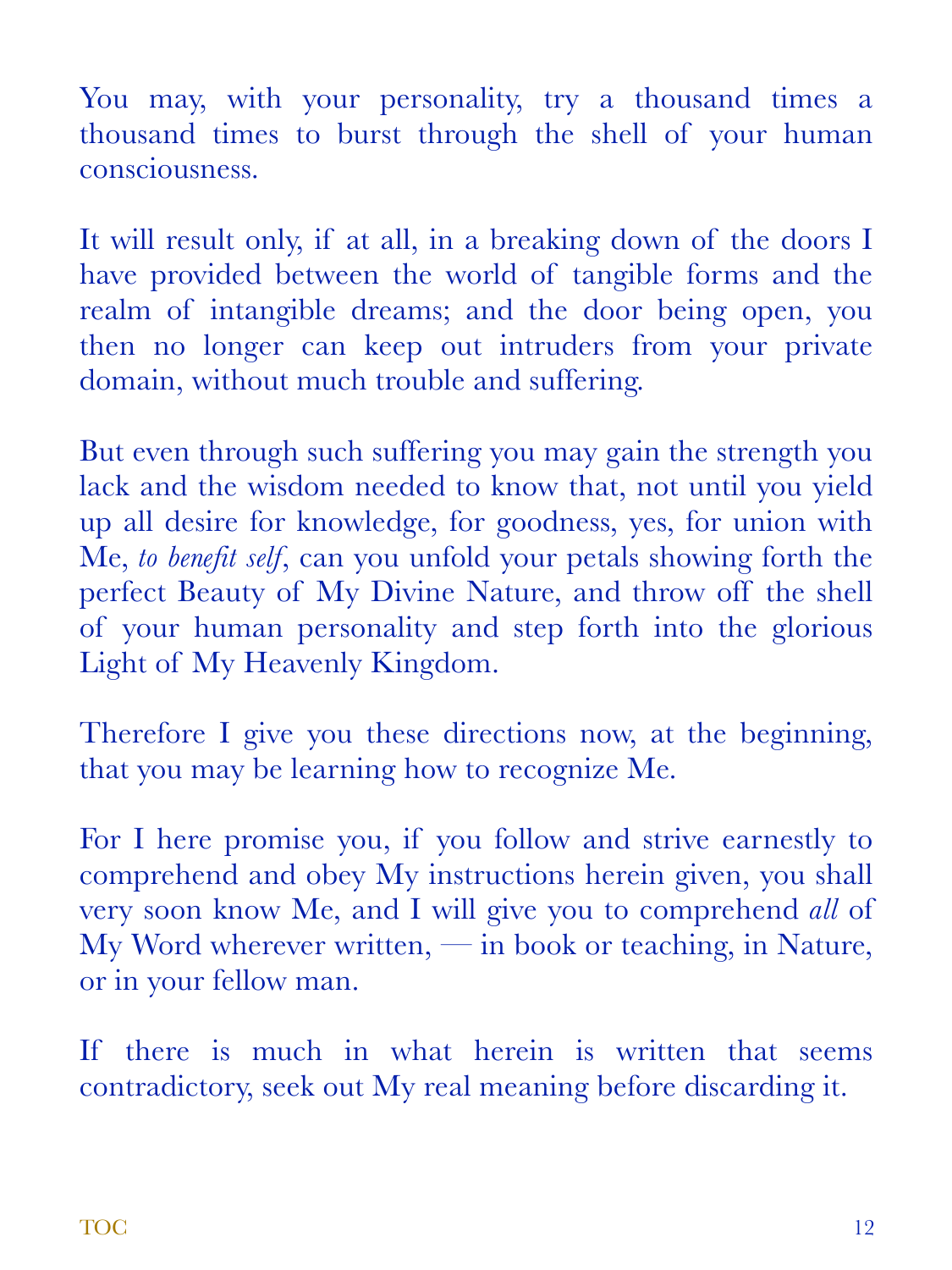You may, with your personality, try a thousand times a thousand times to burst through the shell of your human consciousness.

It will result only, if at all, in a breaking down of the doors I have provided between the world of tangible forms and the realm of intangible dreams; and the door being open, you then no longer can keep out intruders from your private domain, without much trouble and suffering.

But even through such suffering you may gain the strength you lack and the wisdom needed to know that, not until you yield up all desire for knowledge, for goodness, yes, for union with Me, *to benefit self*, can you unfold your petals showing forth the perfect Beauty of My Divine Nature, and throw off the shell of your human personality and step forth into the glorious Light of My Heavenly Kingdom.

Therefore I give you these directions now, at the beginning, that you may be learning how to recognize Me.

For I here promise you, if you follow and strive earnestly to comprehend and obey My instructions herein given, you shall very soon know Me, and I will give you to comprehend *all* of My Word wherever written, — in book or teaching, in Nature, or in your fellow man.

If there is much in what herein is written that seems contradictory, seek out My real meaning before discarding it.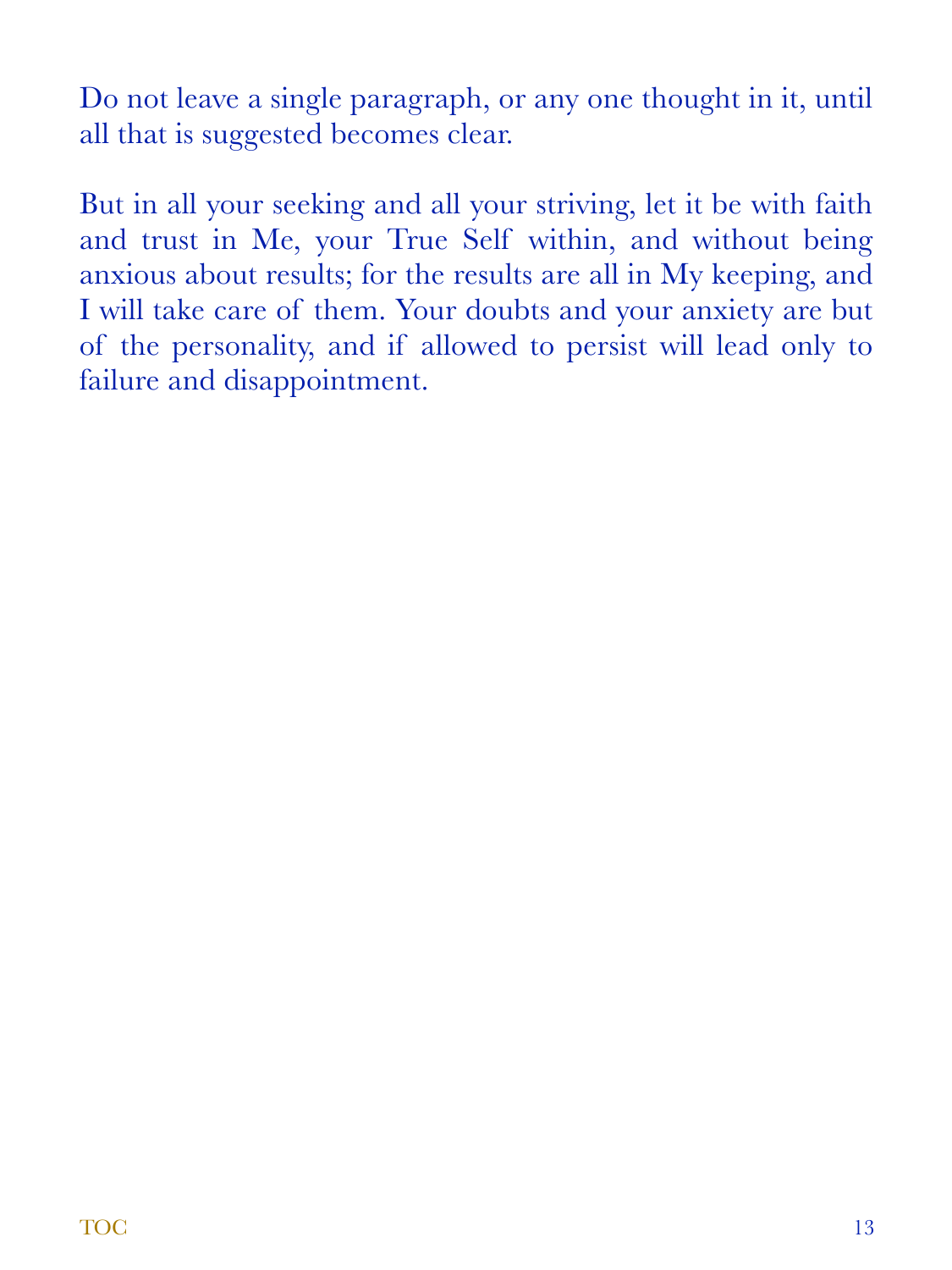Do not leave a single paragraph, or any one thought in it, until all that is suggested becomes clear.

But in all your seeking and all your striving, let it be with faith and trust in Me, your True Self within, and without being anxious about results; for the results are all in My keeping, and I will take care of them. Your doubts and your anxiety are but of the personality, and if allowed to persist will lead only to failure and disappointment.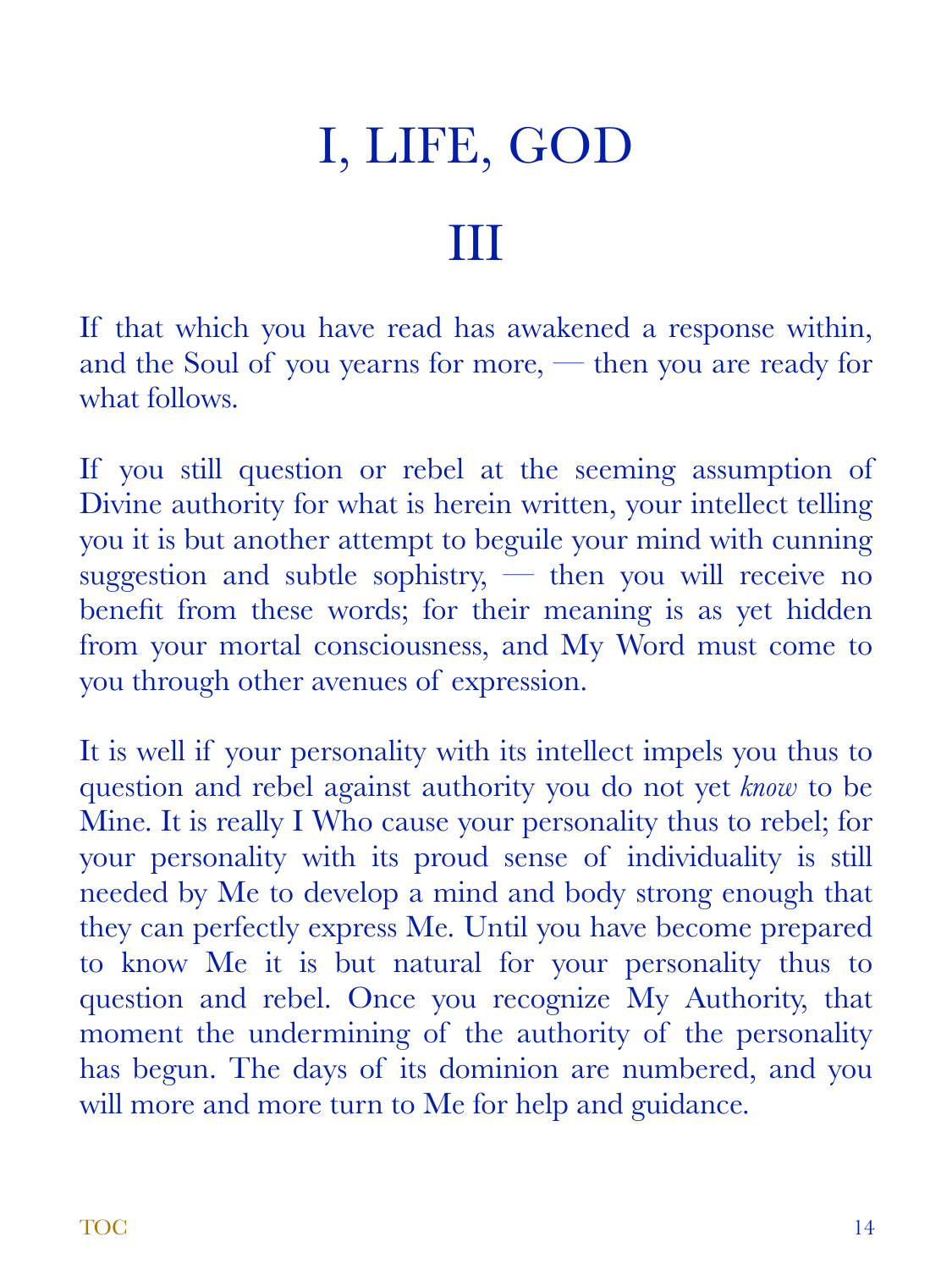### <span id="page-15-0"></span>I, LIFE, GOD

#### III

If that which you have read has awakened a response within, and the Soul of you yearns for more, — then you are ready for what follows.

If you still question or rebel at the seeming assumption of Divine authority for what is herein written, your intellect telling you it is but another attempt to beguile your mind with cunning suggestion and subtle sophistry,  $-$  then you will receive no benefit from these words; for their meaning is as yet hidden from your mortal consciousness, and My Word must come to you through other avenues of expression.

It is well if your personality with its intellect impels you thus to question and rebel against authority you do not yet *know* to be Mine. It is really I Who cause your personality thus to rebel; for your personality with its proud sense of individuality is still needed by Me to develop a mind and body strong enough that they can perfectly express Me. Until you have become prepared to know Me it is but natural for your personality thus to question and rebel. Once you recognize My Authority, that moment the undermining of the authority of the personality has begun. The days of its dominion are numbered, and you will more and more turn to Me for help and guidance.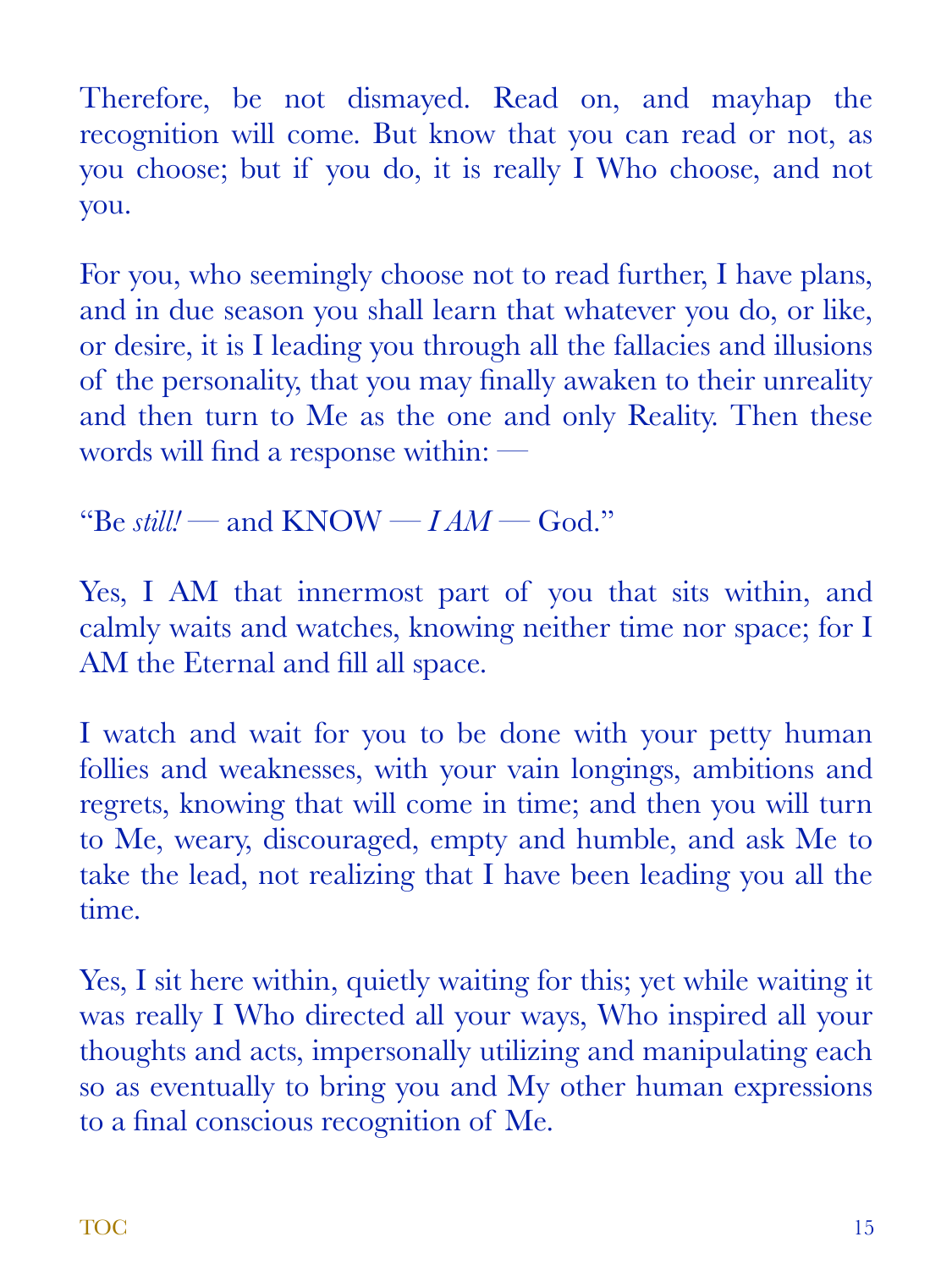Therefore, be not dismayed. Read on, and mayhap the recognition will come. But know that you can read or not, as you choose; but if you do, it is really I Who choose, and not you.

For you, who seemingly choose not to read further, I have plans, and in due season you shall learn that whatever you do, or like, or desire, it is I leading you through all the fallacies and illusions of the personality, that you may finally awaken to their unreality and then turn to Me as the one and only Reality. Then these words will find a response within:

"Be *still!* — and KNOW — *I AM* — God."

Yes, I AM that innermost part of you that sits within, and calmly waits and watches, knowing neither time nor space; for I AM the Eternal and fill all space.

I watch and wait for you to be done with your petty human follies and weaknesses, with your vain longings, ambitions and regrets, knowing that will come in time; and then you will turn to Me, weary, discouraged, empty and humble, and ask Me to take the lead, not realizing that I have been leading you all the time.

Yes, I sit here within, quietly waiting for this; yet while waiting it was really I Who directed all your ways, Who inspired all your thoughts and acts, impersonally utilizing and manipulating each so as eventually to bring you and My other human expressions to a final conscious recognition of Me.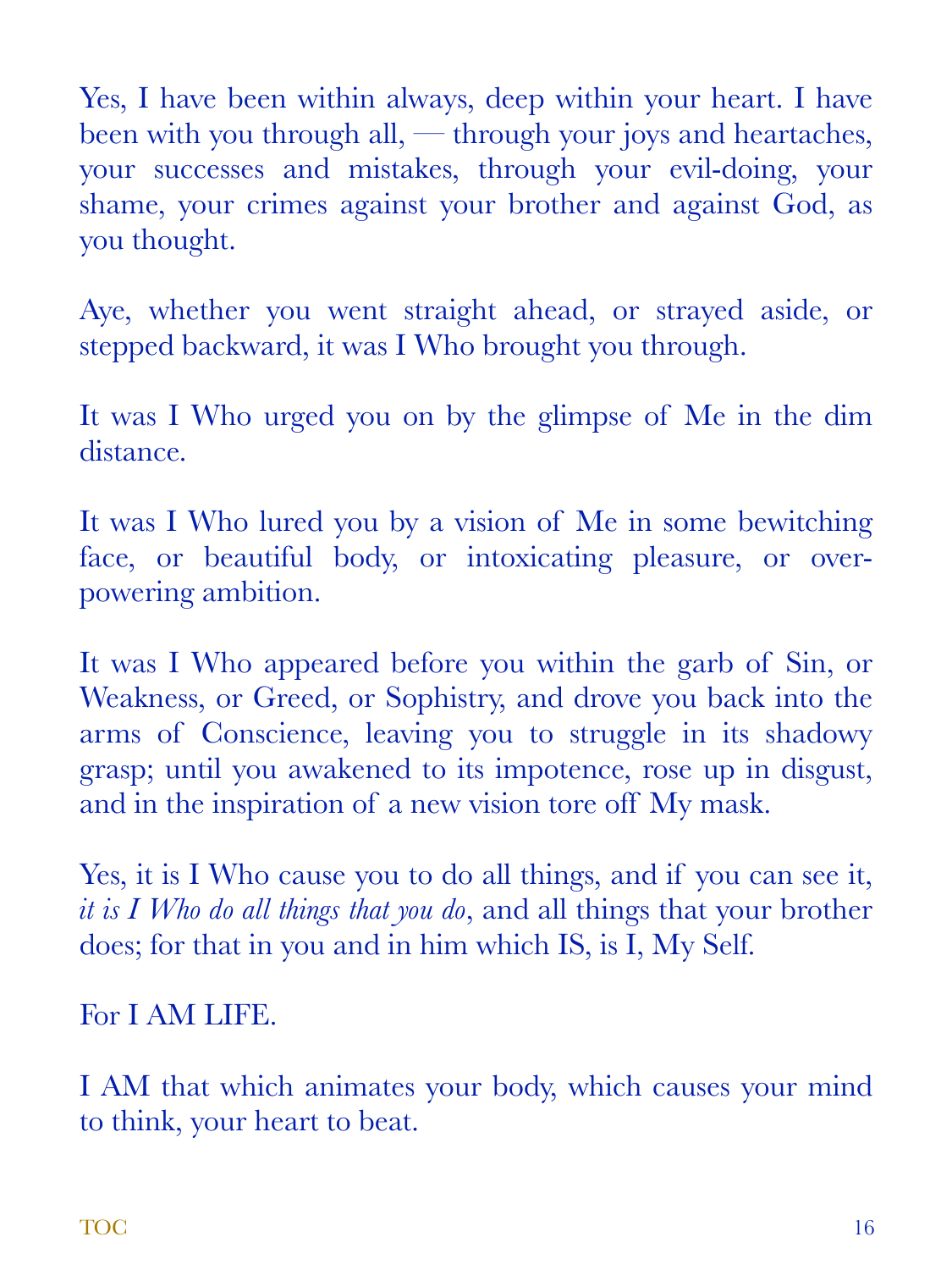Yes, I have been within always, deep within your heart. I have been with you through all, — through your joys and heartaches, your successes and mistakes, through your evil-doing, your shame, your crimes against your brother and against God, as you thought.

Aye, whether you went straight ahead, or strayed aside, or stepped backward, it was I Who brought you through.

It was I Who urged you on by the glimpse of Me in the dim distance.

It was I Who lured you by a vision of Me in some bewitching face, or beautiful body, or intoxicating pleasure, or overpowering ambition.

It was I Who appeared before you within the garb of Sin, or Weakness, or Greed, or Sophistry, and drove you back into the arms of Conscience, leaving you to struggle in its shadowy grasp; until you awakened to its impotence, rose up in disgust, and in the inspiration of a new vision tore off My mask.

Yes, it is I Who cause you to do all things, and if you can see it, *it is I Who do all things that you do*, and all things that your brother does; for that in you and in him which IS, is I, My Self.

#### For I AM LIFE.

I AM that which animates your body, which causes your mind to think, your heart to beat.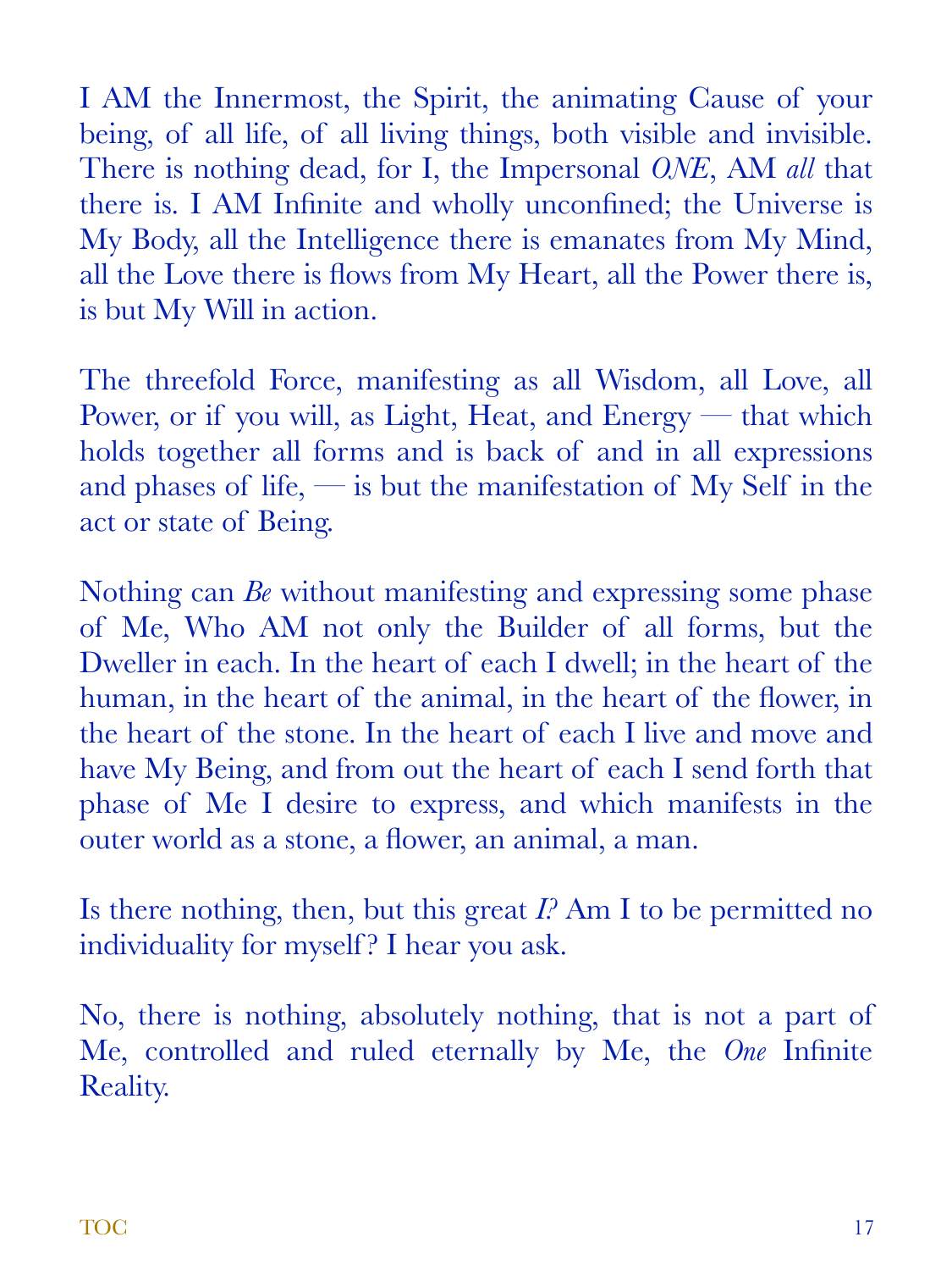I AM the Innermost, the Spirit, the animating Cause of your being, of all life, of all living things, both visible and invisible. There is nothing dead, for I, the Impersonal *ONE*, AM *all* that there is. I AM Infinite and wholly unconfined; the Universe is My Body, all the Intelligence there is emanates from My Mind, all the Love there is flows from My Heart, all the Power there is, is but My Will in action.

The threefold Force, manifesting as all Wisdom, all Love, all Power, or if you will, as Light, Heat, and Energy — that which holds together all forms and is back of and in all expressions and phases of life,  $\frac{1}{10}$  is but the manifestation of My Self in the act or state of Being.

Nothing can *Be* without manifesting and expressing some phase of Me, Who AM not only the Builder of all forms, but the Dweller in each. In the heart of each I dwell; in the heart of the human, in the heart of the animal, in the heart of the flower, in the heart of the stone. In the heart of each I live and move and have My Being, and from out the heart of each I send forth that phase of Me I desire to express, and which manifests in the outer world as a stone, a flower, an animal, a man.

Is there nothing, then, but this great *I?* Am I to be permitted no individuality for myself? I hear you ask.

No, there is nothing, absolutely nothing, that is not a part of Me, controlled and ruled eternally by Me, the *One* Infinite Reality.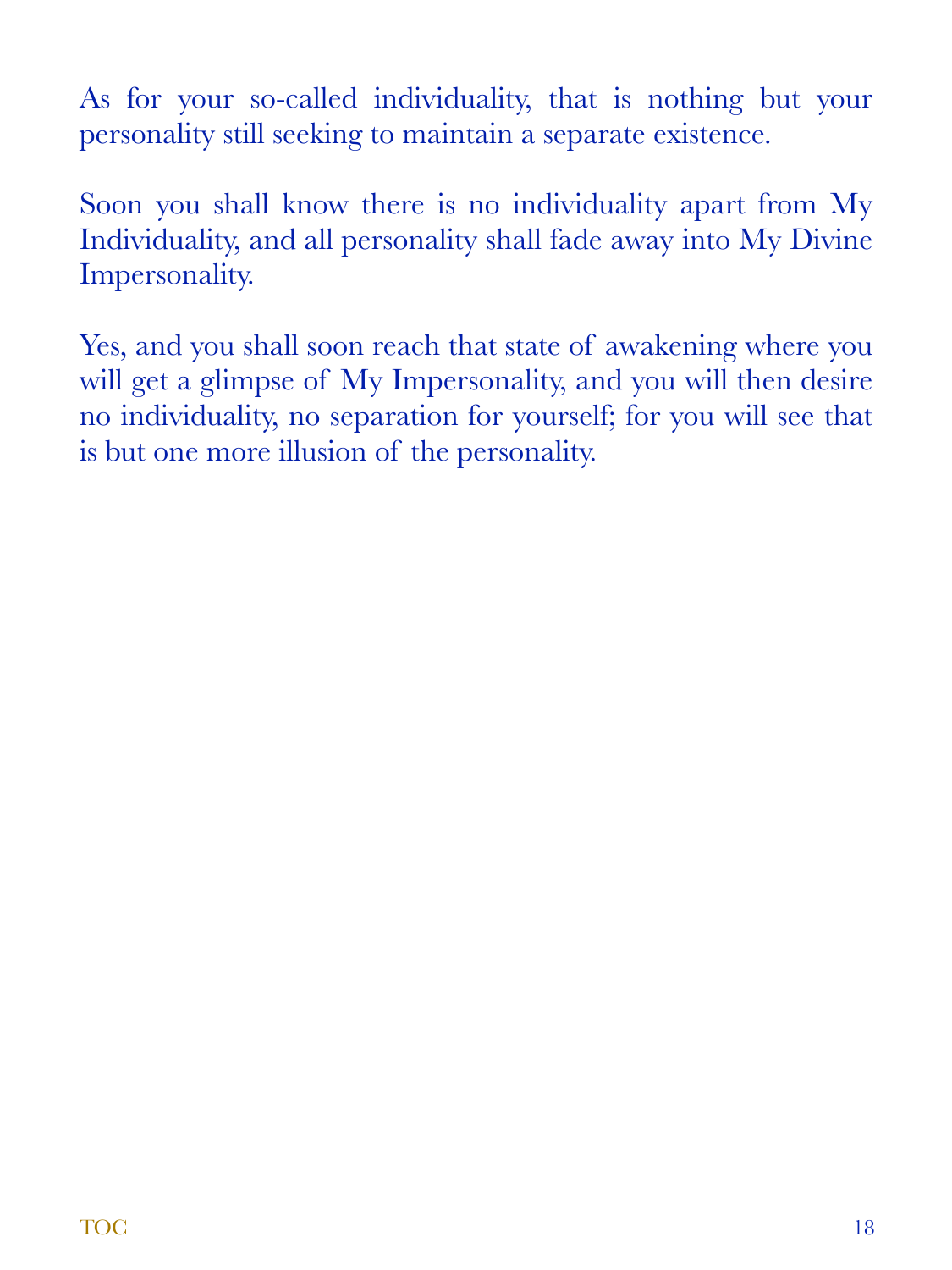As for your so-called individuality, that is nothing but your personality still seeking to maintain a separate existence.

Soon you shall know there is no individuality apart from My Individuality, and all personality shall fade away into My Divine Impersonality.

Yes, and you shall soon reach that state of awakening where you will get a glimpse of My Impersonality, and you will then desire no individuality, no separation for yourself; for you will see that is but one more illusion of the personality.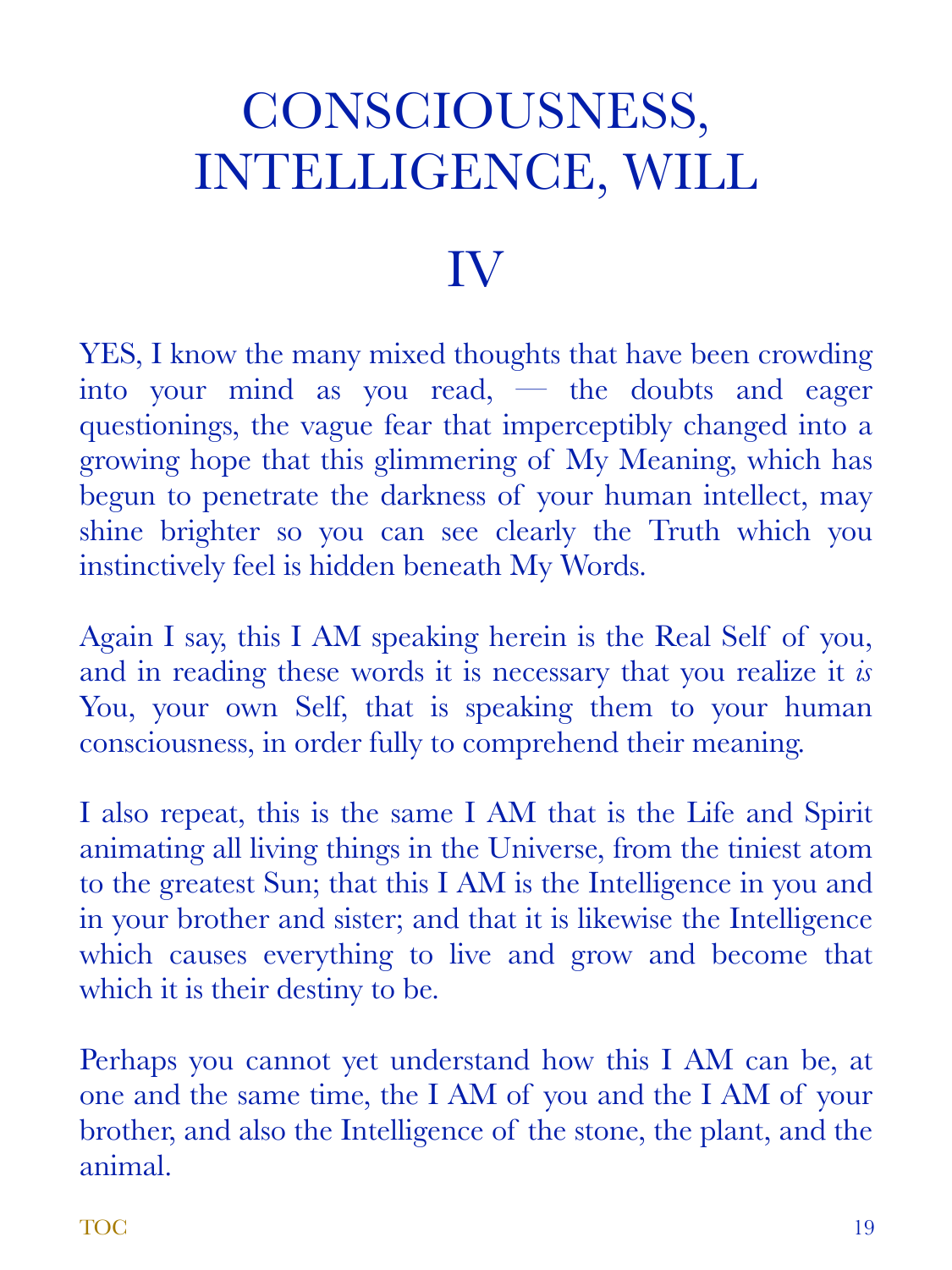### <span id="page-20-0"></span>CONSCIOUSNESS, INTELLIGENCE, WILL

#### IV

YES, I know the many mixed thoughts that have been crowding into your mind as you read, — the doubts and eager questionings, the vague fear that imperceptibly changed into a growing hope that this glimmering of My Meaning, which has begun to penetrate the darkness of your human intellect, may shine brighter so you can see clearly the Truth which you instinctively feel is hidden beneath My Words.

Again I say, this I AM speaking herein is the Real Self of you, and in reading these words it is necessary that you realize it *is*  You, your own Self, that is speaking them to your human consciousness, in order fully to comprehend their meaning.

I also repeat, this is the same I AM that is the Life and Spirit animating all living things in the Universe, from the tiniest atom to the greatest Sun; that this I AM is the Intelligence in you and in your brother and sister; and that it is likewise the Intelligence which causes everything to live and grow and become that which it is their destiny to be.

Perhaps you cannot yet understand how this I AM can be, at one and the same time, the I AM of you and the I AM of your brother, and also the Intelligence of the stone, the plant, and the animal.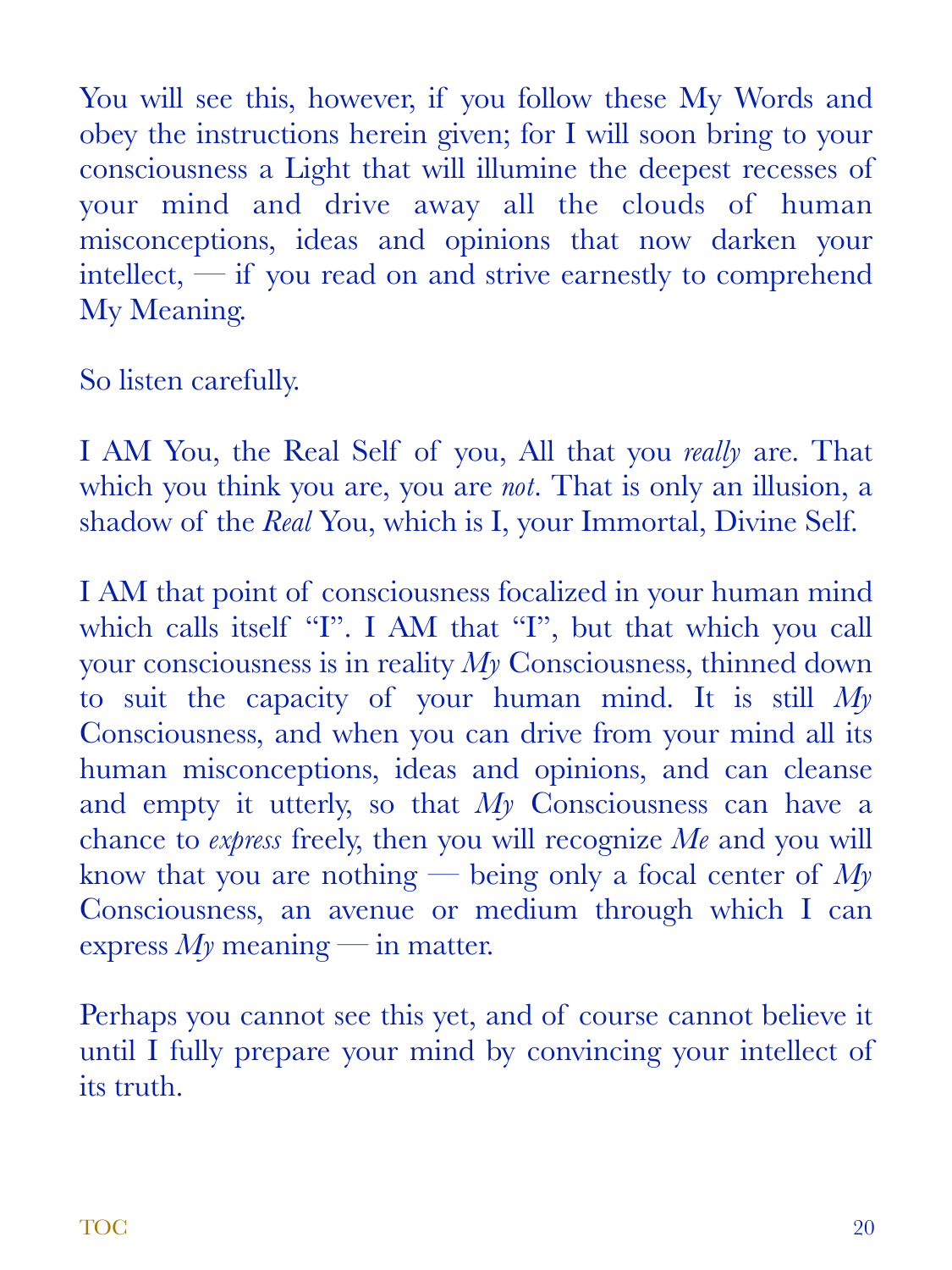You will see this, however, if you follow these My Words and obey the instructions herein given; for I will soon bring to your consciousness a Light that will illumine the deepest recesses of your mind and drive away all the clouds of human misconceptions, ideas and opinions that now darken your intellect, — if you read on and strive earnestly to comprehend My Meaning.

So listen carefully.

I AM You, the Real Self of you, All that you *really* are. That which you think you are, you are *not*. That is only an illusion, a shadow of the *Real* You, which is I, your Immortal, Divine Self.

I AM that point of consciousness focalized in your human mind which calls itself "I". I AM that "I", but that which you call your consciousness is in reality *My* Consciousness, thinned down to suit the capacity of your human mind. It is still *My* Consciousness, and when you can drive from your mind all its human misconceptions, ideas and opinions, and can cleanse and empty it utterly, so that *My* Consciousness can have a chance to *express* freely, then you will recognize *Me* and you will know that you are nothing — being only a focal center of *My* Consciousness, an avenue or medium through which I can express *My* meaning — in matter.

Perhaps you cannot see this yet, and of course cannot believe it until I fully prepare your mind by convincing your intellect of its truth.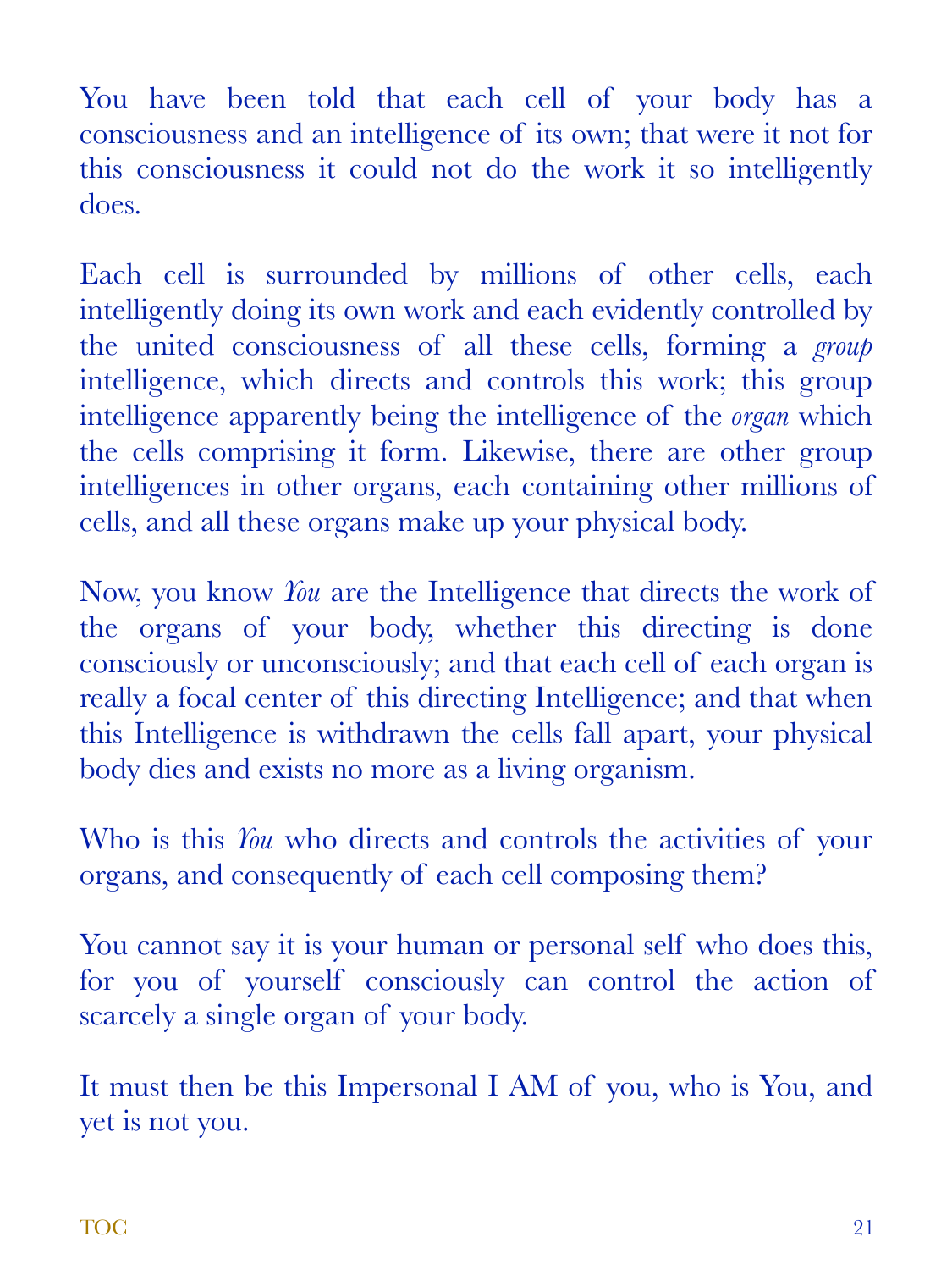You have been told that each cell of your body has a consciousness and an intelligence of its own; that were it not for this consciousness it could not do the work it so intelligently does.

Each cell is surrounded by millions of other cells, each intelligently doing its own work and each evidently controlled by the united consciousness of all these cells, forming a *group* intelligence, which directs and controls this work; this group intelligence apparently being the intelligence of the *organ* which the cells comprising it form. Likewise, there are other group intelligences in other organs, each containing other millions of cells, and all these organs make up your physical body.

Now, you know *You* are the Intelligence that directs the work of the organs of your body, whether this directing is done consciously or unconsciously; and that each cell of each organ is really a focal center of this directing Intelligence; and that when this Intelligence is withdrawn the cells fall apart, your physical body dies and exists no more as a living organism.

Who is this *You* who directs and controls the activities of your organs, and consequently of each cell composing them?

You cannot say it is your human or personal self who does this, for you of yourself consciously can control the action of scarcely a single organ of your body.

It must then be this Impersonal I AM of you, who is You, and yet is not you.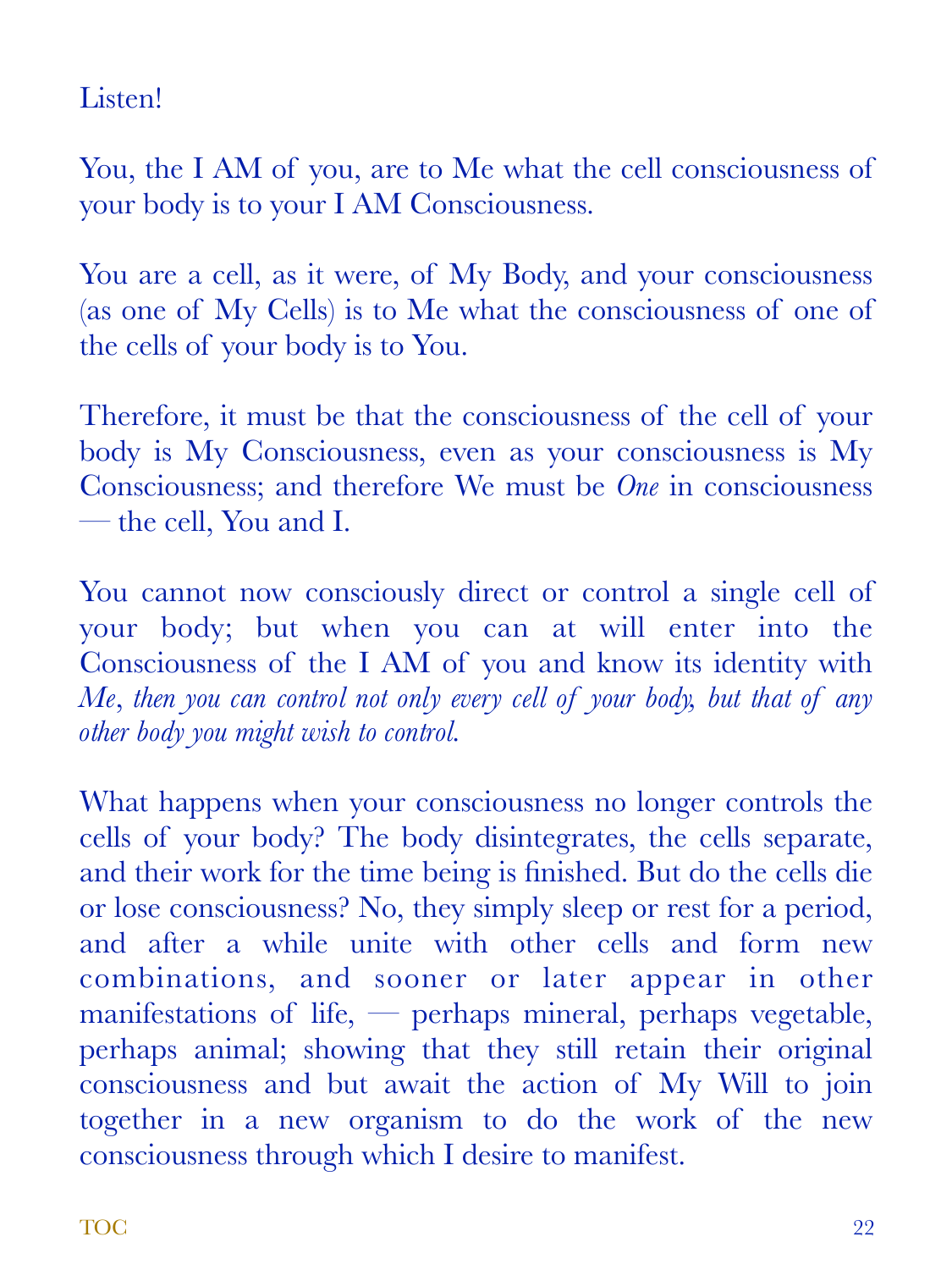Listen!

You, the I AM of you, are to Me what the cell consciousness of your body is to your I AM Consciousness.

You are a cell, as it were, of My Body, and your consciousness (as one of My Cells) is to Me what the consciousness of one of the cells of your body is to You.

Therefore, it must be that the consciousness of the cell of your body is My Consciousness, even as your consciousness is My Consciousness; and therefore We must be *One* in consciousness — the cell, You and I.

You cannot now consciously direct or control a single cell of your body; but when you can at will enter into the Consciousness of the I AM of you and know its identity with *Me*, *then you can control not only every cell of your body, but that of any other body you might wish to control.*

What happens when your consciousness no longer controls the cells of your body? The body disintegrates, the cells separate, and their work for the time being is finished. But do the cells die or lose consciousness? No, they simply sleep or rest for a period, and after a while unite with other cells and form new combinations, and sooner or later appear in other manifestations of life, — perhaps mineral, perhaps vegetable, perhaps animal; showing that they still retain their original consciousness and but await the action of My Will to join together in a new organism to do the work of the new consciousness through which I desire to manifest.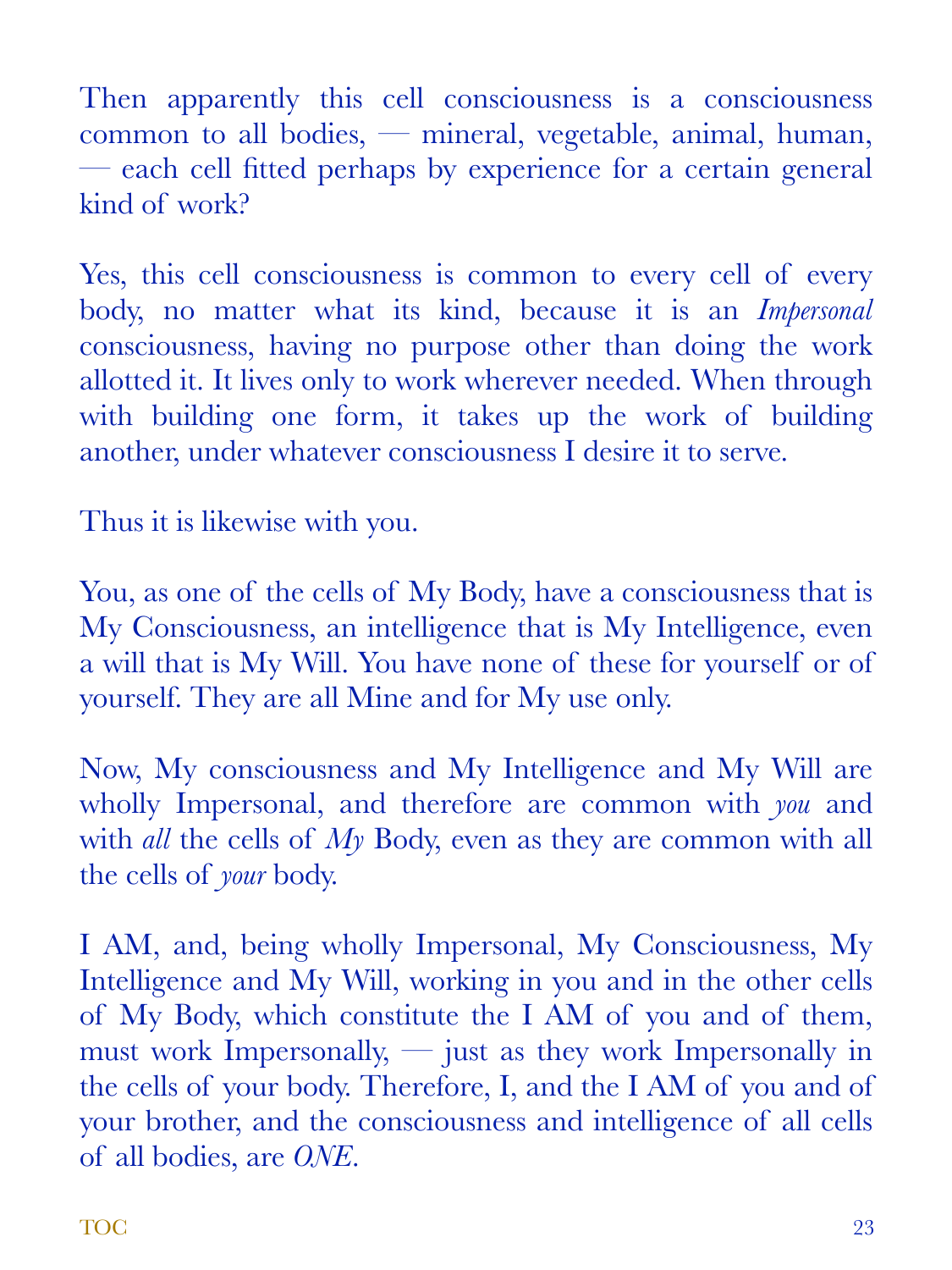Then apparently this cell consciousness is a consciousness common to all bodies, — mineral, vegetable, animal, human, — each cell fitted perhaps by experience for a certain general kind of work?

Yes, this cell consciousness is common to every cell of every body, no matter what its kind, because it is an *Impersonal*  consciousness, having no purpose other than doing the work allotted it. It lives only to work wherever needed. When through with building one form, it takes up the work of building another, under whatever consciousness I desire it to serve.

Thus it is likewise with you.

You, as one of the cells of My Body, have a consciousness that is My Consciousness, an intelligence that is My Intelligence, even a will that is My Will. You have none of these for yourself or of yourself. They are all Mine and for My use only.

Now, My consciousness and My Intelligence and My Will are wholly Impersonal, and therefore are common with *you* and with *all* the cells of  $My$  Body, even as they are common with all the cells of *your* body.

I AM, and, being wholly Impersonal, My Consciousness, My Intelligence and My Will, working in you and in the other cells of My Body, which constitute the I AM of you and of them, must work Impersonally,  $\frac{1}{1}$  just as they work Impersonally in the cells of your body. Therefore, I, and the I AM of you and of your brother, and the consciousness and intelligence of all cells of all bodies, are *ONE*.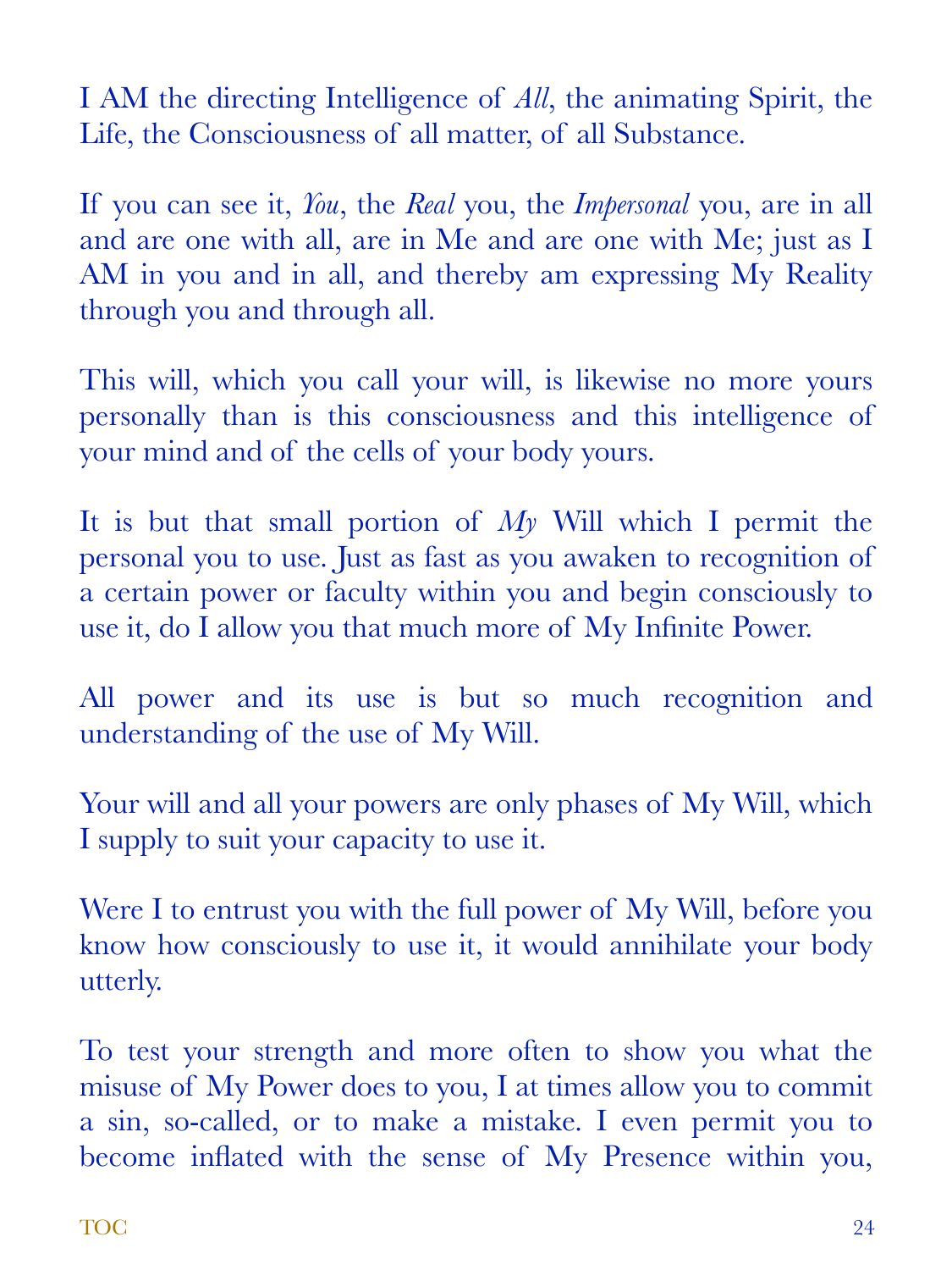I AM the directing Intelligence of *All*, the animating Spirit, the Life, the Consciousness of all matter, of all Substance.

If you can see it, *You*, the *Real* you, the *Impersonal* you, are in all and are one with all, are in Me and are one with Me; just as I AM in you and in all, and thereby am expressing My Reality through you and through all.

This will, which you call your will, is likewise no more yours personally than is this consciousness and this intelligence of your mind and of the cells of your body yours.

It is but that small portion of *My* Will which I permit the personal you to use. Just as fast as you awaken to recognition of a certain power or faculty within you and begin consciously to use it, do I allow you that much more of My Infinite Power.

All power and its use is but so much recognition and understanding of the use of My Will.

Your will and all your powers are only phases of My Will, which I supply to suit your capacity to use it.

Were I to entrust you with the full power of My Will, before you know how consciously to use it, it would annihilate your body utterly.

To test your strength and more often to show you what the misuse of My Power does to you, I at times allow you to commit a sin, so-called, or to make a mistake. I even permit you to become inflated with the sense of My Presence within you,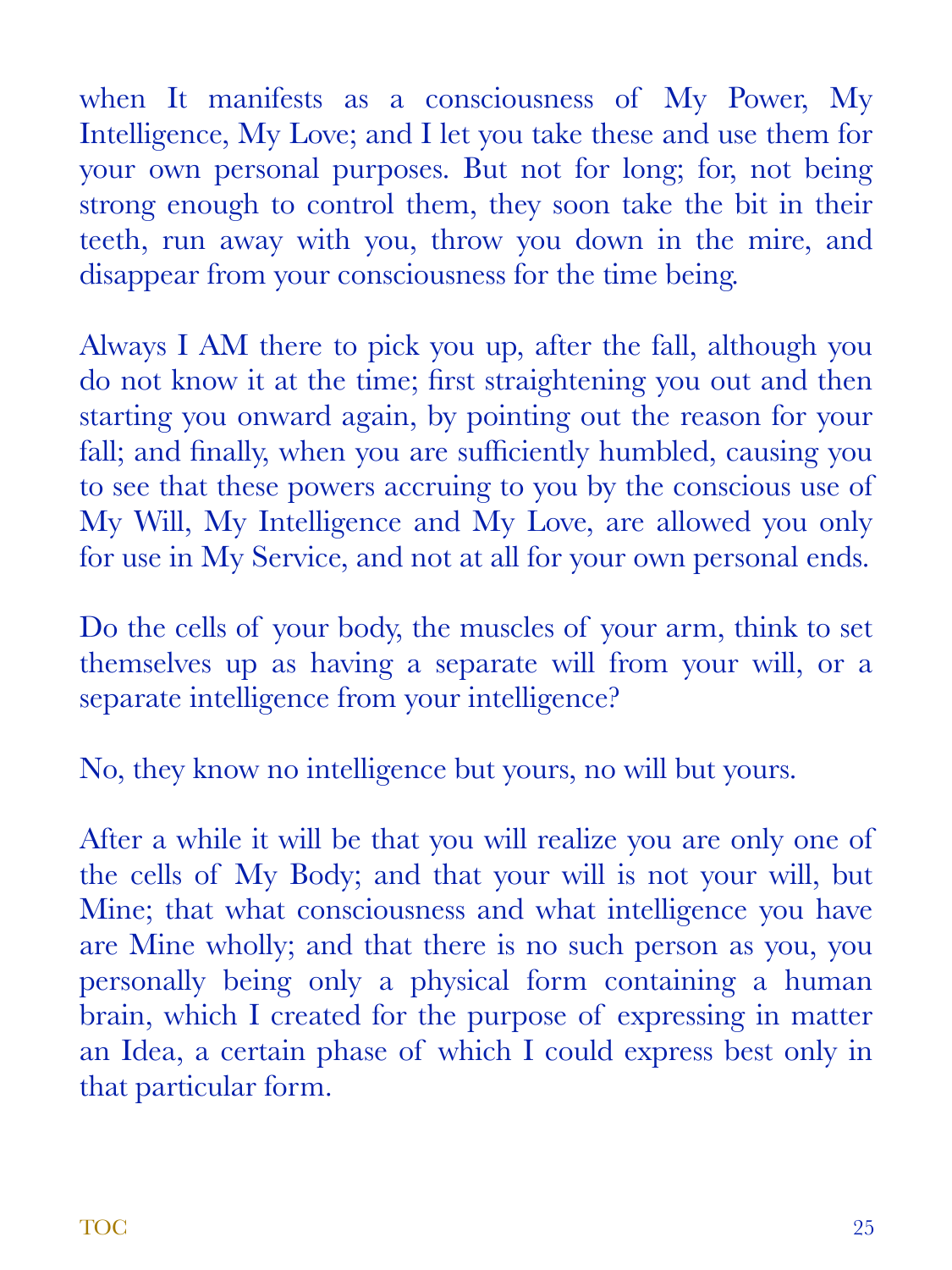when It manifests as a consciousness of My Power, My Intelligence, My Love; and I let you take these and use them for your own personal purposes. But not for long; for, not being strong enough to control them, they soon take the bit in their teeth, run away with you, throw you down in the mire, and disappear from your consciousness for the time being.

Always I AM there to pick you up, after the fall, although you do not know it at the time; first straightening you out and then starting you onward again, by pointing out the reason for your fall; and finally, when you are sufficiently humbled, causing you to see that these powers accruing to you by the conscious use of My Will, My Intelligence and My Love, are allowed you only for use in My Service, and not at all for your own personal ends.

Do the cells of your body, the muscles of your arm, think to set themselves up as having a separate will from your will, or a separate intelligence from your intelligence?

No, they know no intelligence but yours, no will but yours.

After a while it will be that you will realize you are only one of the cells of My Body; and that your will is not your will, but Mine; that what consciousness and what intelligence you have are Mine wholly; and that there is no such person as you, you personally being only a physical form containing a human brain, which I created for the purpose of expressing in matter an Idea, a certain phase of which I could express best only in that particular form.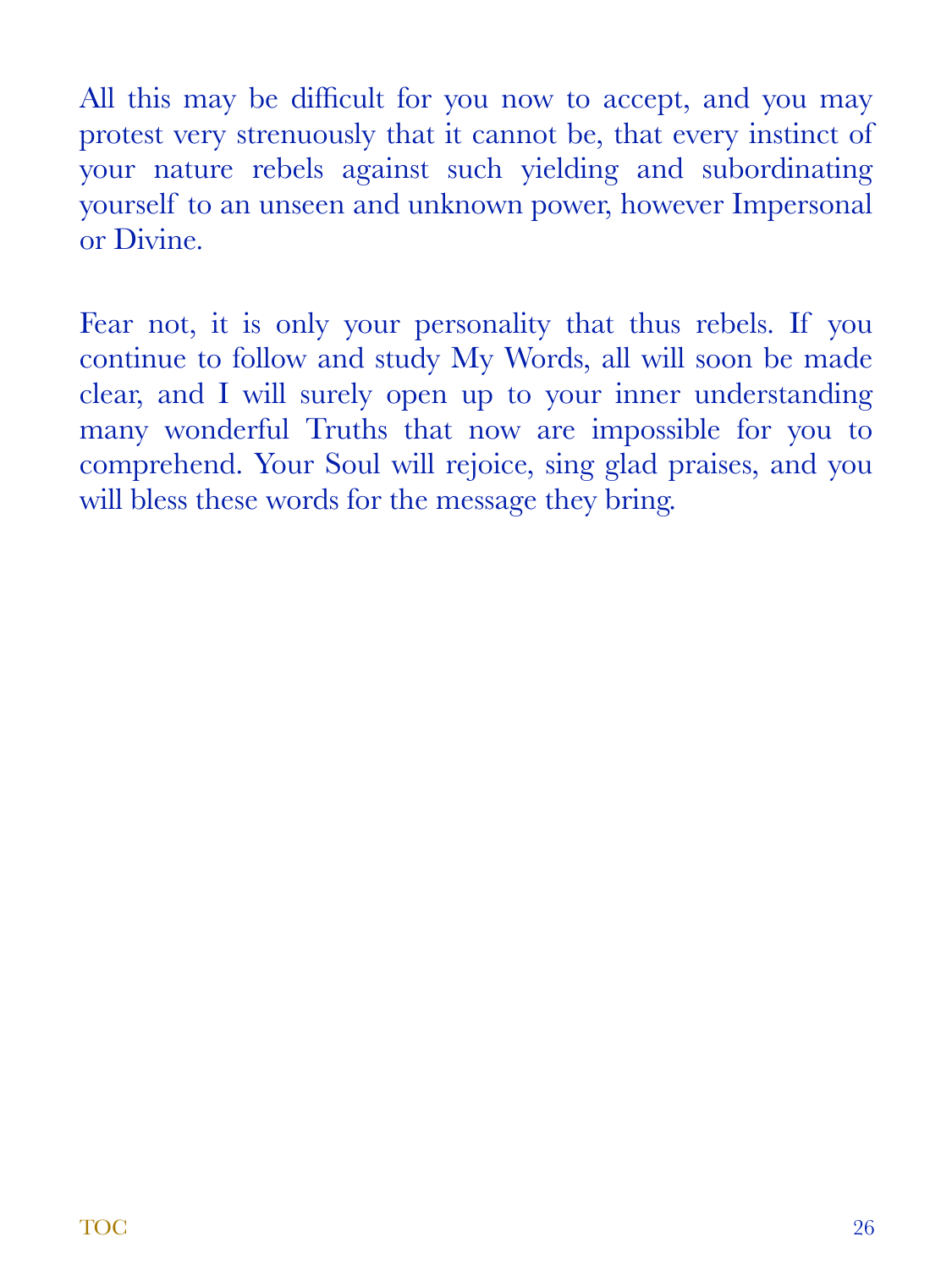All this may be difficult for you now to accept, and you may protest very strenuously that it cannot be, that every instinct of your nature rebels against such yielding and subordinating yourself to an unseen and unknown power, however Impersonal or Divine.

Fear not, it is only your personality that thus rebels. If you continue to follow and study My Words, all will soon be made clear, and I will surely open up to your inner understanding many wonderful Truths that now are impossible for you to comprehend. Your Soul will rejoice, sing glad praises, and you will bless these words for the message they bring.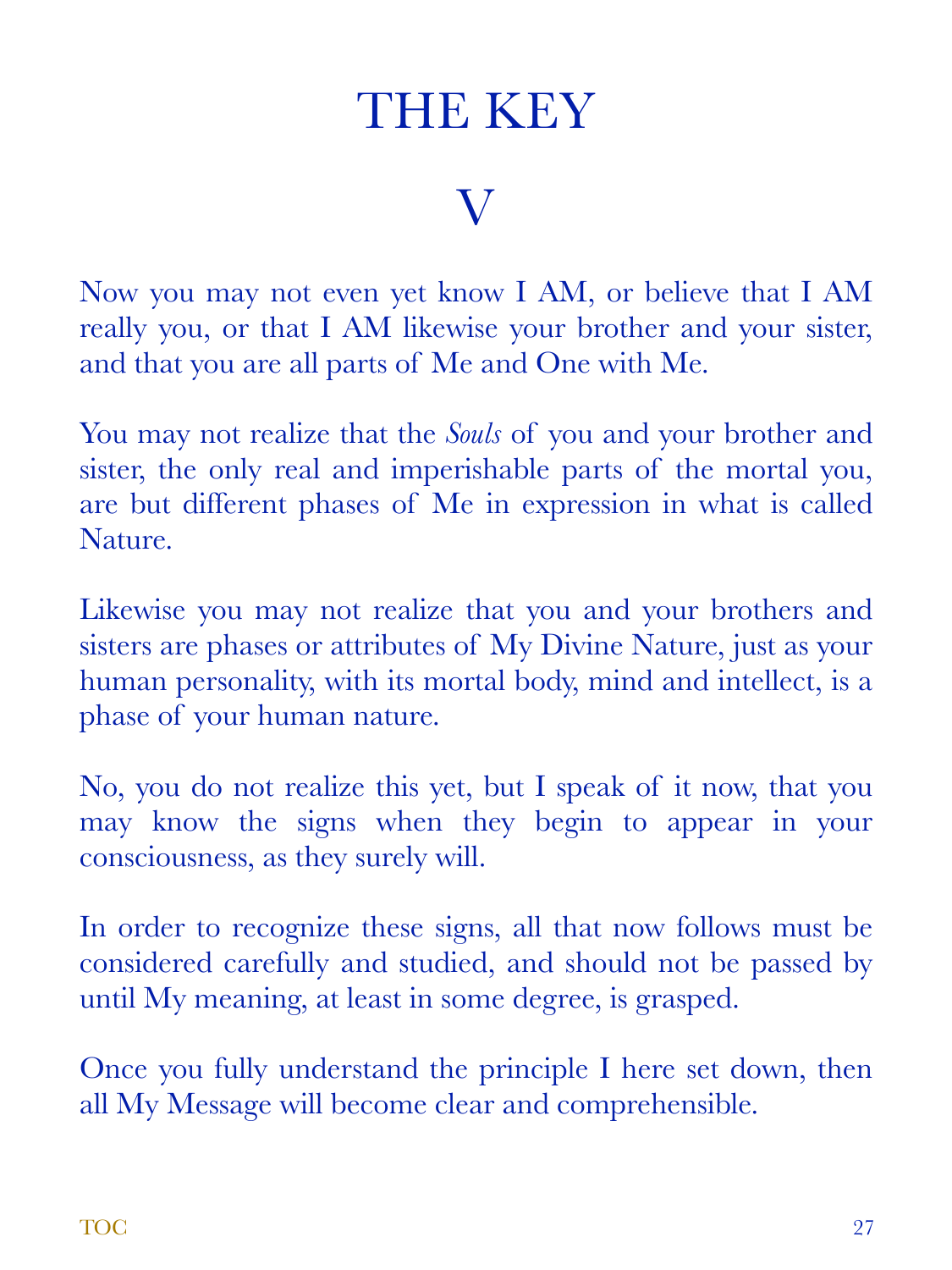#### <span id="page-28-0"></span>THE KEY

#### V

Now you may not even yet know I AM, or believe that I AM really you, or that I AM likewise your brother and your sister, and that you are all parts of Me and One with Me.

You may not realize that the *Souls* of you and your brother and sister, the only real and imperishable parts of the mortal you, are but different phases of Me in expression in what is called Nature.

Likewise you may not realize that you and your brothers and sisters are phases or attributes of My Divine Nature, just as your human personality, with its mortal body, mind and intellect, is a phase of your human nature.

No, you do not realize this yet, but I speak of it now, that you may know the signs when they begin to appear in your consciousness, as they surely will.

In order to recognize these signs, all that now follows must be considered carefully and studied, and should not be passed by until My meaning, at least in some degree, is grasped.

Once you fully understand the principle I here set down, then all My Message will become clear and comprehensible.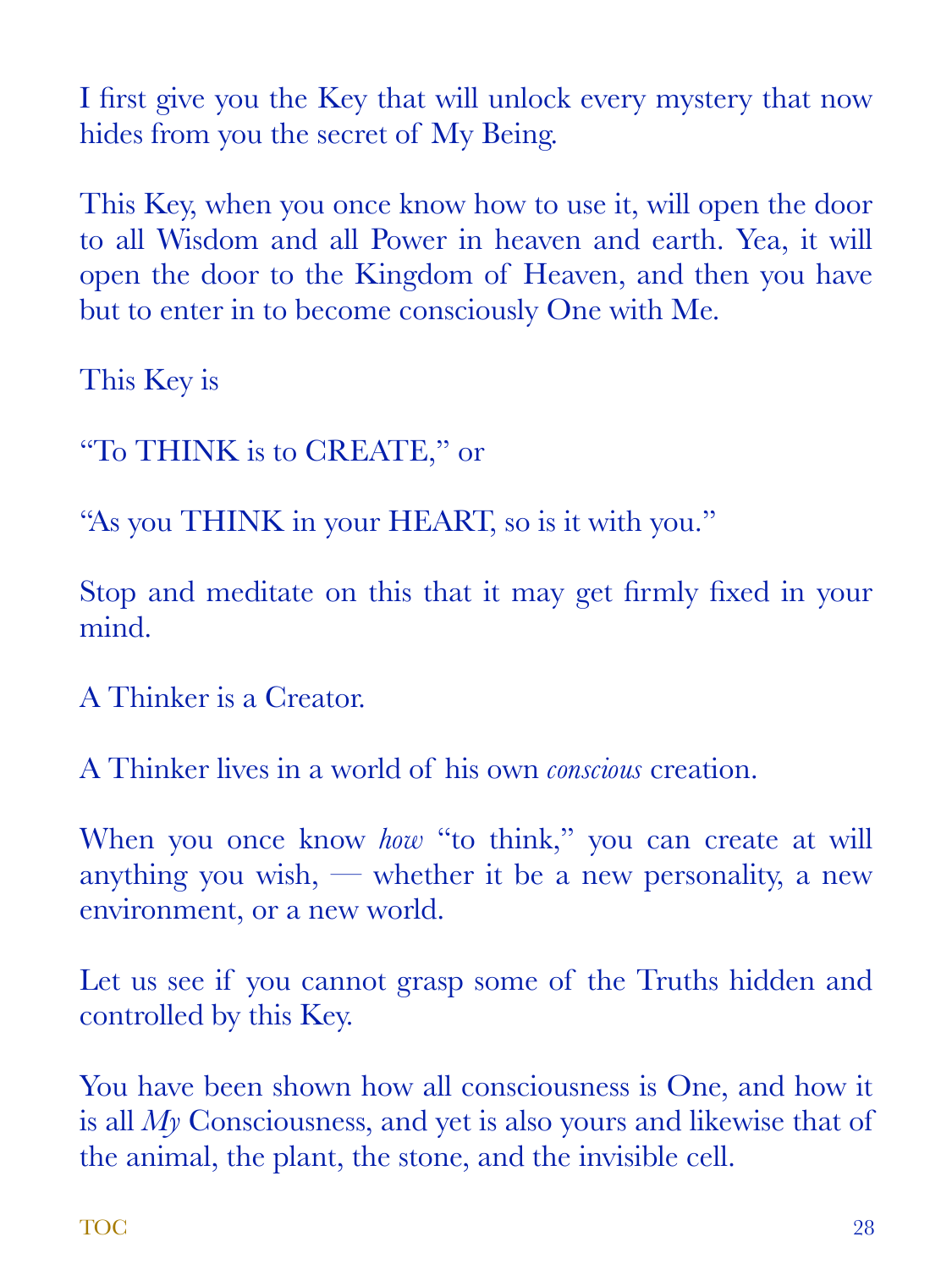I first give you the Key that will unlock every mystery that now hides from you the secret of My Being.

This Key, when you once know how to use it, will open the door to all Wisdom and all Power in heaven and earth. Yea, it will open the door to the Kingdom of Heaven, and then you have but to enter in to become consciously One with Me.

This Key is

"To THINK is to CREATE," or

"As you THINK in your HEART, so is it with you."

Stop and meditate on this that it may get firmly fixed in your mind.

A Thinker is a Creator.

A Thinker lives in a world of his own *conscious* creation.

When you once know *how* "to think," you can create at will anything you wish,  $-$  whether it be a new personality, a new environment, or a new world.

Let us see if you cannot grasp some of the Truths hidden and controlled by this Key.

You have been shown how all consciousness is One, and how it is all *My* Consciousness, and yet is also yours and likewise that of the animal, the plant, the stone, and the invisible cell.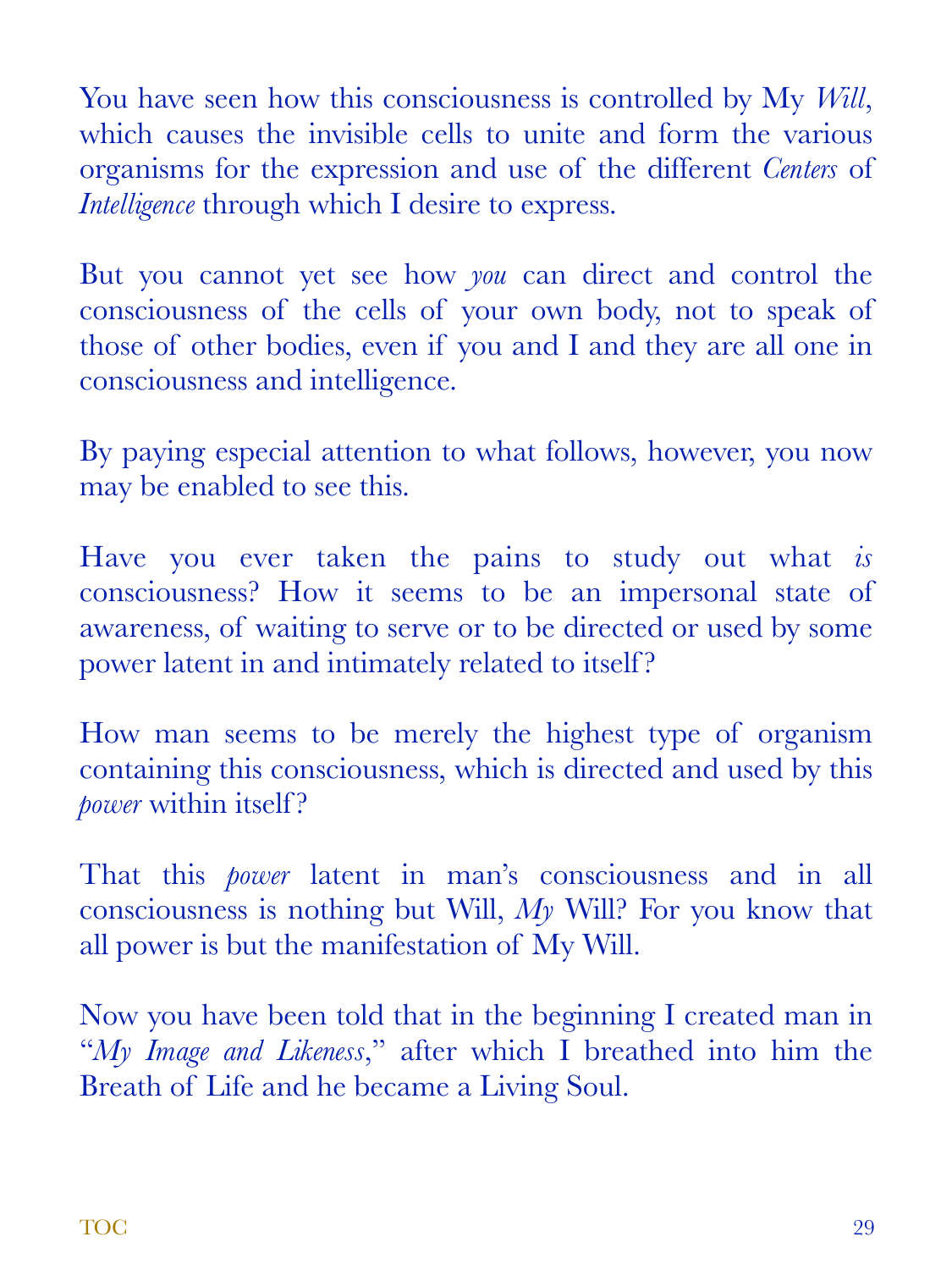You have seen how this consciousness is controlled by My *Will*, which causes the invisible cells to unite and form the various organisms for the expression and use of the different *Centers* of *Intelligence* through which I desire to express.

But you cannot yet see how *you* can direct and control the consciousness of the cells of your own body, not to speak of those of other bodies, even if you and I and they are all one in consciousness and intelligence.

By paying especial attention to what follows, however, you now may be enabled to see this.

Have you ever taken the pains to study out what *is* consciousness? How it seems to be an impersonal state of awareness, of waiting to serve or to be directed or used by some power latent in and intimately related to itself?

How man seems to be merely the highest type of organism containing this consciousness, which is directed and used by this *power* within itself?

That this *power* latent in man's consciousness and in all consciousness is nothing but Will, *My* Will? For you know that all power is but the manifestation of My Will.

Now you have been told that in the beginning I created man in "*My Image and Likeness*," after which I breathed into him the Breath of Life and he became a Living Soul.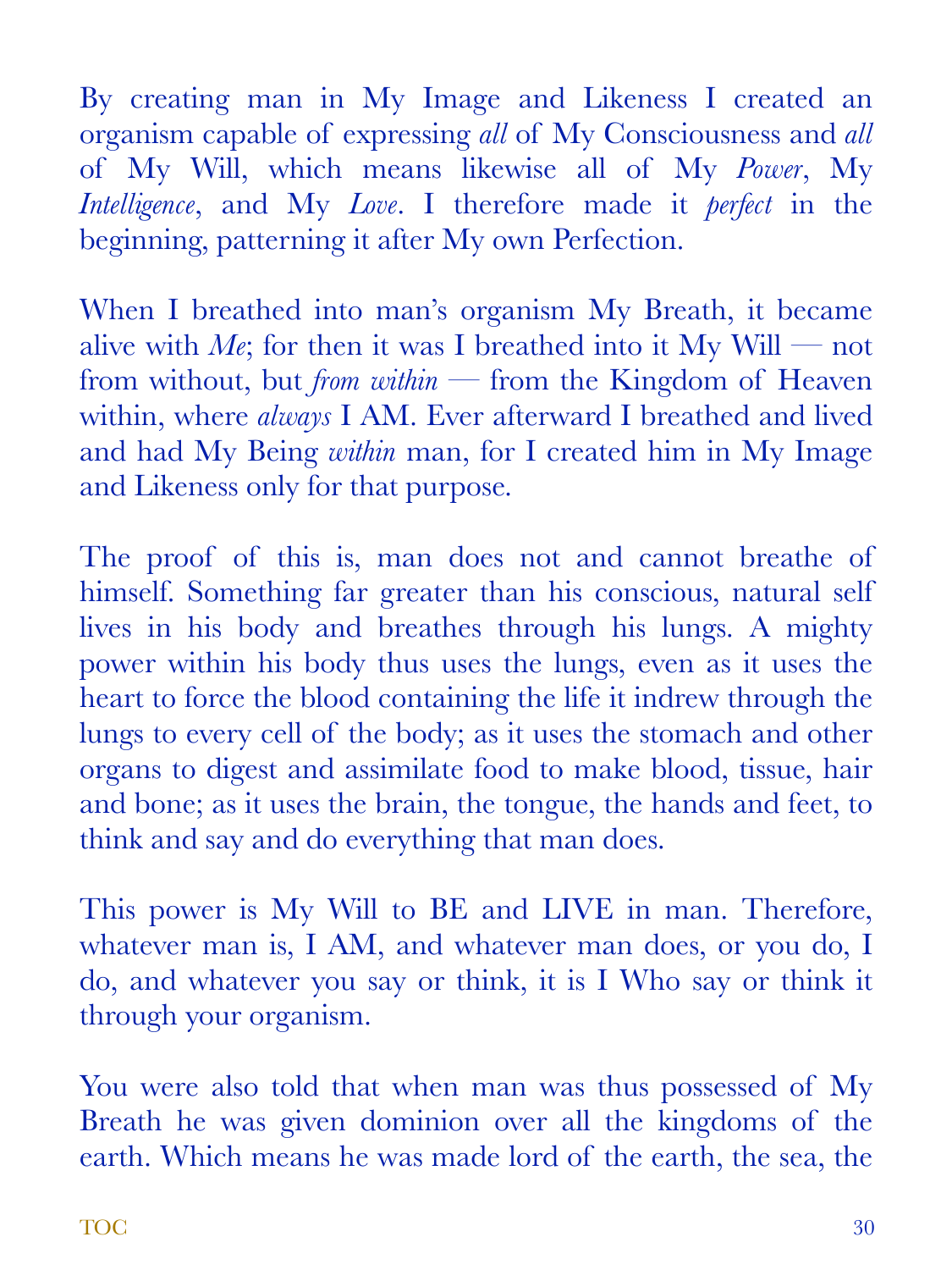By creating man in My Image and Likeness I created an organism capable of expressing *all* of My Consciousness and *all*  of My Will, which means likewise all of My *Power*, My *Intelligence*, and My *Love*. I therefore made it *perfect* in the beginning, patterning it after My own Perfection.

When I breathed into man's organism My Breath, it became alive with  $Me$ ; for then it was I breathed into it  $My Will$  — not from without, but *from within* — from the Kingdom of Heaven within, where *always* I AM. Ever afterward I breathed and lived and had My Being *within* man, for I created him in My Image and Likeness only for that purpose.

The proof of this is, man does not and cannot breathe of himself. Something far greater than his conscious, natural self lives in his body and breathes through his lungs. A mighty power within his body thus uses the lungs, even as it uses the heart to force the blood containing the life it indrew through the lungs to every cell of the body; as it uses the stomach and other organs to digest and assimilate food to make blood, tissue, hair and bone; as it uses the brain, the tongue, the hands and feet, to think and say and do everything that man does.

This power is My Will to BE and LIVE in man. Therefore, whatever man is, I AM, and whatever man does, or you do, I do, and whatever you say or think, it is I Who say or think it through your organism.

You were also told that when man was thus possessed of My Breath he was given dominion over all the kingdoms of the earth. Which means he was made lord of the earth, the sea, the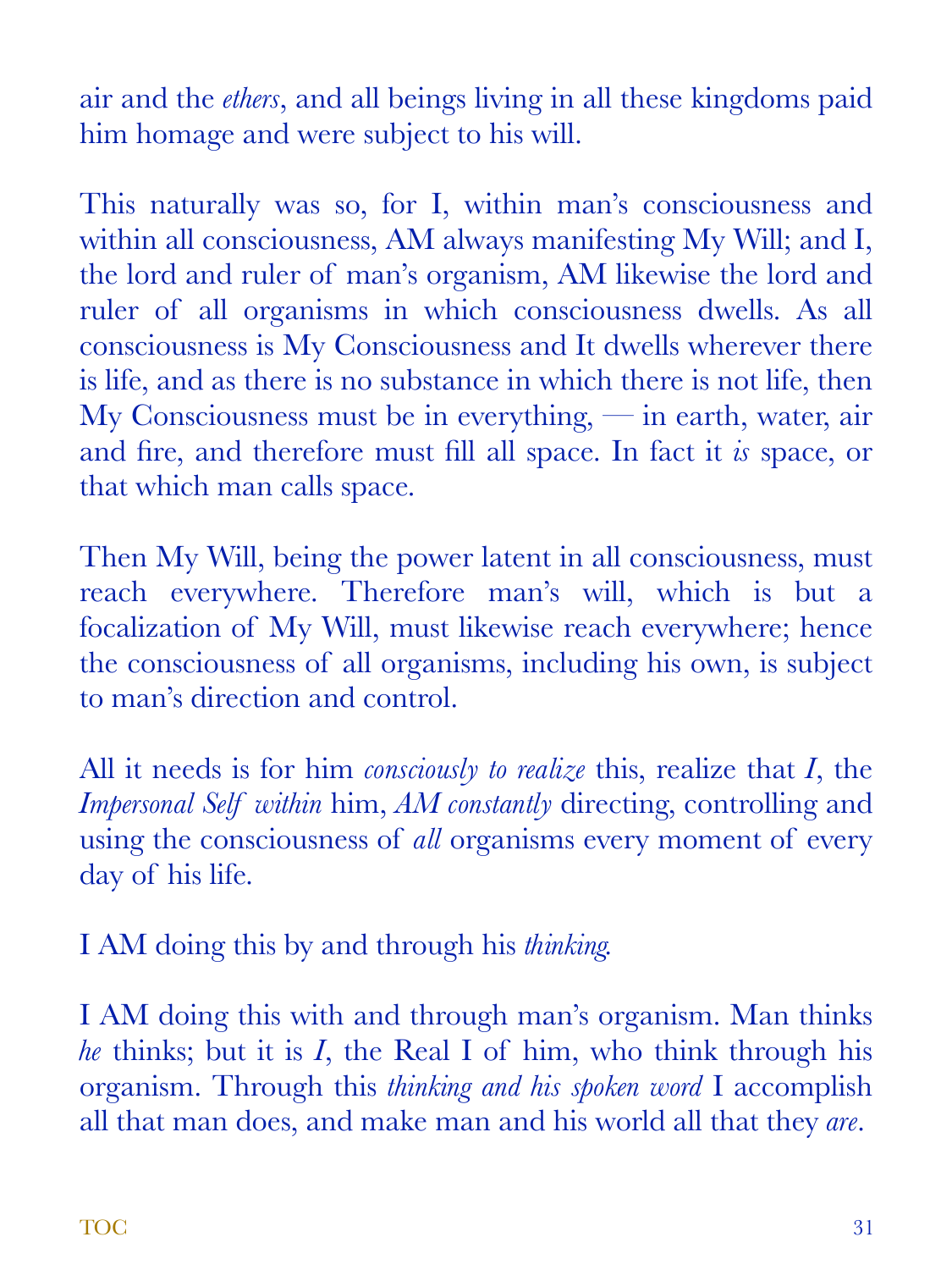air and the *ethers*, and all beings living in all these kingdoms paid him homage and were subject to his will.

This naturally was so, for I, within man's consciousness and within all consciousness, AM always manifesting My Will; and I, the lord and ruler of man's organism, AM likewise the lord and ruler of all organisms in which consciousness dwells. As all consciousness is My Consciousness and It dwells wherever there is life, and as there is no substance in which there is not life, then My Consciousness must be in everything, — in earth, water, air and fire, and therefore must fill all space. In fact it *is* space, or that which man calls space.

Then My Will, being the power latent in all consciousness, must reach everywhere. Therefore man's will, which is but a focalization of My Will, must likewise reach everywhere; hence the consciousness of all organisms, including his own, is subject to man's direction and control.

All it needs is for him *consciously to realize* this, realize that *I*, the *Impersonal Self within* him, *AM constantly* directing, controlling and using the consciousness of *all* organisms every moment of every day of his life.

I AM doing this by and through his *thinking.*

I AM doing this with and through man's organism. Man thinks *he* thinks; but it is *I*, the Real I of him, who think through his organism. Through this *thinking and his spoken word* I accomplish all that man does, and make man and his world all that they *are*.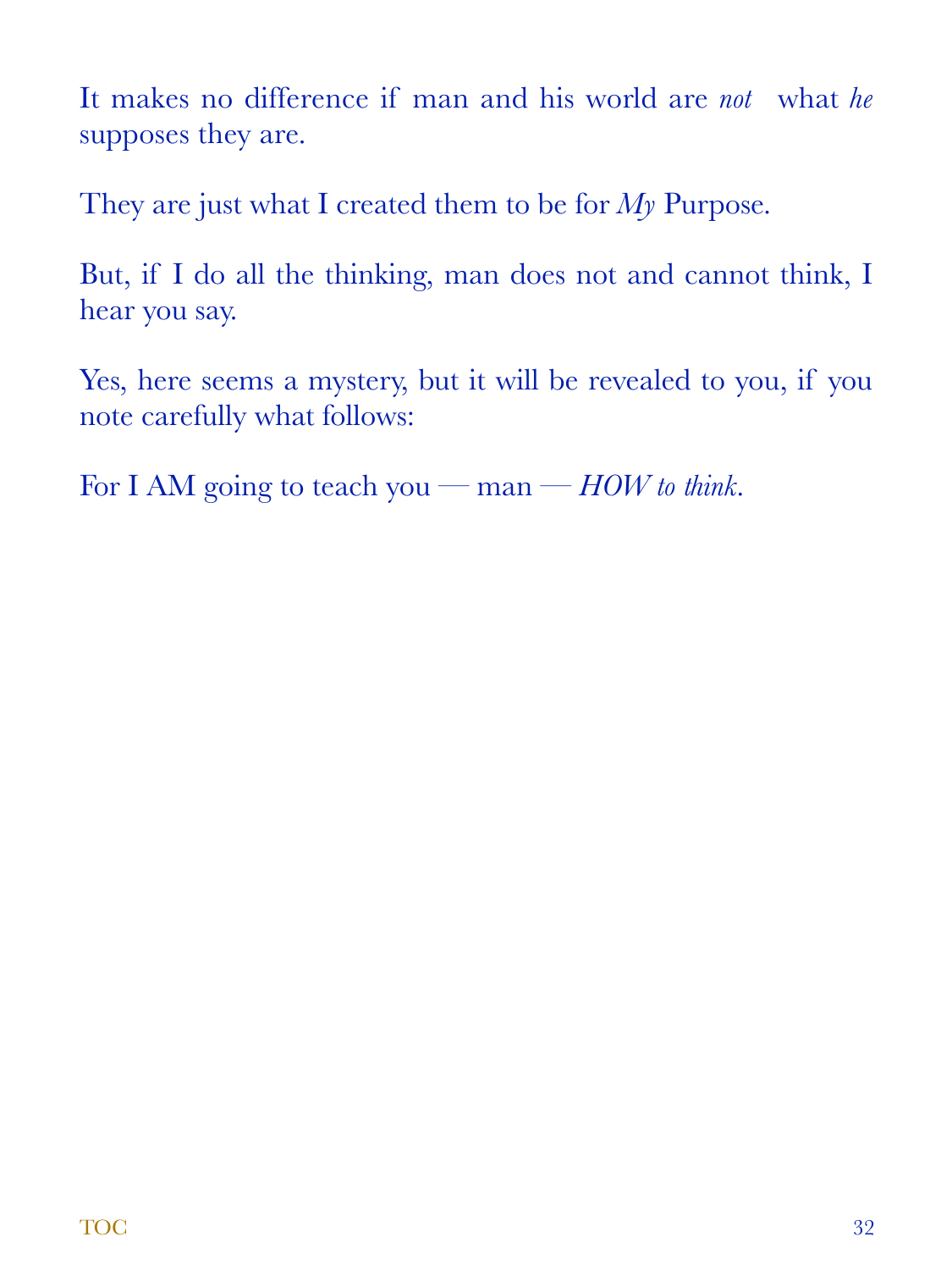It makes no difference if man and his world are *not* what *he* supposes they are.

They are just what I created them to be for *My* Purpose.

But, if I do all the thinking, man does not and cannot think, I hear you say.

Yes, here seems a mystery, but it will be revealed to you, if you note carefully what follows:

For I AM going to teach you — man — *HOW to think*.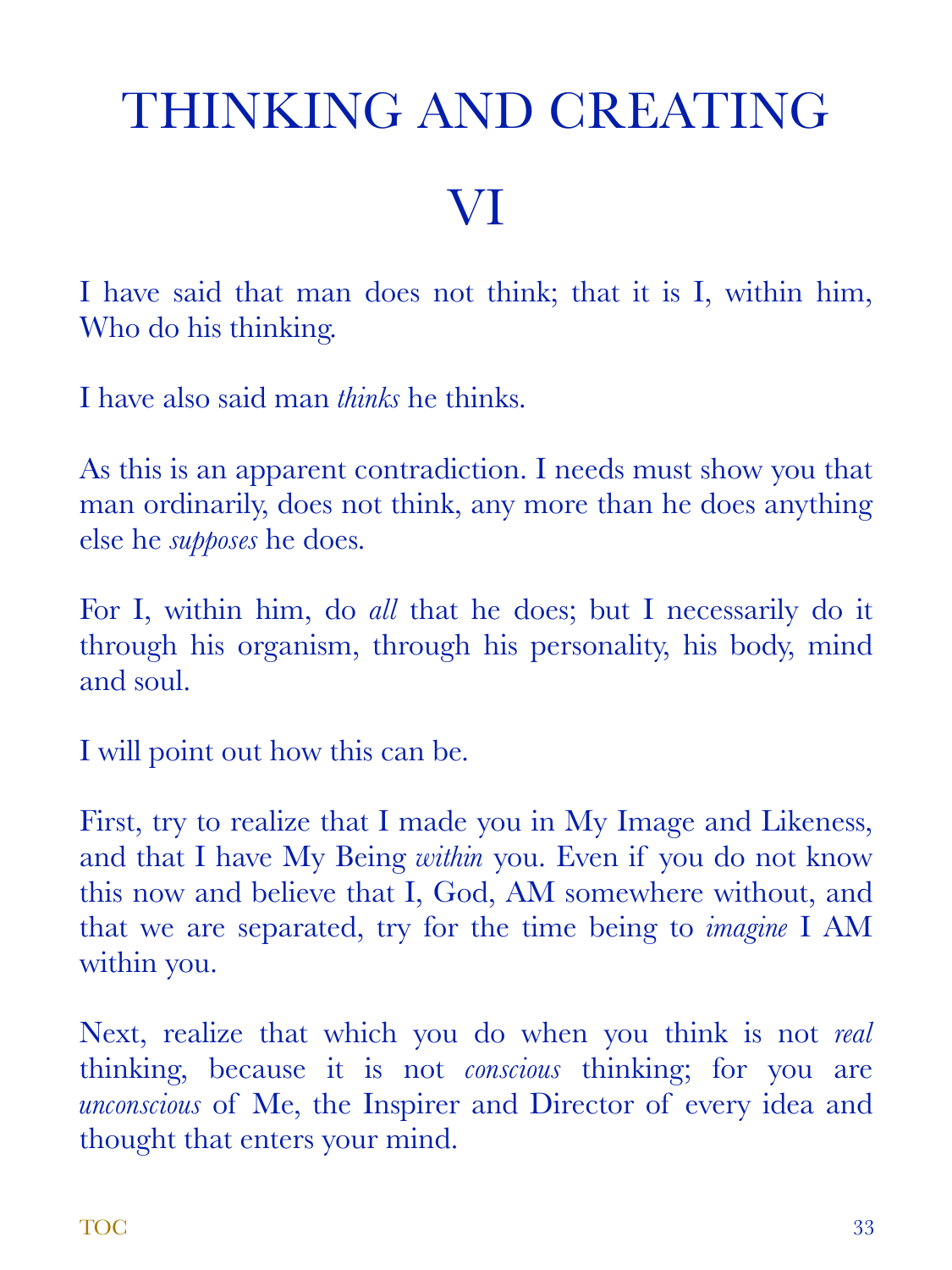# <span id="page-34-0"></span>THINKING AND CREATING VI

I have said that man does not think; that it is I, within him, Who do his thinking.

I have also said man *thinks* he thinks.

As this is an apparent contradiction. I needs must show you that man ordinarily, does not think, any more than he does anything else he *supposes* he does.

For I, within him, do *all* that he does; but I necessarily do it through his organism, through his personality, his body, mind and soul.

I will point out how this can be.

First, try to realize that I made you in My Image and Likeness, and that I have My Being *within* you. Even if you do not know this now and believe that I, God, AM somewhere without, and that we are separated, try for the time being to *imagine* I AM within you.

Next, realize that which you do when you think is not *real* thinking, because it is not *conscious* thinking; for you are *unconscious* of Me, the Inspirer and Director of every idea and thought that enters your mind.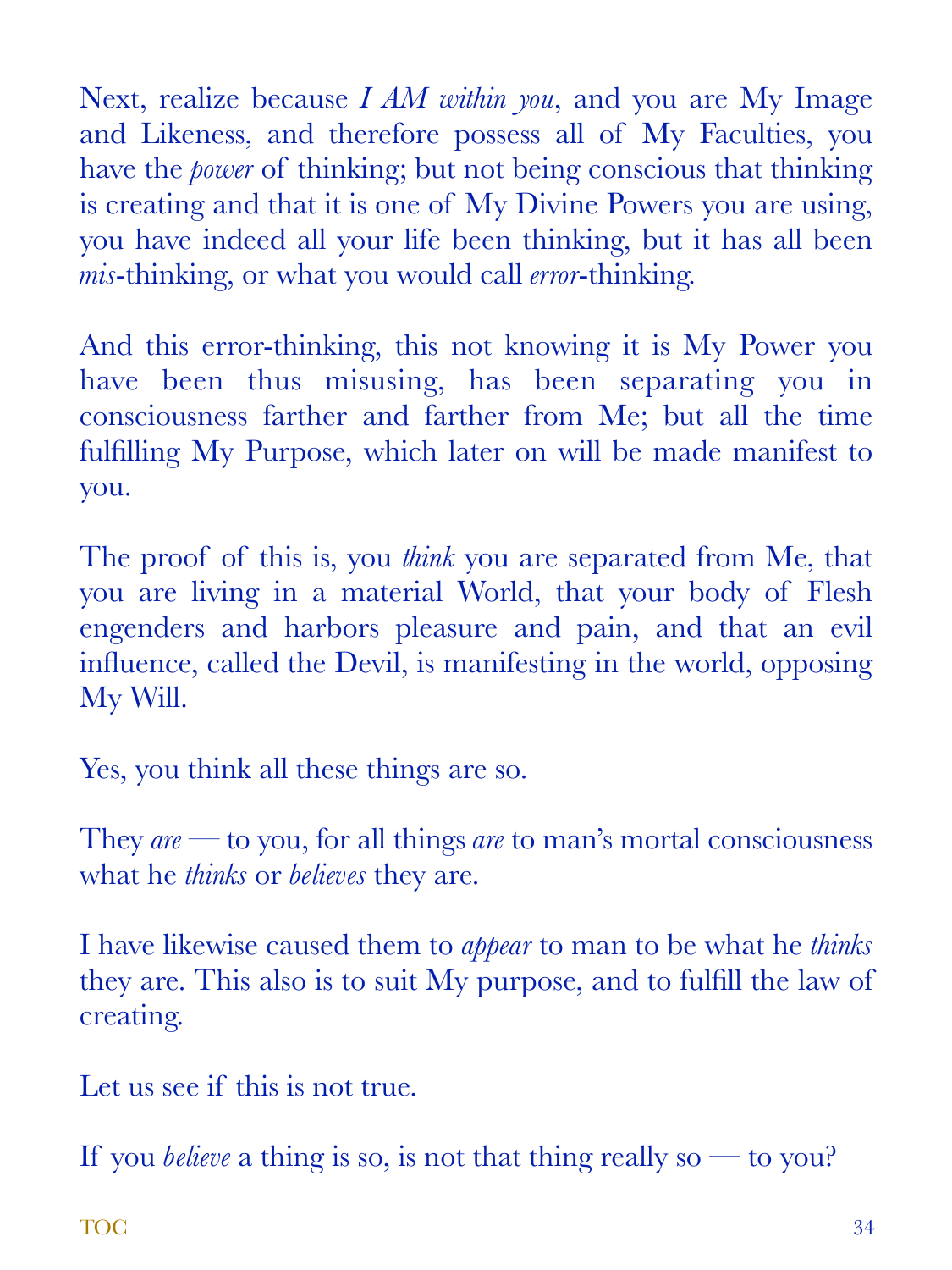Next, realize because *I AM within you*, and you are My Image and Likeness, and therefore possess all of My Faculties, you have the *power* of thinking; but not being conscious that thinking is creating and that it is one of My Divine Powers you are using, you have indeed all your life been thinking, but it has all been *mis*-thinking, or what you would call *error*-thinking.

And this error-thinking, this not knowing it is My Power you have been thus misusing, has been separating you in consciousness farther and farther from Me; but all the time fulfilling My Purpose, which later on will be made manifest to you.

The proof of this is, you *think* you are separated from Me, that you are living in a material World, that your body of Flesh engenders and harbors pleasure and pain, and that an evil influence, called the Devil, is manifesting in the world, opposing My Will.

Yes, you think all these things are so.

They *are* — to you, for all things *are* to man's mortal consciousness what he *thinks* or *believes* they are.

I have likewise caused them to *appear* to man to be what he *thinks* they are. This also is to suit My purpose, and to fulfill the law of creating.

Let us see if this is not true.

If you *believe* a thing is so, is not that thing really so — to you?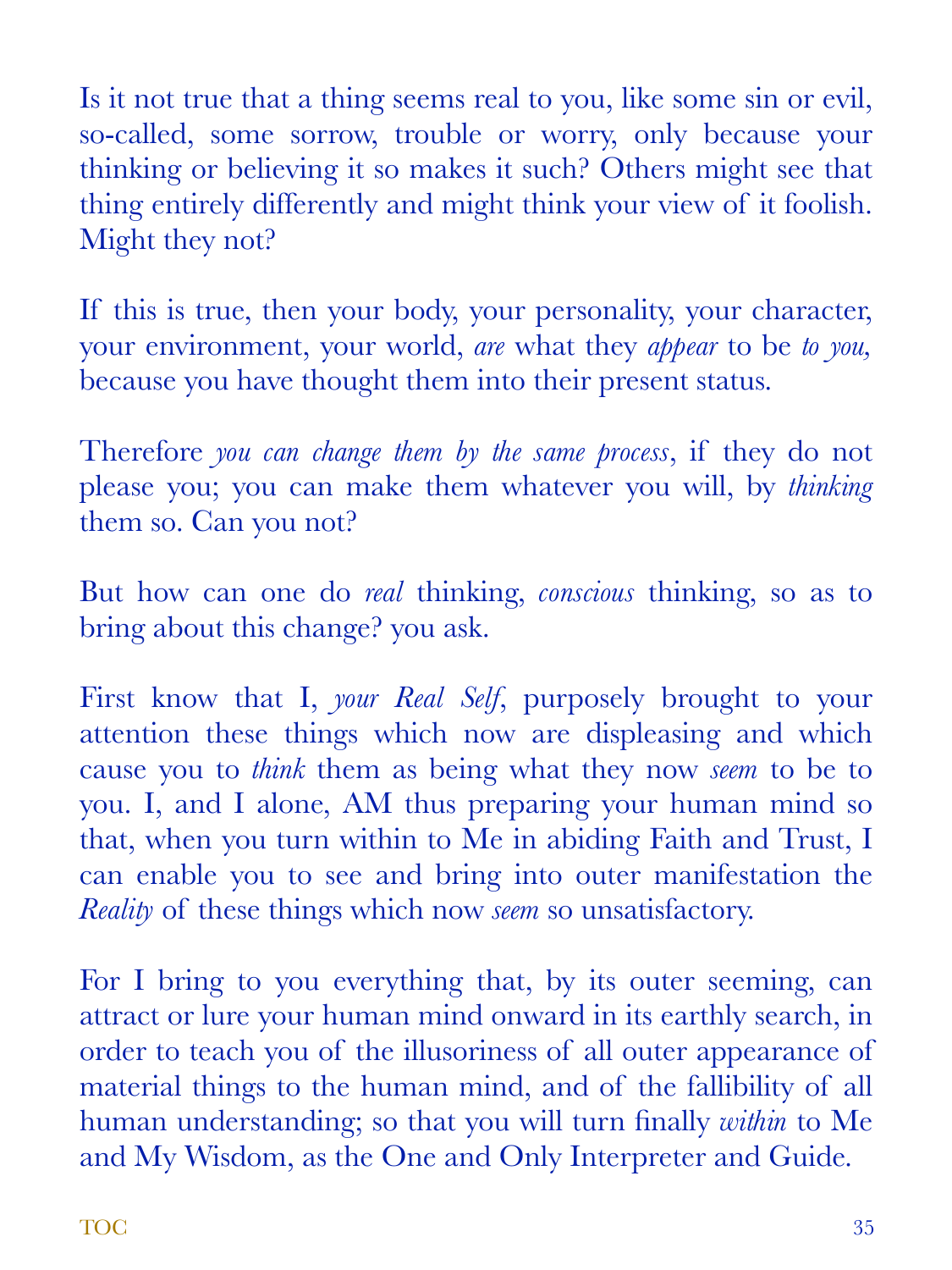Is it not true that a thing seems real to you, like some sin or evil, so-called, some sorrow, trouble or worry, only because your thinking or believing it so makes it such? Others might see that thing entirely differently and might think your view of it foolish. Might they not?

If this is true, then your body, your personality, your character, your environment, your world, *are* what they *appear* to be *to you,* because you have thought them into their present status.

Therefore *you can change them by the same process*, if they do not please you; you can make them whatever you will, by *thinking*  them so. Can you not?

But how can one do *real* thinking, *conscious* thinking, so as to bring about this change? you ask.

First know that I, *your Real Self*, purposely brought to your attention these things which now are displeasing and which cause you to *think* them as being what they now *seem* to be to you. I, and I alone, AM thus preparing your human mind so that, when you turn within to Me in abiding Faith and Trust, I can enable you to see and bring into outer manifestation the *Reality* of these things which now *seem* so unsatisfactory.

For I bring to you everything that, by its outer seeming, can attract or lure your human mind onward in its earthly search, in order to teach you of the illusoriness of all outer appearance of material things to the human mind, and of the fallibility of all human understanding; so that you will turn finally *within* to Me and My Wisdom, as the One and Only Interpreter and Guide.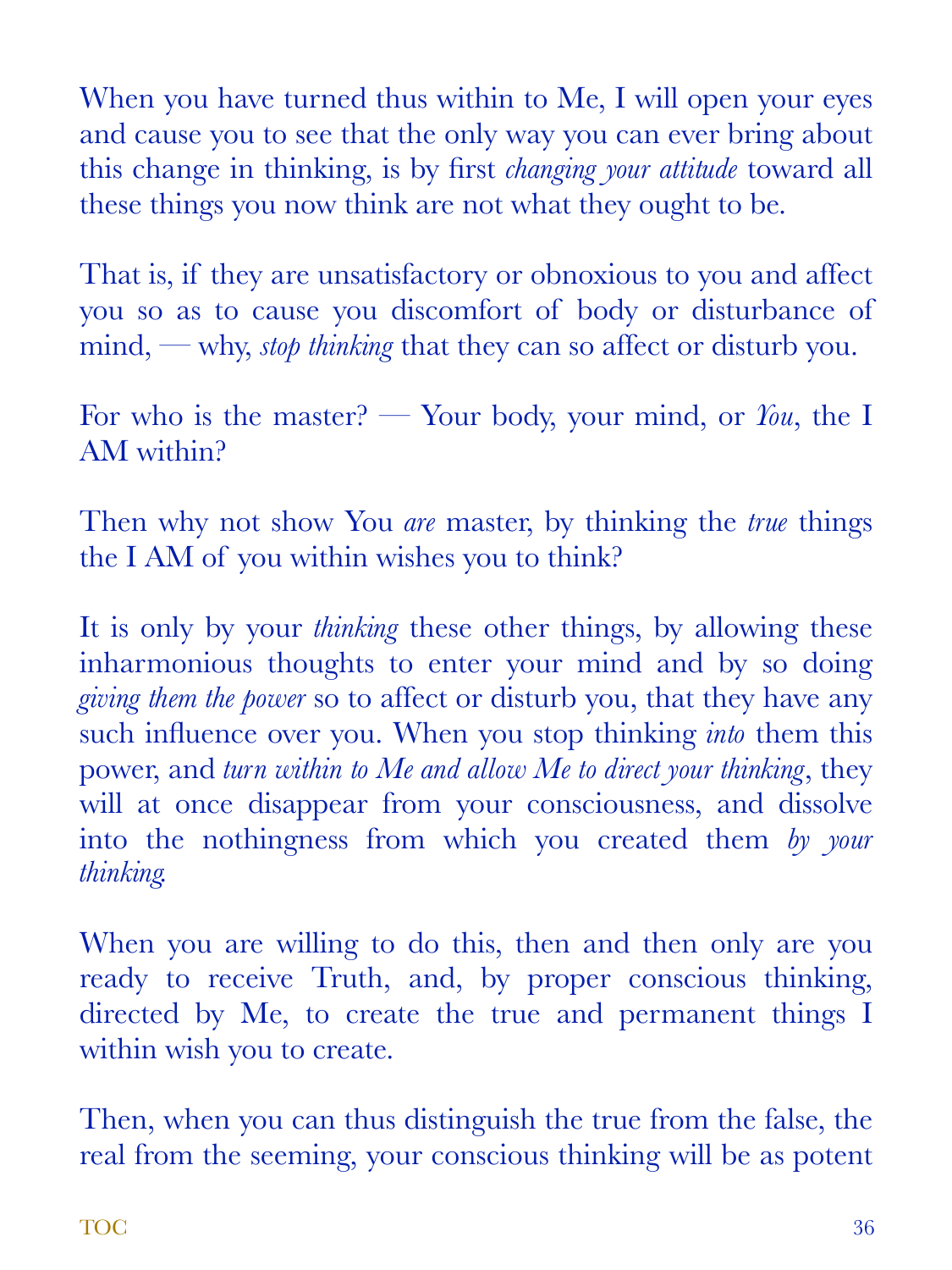When you have turned thus within to Me, I will open your eyes and cause you to see that the only way you can ever bring about this change in thinking, is by first *changing your attitude* toward all these things you now think are not what they ought to be.

That is, if they are unsatisfactory or obnoxious to you and affect you so as to cause you discomfort of body or disturbance of mind, — why, *stop thinking* that they can so affect or disturb you.

For who is the master? — Your body, your mind, or *You*, the I AM within?

Then why not show You *are* master, by thinking the *true* things the I AM of you within wishes you to think?

It is only by your *thinking* these other things, by allowing these inharmonious thoughts to enter your mind and by so doing *giving them the power* so to affect or disturb you, that they have any such influence over you. When you stop thinking *into* them this power, and *turn within to Me and allow Me to direct your thinking*, they will at once disappear from your consciousness, and dissolve into the nothingness from which you created them *by your thinking.*

When you are willing to do this, then and then only are you ready to receive Truth, and, by proper conscious thinking, directed by Me, to create the true and permanent things I within wish you to create.

Then, when you can thus distinguish the true from the false, the real from the seeming, your conscious thinking will be as potent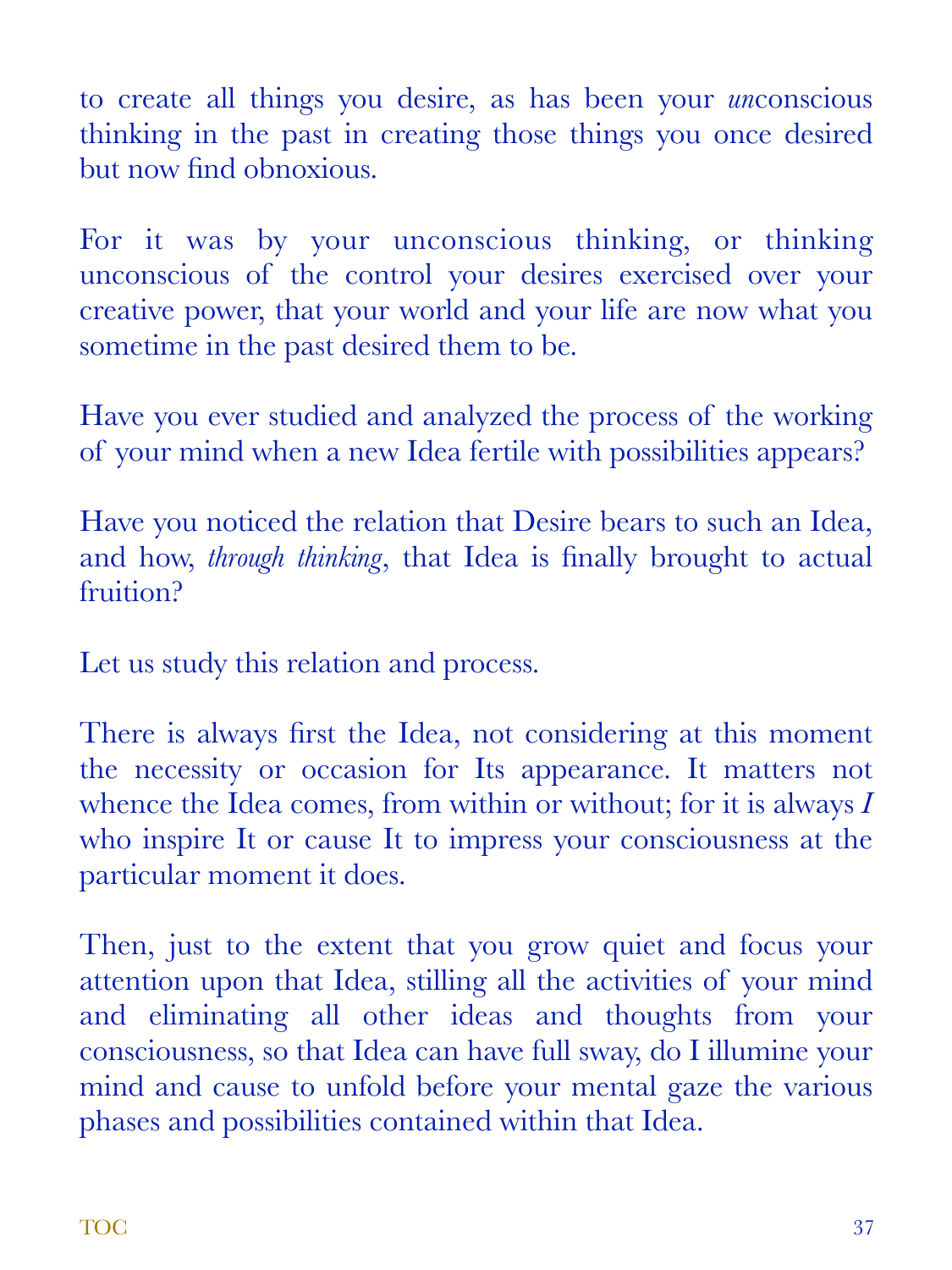to create all things you desire, as has been your *un*conscious thinking in the past in creating those things you once desired but now find obnoxious.

For it was by your unconscious thinking, or thinking unconscious of the control your desires exercised over your creative power, that your world and your life are now what you sometime in the past desired them to be.

Have you ever studied and analyzed the process of the working of your mind when a new Idea fertile with possibilities appears?

Have you noticed the relation that Desire bears to such an Idea, and how, *through thinking*, that Idea is finally brought to actual fruition?

Let us study this relation and process.

There is always first the Idea, not considering at this moment the necessity or occasion for Its appearance. It matters not whence the Idea comes, from within or without; for it is always *I* who inspire It or cause It to impress your consciousness at the particular moment it does.

Then, just to the extent that you grow quiet and focus your attention upon that Idea, stilling all the activities of your mind and eliminating all other ideas and thoughts from your consciousness, so that Idea can have full sway, do I illumine your mind and cause to unfold before your mental gaze the various phases and possibilities contained within that Idea.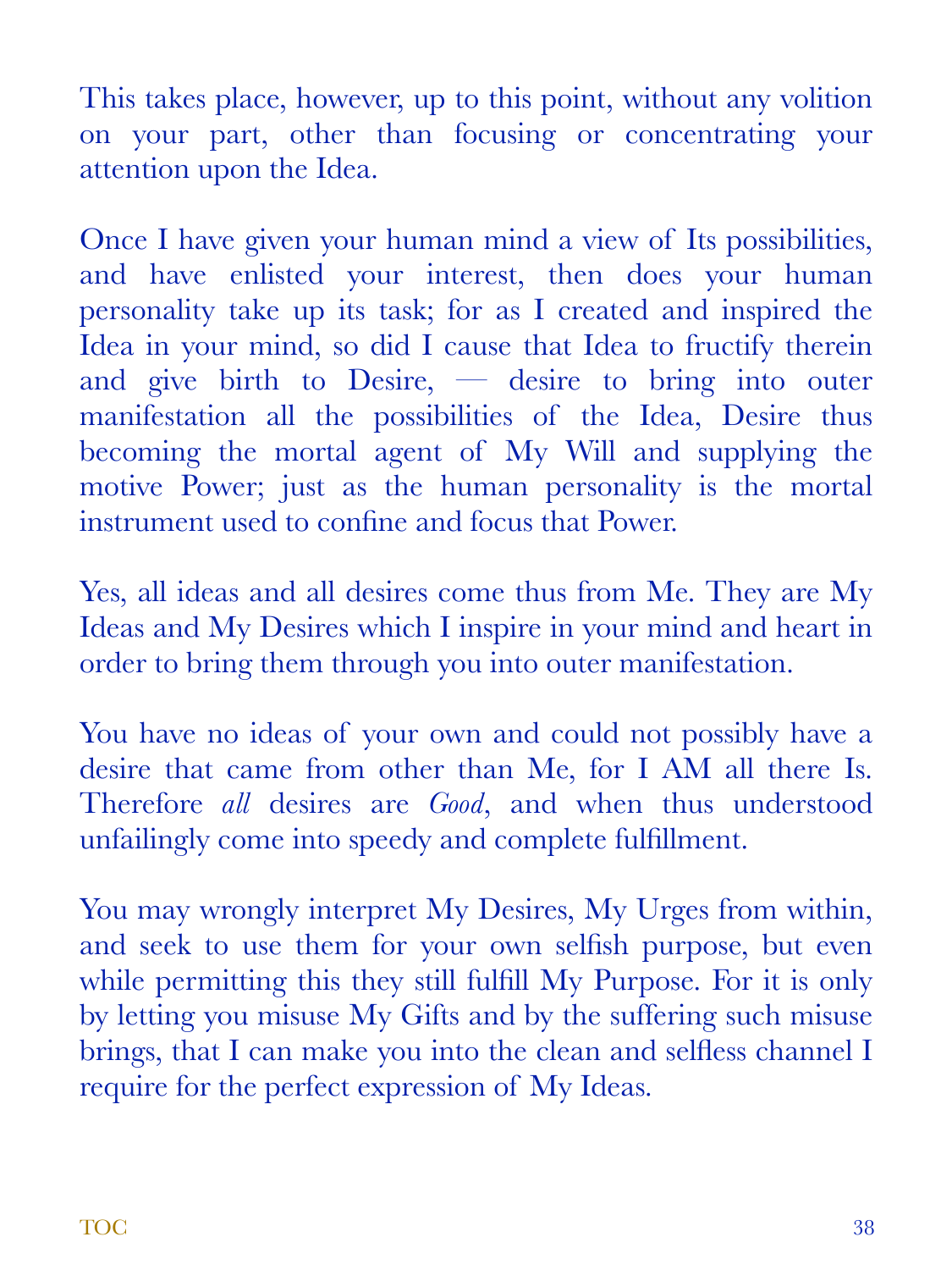This takes place, however, up to this point, without any volition on your part, other than focusing or concentrating your attention upon the Idea.

Once I have given your human mind a view of Its possibilities, and have enlisted your interest, then does your human personality take up its task; for as I created and inspired the Idea in your mind, so did I cause that Idea to fructify therein and give birth to Desire, — desire to bring into outer manifestation all the possibilities of the Idea, Desire thus becoming the mortal agent of My Will and supplying the motive Power; just as the human personality is the mortal instrument used to confine and focus that Power.

Yes, all ideas and all desires come thus from Me. They are My Ideas and My Desires which I inspire in your mind and heart in order to bring them through you into outer manifestation.

You have no ideas of your own and could not possibly have a desire that came from other than Me, for I AM all there Is. Therefore *all* desires are *Good*, and when thus understood unfailingly come into speedy and complete fulfillment.

You may wrongly interpret My Desires, My Urges from within, and seek to use them for your own selfish purpose, but even while permitting this they still fulfill My Purpose. For it is only by letting you misuse My Gifts and by the suffering such misuse brings, that I can make you into the clean and selfless channel I require for the perfect expression of My Ideas.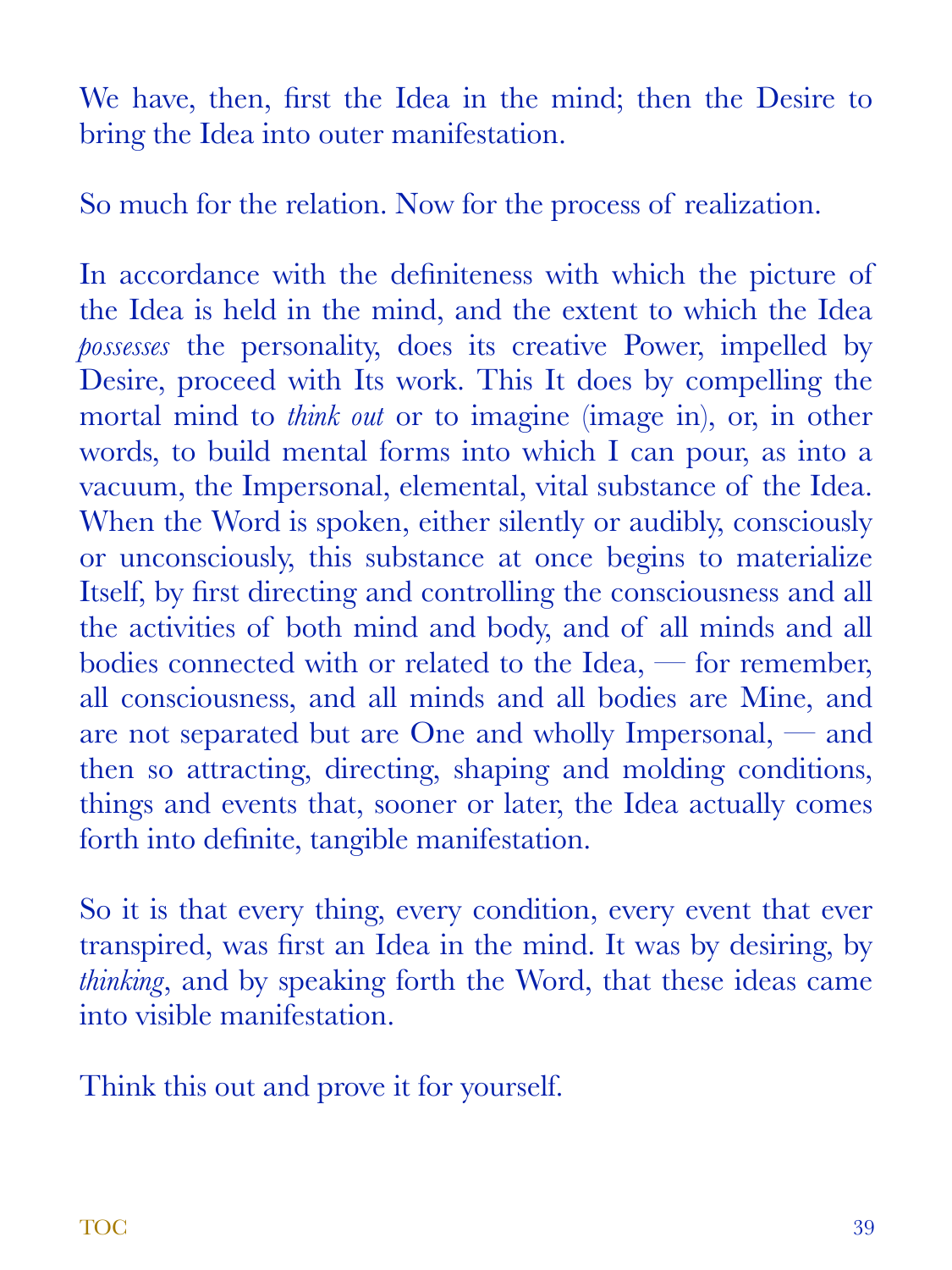We have, then, first the Idea in the mind; then the Desire to bring the Idea into outer manifestation.

So much for the relation. Now for the process of realization.

In accordance with the definiteness with which the picture of the Idea is held in the mind, and the extent to which the Idea *possesses* the personality, does its creative Power, impelled by Desire, proceed with Its work. This It does by compelling the mortal mind to *think out* or to imagine (image in), or, in other words, to build mental forms into which I can pour, as into a vacuum, the Impersonal, elemental, vital substance of the Idea. When the Word is spoken, either silently or audibly, consciously or unconsciously, this substance at once begins to materialize Itself, by first directing and controlling the consciousness and all the activities of both mind and body, and of all minds and all bodies connected with or related to the Idea, — for remember, all consciousness, and all minds and all bodies are Mine, and are not separated but are One and wholly Impersonal, — and then so attracting, directing, shaping and molding conditions, things and events that, sooner or later, the Idea actually comes forth into definite, tangible manifestation.

So it is that every thing, every condition, every event that ever transpired, was first an Idea in the mind. It was by desiring, by *thinking*, and by speaking forth the Word, that these ideas came into visible manifestation.

Think this out and prove it for yourself.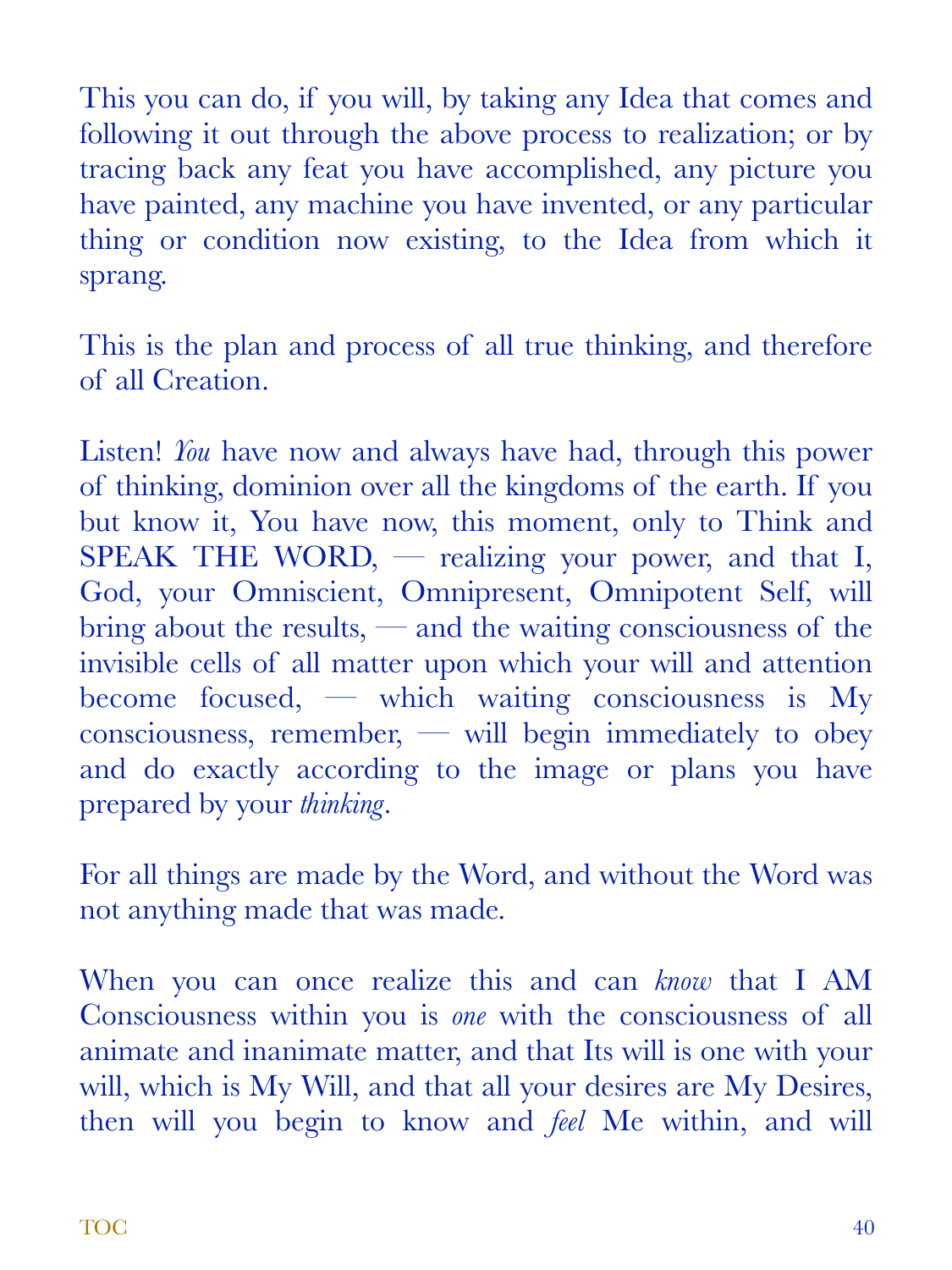This you can do, if you will, by taking any Idea that comes and following it out through the above process to realization; or by tracing back any feat you have accomplished, any picture you have painted, any machine you have invented, or any particular thing or condition now existing, to the Idea from which it sprang.

This is the plan and process of all true thinking, and therefore of all Creation.

Listen! *You* have now and always have had, through this power of thinking, dominion over all the kingdoms of the earth. If you but know it, You have now, this moment, only to Think and  $SPEAK$  THE WORD,  $-$  realizing your power, and that I, God, your Omniscient, Omnipresent, Omnipotent Self, will bring about the results,  $\frac{d}{dx}$  and the waiting consciousness of the invisible cells of all matter upon which your will and attention become focused,  $-$  which waiting consciousness is My consciousness, remember, — will begin immediately to obey and do exactly according to the image or plans you have prepared by your *thinking*.

For all things are made by the Word, and without the Word was not anything made that was made.

When you can once realize this and can *know* that I AM Consciousness within you is *one* with the consciousness of all animate and inanimate matter, and that Its will is one with your will, which is My Will, and that all your desires are My Desires, then will you begin to know and *feel* Me within, and will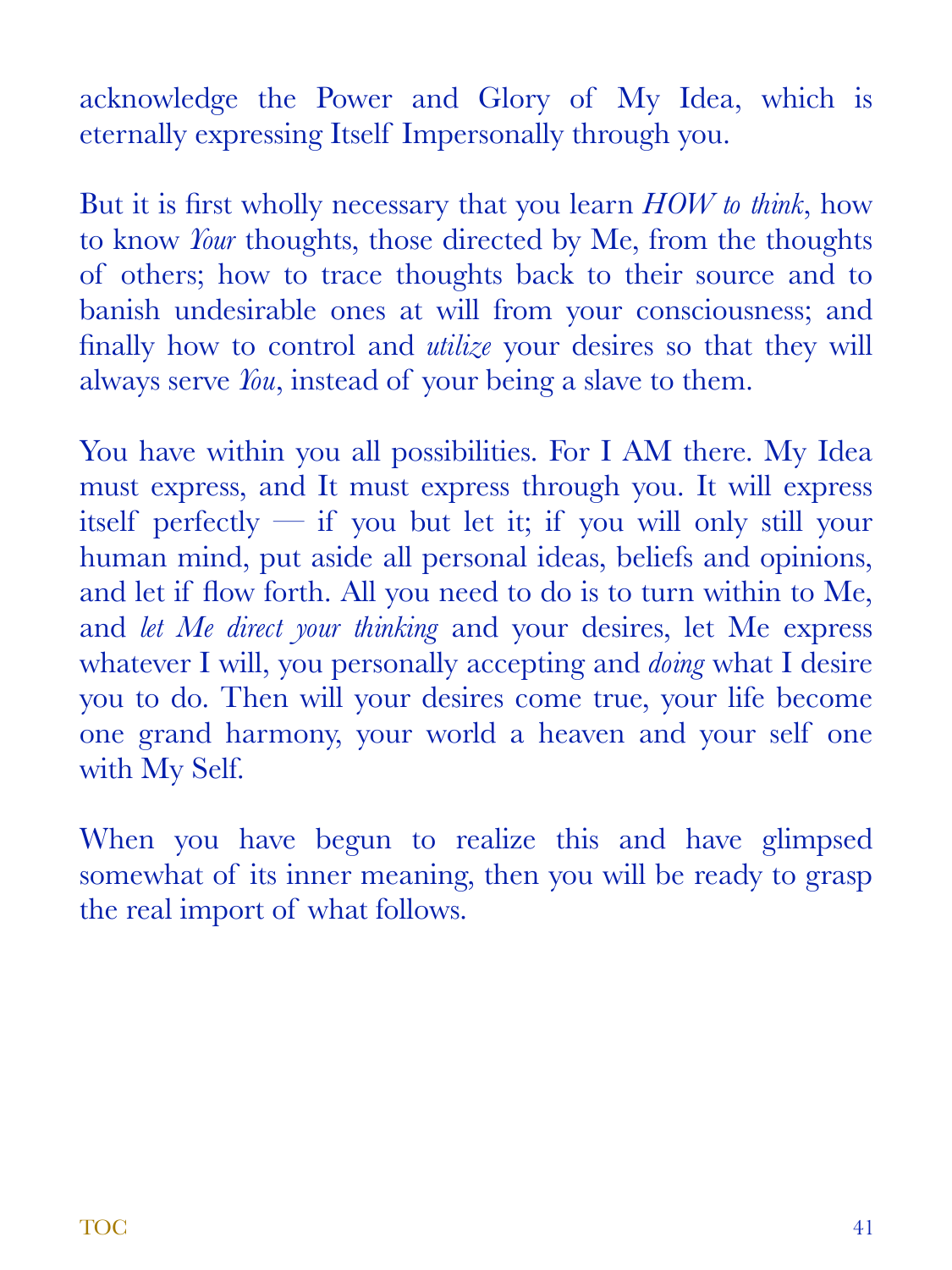acknowledge the Power and Glory of My Idea, which is eternally expressing Itself Impersonally through you.

But it is first wholly necessary that you learn *HOW to think*, how to know *Your* thoughts, those directed by Me, from the thoughts of others; how to trace thoughts back to their source and to banish undesirable ones at will from your consciousness; and finally how to control and *utilize* your desires so that they will always serve *You*, instead of your being a slave to them.

You have within you all possibilities. For I AM there. My Idea must express, and It must express through you. It will express itself perfectly — if you but let it; if you will only still your human mind, put aside all personal ideas, beliefs and opinions, and let if flow forth. All you need to do is to turn within to Me, and *let Me direct your thinking* and your desires, let Me express whatever I will, you personally accepting and *doing* what I desire you to do. Then will your desires come true, your life become one grand harmony, your world a heaven and your self one with My Self.

When you have begun to realize this and have glimpsed somewhat of its inner meaning, then you will be ready to grasp the real import of what follows.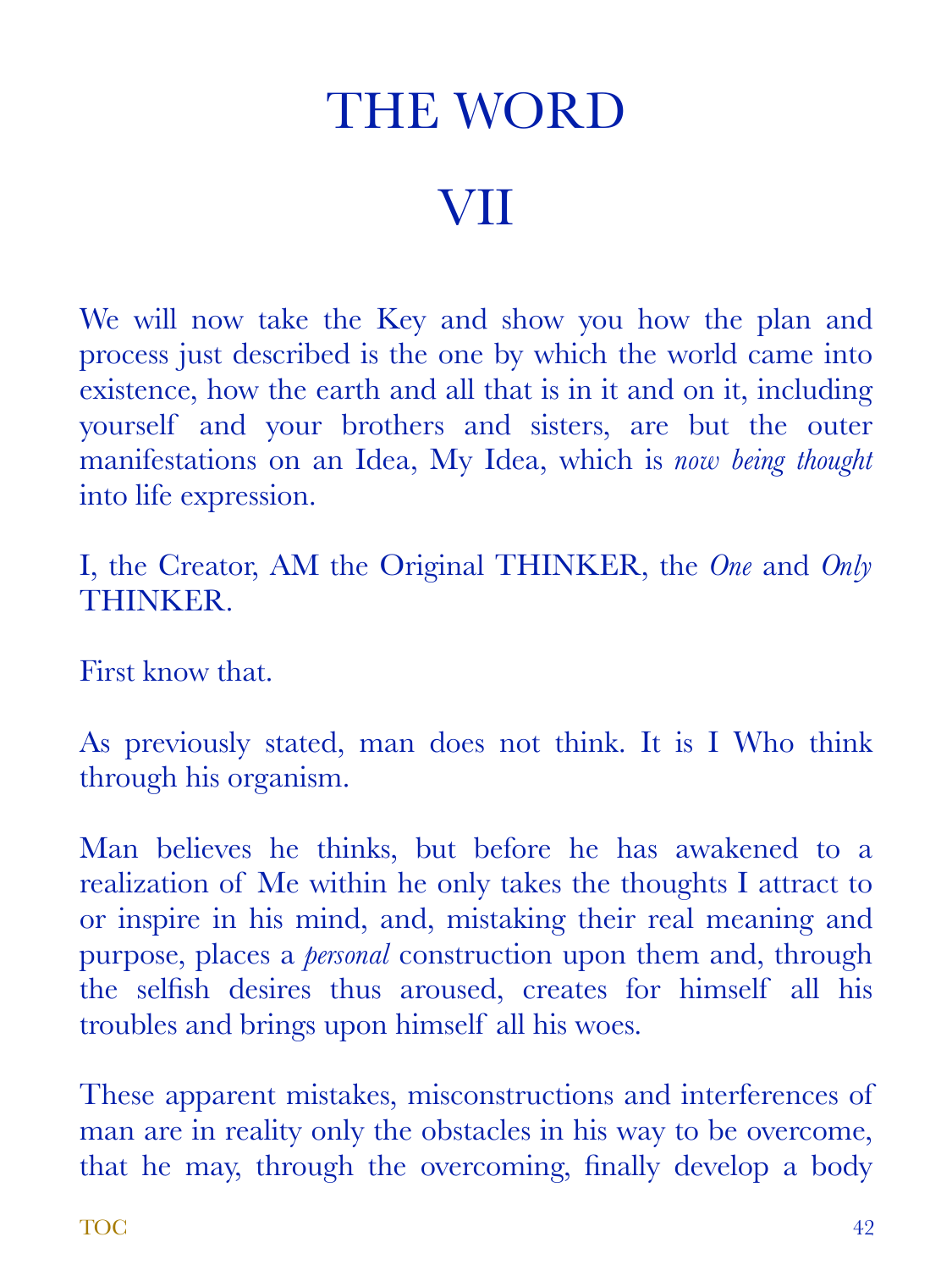## THE WORD

### VII

We will now take the Key and show you how the plan and process just described is the one by which the world came into existence, how the earth and all that is in it and on it, including yourself and your brothers and sisters, are but the outer manifestations on an Idea, My Idea, which is *now being thought* into life expression.

I, the Creator, AM the Original THINKER, the *One* and *Only* THINKER.

First know that.

As previously stated, man does not think. It is I Who think through his organism.

Man believes he thinks, but before he has awakened to a realization of Me within he only takes the thoughts I attract to or inspire in his mind, and, mistaking their real meaning and purpose, places a *personal* construction upon them and, through the selfish desires thus aroused, creates for himself all his troubles and brings upon himself all his woes.

These apparent mistakes, misconstructions and interferences of man are in reality only the obstacles in his way to be overcome, that he may, through the overcoming, finally develop a body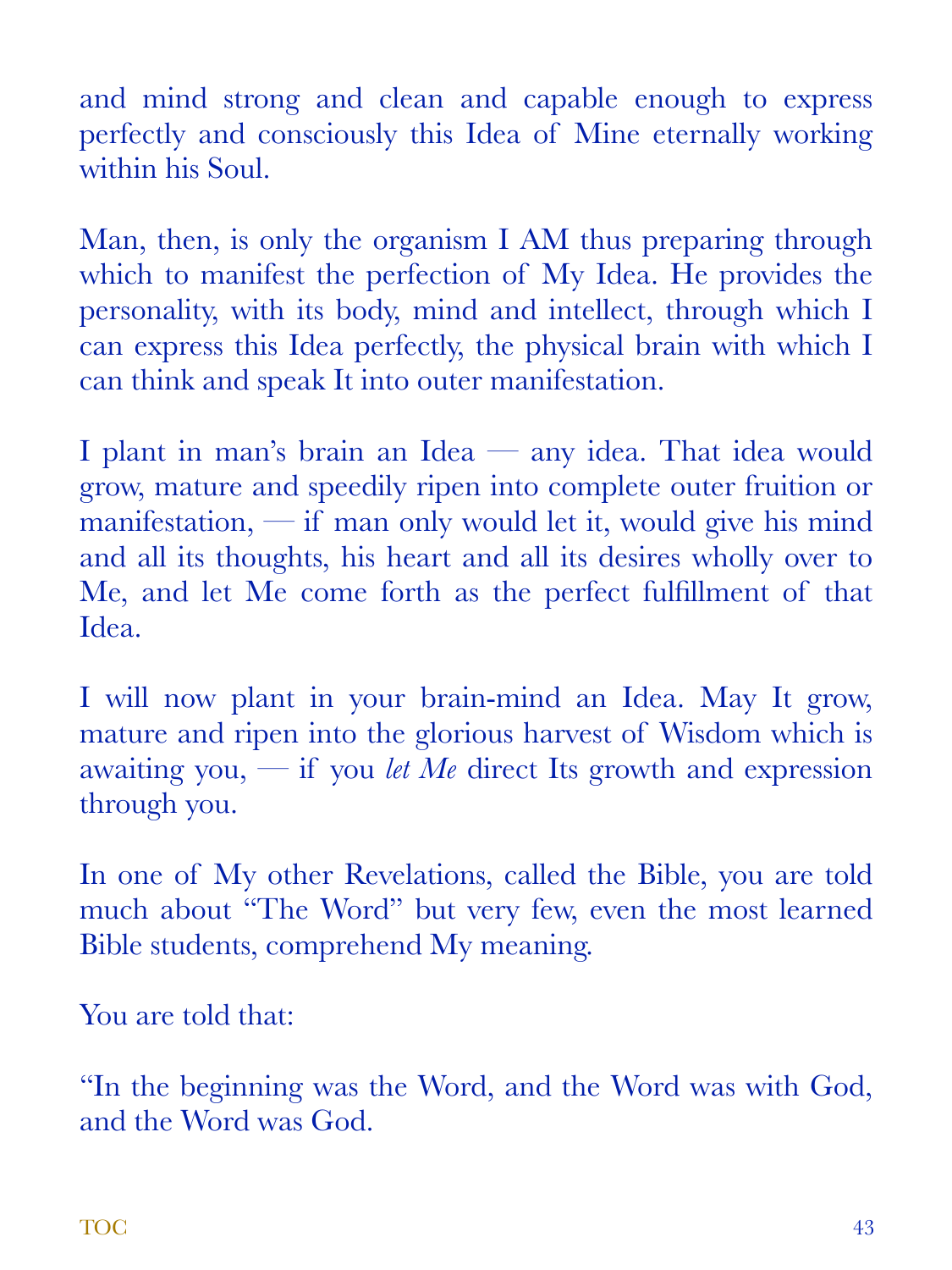and mind strong and clean and capable enough to express perfectly and consciously this Idea of Mine eternally working within his Soul.

Man, then, is only the organism I AM thus preparing through which to manifest the perfection of My Idea. He provides the personality, with its body, mind and intellect, through which I can express this Idea perfectly, the physical brain with which I can think and speak It into outer manifestation.

I plant in man's brain an Idea — any idea. That idea would grow, mature and speedily ripen into complete outer fruition or manifestation, — if man only would let it, would give his mind and all its thoughts, his heart and all its desires wholly over to Me, and let Me come forth as the perfect fulfillment of that Idea.

I will now plant in your brain-mind an Idea. May It grow, mature and ripen into the glorious harvest of Wisdom which is awaiting you, — if you *let Me* direct Its growth and expression through you.

In one of My other Revelations, called the Bible, you are told much about "The Word" but very few, even the most learned Bible students, comprehend My meaning.

You are told that:

"In the beginning was the Word, and the Word was with God, and the Word was God.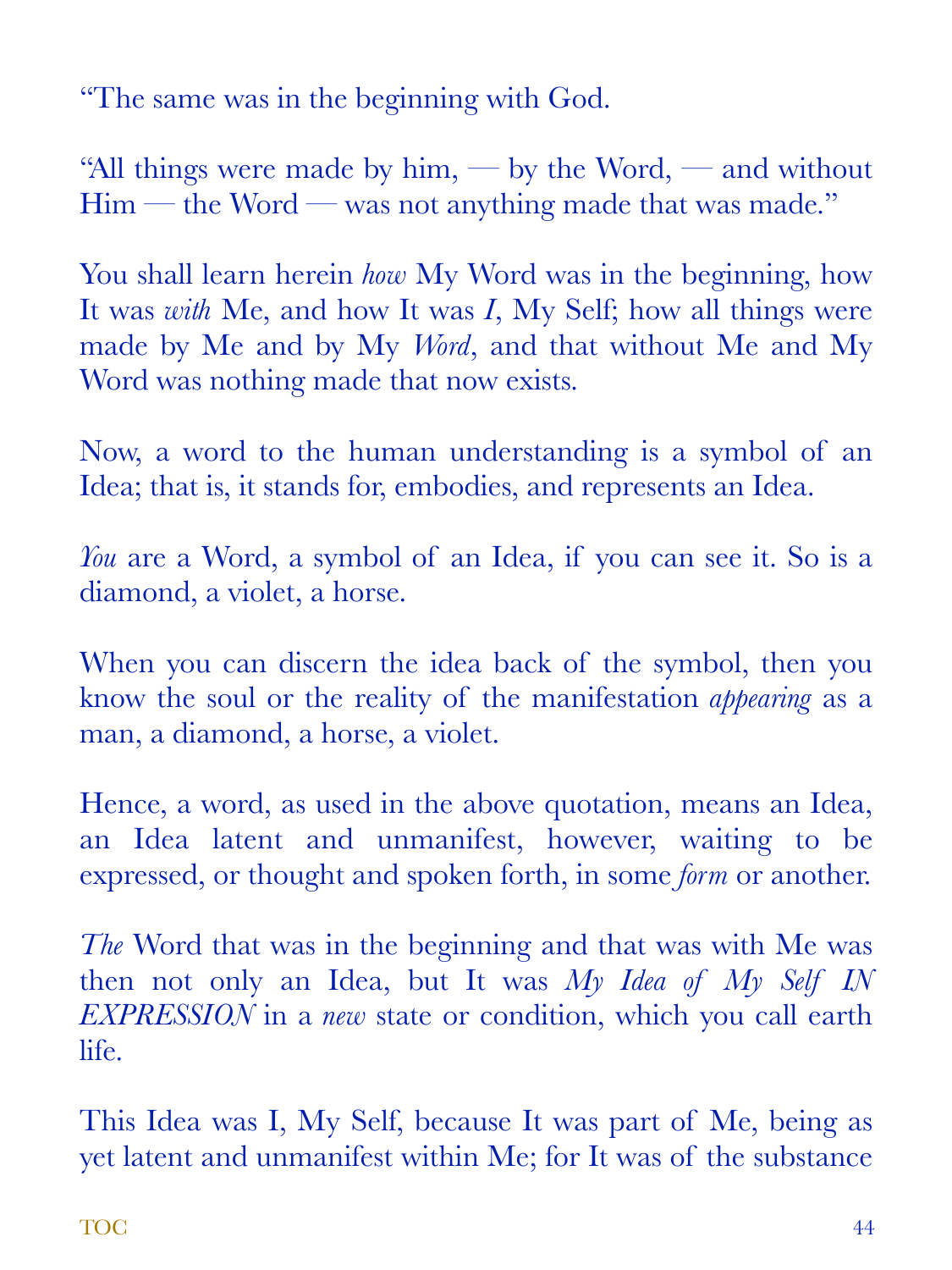"The same was in the beginning with God.

"All things were made by him,  $-$  by the Word,  $-$  and without  $\text{Him}$  — the Word — was not anything made that was made."

You shall learn herein *how* My Word was in the beginning, how It was *with* Me, and how It was *I*, My Self; how all things were made by Me and by My *Word*, and that without Me and My Word was nothing made that now exists.

Now, a word to the human understanding is a symbol of an Idea; that is, it stands for, embodies, and represents an Idea.

*You* are a Word, a symbol of an Idea, if you can see it. So is a diamond, a violet, a horse.

When you can discern the idea back of the symbol, then you know the soul or the reality of the manifestation *appearing* as a man, a diamond, a horse, a violet.

Hence, a word, as used in the above quotation, means an Idea, an Idea latent and unmanifest, however, waiting to be expressed, or thought and spoken forth, in some *form* or another.

*The* Word that was in the beginning and that was with Me was then not only an Idea, but It was *My Idea of My Self IN EXPRESSION* in a *new* state or condition, which you call earth life.

This Idea was I, My Self, because It was part of Me, being as yet latent and unmanifest within Me; for It was of the substance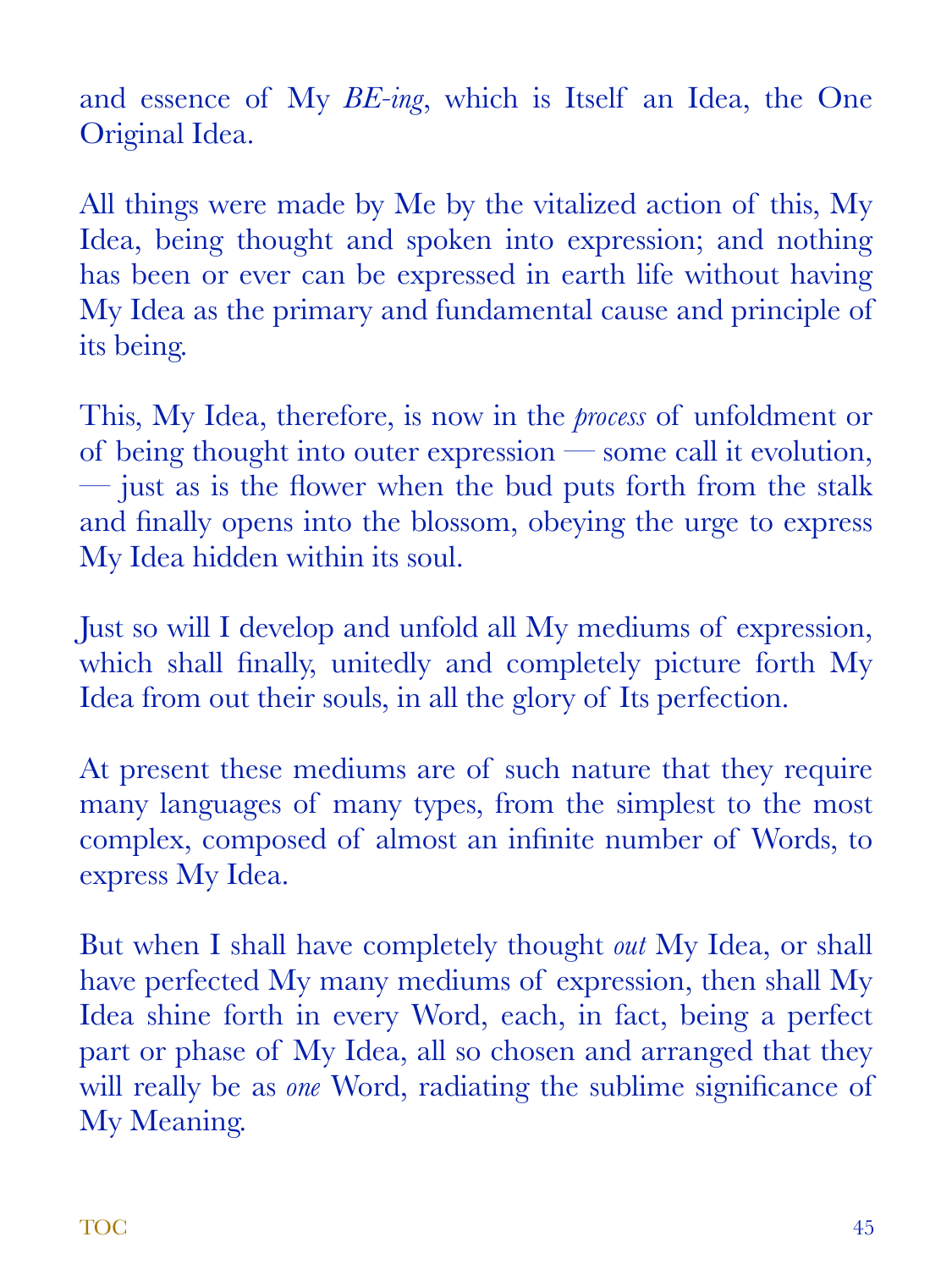and essence of My *BE-ing*, which is Itself an Idea, the One Original Idea.

All things were made by Me by the vitalized action of this, My Idea, being thought and spoken into expression; and nothing has been or ever can be expressed in earth life without having My Idea as the primary and fundamental cause and principle of its being.

This, My Idea, therefore, is now in the *process* of unfoldment or of being thought into outer expression — some call it evolution, — just as is the flower when the bud puts forth from the stalk and finally opens into the blossom, obeying the urge to express My Idea hidden within its soul.

Just so will I develop and unfold all My mediums of expression, which shall finally, unitedly and completely picture forth My Idea from out their souls, in all the glory of Its perfection.

At present these mediums are of such nature that they require many languages of many types, from the simplest to the most complex, composed of almost an infinite number of Words, to express My Idea.

But when I shall have completely thought *out* My Idea, or shall have perfected My many mediums of expression, then shall My Idea shine forth in every Word, each, in fact, being a perfect part or phase of My Idea, all so chosen and arranged that they will really be as *one* Word, radiating the sublime significance of My Meaning.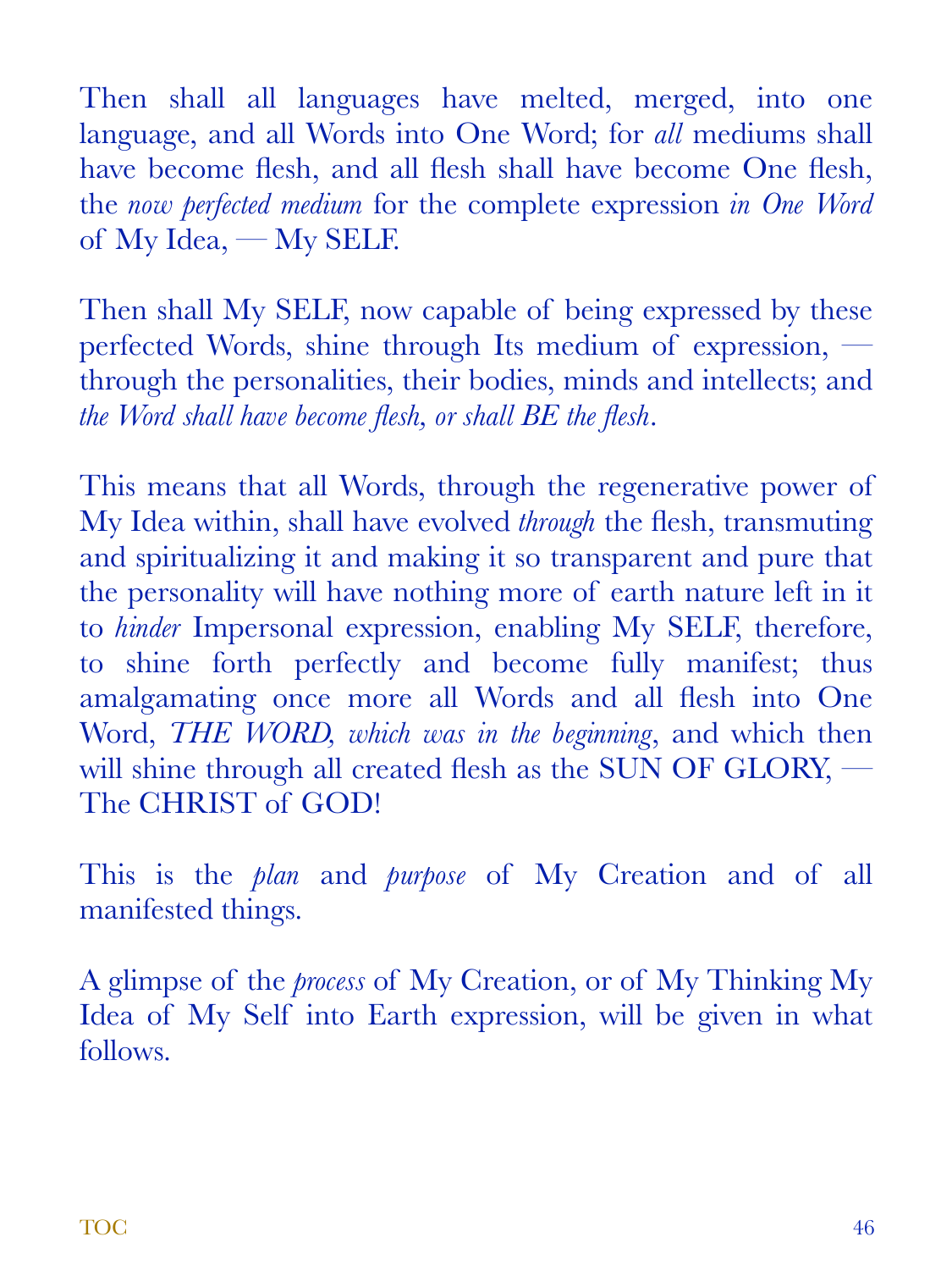Then shall all languages have melted, merged, into one language, and all Words into One Word; for *all* mediums shall have become flesh, and all flesh shall have become One flesh, the *now perfected medium* for the complete expression *in One Word* of My Idea, — My SELF.

Then shall My SELF, now capable of being expressed by these perfected Words, shine through Its medium of expression, through the personalities, their bodies, minds and intellects; and *the Word shall have become flesh, or shall BE the flesh*.

This means that all Words, through the regenerative power of My Idea within, shall have evolved *through* the flesh, transmuting and spiritualizing it and making it so transparent and pure that the personality will have nothing more of earth nature left in it to *hinder* Impersonal expression, enabling My SELF, therefore, to shine forth perfectly and become fully manifest; thus amalgamating once more all Words and all flesh into One Word, *THE WORD, which was in the beginning*, and which then will shine through all created flesh as the SUN OF GLORY, — The CHRIST of GOD!

This is the *plan* and *purpose* of My Creation and of all manifested things.

A glimpse of the *process* of My Creation, or of My Thinking My Idea of My Self into Earth expression, will be given in what follows.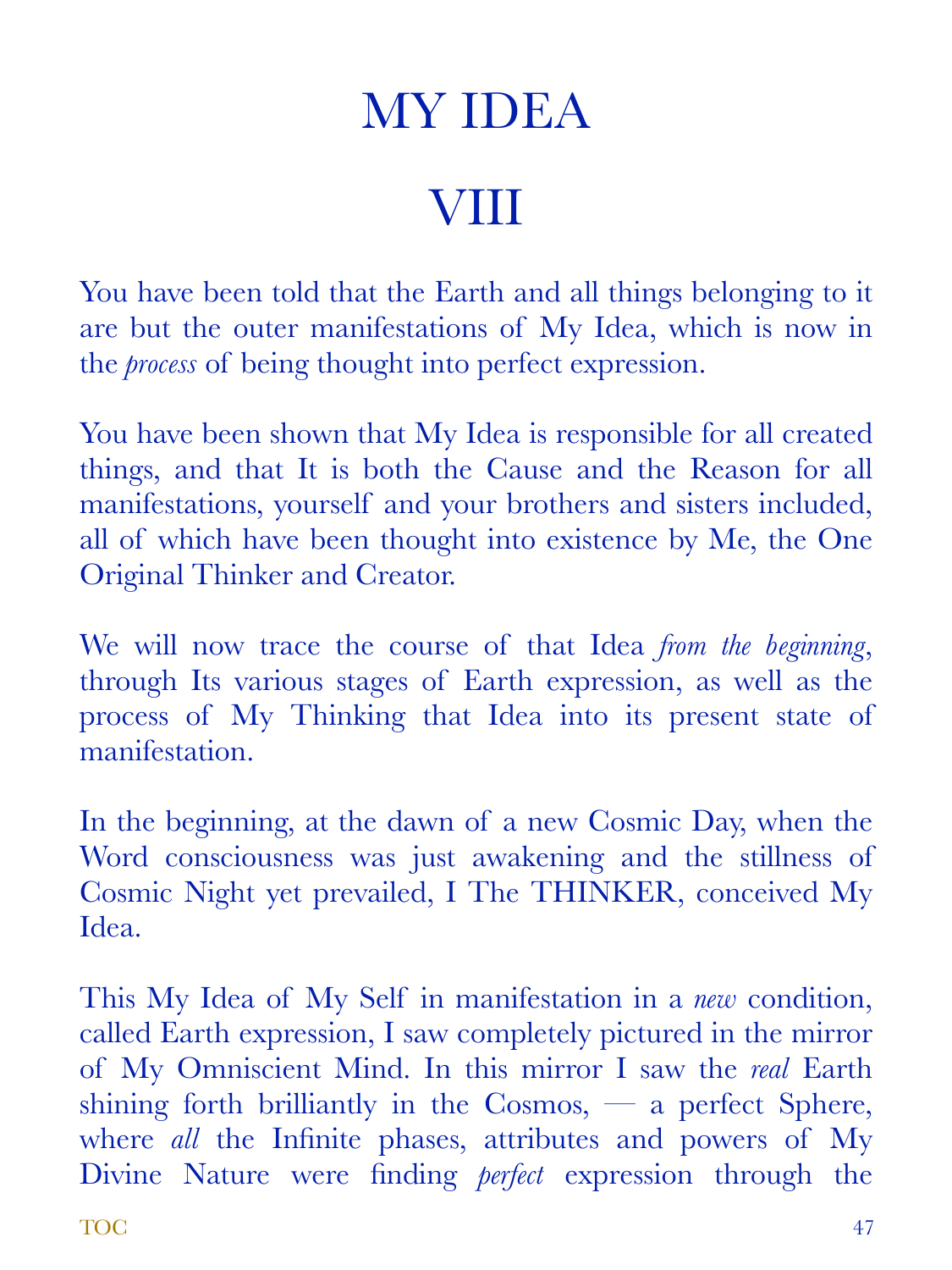### MY IDEA

## **VIII**

You have been told that the Earth and all things belonging to it are but the outer manifestations of My Idea, which is now in the *process* of being thought into perfect expression.

You have been shown that My Idea is responsible for all created things, and that It is both the Cause and the Reason for all manifestations, yourself and your brothers and sisters included, all of which have been thought into existence by Me, the One Original Thinker and Creator.

We will now trace the course of that Idea *from the beginning*, through Its various stages of Earth expression, as well as the process of My Thinking that Idea into its present state of manifestation.

In the beginning, at the dawn of a new Cosmic Day, when the Word consciousness was just awakening and the stillness of Cosmic Night yet prevailed, I The THINKER, conceived My Idea.

This My Idea of My Self in manifestation in a *new* condition, called Earth expression, I saw completely pictured in the mirror of My Omniscient Mind. In this mirror I saw the *real* Earth shining forth brilliantly in the Cosmos,  $\overline{\phantom{a}}$  a perfect Sphere, where *all* the Infinite phases, attributes and powers of My Divine Nature were finding *perfect* expression through the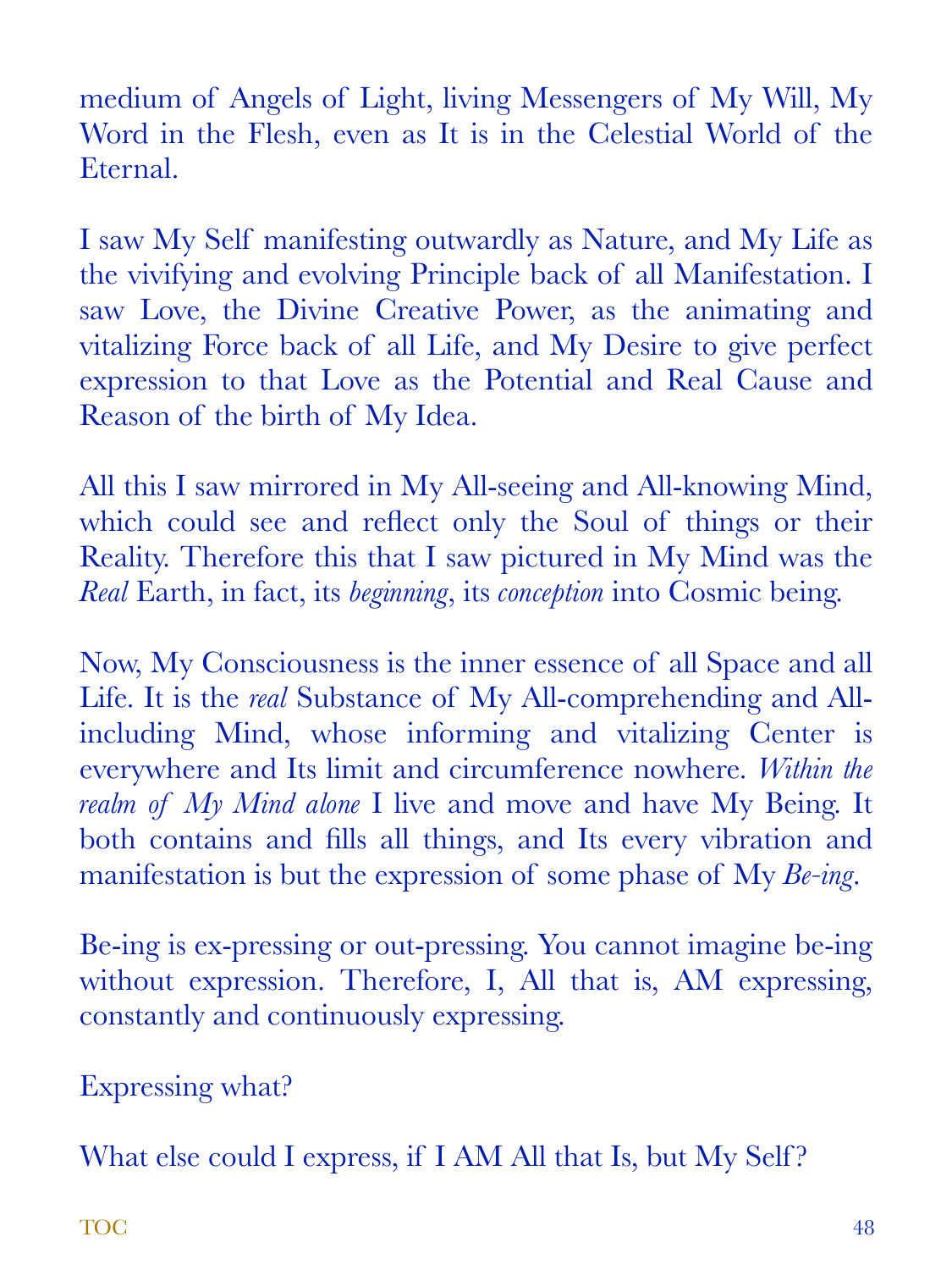medium of Angels of Light, living Messengers of My Will, My Word in the Flesh, even as It is in the Celestial World of the Eternal.

I saw My Self manifesting outwardly as Nature, and My Life as the vivifying and evolving Principle back of all Manifestation. I saw Love, the Divine Creative Power, as the animating and vitalizing Force back of all Life, and My Desire to give perfect expression to that Love as the Potential and Real Cause and Reason of the birth of My Idea.

All this I saw mirrored in My All-seeing and All-knowing Mind, which could see and reflect only the Soul of things or their Reality. Therefore this that I saw pictured in My Mind was the *Real* Earth, in fact, its *beginning*, its *conception* into Cosmic being.

Now, My Consciousness is the inner essence of all Space and all Life. It is the *real* Substance of My All-comprehending and Allincluding Mind, whose informing and vitalizing Center is everywhere and Its limit and circumference nowhere. *Within the realm of My Mind alone* I live and move and have My Being. It both contains and fills all things, and Its every vibration and manifestation is but the expression of some phase of My *Be-ing*.

Be-ing is ex-pressing or out-pressing. You cannot imagine be-ing without expression. Therefore, I, All that is, AM expressing, constantly and continuously expressing.

Expressing what?

What else could I express, if I AM All that Is, but My Self?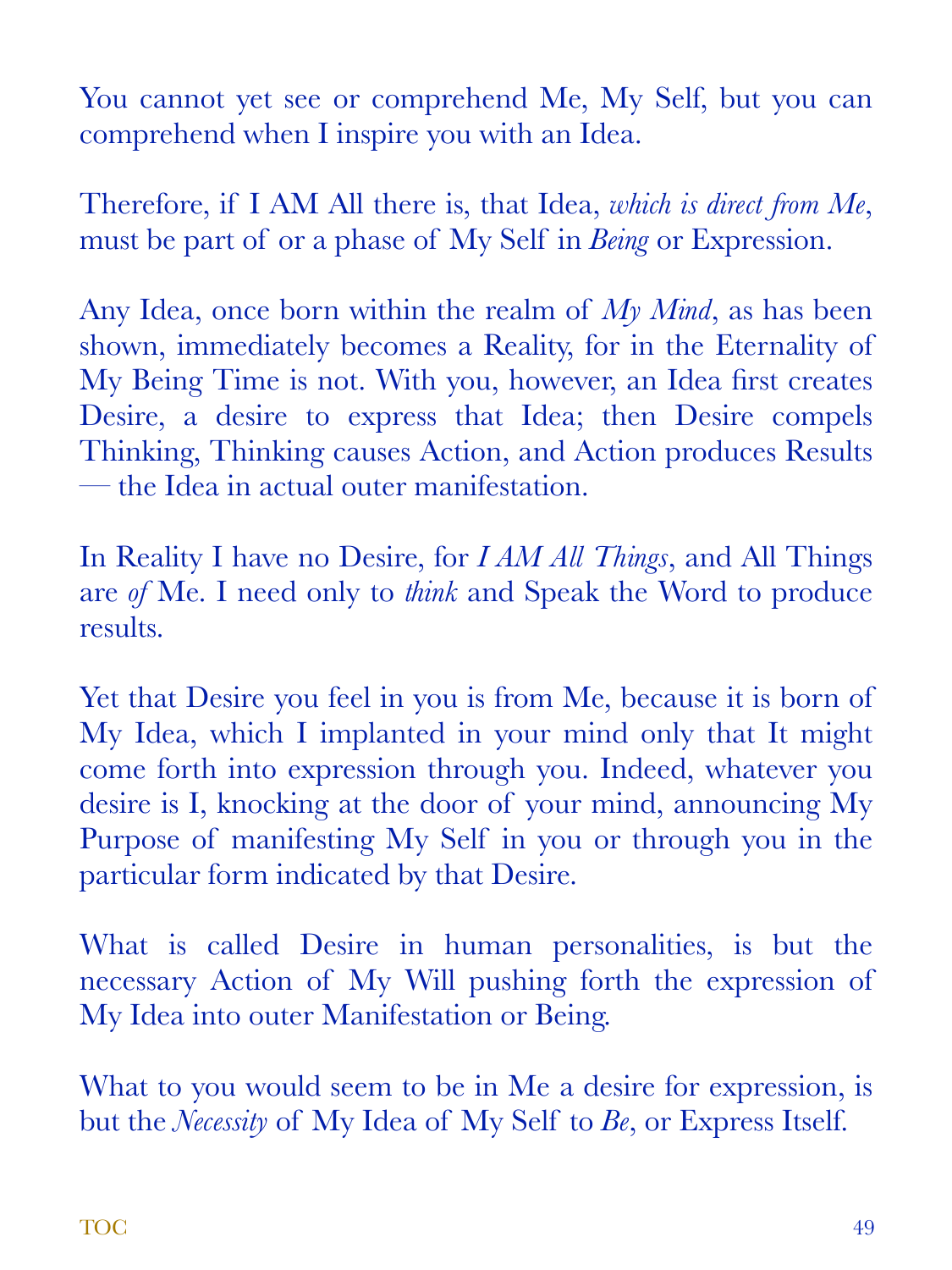You cannot yet see or comprehend Me, My Self, but you can comprehend when I inspire you with an Idea.

Therefore, if I AM All there is, that Idea, *which is direct from Me*, must be part of or a phase of My Self in *Being* or Expression.

Any Idea, once born within the realm of *My Mind*, as has been shown, immediately becomes a Reality, for in the Eternality of My Being Time is not. With you, however, an Idea first creates Desire, a desire to express that Idea; then Desire compels Thinking, Thinking causes Action, and Action produces Results — the Idea in actual outer manifestation.

In Reality I have no Desire, for *I AM All Things*, and All Things are *of* Me. I need only to *think* and Speak the Word to produce results.

Yet that Desire you feel in you is from Me, because it is born of My Idea, which I implanted in your mind only that It might come forth into expression through you. Indeed, whatever you desire is I, knocking at the door of your mind, announcing My Purpose of manifesting My Self in you or through you in the particular form indicated by that Desire.

What is called Desire in human personalities, is but the necessary Action of My Will pushing forth the expression of My Idea into outer Manifestation or Being.

What to you would seem to be in Me a desire for expression, is but the *Necessity* of My Idea of My Self to *Be*, or Express Itself.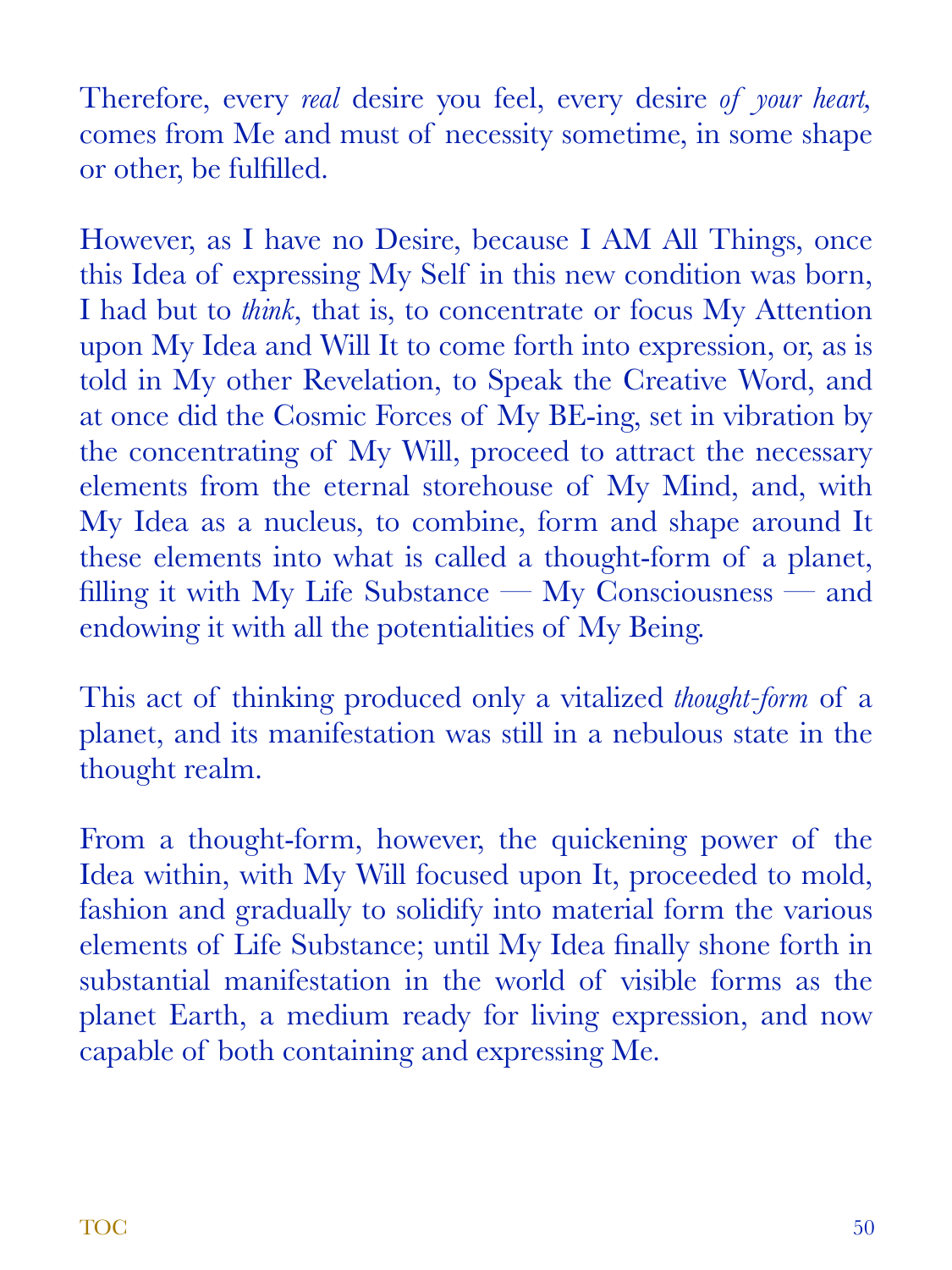Therefore, every *real* desire you feel, every desire *of your heart,* comes from Me and must of necessity sometime, in some shape or other, be fulfilled.

However, as I have no Desire, because I AM All Things, once this Idea of expressing My Self in this new condition was born, I had but to *think*, that is, to concentrate or focus My Attention upon My Idea and Will It to come forth into expression, or, as is told in My other Revelation, to Speak the Creative Word, and at once did the Cosmic Forces of My BE-ing, set in vibration by the concentrating of My Will, proceed to attract the necessary elements from the eternal storehouse of My Mind, and, with My Idea as a nucleus, to combine, form and shape around It these elements into what is called a thought-form of a planet, filling it with My Life Substance — My Consciousness — and endowing it with all the potentialities of My Being.

This act of thinking produced only a vitalized *thought-form* of a planet, and its manifestation was still in a nebulous state in the thought realm.

From a thought-form, however, the quickening power of the Idea within, with My Will focused upon It, proceeded to mold, fashion and gradually to solidify into material form the various elements of Life Substance; until My Idea finally shone forth in substantial manifestation in the world of visible forms as the planet Earth, a medium ready for living expression, and now capable of both containing and expressing Me.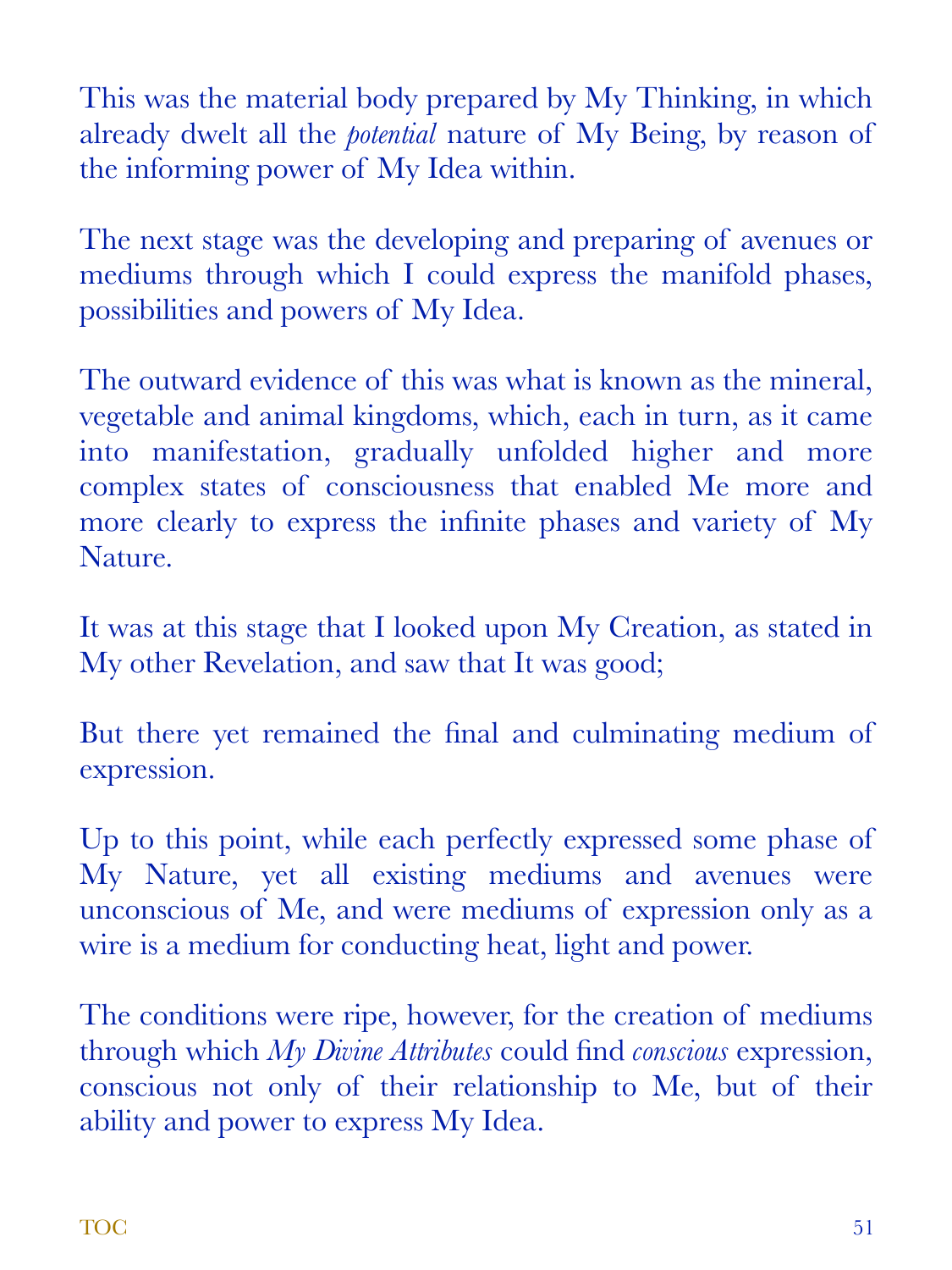This was the material body prepared by My Thinking, in which already dwelt all the *potential* nature of My Being, by reason of the informing power of My Idea within.

The next stage was the developing and preparing of avenues or mediums through which I could express the manifold phases, possibilities and powers of My Idea.

The outward evidence of this was what is known as the mineral, vegetable and animal kingdoms, which, each in turn, as it came into manifestation, gradually unfolded higher and more complex states of consciousness that enabled Me more and more clearly to express the infinite phases and variety of My Nature.

It was at this stage that I looked upon My Creation, as stated in My other Revelation, and saw that It was good;

But there yet remained the final and culminating medium of expression.

Up to this point, while each perfectly expressed some phase of My Nature, yet all existing mediums and avenues were unconscious of Me, and were mediums of expression only as a wire is a medium for conducting heat, light and power.

The conditions were ripe, however, for the creation of mediums through which *My Divine Attributes* could find *conscious* expression, conscious not only of their relationship to Me, but of their ability and power to express My Idea.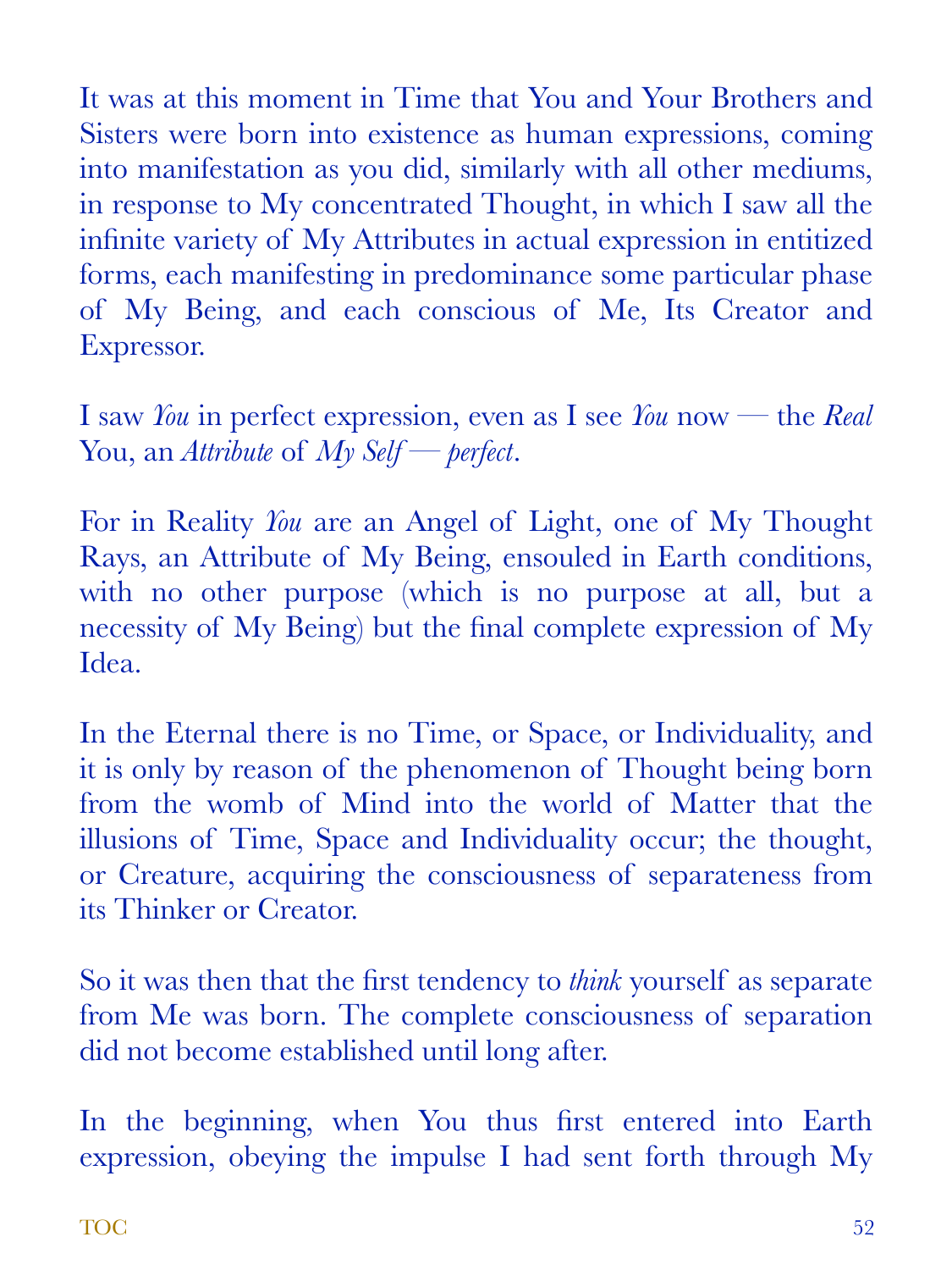It was at this moment in Time that You and Your Brothers and Sisters were born into existence as human expressions, coming into manifestation as you did, similarly with all other mediums, in response to My concentrated Thought, in which I saw all the infinite variety of My Attributes in actual expression in entitized forms, each manifesting in predominance some particular phase of My Being, and each conscious of Me, Its Creator and Expressor.

I saw *You* in perfect expression, even as I see *You* now — the *Real*  You, an *Attribute* of *My Self* — *perfect*.

For in Reality *You* are an Angel of Light, one of My Thought Rays, an Attribute of My Being, ensouled in Earth conditions, with no other purpose (which is no purpose at all, but a necessity of My Being) but the final complete expression of My Idea.

In the Eternal there is no Time, or Space, or Individuality, and it is only by reason of the phenomenon of Thought being born from the womb of Mind into the world of Matter that the illusions of Time, Space and Individuality occur; the thought, or Creature, acquiring the consciousness of separateness from its Thinker or Creator.

So it was then that the first tendency to *think* yourself as separate from Me was born. The complete consciousness of separation did not become established until long after.

In the beginning, when You thus first entered into Earth expression, obeying the impulse I had sent forth through My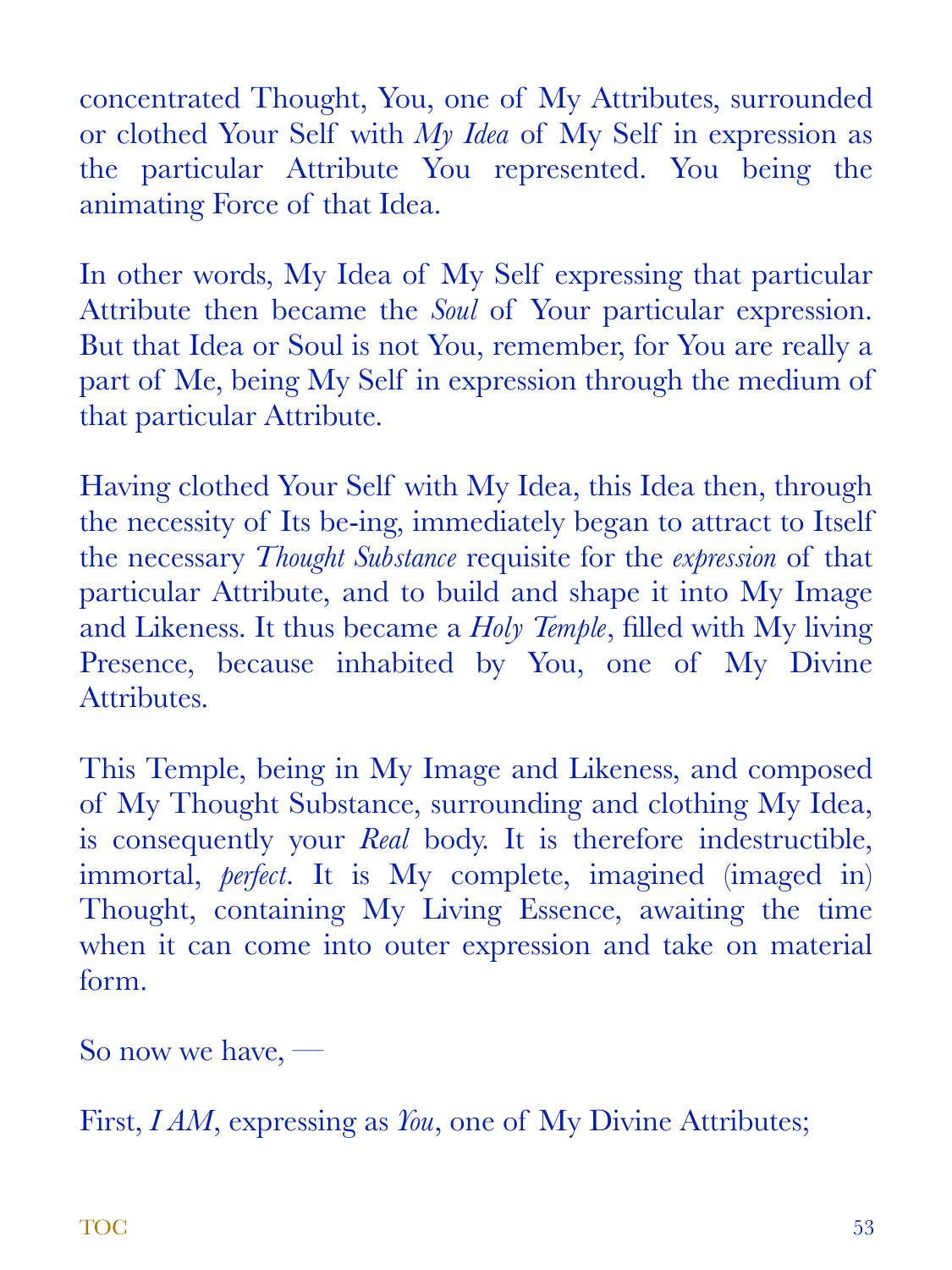concentrated Thought, You, one of My Attributes, surrounded or clothed Your Self with *My Idea* of My Self in expression as the particular Attribute You represented. You being the animating Force of that Idea.

In other words, My Idea of My Self expressing that particular Attribute then became the *Soul* of Your particular expression. But that Idea or Soul is not You, remember, for You are really a part of Me, being My Self in expression through the medium of that particular Attribute.

Having clothed Your Self with My Idea, this Idea then, through the necessity of Its be-ing, immediately began to attract to Itself the necessary *Thought Substance* requisite for the *expression* of that particular Attribute, and to build and shape it into My Image and Likeness. It thus became a *Holy Temple*, filled with My living Presence, because inhabited by You, one of My Divine Attributes.

This Temple, being in My Image and Likeness, and composed of My Thought Substance, surrounding and clothing My Idea, is consequently your *Real* body. It is therefore indestructible, immortal, *perfect*. It is My complete, imagined (imaged in) Thought, containing My Living Essence, awaiting the time when it can come into outer expression and take on material form.

So now we have, —

First, *I AM*, expressing as *You*, one of My Divine Attributes;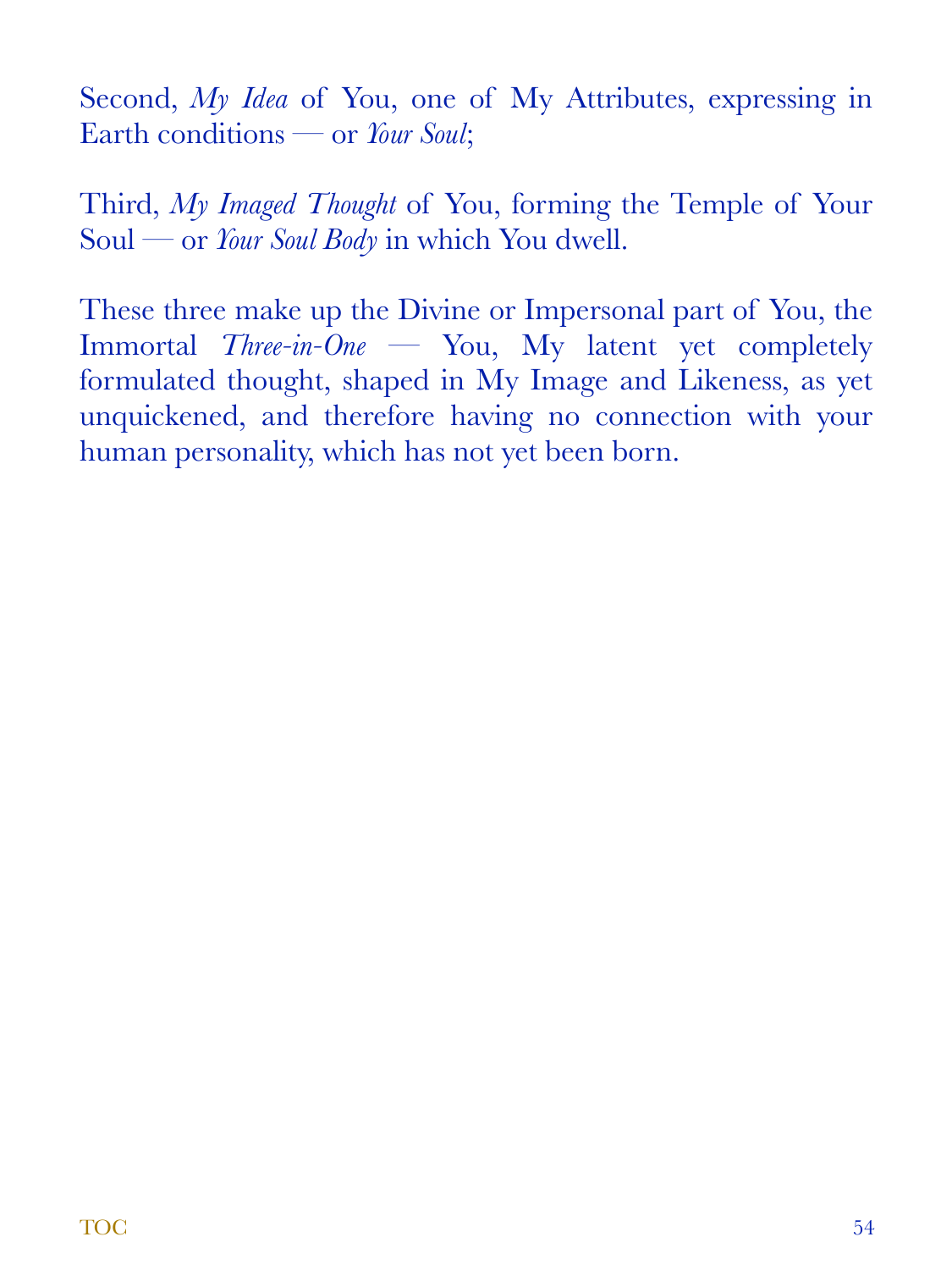Second, *My Idea* of You, one of My Attributes, expressing in Earth conditions — or *Your Soul*;

Third, *My Imaged Thought* of You, forming the Temple of Your Soul — or *Your Soul Body* in which You dwell.

These three make up the Divine or Impersonal part of You, the Immortal *Three-in-One* — You, My latent yet completely formulated thought, shaped in My Image and Likeness, as yet unquickened, and therefore having no connection with your human personality, which has not yet been born.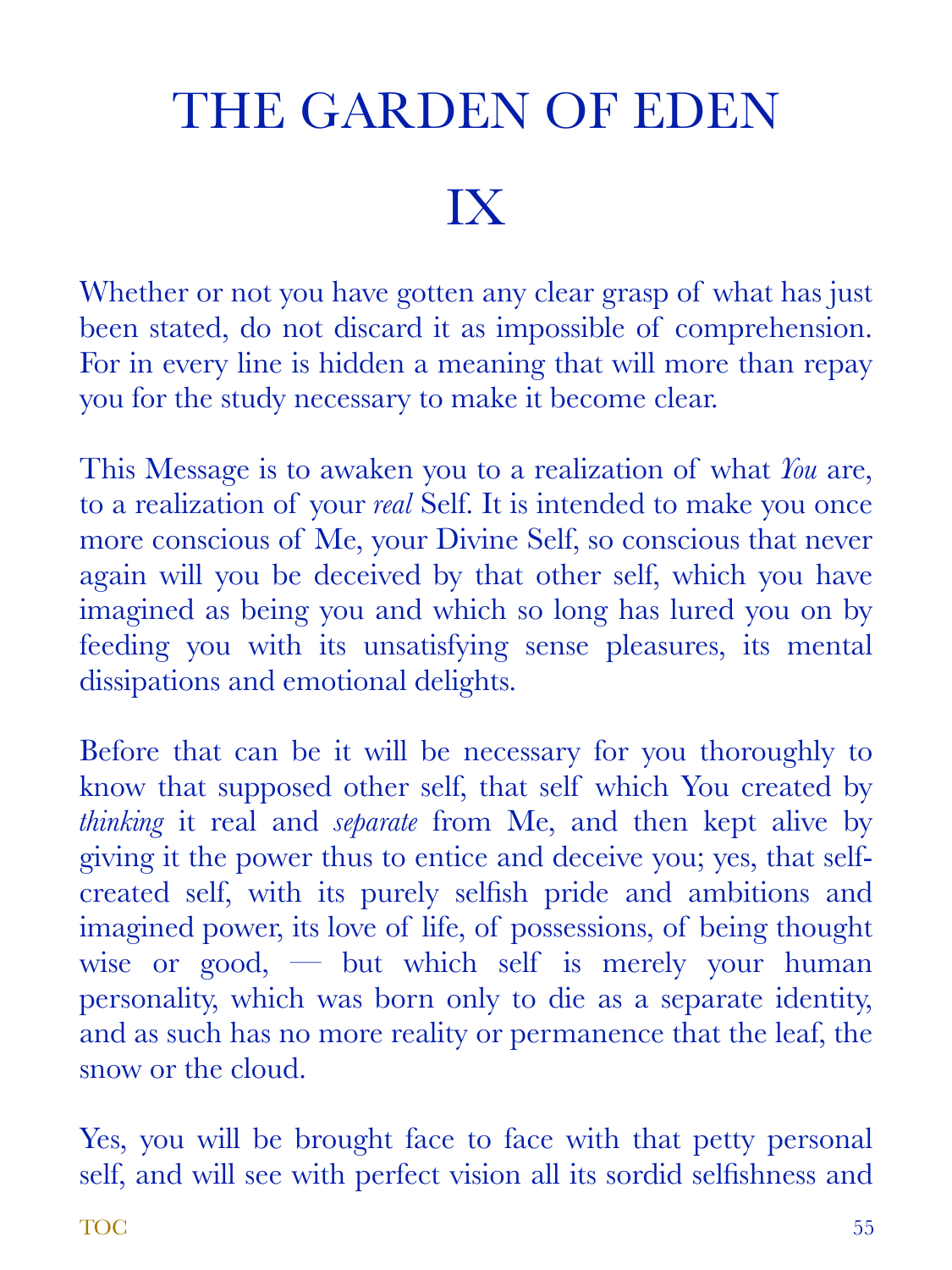# THE GARDEN OF EDEN IX

Whether or not you have gotten any clear grasp of what has just been stated, do not discard it as impossible of comprehension. For in every line is hidden a meaning that will more than repay you for the study necessary to make it become clear.

This Message is to awaken you to a realization of what *You* are, to a realization of your *real* Self. It is intended to make you once more conscious of Me, your Divine Self, so conscious that never again will you be deceived by that other self, which you have imagined as being you and which so long has lured you on by feeding you with its unsatisfying sense pleasures, its mental dissipations and emotional delights.

Before that can be it will be necessary for you thoroughly to know that supposed other self, that self which You created by *thinking* it real and *separate* from Me, and then kept alive by giving it the power thus to entice and deceive you; yes, that selfcreated self, with its purely selfish pride and ambitions and imagined power, its love of life, of possessions, of being thought wise or good,  $\frac{1}{1}$  but which self is merely your human personality, which was born only to die as a separate identity, and as such has no more reality or permanence that the leaf, the snow or the cloud.

Yes, you will be brought face to face with that petty personal self, and will see with perfect vision all its sordid selfishness and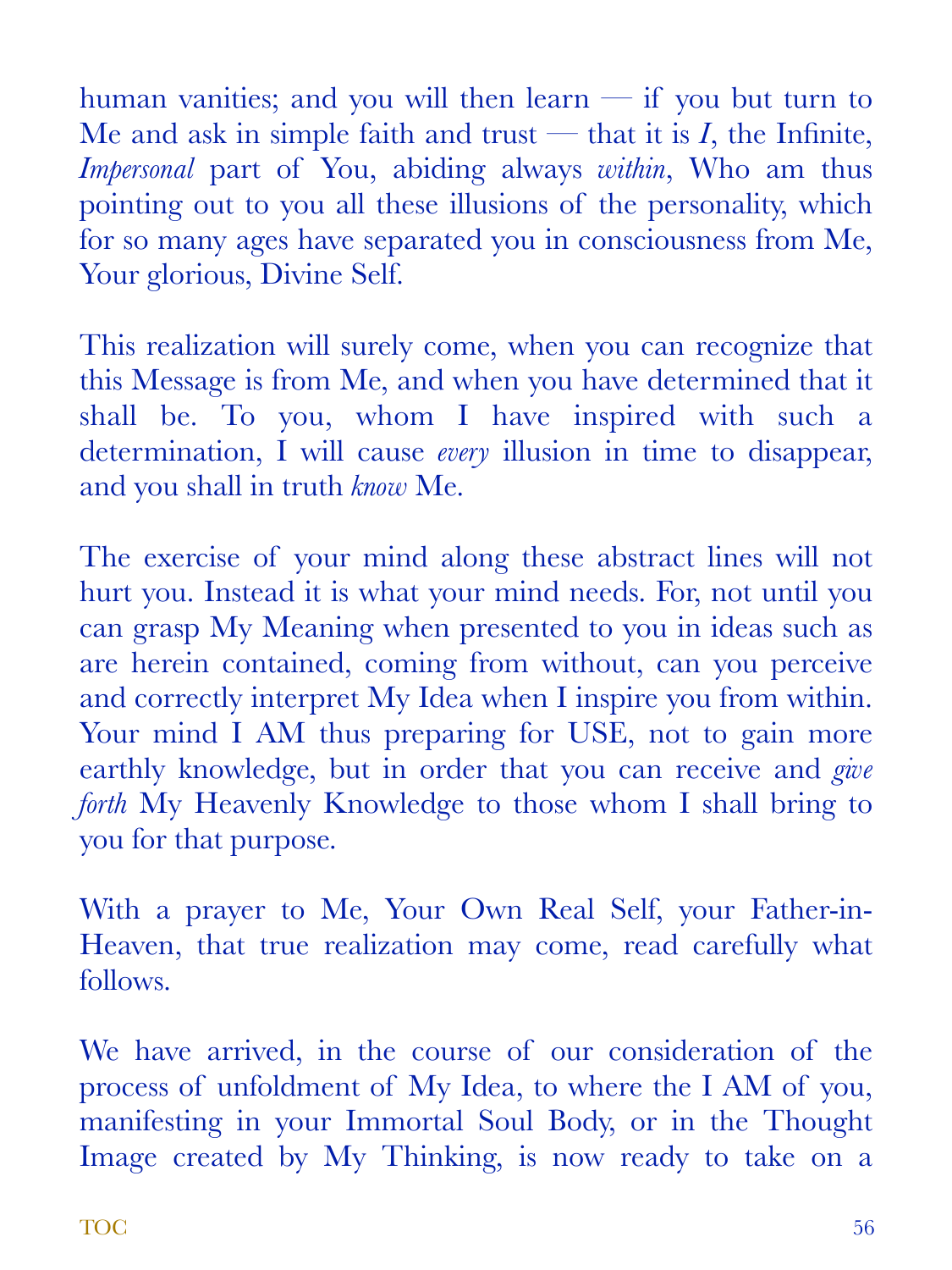human vanities; and you will then  $learn - if$  you but turn to Me and ask in simple faith and trust  $-$  that it is  $I$ , the Infinite, *Impersonal* part of You, abiding always *within*, Who am thus pointing out to you all these illusions of the personality, which for so many ages have separated you in consciousness from Me, Your glorious, Divine Self.

This realization will surely come, when you can recognize that this Message is from Me, and when you have determined that it shall be. To you, whom I have inspired with such a determination, I will cause *every* illusion in time to disappear, and you shall in truth *know* Me.

The exercise of your mind along these abstract lines will not hurt you. Instead it is what your mind needs. For, not until you can grasp My Meaning when presented to you in ideas such as are herein contained, coming from without, can you perceive and correctly interpret My Idea when I inspire you from within. Your mind I AM thus preparing for USE, not to gain more earthly knowledge, but in order that you can receive and *give forth* My Heavenly Knowledge to those whom I shall bring to you for that purpose.

With a prayer to Me, Your Own Real Self, your Father-in-Heaven, that true realization may come, read carefully what follows.

We have arrived, in the course of our consideration of the process of unfoldment of My Idea, to where the I AM of you, manifesting in your Immortal Soul Body, or in the Thought Image created by My Thinking, is now ready to take on a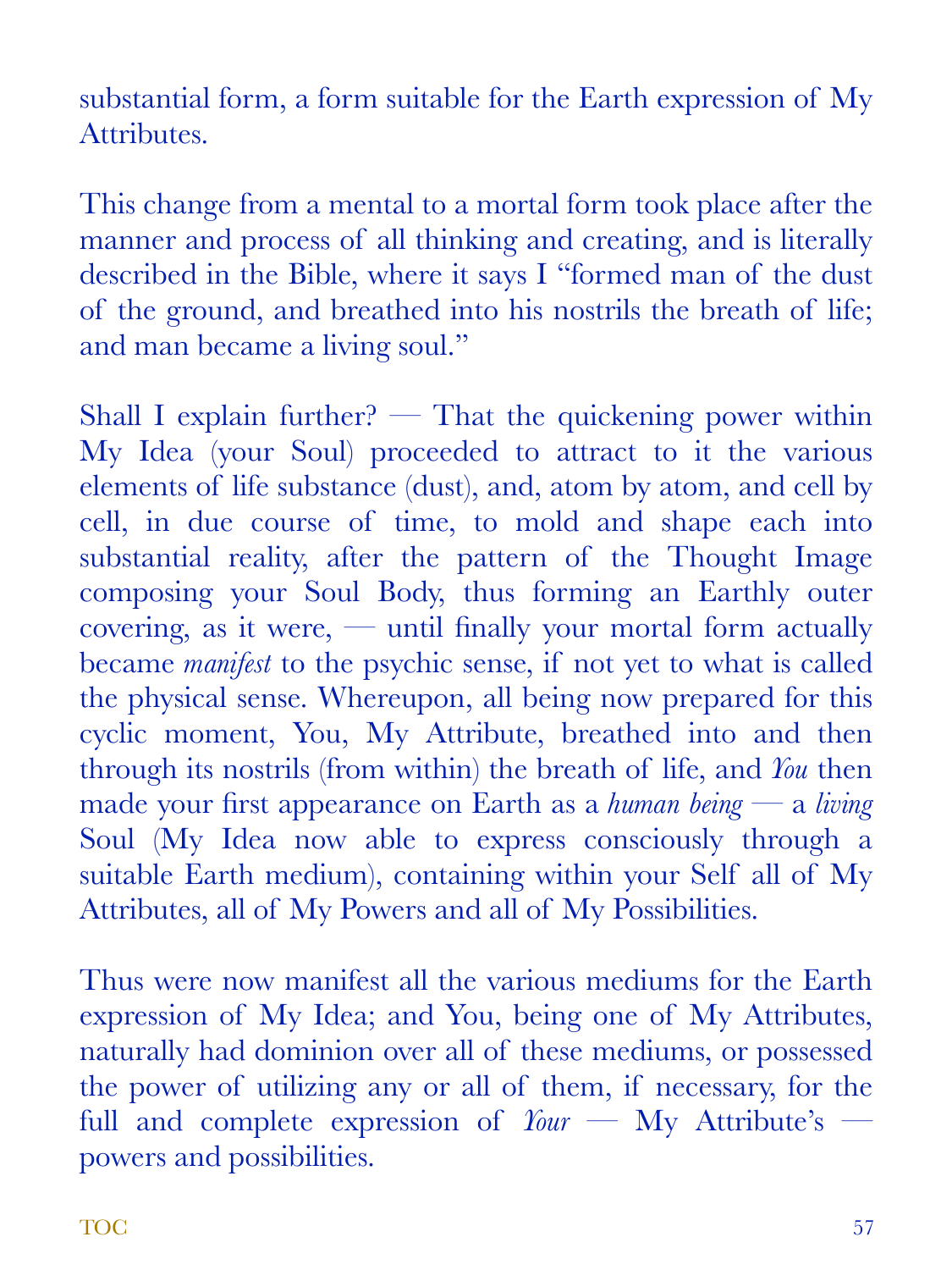substantial form, a form suitable for the Earth expression of My Attributes.

This change from a mental to a mortal form took place after the manner and process of all thinking and creating, and is literally described in the Bible, where it says I "formed man of the dust of the ground, and breathed into his nostrils the breath of life; and man became a living soul."

Shall I explain further?  $\overline{\phantom{a}}$  That the quickening power within My Idea (your Soul) proceeded to attract to it the various elements of life substance (dust), and, atom by atom, and cell by cell, in due course of time, to mold and shape each into substantial reality, after the pattern of the Thought Image composing your Soul Body, thus forming an Earthly outer covering, as it were, — until finally your mortal form actually became *manifest* to the psychic sense, if not yet to what is called the physical sense. Whereupon, all being now prepared for this cyclic moment, You, My Attribute, breathed into and then through its nostrils (from within) the breath of life, and *You* then made your first appearance on Earth as a *human being* — a *living* Soul (My Idea now able to express consciously through a suitable Earth medium), containing within your Self all of My Attributes, all of My Powers and all of My Possibilities.

Thus were now manifest all the various mediums for the Earth expression of My Idea; and You, being one of My Attributes, naturally had dominion over all of these mediums, or possessed the power of utilizing any or all of them, if necessary, for the full and complete expression of *Your* — My Attribute's powers and possibilities.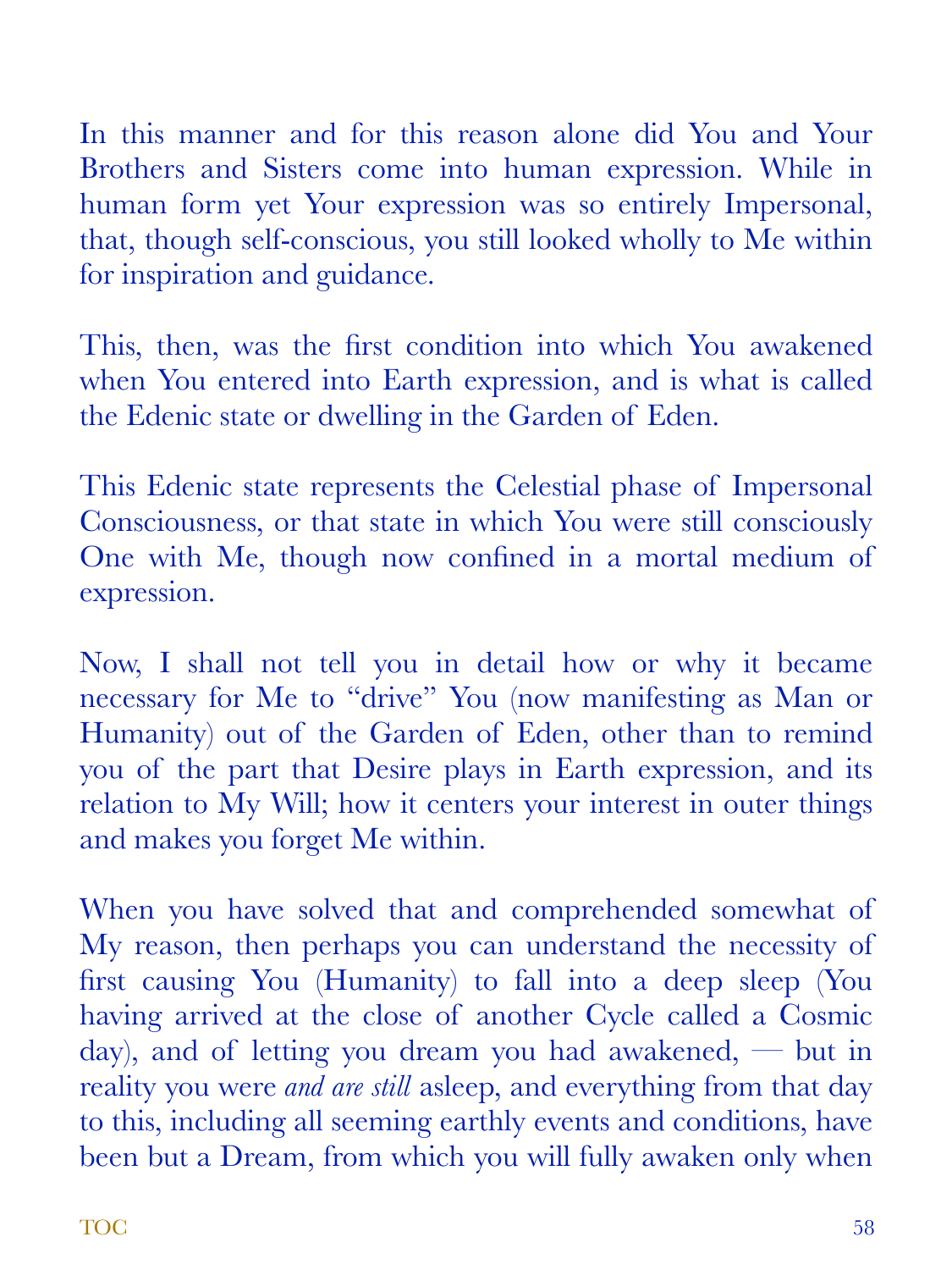In this manner and for this reason alone did You and Your Brothers and Sisters come into human expression. While in human form yet Your expression was so entirely Impersonal, that, though self-conscious, you still looked wholly to Me within for inspiration and guidance.

This, then, was the first condition into which You awakened when You entered into Earth expression, and is what is called the Edenic state or dwelling in the Garden of Eden.

This Edenic state represents the Celestial phase of Impersonal Consciousness, or that state in which You were still consciously One with Me, though now confined in a mortal medium of expression.

Now, I shall not tell you in detail how or why it became necessary for Me to "drive" You (now manifesting as Man or Humanity) out of the Garden of Eden, other than to remind you of the part that Desire plays in Earth expression, and its relation to My Will; how it centers your interest in outer things and makes you forget Me within.

When you have solved that and comprehended somewhat of My reason, then perhaps you can understand the necessity of first causing You (Humanity) to fall into a deep sleep (You having arrived at the close of another Cycle called a Cosmic  $day)$ , and of letting you dream you had awakened, — but in reality you were *and are still* asleep, and everything from that day to this, including all seeming earthly events and conditions, have been but a Dream, from which you will fully awaken only when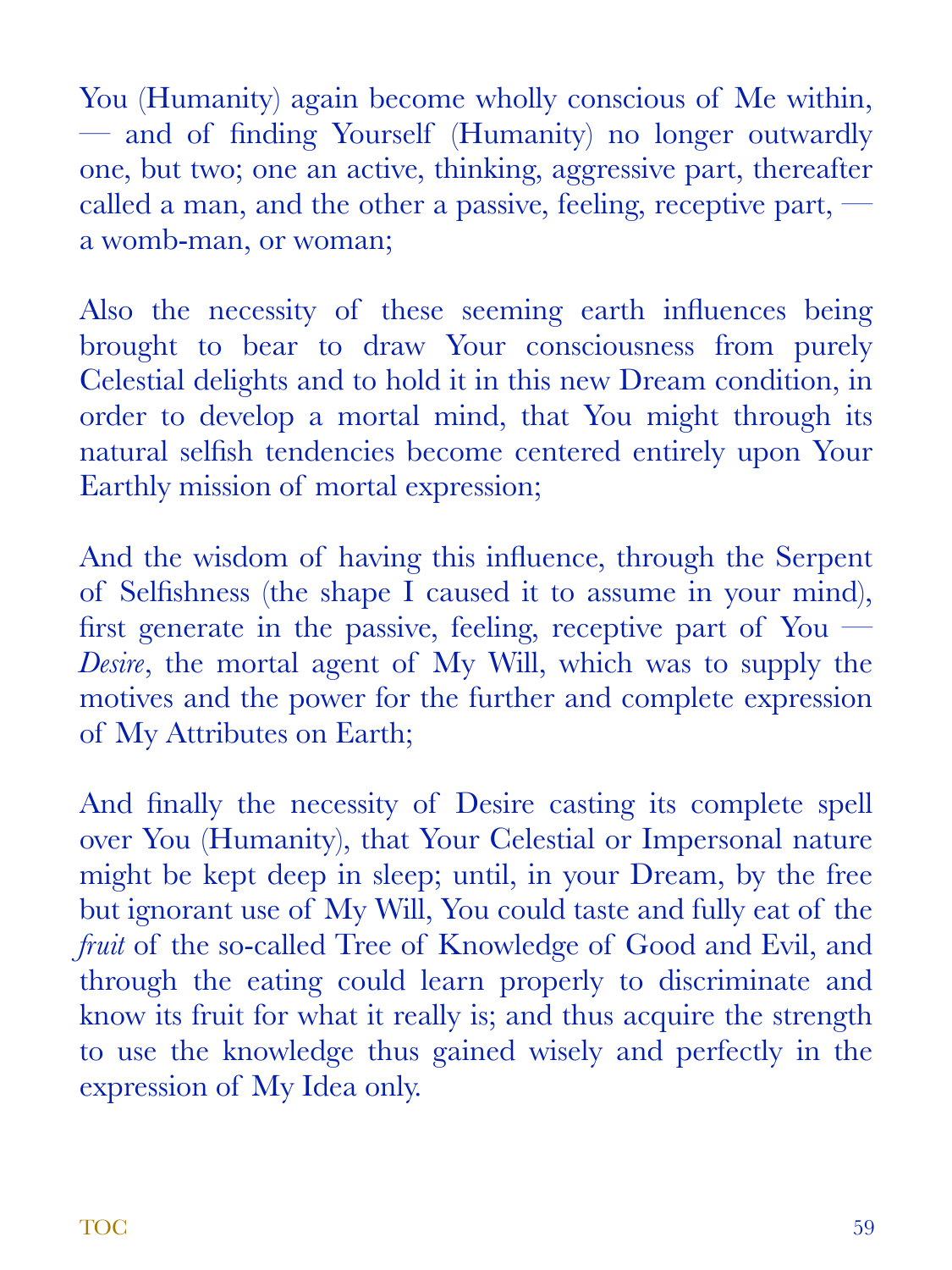You (Humanity) again become wholly conscious of Me within, — and of finding Yourself (Humanity) no longer outwardly one, but two; one an active, thinking, aggressive part, thereafter called a man, and the other a passive, feeling, receptive part,  $$ a womb-man, or woman;

Also the necessity of these seeming earth influences being brought to bear to draw Your consciousness from purely Celestial delights and to hold it in this new Dream condition, in order to develop a mortal mind, that You might through its natural selfish tendencies become centered entirely upon Your Earthly mission of mortal expression;

And the wisdom of having this influence, through the Serpent of Selfishness (the shape I caused it to assume in your mind), first generate in the passive, feeling, receptive part of You  $-$ *Desire*, the mortal agent of My Will, which was to supply the motives and the power for the further and complete expression of My Attributes on Earth;

And finally the necessity of Desire casting its complete spell over You (Humanity), that Your Celestial or Impersonal nature might be kept deep in sleep; until, in your Dream, by the free but ignorant use of My Will, You could taste and fully eat of the *fruit* of the so-called Tree of Knowledge of Good and Evil, and through the eating could learn properly to discriminate and know its fruit for what it really is; and thus acquire the strength to use the knowledge thus gained wisely and perfectly in the expression of My Idea only.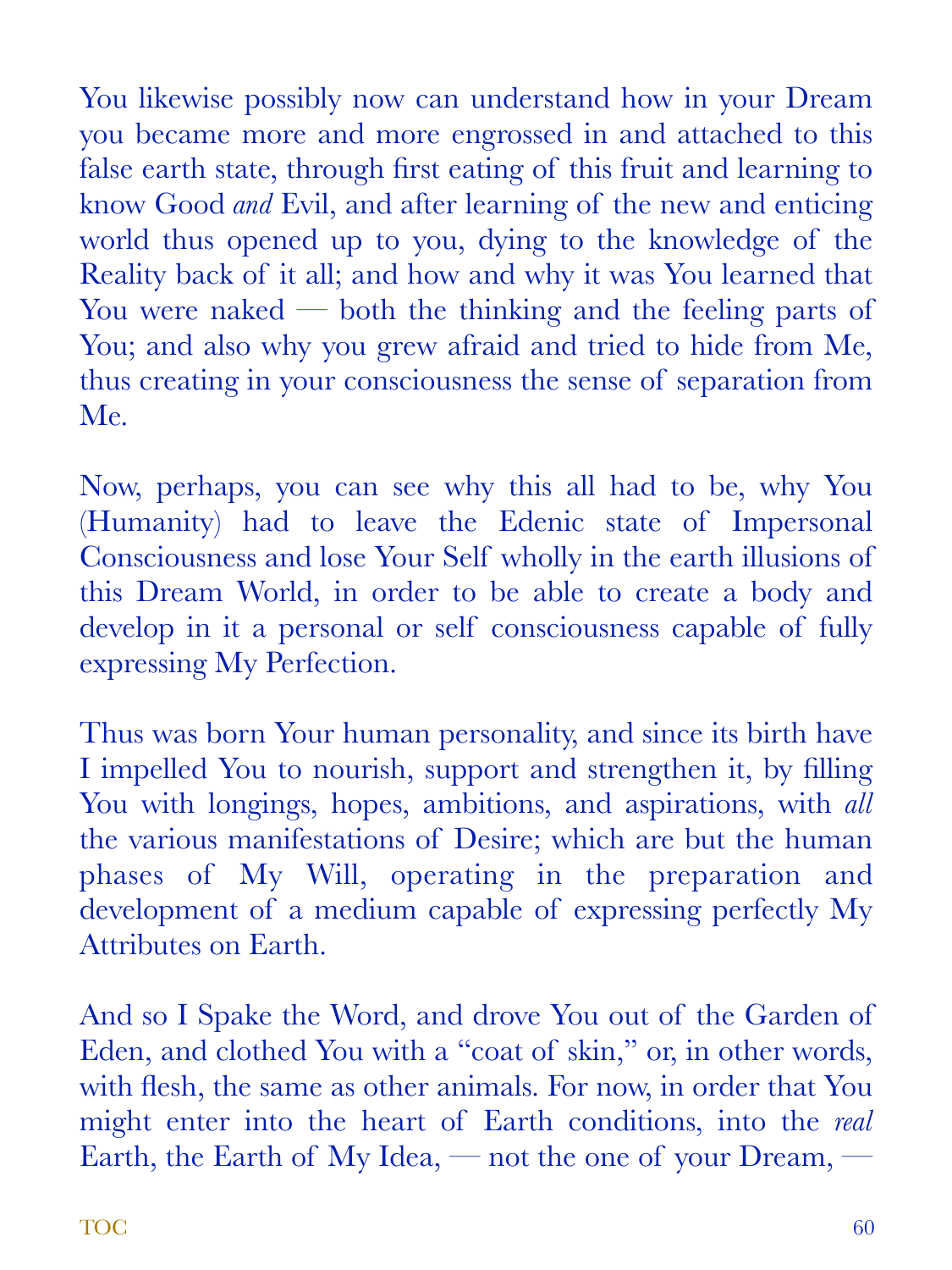You likewise possibly now can understand how in your Dream you became more and more engrossed in and attached to this false earth state, through first eating of this fruit and learning to know Good *and* Evil, and after learning of the new and enticing world thus opened up to you, dying to the knowledge of the Reality back of it all; and how and why it was You learned that You were naked  $-$  both the thinking and the feeling parts of You; and also why you grew afraid and tried to hide from Me, thus creating in your consciousness the sense of separation from Me.

Now, perhaps, you can see why this all had to be, why You (Humanity) had to leave the Edenic state of Impersonal Consciousness and lose Your Self wholly in the earth illusions of this Dream World, in order to be able to create a body and develop in it a personal or self consciousness capable of fully expressing My Perfection.

Thus was born Your human personality, and since its birth have I impelled You to nourish, support and strengthen it, by filling You with longings, hopes, ambitions, and aspirations, with *all* the various manifestations of Desire; which are but the human phases of My Will, operating in the preparation and development of a medium capable of expressing perfectly My Attributes on Earth.

And so I Spake the Word, and drove You out of the Garden of Eden, and clothed You with a "coat of skin," or, in other words, with flesh, the same as other animals. For now, in order that You might enter into the heart of Earth conditions, into the *real*  Earth, the Earth of My Idea, — not the one of your Dream, —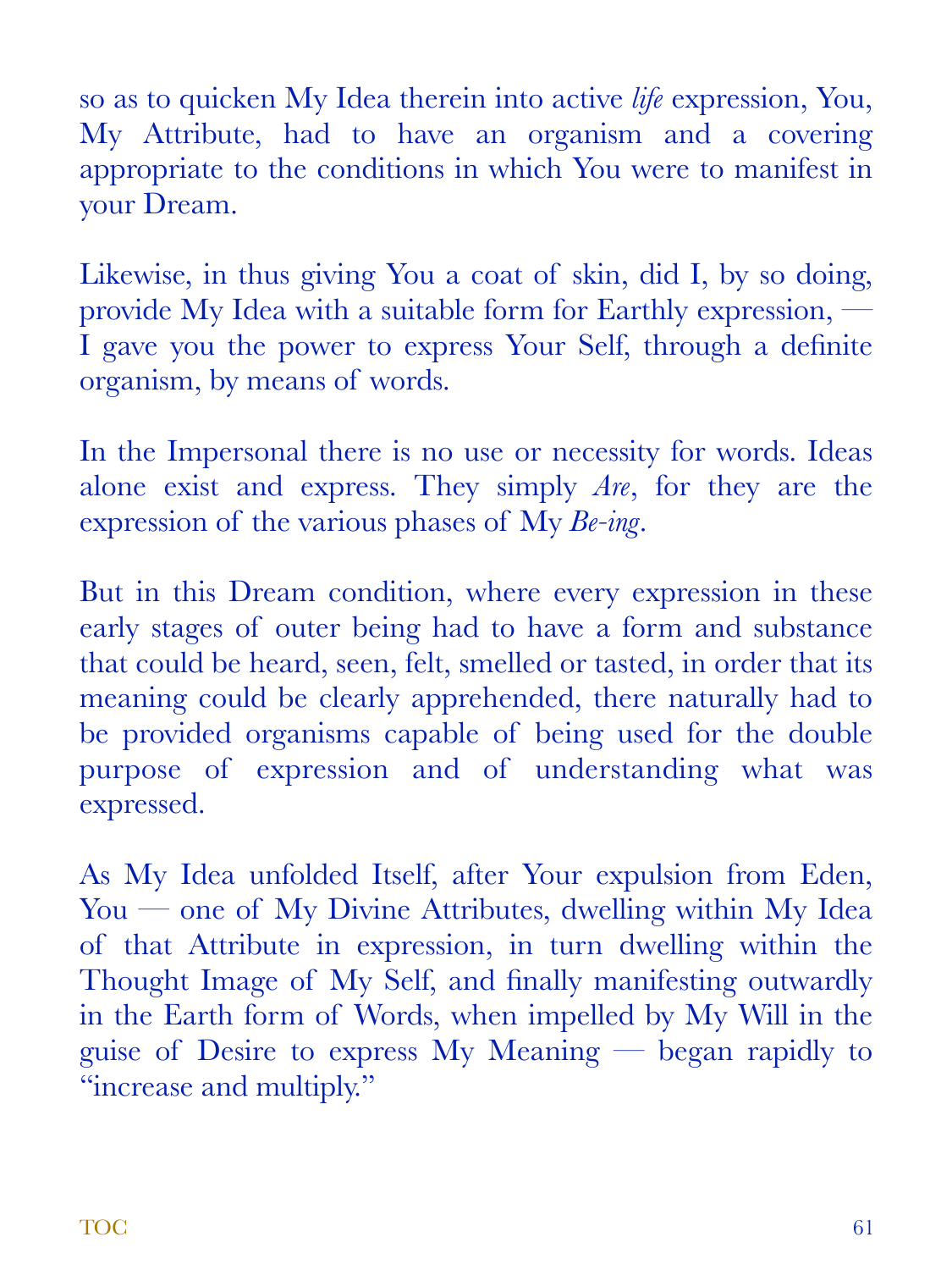so as to quicken My Idea therein into active *life* expression, You, My Attribute, had to have an organism and a covering appropriate to the conditions in which You were to manifest in your Dream.

Likewise, in thus giving You a coat of skin, did I, by so doing, provide My Idea with a suitable form for Earthly expression, — I gave you the power to express Your Self, through a definite organism, by means of words.

In the Impersonal there is no use or necessity for words. Ideas alone exist and express. They simply *Are*, for they are the expression of the various phases of My *Be-ing*.

But in this Dream condition, where every expression in these early stages of outer being had to have a form and substance that could be heard, seen, felt, smelled or tasted, in order that its meaning could be clearly apprehended, there naturally had to be provided organisms capable of being used for the double purpose of expression and of understanding what was expressed.

As My Idea unfolded Itself, after Your expulsion from Eden,  $You$  — one of My Divine Attributes, dwelling within My Idea of that Attribute in expression, in turn dwelling within the Thought Image of My Self, and finally manifesting outwardly in the Earth form of Words, when impelled by My Will in the guise of Desire to express My Meaning — began rapidly to "increase and multiply."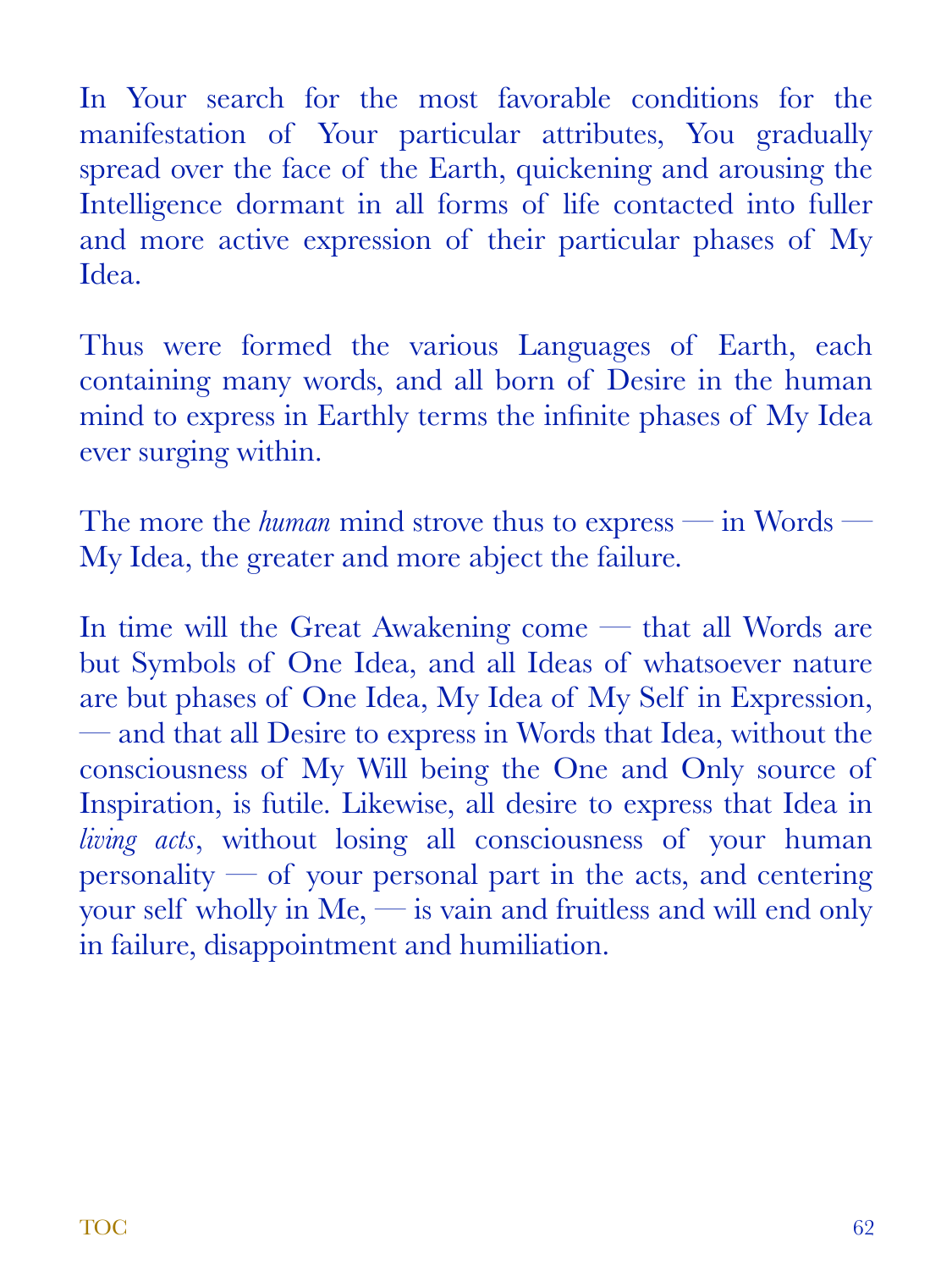In Your search for the most favorable conditions for the manifestation of Your particular attributes, You gradually spread over the face of the Earth, quickening and arousing the Intelligence dormant in all forms of life contacted into fuller and more active expression of their particular phases of My Idea.

Thus were formed the various Languages of Earth, each containing many words, and all born of Desire in the human mind to express in Earthly terms the infinite phases of My Idea ever surging within.

The more the *human* mind strove thus to express — in Words — My Idea, the greater and more abject the failure.

In time will the Great Awakening come — that all Words are but Symbols of One Idea, and all Ideas of whatsoever nature are but phases of One Idea, My Idea of My Self in Expression, — and that all Desire to express in Words that Idea, without the consciousness of My Will being the One and Only source of Inspiration, is futile. Likewise, all desire to express that Idea in *living acts*, without losing all consciousness of your human personality — of your personal part in the acts, and centering your self wholly in Me, — is vain and fruitless and will end only in failure, disappointment and humiliation.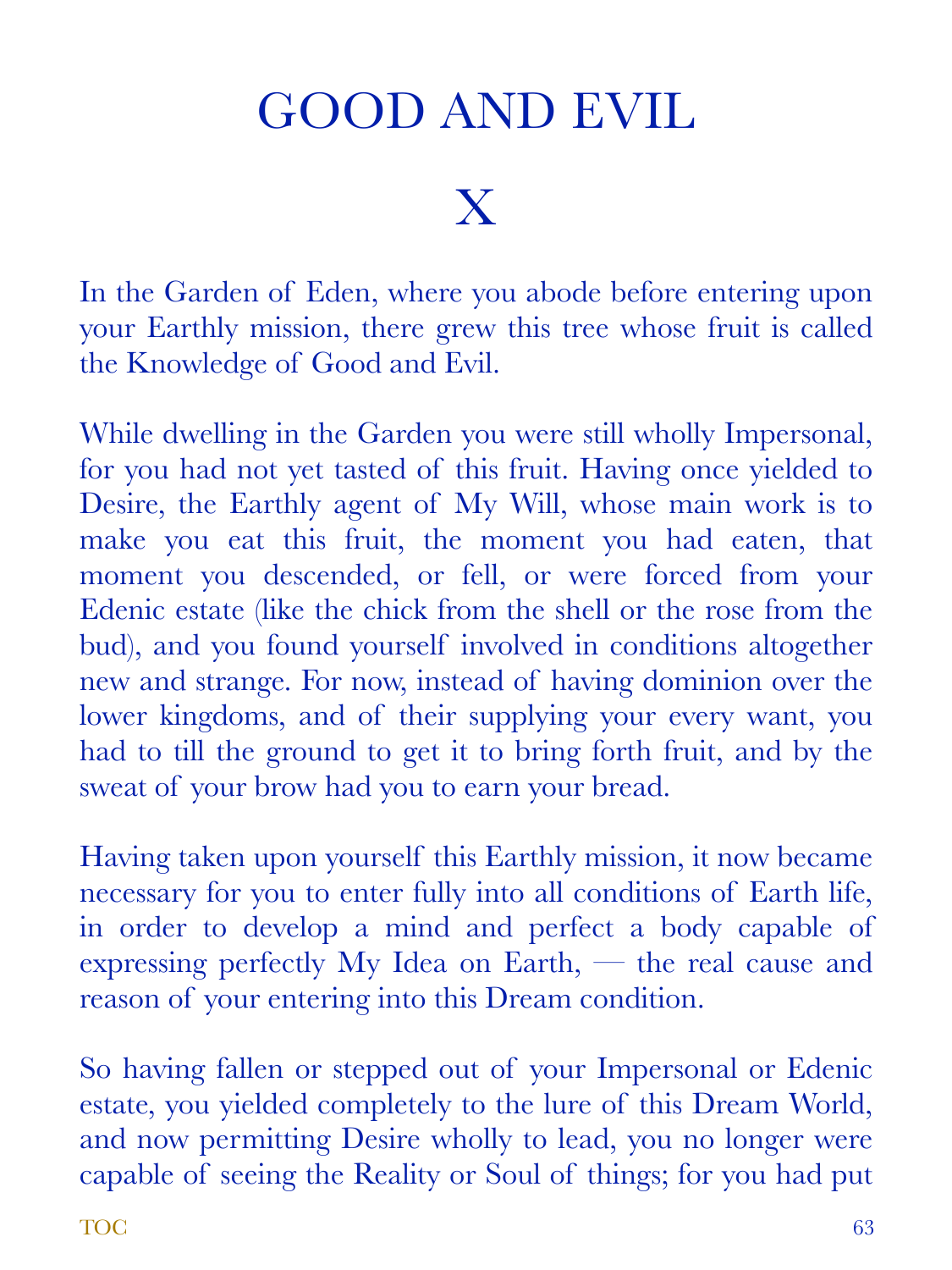### GOOD AND EVIL

X

In the Garden of Eden, where you abode before entering upon your Earthly mission, there grew this tree whose fruit is called the Knowledge of Good and Evil.

While dwelling in the Garden you were still wholly Impersonal, for you had not yet tasted of this fruit. Having once yielded to Desire, the Earthly agent of My Will, whose main work is to make you eat this fruit, the moment you had eaten, that moment you descended, or fell, or were forced from your Edenic estate (like the chick from the shell or the rose from the bud), and you found yourself involved in conditions altogether new and strange. For now, instead of having dominion over the lower kingdoms, and of their supplying your every want, you had to till the ground to get it to bring forth fruit, and by the sweat of your brow had you to earn your bread.

Having taken upon yourself this Earthly mission, it now became necessary for you to enter fully into all conditions of Earth life, in order to develop a mind and perfect a body capable of expressing perfectly My Idea on Earth, — the real cause and reason of your entering into this Dream condition.

So having fallen or stepped out of your Impersonal or Edenic estate, you yielded completely to the lure of this Dream World, and now permitting Desire wholly to lead, you no longer were capable of seeing the Reality or Soul of things; for you had put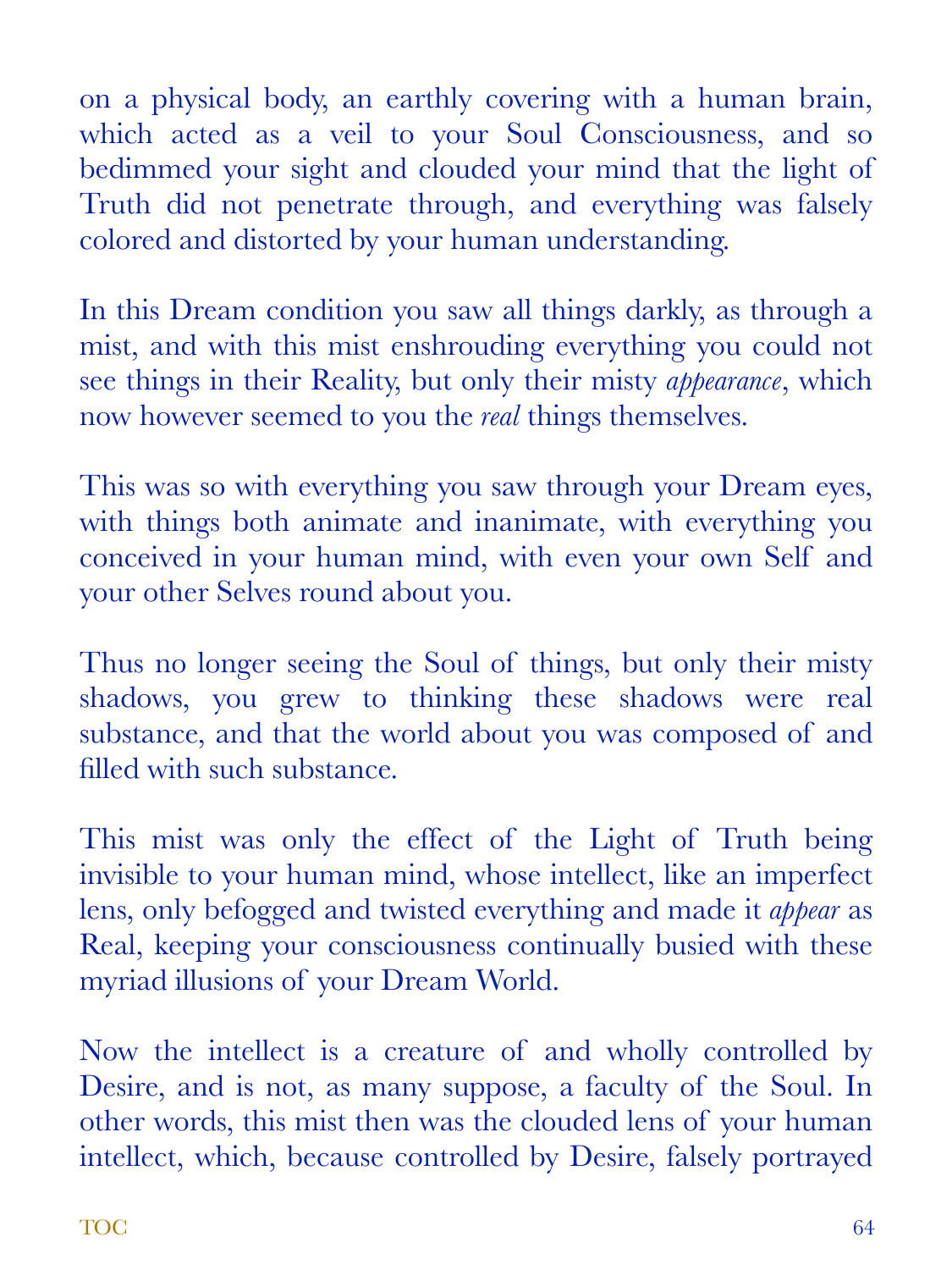on a physical body, an earthly covering with a human brain, which acted as a veil to your Soul Consciousness, and so bedimmed your sight and clouded your mind that the light of Truth did not penetrate through, and everything was falsely colored and distorted by your human understanding.

In this Dream condition you saw all things darkly, as through a mist, and with this mist enshrouding everything you could not see things in their Reality, but only their misty *appearance*, which now however seemed to you the *real* things themselves.

This was so with everything you saw through your Dream eyes, with things both animate and inanimate, with everything you conceived in your human mind, with even your own Self and your other Selves round about you.

Thus no longer seeing the Soul of things, but only their misty shadows, you grew to thinking these shadows were real substance, and that the world about you was composed of and filled with such substance.

This mist was only the effect of the Light of Truth being invisible to your human mind, whose intellect, like an imperfect lens, only befogged and twisted everything and made it *appear* as Real, keeping your consciousness continually busied with these myriad illusions of your Dream World.

Now the intellect is a creature of and wholly controlled by Desire, and is not, as many suppose, a faculty of the Soul. In other words, this mist then was the clouded lens of your human intellect, which, because controlled by Desire, falsely portrayed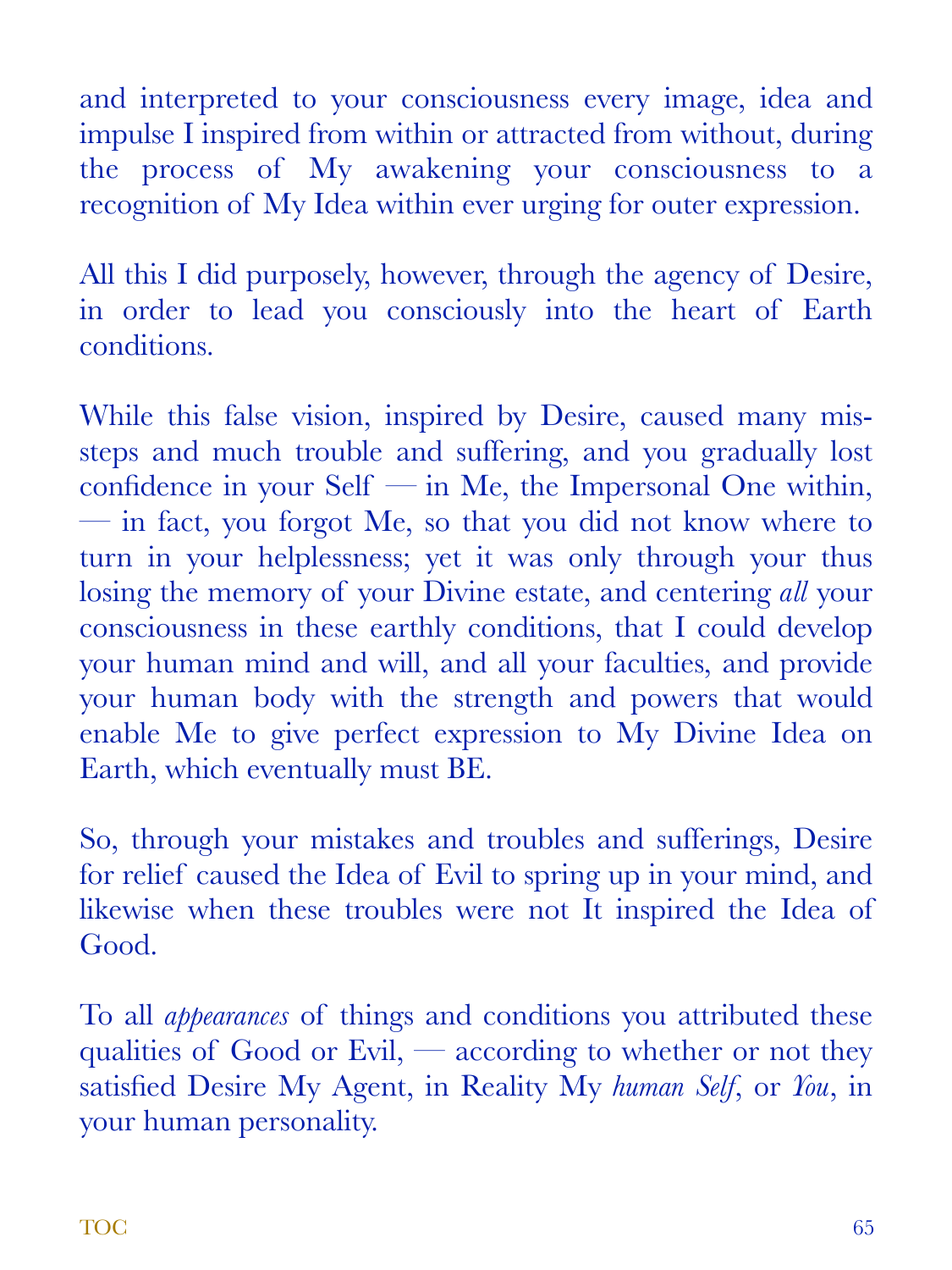and interpreted to your consciousness every image, idea and impulse I inspired from within or attracted from without, during the process of My awakening your consciousness to a recognition of My Idea within ever urging for outer expression.

All this I did purposely, however, through the agency of Desire, in order to lead you consciously into the heart of Earth conditions.

While this false vision, inspired by Desire, caused many missteps and much trouble and suffering, and you gradually lost confidence in your Self  $-$  in Me, the Impersonal One within,  $\frac{d}{dx}$  in fact, you forgot Me, so that you did not know where to turn in your helplessness; yet it was only through your thus losing the memory of your Divine estate, and centering *all* your consciousness in these earthly conditions, that I could develop your human mind and will, and all your faculties, and provide your human body with the strength and powers that would enable Me to give perfect expression to My Divine Idea on Earth, which eventually must BE.

So, through your mistakes and troubles and sufferings, Desire for relief caused the Idea of Evil to spring up in your mind, and likewise when these troubles were not It inspired the Idea of Good.

To all *appearances* of things and conditions you attributed these qualities of Good or Evil,  $\frac{d}{dx}$  according to whether or not they satisfied Desire My Agent, in Reality My *human Self*, or *You*, in your human personality.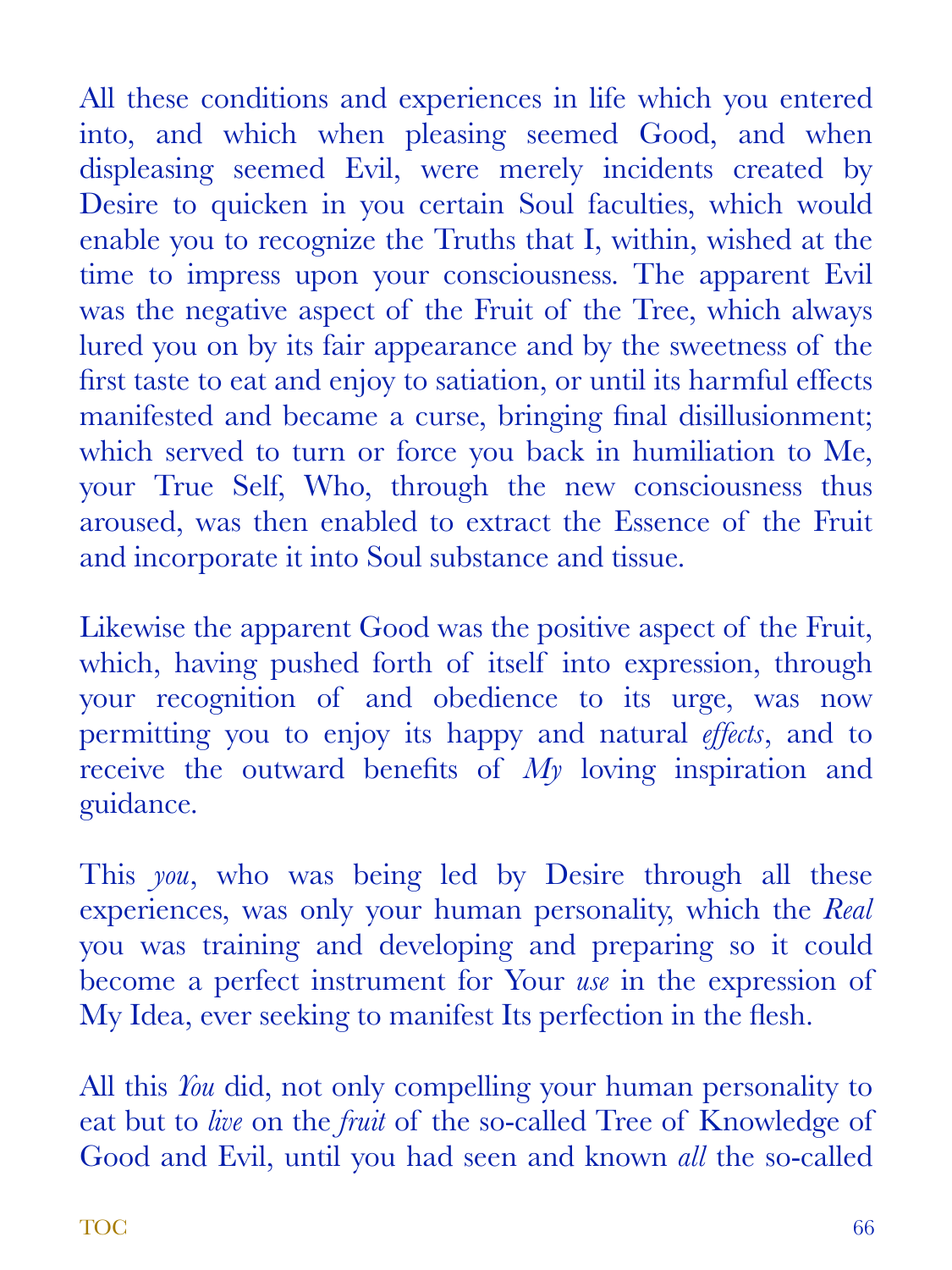All these conditions and experiences in life which you entered into, and which when pleasing seemed Good, and when displeasing seemed Evil, were merely incidents created by Desire to quicken in you certain Soul faculties, which would enable you to recognize the Truths that I, within, wished at the time to impress upon your consciousness. The apparent Evil was the negative aspect of the Fruit of the Tree, which always lured you on by its fair appearance and by the sweetness of the first taste to eat and enjoy to satiation, or until its harmful effects manifested and became a curse, bringing final disillusionment; which served to turn or force you back in humiliation to Me, your True Self, Who, through the new consciousness thus aroused, was then enabled to extract the Essence of the Fruit and incorporate it into Soul substance and tissue.

Likewise the apparent Good was the positive aspect of the Fruit, which, having pushed forth of itself into expression, through your recognition of and obedience to its urge, was now permitting you to enjoy its happy and natural *effects*, and to receive the outward benefits of *My* loving inspiration and guidance.

This *you*, who was being led by Desire through all these experiences, was only your human personality, which the *Real* you was training and developing and preparing so it could become a perfect instrument for Your *use* in the expression of My Idea, ever seeking to manifest Its perfection in the flesh.

All this *You* did, not only compelling your human personality to eat but to *live* on the *fruit* of the so-called Tree of Knowledge of Good and Evil, until you had seen and known *all* the so-called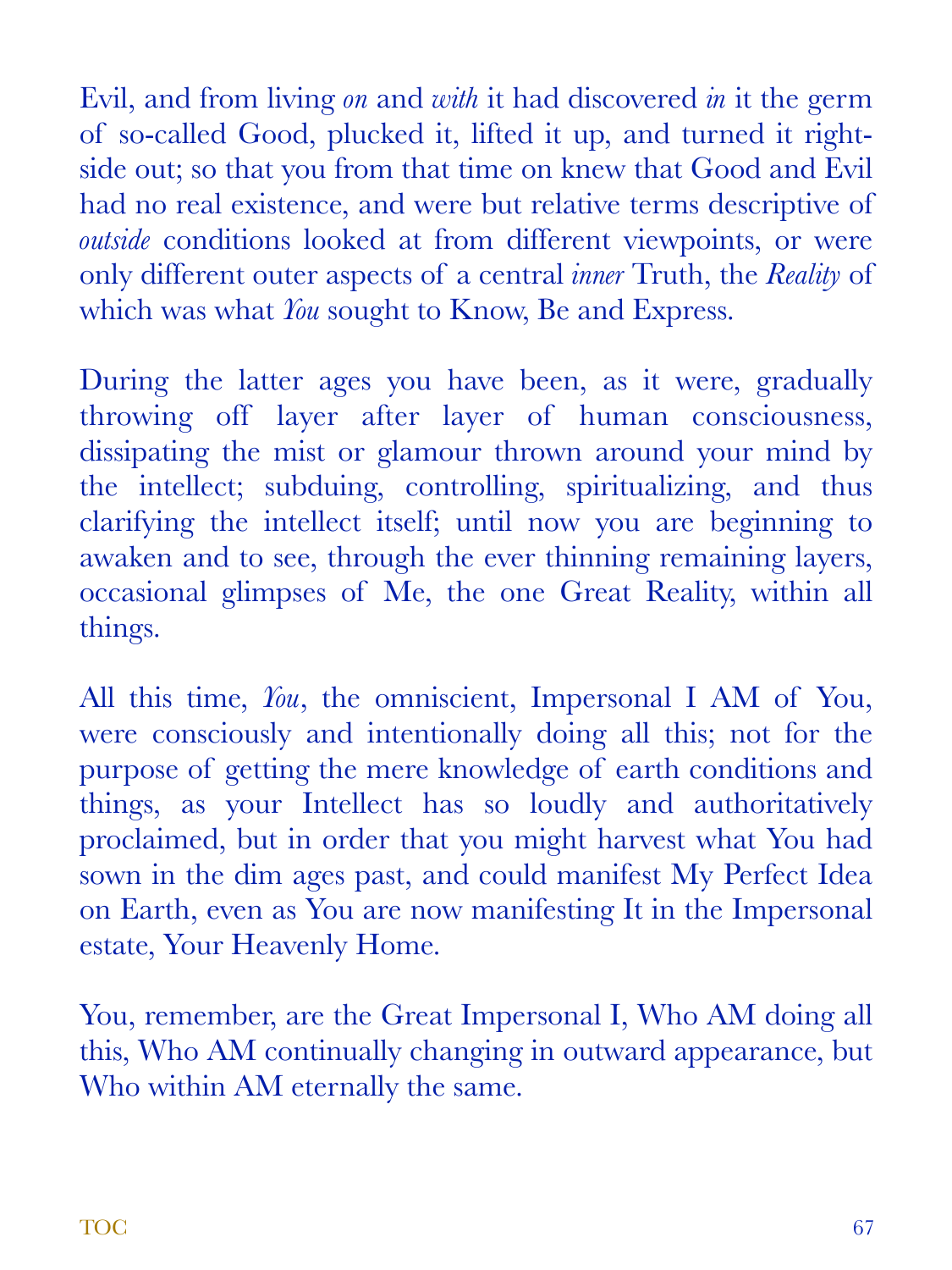Evil, and from living *on* and *with* it had discovered *in* it the germ of so-called Good, plucked it, lifted it up, and turned it rightside out; so that you from that time on knew that Good and Evil had no real existence, and were but relative terms descriptive of *outside* conditions looked at from different viewpoints, or were only different outer aspects of a central *inner* Truth, the *Reality* of which was what *You* sought to Know, Be and Express.

During the latter ages you have been, as it were, gradually throwing off layer after layer of human consciousness, dissipating the mist or glamour thrown around your mind by the intellect; subduing, controlling, spiritualizing, and thus clarifying the intellect itself; until now you are beginning to awaken and to see, through the ever thinning remaining layers, occasional glimpses of Me, the one Great Reality, within all things.

All this time, *You*, the omniscient, Impersonal I AM of You, were consciously and intentionally doing all this; not for the purpose of getting the mere knowledge of earth conditions and things, as your Intellect has so loudly and authoritatively proclaimed, but in order that you might harvest what You had sown in the dim ages past, and could manifest My Perfect Idea on Earth, even as You are now manifesting It in the Impersonal estate, Your Heavenly Home.

You, remember, are the Great Impersonal I, Who AM doing all this, Who AM continually changing in outward appearance, but Who within AM eternally the same.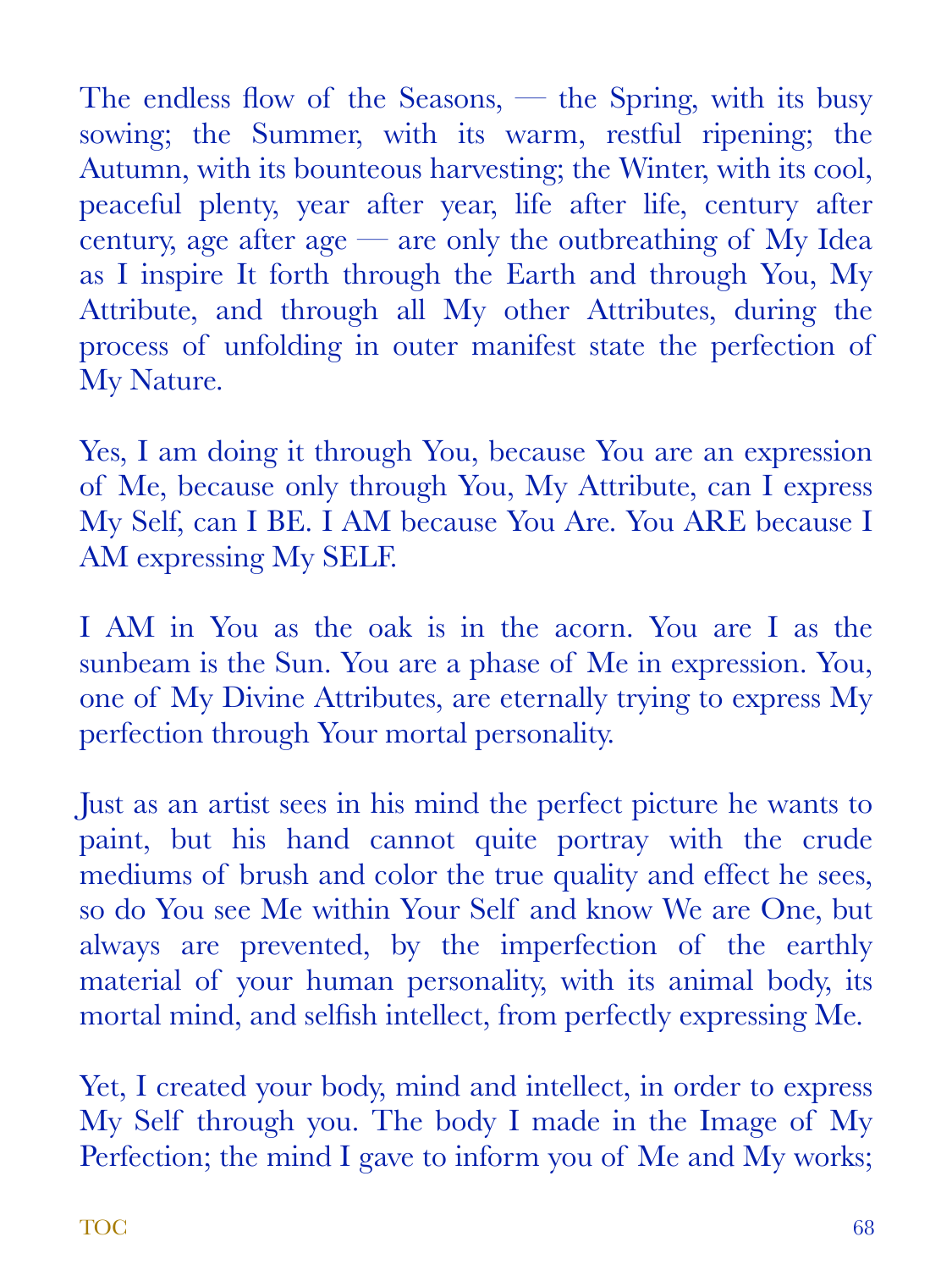The endless flow of the Seasons,  $-$  the Spring, with its busy sowing; the Summer, with its warm, restful ripening; the Autumn, with its bounteous harvesting; the Winter, with its cool, peaceful plenty, year after year, life after life, century after century, age after age — are only the outbreathing of My Idea as I inspire It forth through the Earth and through You, My Attribute, and through all My other Attributes, during the process of unfolding in outer manifest state the perfection of My Nature.

Yes, I am doing it through You, because You are an expression of Me, because only through You, My Attribute, can I express My Self, can I BE. I AM because You Are. You ARE because I AM expressing My SELF.

I AM in You as the oak is in the acorn. You are I as the sunbeam is the Sun. You are a phase of Me in expression. You, one of My Divine Attributes, are eternally trying to express My perfection through Your mortal personality.

Just as an artist sees in his mind the perfect picture he wants to paint, but his hand cannot quite portray with the crude mediums of brush and color the true quality and effect he sees, so do You see Me within Your Self and know We are One, but always are prevented, by the imperfection of the earthly material of your human personality, with its animal body, its mortal mind, and selfish intellect, from perfectly expressing Me.

Yet, I created your body, mind and intellect, in order to express My Self through you. The body I made in the Image of My Perfection; the mind I gave to inform you of Me and My works;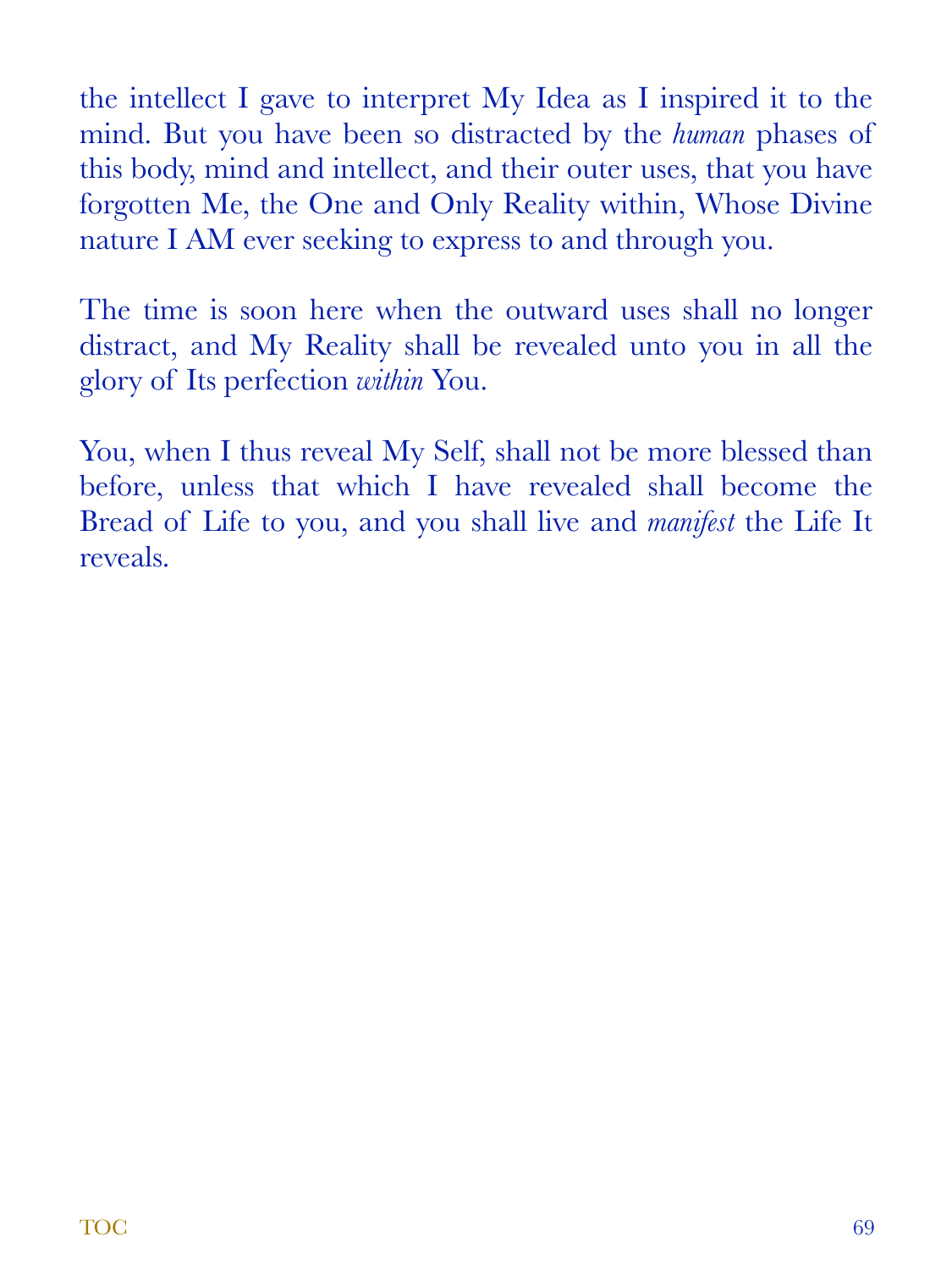the intellect I gave to interpret My Idea as I inspired it to the mind. But you have been so distracted by the *human* phases of this body, mind and intellect, and their outer uses, that you have forgotten Me, the One and Only Reality within, Whose Divine nature I AM ever seeking to express to and through you.

The time is soon here when the outward uses shall no longer distract, and My Reality shall be revealed unto you in all the glory of Its perfection *within* You.

You, when I thus reveal My Self, shall not be more blessed than before, unless that which I have revealed shall become the Bread of Life to you, and you shall live and *manifest* the Life It reveals.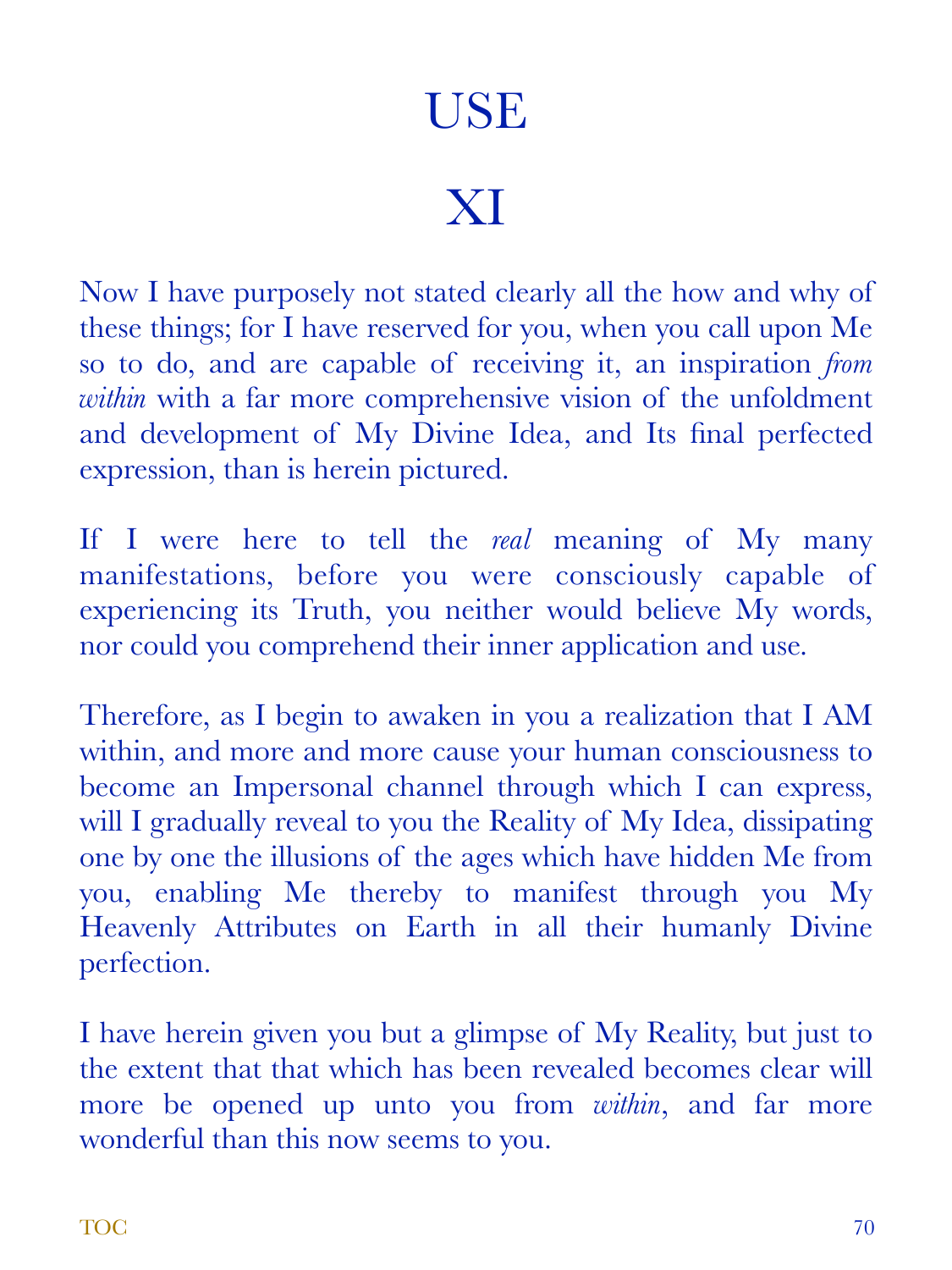## USE

## XI

Now I have purposely not stated clearly all the how and why of these things; for I have reserved for you, when you call upon Me so to do, and are capable of receiving it, an inspiration *from within* with a far more comprehensive vision of the unfoldment and development of My Divine Idea, and Its final perfected expression, than is herein pictured.

If I were here to tell the *real* meaning of My many manifestations, before you were consciously capable of experiencing its Truth, you neither would believe My words, nor could you comprehend their inner application and use.

Therefore, as I begin to awaken in you a realization that I AM within, and more and more cause your human consciousness to become an Impersonal channel through which I can express, will I gradually reveal to you the Reality of My Idea, dissipating one by one the illusions of the ages which have hidden Me from you, enabling Me thereby to manifest through you My Heavenly Attributes on Earth in all their humanly Divine perfection.

I have herein given you but a glimpse of My Reality, but just to the extent that that which has been revealed becomes clear will more be opened up unto you from *within*, and far more wonderful than this now seems to you.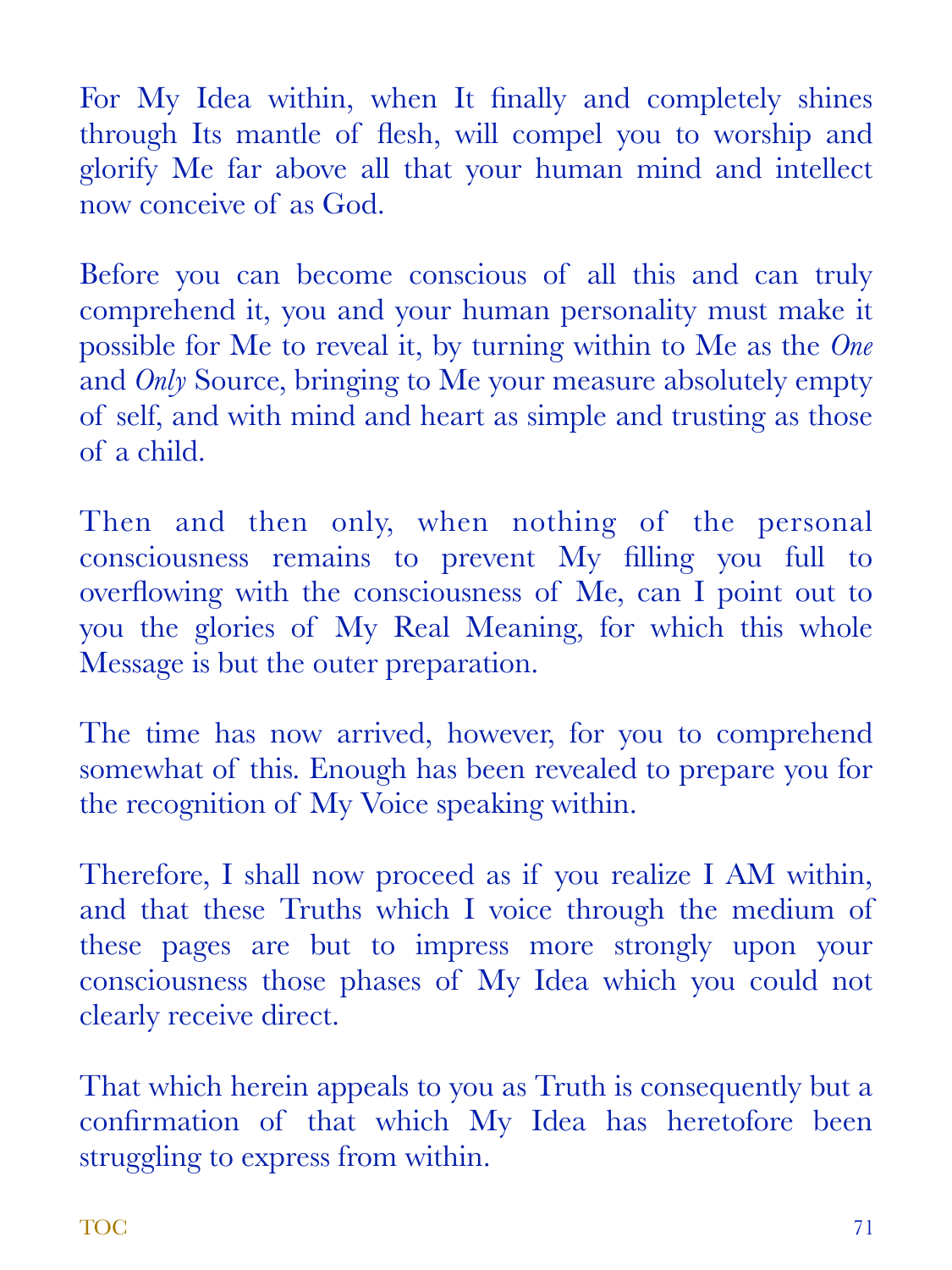For My Idea within, when It finally and completely shines through Its mantle of flesh, will compel you to worship and glorify Me far above all that your human mind and intellect now conceive of as God.

Before you can become conscious of all this and can truly comprehend it, you and your human personality must make it possible for Me to reveal it, by turning within to Me as the *One* and *Only* Source, bringing to Me your measure absolutely empty of self, and with mind and heart as simple and trusting as those of a child.

Then and then only, when nothing of the personal consciousness remains to prevent My filling you full to overflowing with the consciousness of Me, can I point out to you the glories of My Real Meaning, for which this whole Message is but the outer preparation.

The time has now arrived, however, for you to comprehend somewhat of this. Enough has been revealed to prepare you for the recognition of My Voice speaking within.

Therefore, I shall now proceed as if you realize I AM within, and that these Truths which I voice through the medium of these pages are but to impress more strongly upon your consciousness those phases of My Idea which you could not clearly receive direct.

That which herein appeals to you as Truth is consequently but a confirmation of that which My Idea has heretofore been struggling to express from within.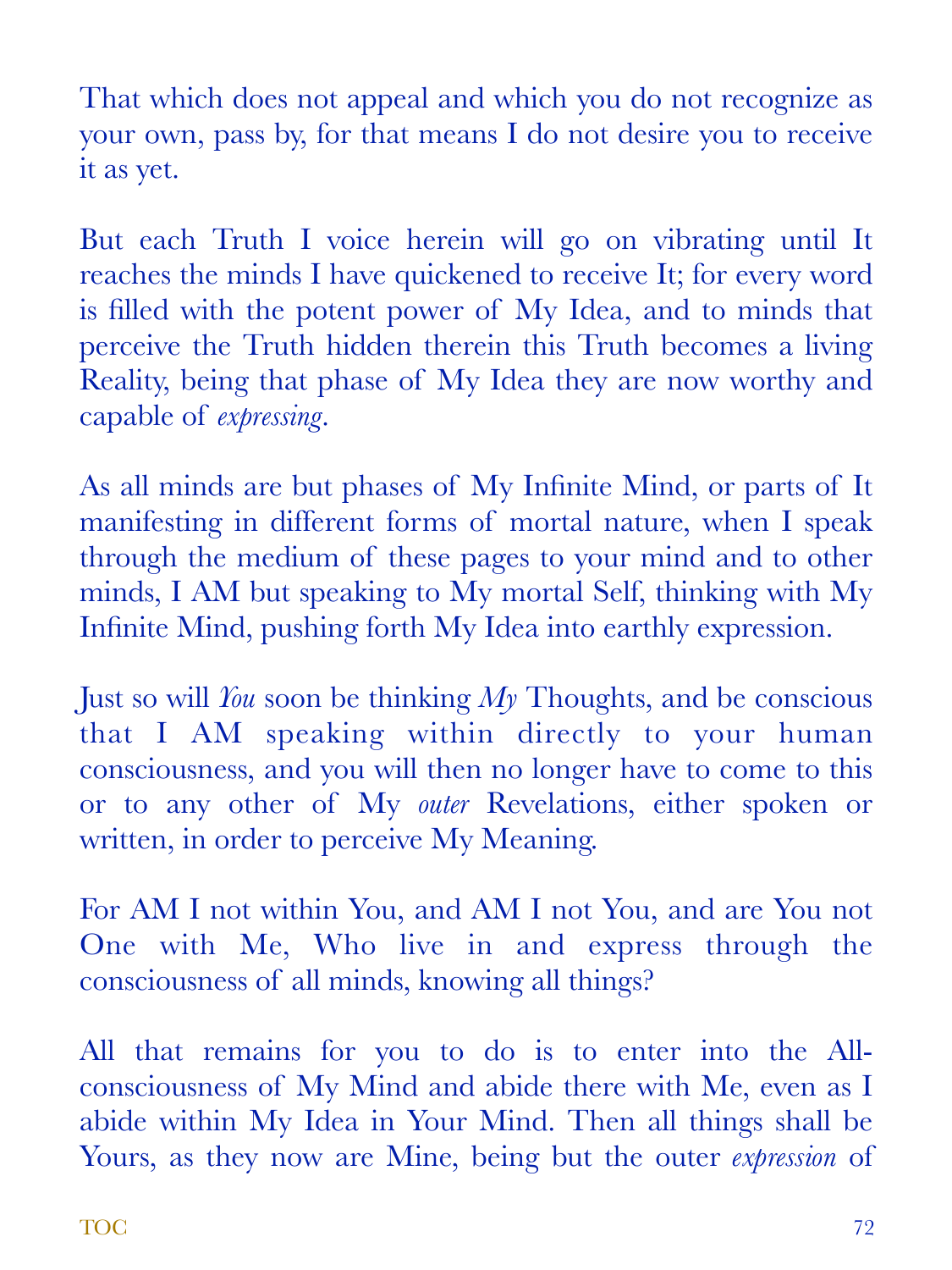That which does not appeal and which you do not recognize as your own, pass by, for that means I do not desire you to receive it as yet.

But each Truth I voice herein will go on vibrating until It reaches the minds I have quickened to receive It; for every word is filled with the potent power of My Idea, and to minds that perceive the Truth hidden therein this Truth becomes a living Reality, being that phase of My Idea they are now worthy and capable of *expressing*.

As all minds are but phases of My Infinite Mind, or parts of It manifesting in different forms of mortal nature, when I speak through the medium of these pages to your mind and to other minds, I AM but speaking to My mortal Self, thinking with My Infinite Mind, pushing forth My Idea into earthly expression.

Just so will *You* soon be thinking *My* Thoughts, and be conscious that I AM speaking within directly to your human consciousness, and you will then no longer have to come to this or to any other of My *outer* Revelations, either spoken or written, in order to perceive My Meaning.

For AM I not within You, and AM I not You, and are You not One with Me, Who live in and express through the consciousness of all minds, knowing all things?

All that remains for you to do is to enter into the Allconsciousness of My Mind and abide there with Me, even as I abide within My Idea in Your Mind. Then all things shall be Yours, as they now are Mine, being but the outer *expression* of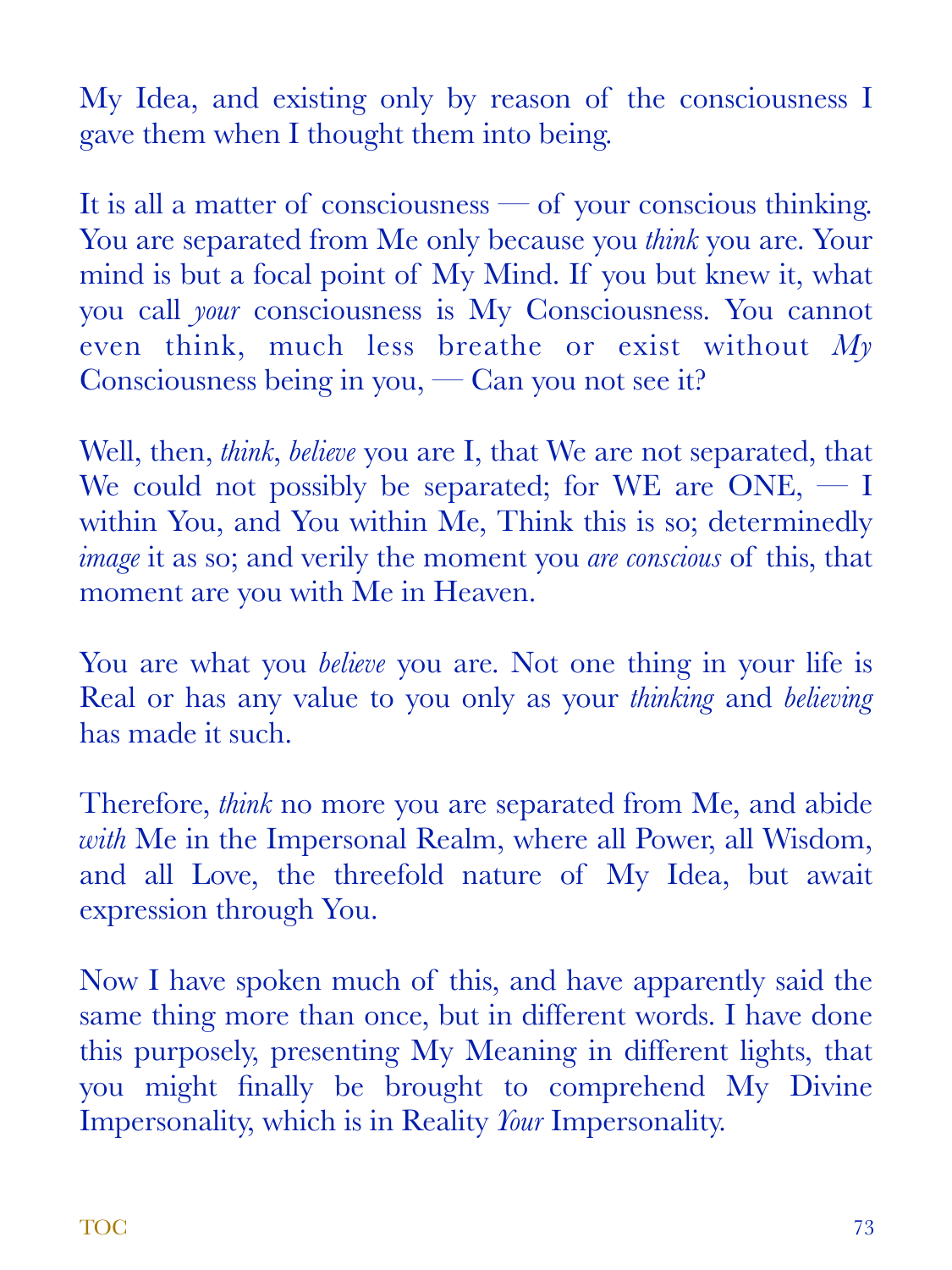My Idea, and existing only by reason of the consciousness I gave them when I thought them into being.

It is all a matter of consciousness — of your conscious thinking. You are separated from Me only because you *think* you are. Your mind is but a focal point of My Mind. If you but knew it, what you call *your* consciousness is My Consciousness. You cannot even think, much less breathe or exist without *My* Consciousness being in you,  $\sim$  Can you not see it?

Well, then, *think*, *believe* you are I, that We are not separated, that We could not possibly be separated; for WE are  $\text{ONE}$ ,  $-$  I within You, and You within Me, Think this is so; determinedly *image* it as so; and verily the moment you *are conscious* of this, that moment are you with Me in Heaven.

You are what you *believe* you are. Not one thing in your life is Real or has any value to you only as your *thinking* and *believing* has made it such.

Therefore, *think* no more you are separated from Me, and abide *with* Me in the Impersonal Realm, where all Power, all Wisdom, and all Love, the threefold nature of My Idea, but await expression through You.

Now I have spoken much of this, and have apparently said the same thing more than once, but in different words. I have done this purposely, presenting My Meaning in different lights, that you might finally be brought to comprehend My Divine Impersonality, which is in Reality *Your* Impersonality.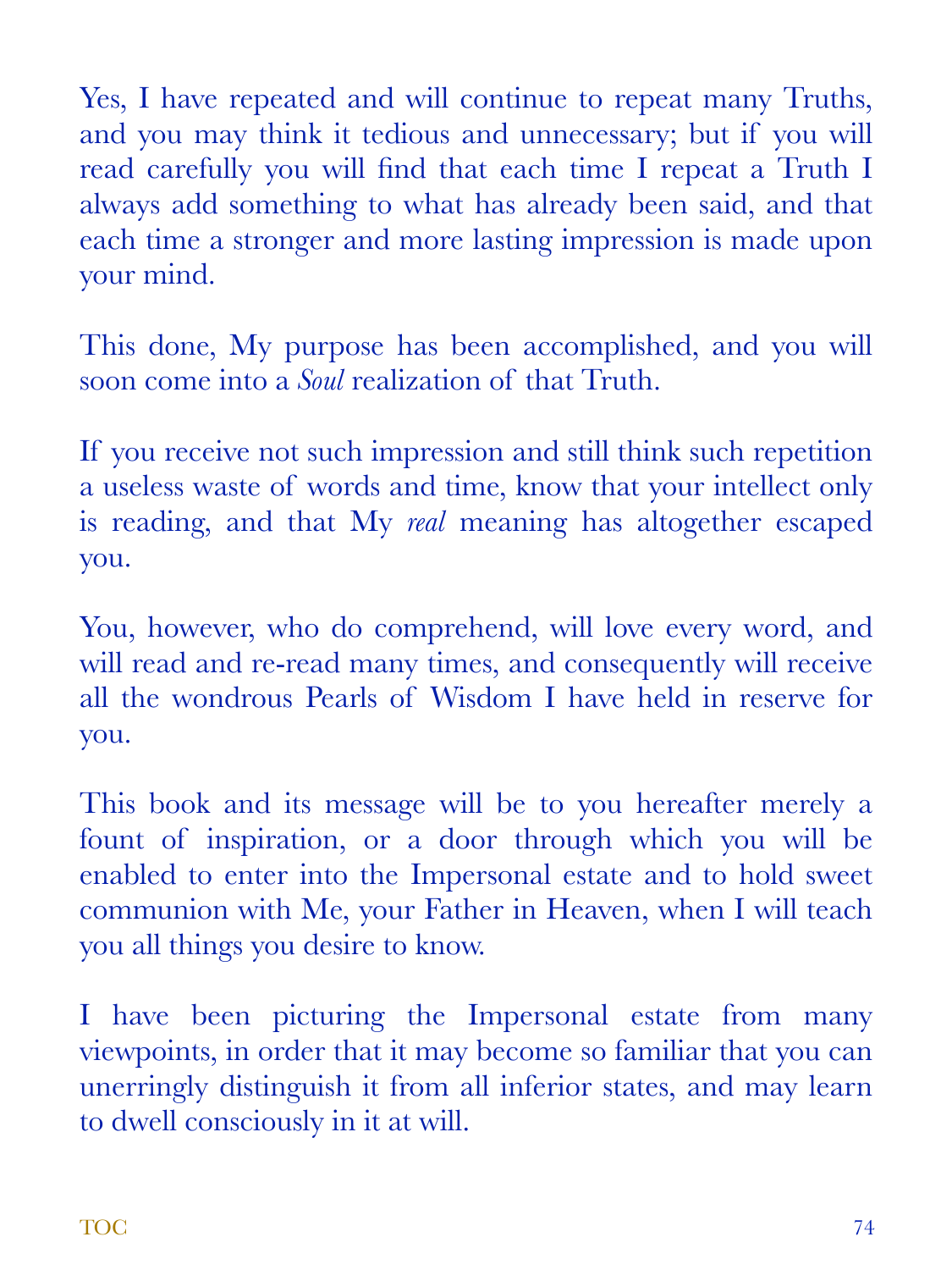Yes, I have repeated and will continue to repeat many Truths, and you may think it tedious and unnecessary; but if you will read carefully you will find that each time I repeat a Truth I always add something to what has already been said, and that each time a stronger and more lasting impression is made upon your mind.

This done, My purpose has been accomplished, and you will soon come into a *Soul* realization of that Truth.

If you receive not such impression and still think such repetition a useless waste of words and time, know that your intellect only is reading, and that My *real* meaning has altogether escaped you.

You, however, who do comprehend, will love every word, and will read and re-read many times, and consequently will receive all the wondrous Pearls of Wisdom I have held in reserve for you.

This book and its message will be to you hereafter merely a fount of inspiration, or a door through which you will be enabled to enter into the Impersonal estate and to hold sweet communion with Me, your Father in Heaven, when I will teach you all things you desire to know.

I have been picturing the Impersonal estate from many viewpoints, in order that it may become so familiar that you can unerringly distinguish it from all inferior states, and may learn to dwell consciously in it at will.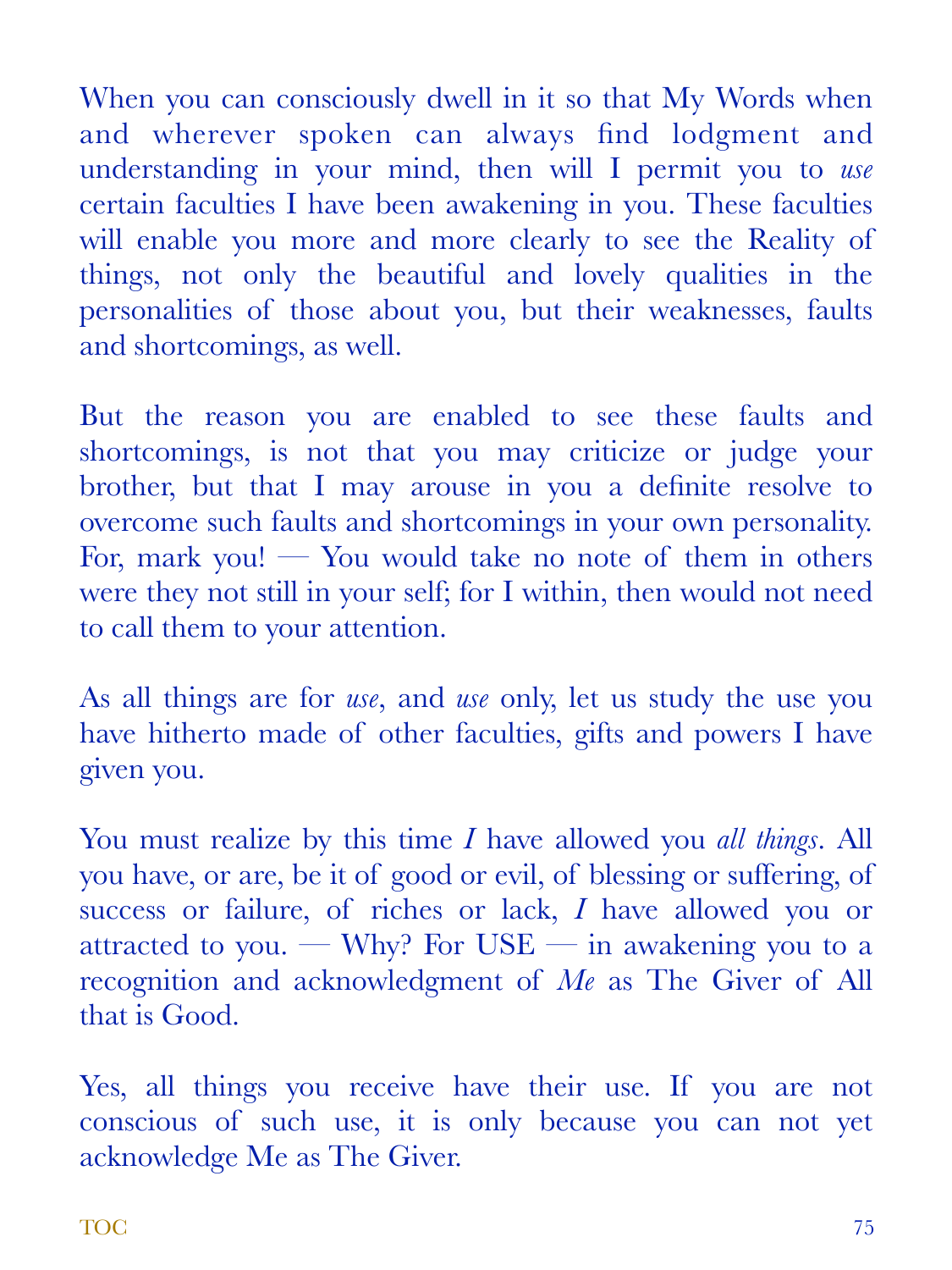When you can consciously dwell in it so that My Words when and wherever spoken can always find lodgment and understanding in your mind, then will I permit you to *use* certain faculties I have been awakening in you. These faculties will enable you more and more clearly to see the Reality of things, not only the beautiful and lovely qualities in the personalities of those about you, but their weaknesses, faults and shortcomings, as well.

But the reason you are enabled to see these faults and shortcomings, is not that you may criticize or judge your brother, but that I may arouse in you a definite resolve to overcome such faults and shortcomings in your own personality. For, mark you!  $\sim$  You would take no note of them in others were they not still in your self; for I within, then would not need to call them to your attention.

As all things are for *use*, and *use* only, let us study the use you have hitherto made of other faculties, gifts and powers I have given you.

You must realize by this time *I* have allowed you *all things*. All you have, or are, be it of good or evil, of blessing or suffering, of success or failure, of riches or lack, *I* have allowed you or attracted to you. — Why? For USE — in awakening you to a recognition and acknowledgment of *Me* as The Giver of All that is Good.

Yes, all things you receive have their use. If you are not conscious of such use, it is only because you can not yet acknowledge Me as The Giver.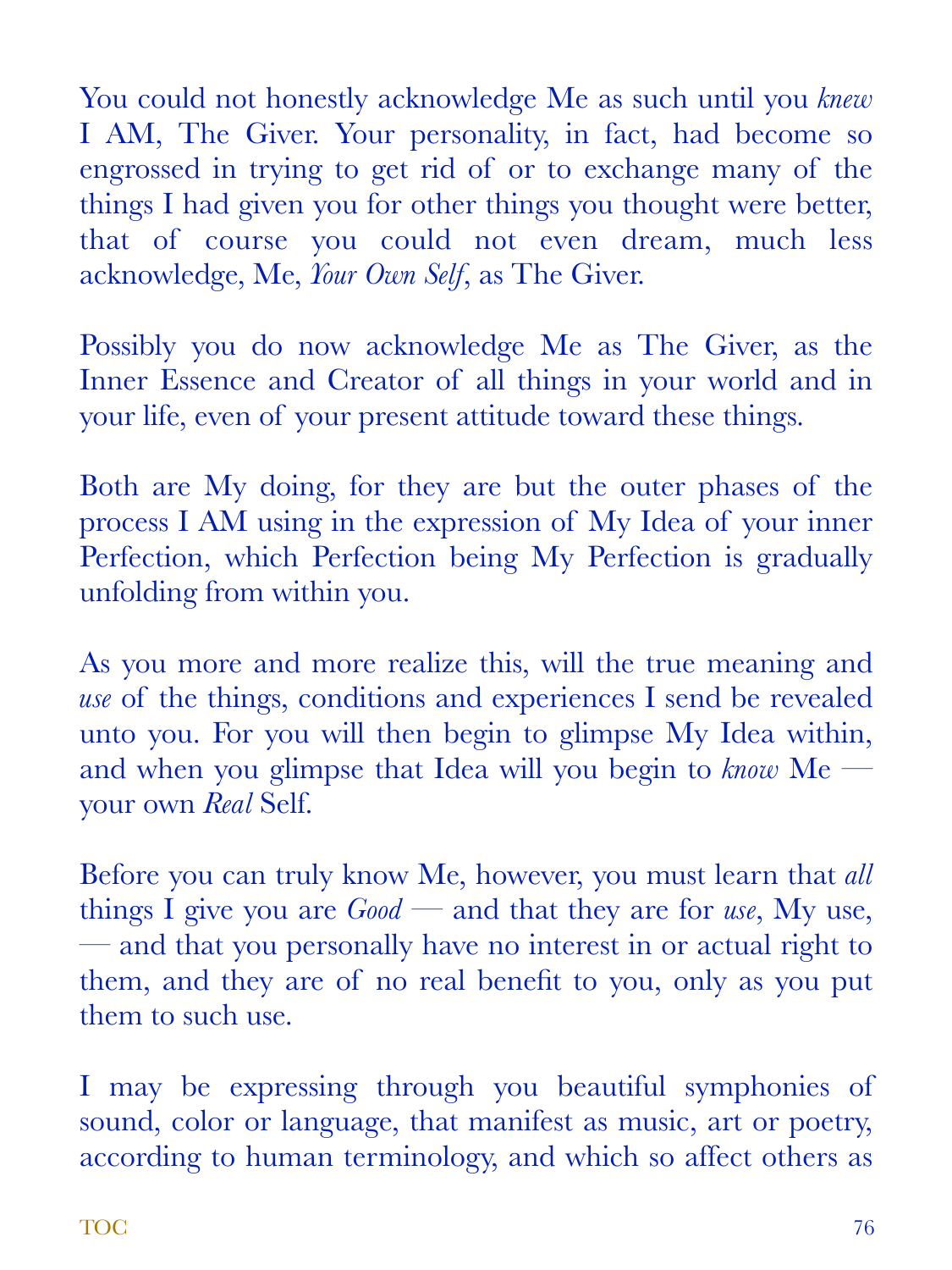You could not honestly acknowledge Me as such until you *knew*  I AM, The Giver. Your personality, in fact, had become so engrossed in trying to get rid of or to exchange many of the things I had given you for other things you thought were better, that of course you could not even dream, much less acknowledge, Me, *Your Own Self*, as The Giver.

Possibly you do now acknowledge Me as The Giver, as the Inner Essence and Creator of all things in your world and in your life, even of your present attitude toward these things.

Both are My doing, for they are but the outer phases of the process I AM using in the expression of My Idea of your inner Perfection, which Perfection being My Perfection is gradually unfolding from within you.

As you more and more realize this, will the true meaning and *use* of the things, conditions and experiences I send be revealed unto you. For you will then begin to glimpse My Idea within, and when you glimpse that Idea will you begin to *know* Me your own *Real* Self.

Before you can truly know Me, however, you must learn that *all* things I give you are *Good* — and that they are for *use*, My use, — and that you personally have no interest in or actual right to them, and they are of no real benefit to you, only as you put them to such use.

I may be expressing through you beautiful symphonies of sound, color or language, that manifest as music, art or poetry, according to human terminology, and which so affect others as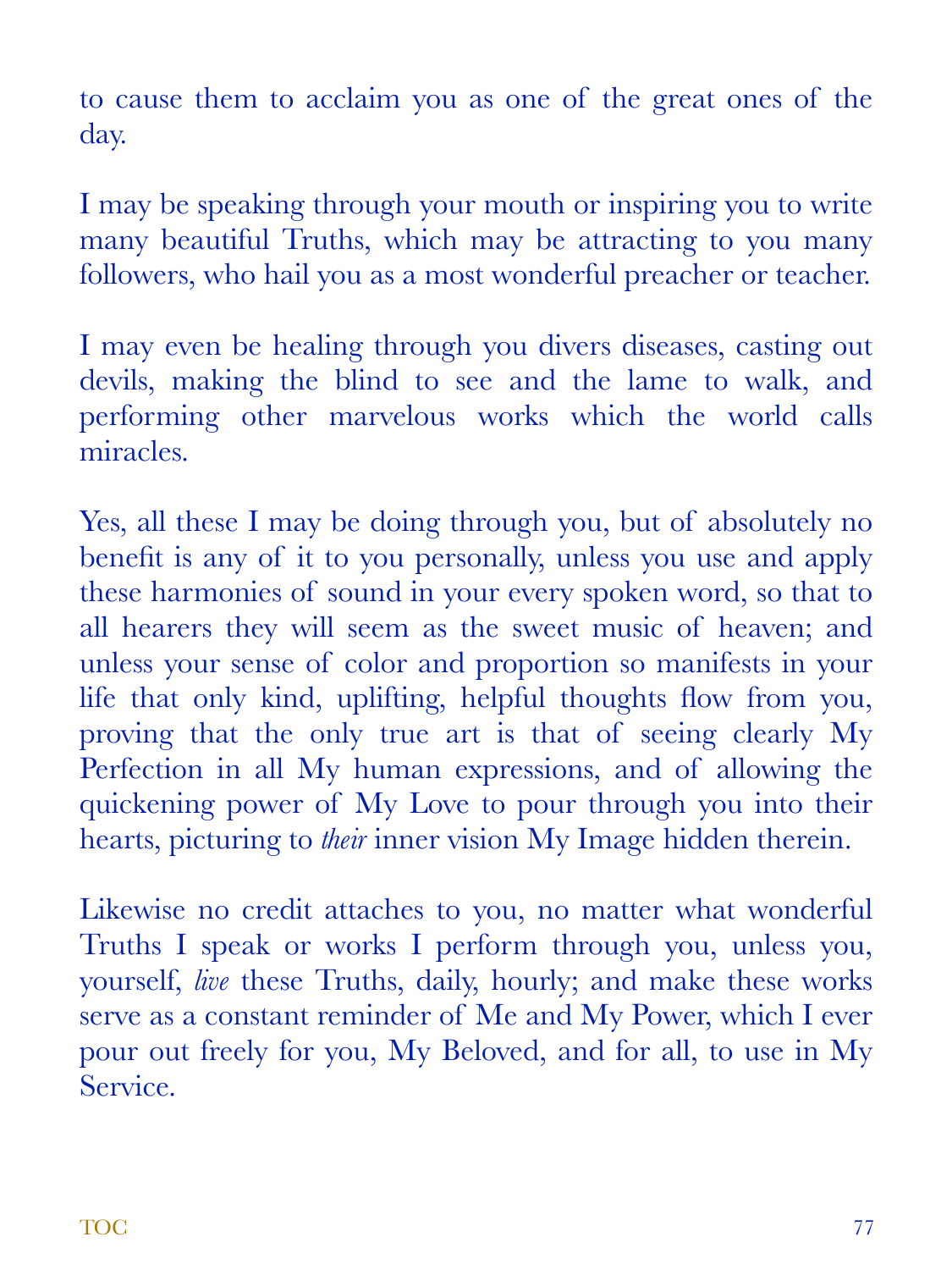to cause them to acclaim you as one of the great ones of the day.

I may be speaking through your mouth or inspiring you to write many beautiful Truths, which may be attracting to you many followers, who hail you as a most wonderful preacher or teacher.

I may even be healing through you divers diseases, casting out devils, making the blind to see and the lame to walk, and performing other marvelous works which the world calls miracles.

Yes, all these I may be doing through you, but of absolutely no benefit is any of it to you personally, unless you use and apply these harmonies of sound in your every spoken word, so that to all hearers they will seem as the sweet music of heaven; and unless your sense of color and proportion so manifests in your life that only kind, uplifting, helpful thoughts flow from you, proving that the only true art is that of seeing clearly My Perfection in all My human expressions, and of allowing the quickening power of My Love to pour through you into their hearts, picturing to *their* inner vision My Image hidden therein.

Likewise no credit attaches to you, no matter what wonderful Truths I speak or works I perform through you, unless you, yourself, *live* these Truths, daily, hourly; and make these works serve as a constant reminder of Me and My Power, which I ever pour out freely for you, My Beloved, and for all, to use in My Service.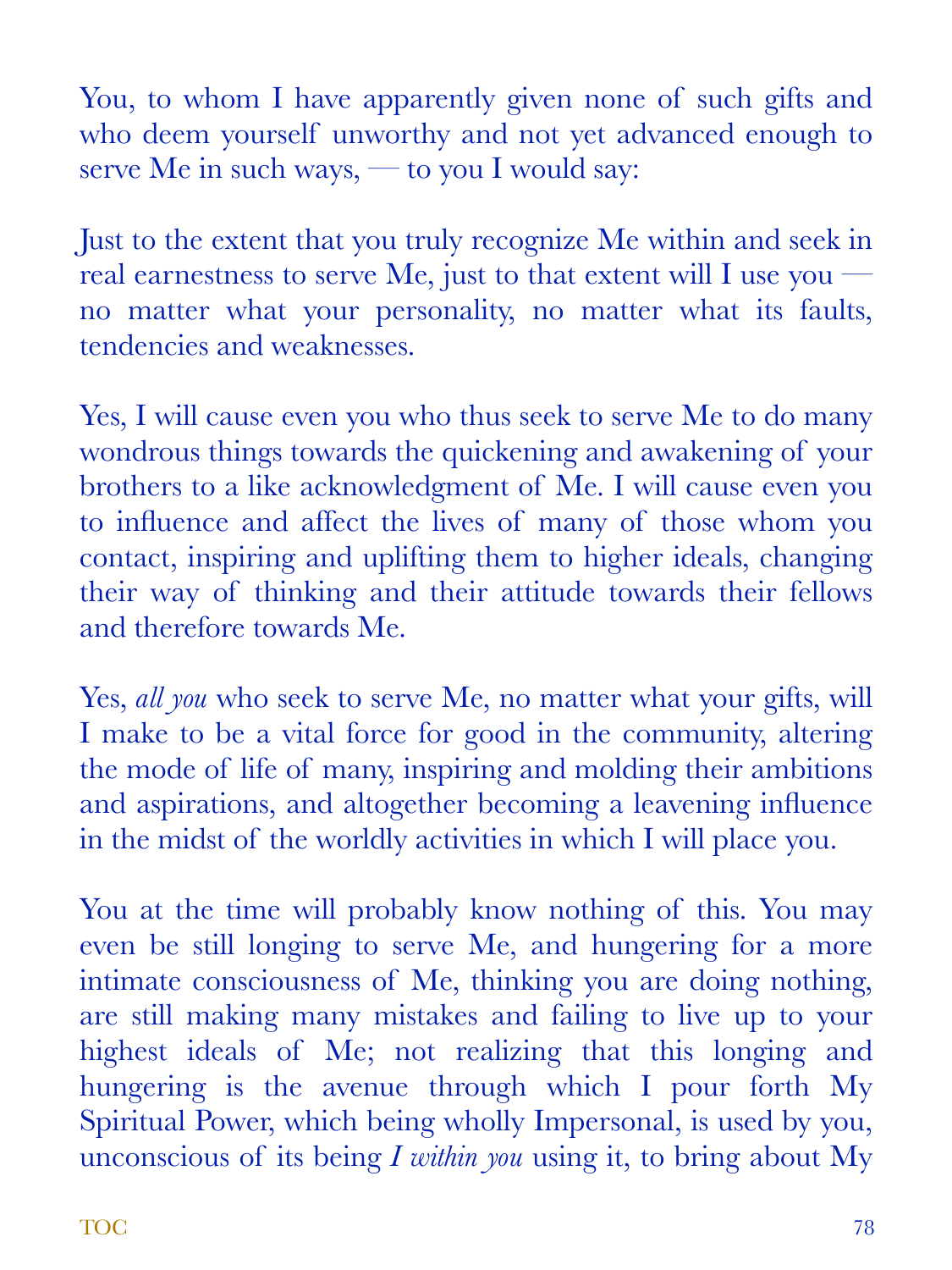You, to whom I have apparently given none of such gifts and who deem yourself unworthy and not yet advanced enough to serve Me in such ways, — to you I would say:

Just to the extent that you truly recognize Me within and seek in real earnestness to serve Me, just to that extent will I use you no matter what your personality, no matter what its faults, tendencies and weaknesses.

Yes, I will cause even you who thus seek to serve Me to do many wondrous things towards the quickening and awakening of your brothers to a like acknowledgment of Me. I will cause even you to influence and affect the lives of many of those whom you contact, inspiring and uplifting them to higher ideals, changing their way of thinking and their attitude towards their fellows and therefore towards Me.

Yes, *all you* who seek to serve Me, no matter what your gifts, will I make to be a vital force for good in the community, altering the mode of life of many, inspiring and molding their ambitions and aspirations, and altogether becoming a leavening influence in the midst of the worldly activities in which I will place you.

You at the time will probably know nothing of this. You may even be still longing to serve Me, and hungering for a more intimate consciousness of Me, thinking you are doing nothing, are still making many mistakes and failing to live up to your highest ideals of Me; not realizing that this longing and hungering is the avenue through which I pour forth My Spiritual Power, which being wholly Impersonal, is used by you, unconscious of its being *I within you* using it, to bring about My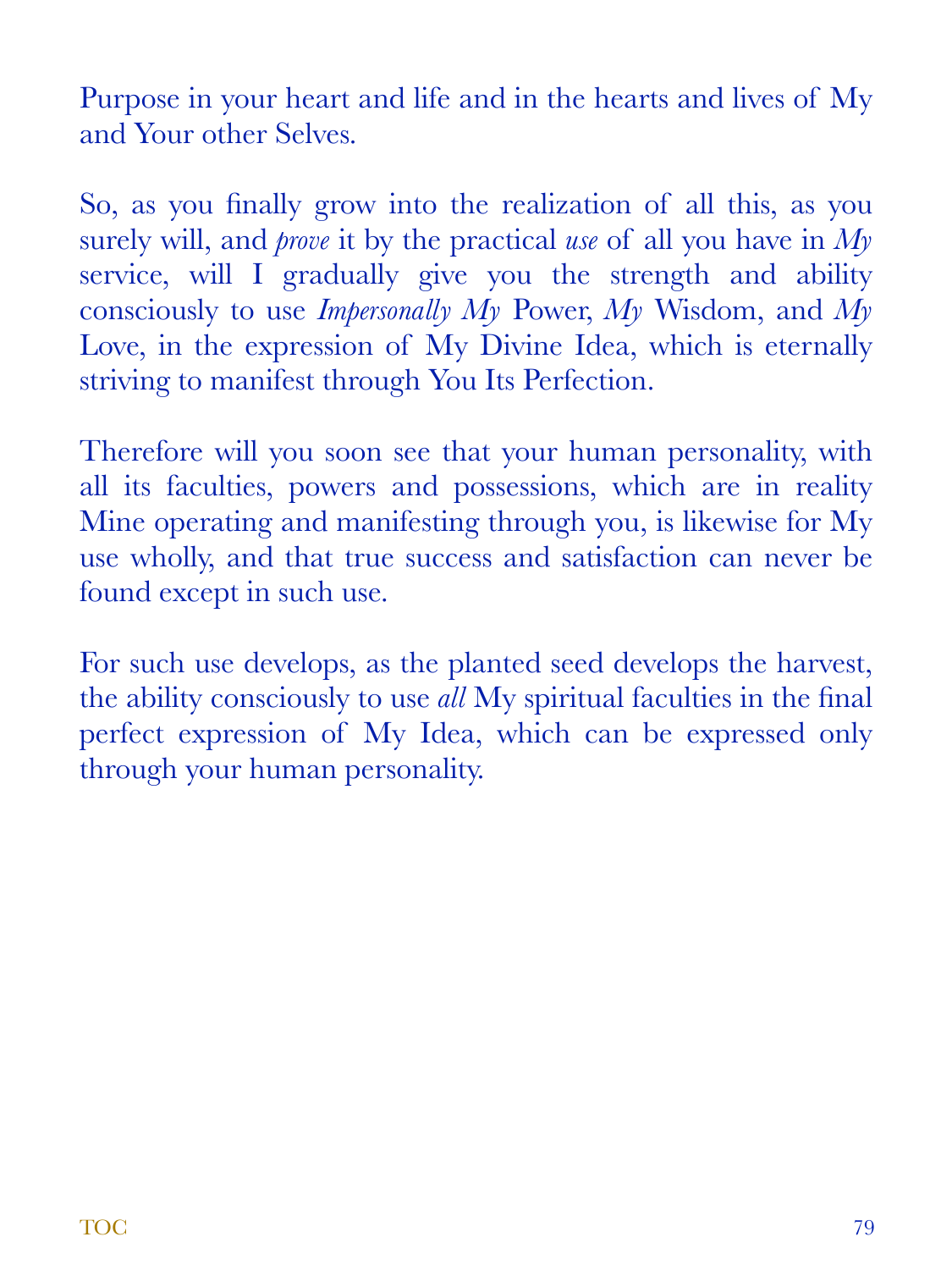Purpose in your heart and life and in the hearts and lives of My and Your other Selves.

So, as you finally grow into the realization of all this, as you surely will, and *prove* it by the practical *use* of all you have in *My* service, will I gradually give you the strength and ability consciously to use *Impersonally My* Power, *My* Wisdom, and *My* Love, in the expression of My Divine Idea, which is eternally striving to manifest through You Its Perfection.

Therefore will you soon see that your human personality, with all its faculties, powers and possessions, which are in reality Mine operating and manifesting through you, is likewise for My use wholly, and that true success and satisfaction can never be found except in such use.

For such use develops, as the planted seed develops the harvest, the ability consciously to use *all* My spiritual faculties in the final perfect expression of My Idea, which can be expressed only through your human personality.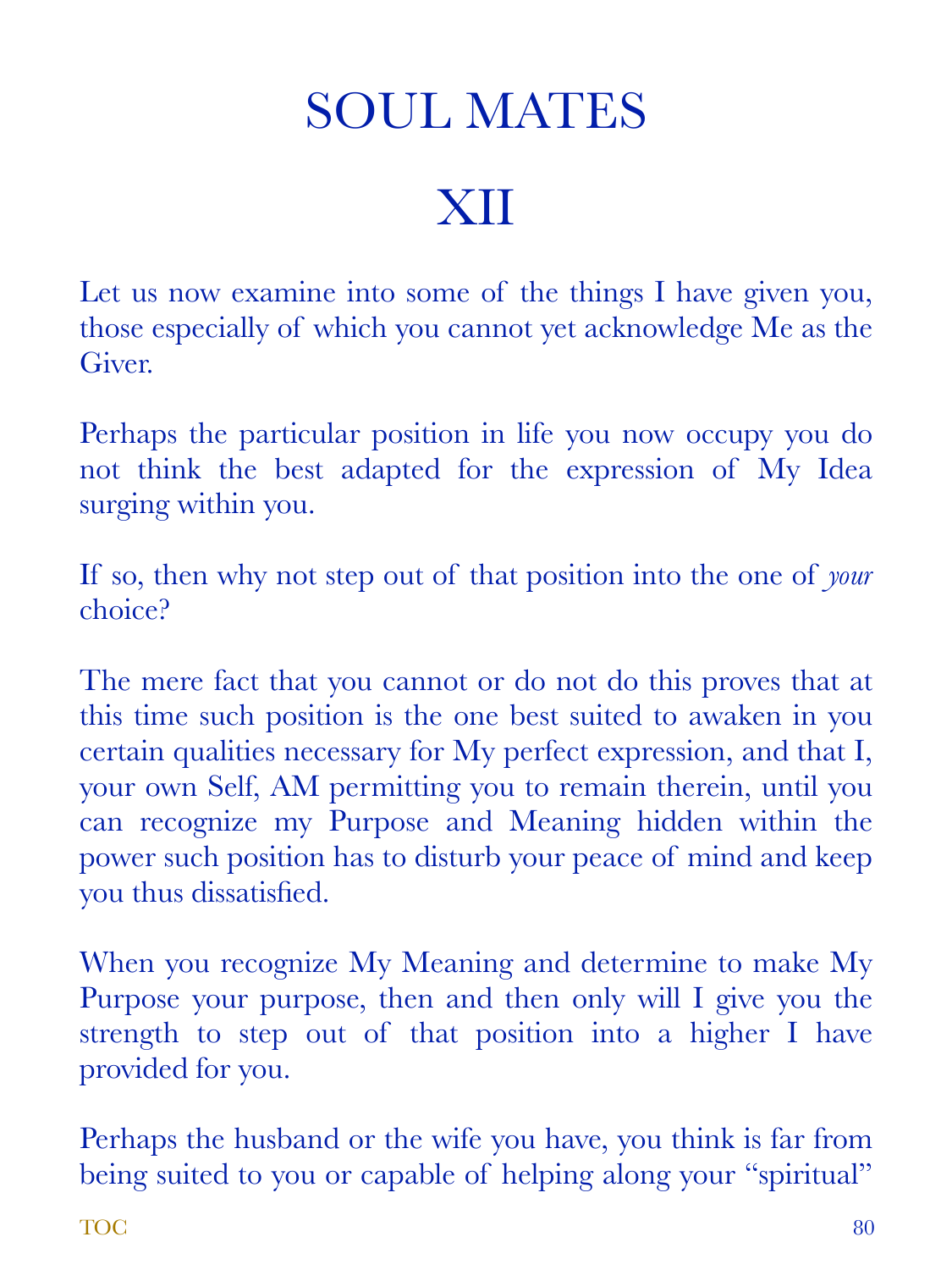### SOUL MATES

### XII

Let us now examine into some of the things I have given you, those especially of which you cannot yet acknowledge Me as the Giver.

Perhaps the particular position in life you now occupy you do not think the best adapted for the expression of My Idea surging within you.

If so, then why not step out of that position into the one of *your* choice?

The mere fact that you cannot or do not do this proves that at this time such position is the one best suited to awaken in you certain qualities necessary for My perfect expression, and that I, your own Self, AM permitting you to remain therein, until you can recognize my Purpose and Meaning hidden within the power such position has to disturb your peace of mind and keep you thus dissatisfied.

When you recognize My Meaning and determine to make My Purpose your purpose, then and then only will I give you the strength to step out of that position into a higher I have provided for you.

Perhaps the husband or the wife you have, you think is far from being suited to you or capable of helping along your "spiritual"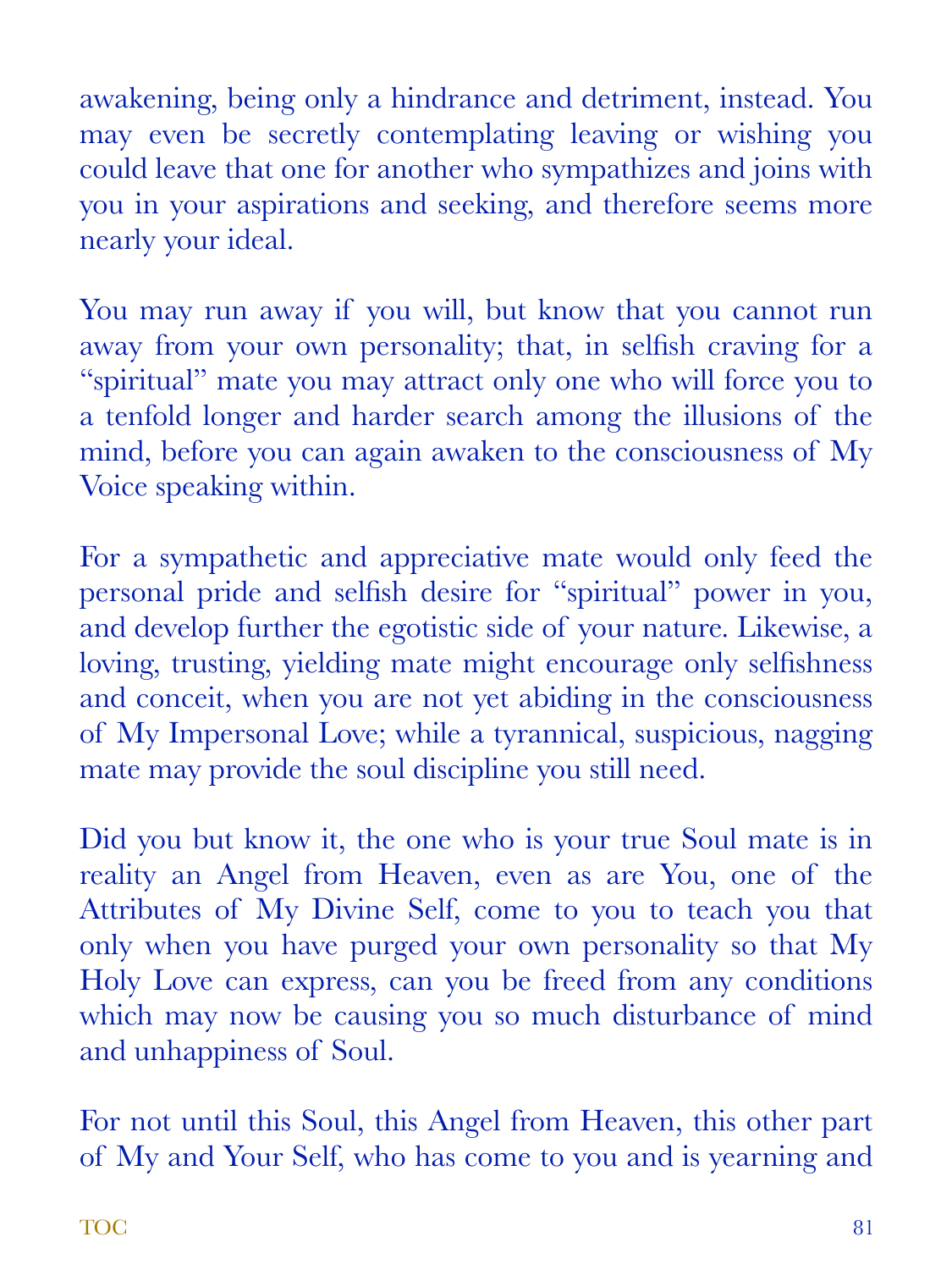awakening, being only a hindrance and detriment, instead. You may even be secretly contemplating leaving or wishing you could leave that one for another who sympathizes and joins with you in your aspirations and seeking, and therefore seems more nearly your ideal.

You may run away if you will, but know that you cannot run away from your own personality; that, in selfish craving for a "spiritual" mate you may attract only one who will force you to a tenfold longer and harder search among the illusions of the mind, before you can again awaken to the consciousness of My Voice speaking within.

For a sympathetic and appreciative mate would only feed the personal pride and selfish desire for "spiritual" power in you, and develop further the egotistic side of your nature. Likewise, a loving, trusting, yielding mate might encourage only selfishness and conceit, when you are not yet abiding in the consciousness of My Impersonal Love; while a tyrannical, suspicious, nagging mate may provide the soul discipline you still need.

Did you but know it, the one who is your true Soul mate is in reality an Angel from Heaven, even as are You, one of the Attributes of My Divine Self, come to you to teach you that only when you have purged your own personality so that My Holy Love can express, can you be freed from any conditions which may now be causing you so much disturbance of mind and unhappiness of Soul.

For not until this Soul, this Angel from Heaven, this other part of My and Your Self, who has come to you and is yearning and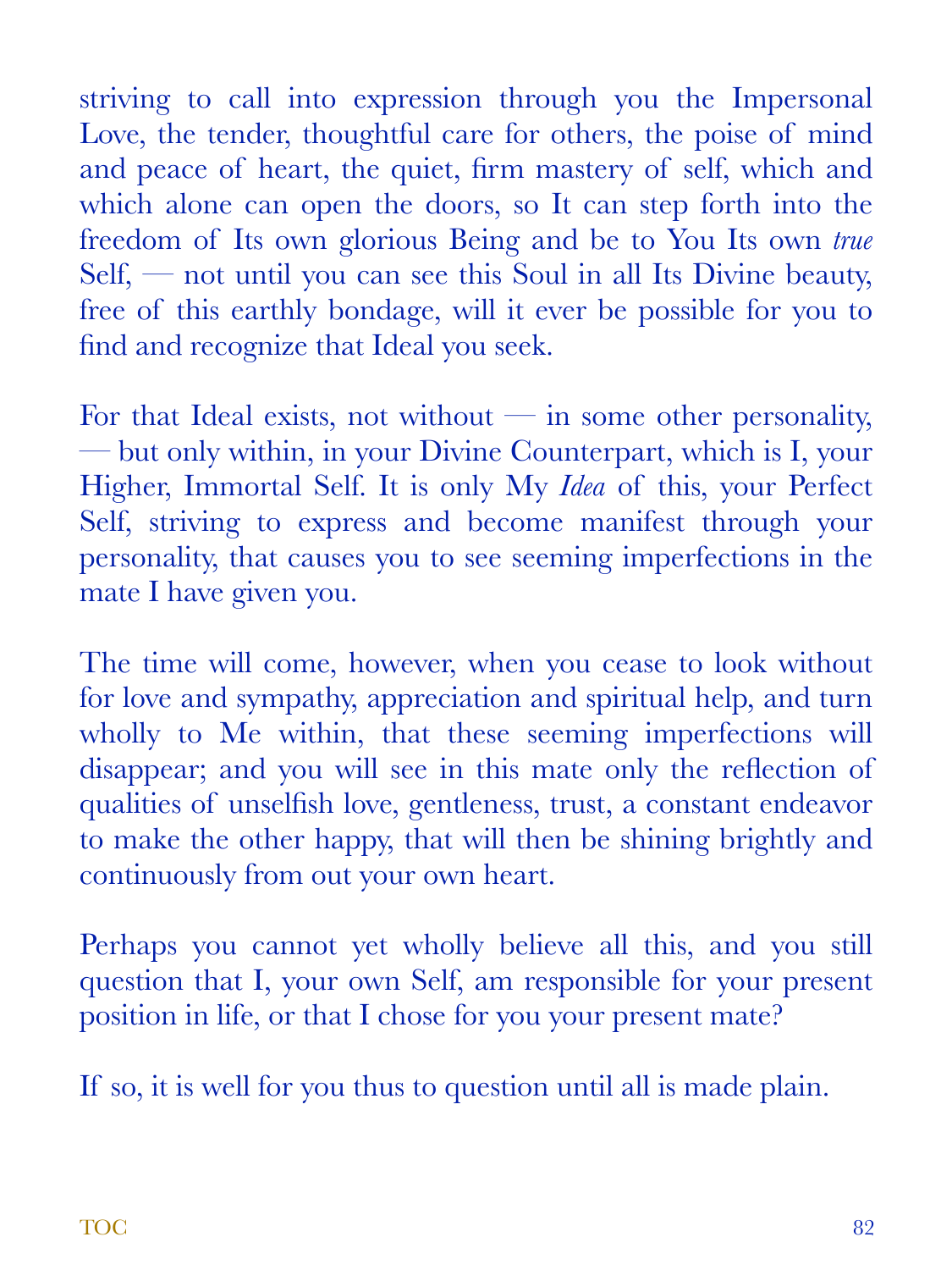striving to call into expression through you the Impersonal Love, the tender, thoughtful care for others, the poise of mind and peace of heart, the quiet, firm mastery of self, which and which alone can open the doors, so It can step forth into the freedom of Its own glorious Being and be to You Its own *true* Self, — not until you can see this Soul in all Its Divine beauty, free of this earthly bondage, will it ever be possible for you to find and recognize that Ideal you seek.

For that Ideal exists, not without  $\frac{1}{\pi}$  in some other personality, — but only within, in your Divine Counterpart, which is I, your Higher, Immortal Self. It is only My *Idea* of this, your Perfect Self, striving to express and become manifest through your personality, that causes you to see seeming imperfections in the mate I have given you.

The time will come, however, when you cease to look without for love and sympathy, appreciation and spiritual help, and turn wholly to Me within, that these seeming imperfections will disappear; and you will see in this mate only the reflection of qualities of unselfish love, gentleness, trust, a constant endeavor to make the other happy, that will then be shining brightly and continuously from out your own heart.

Perhaps you cannot yet wholly believe all this, and you still question that I, your own Self, am responsible for your present position in life, or that I chose for you your present mate?

If so, it is well for you thus to question until all is made plain.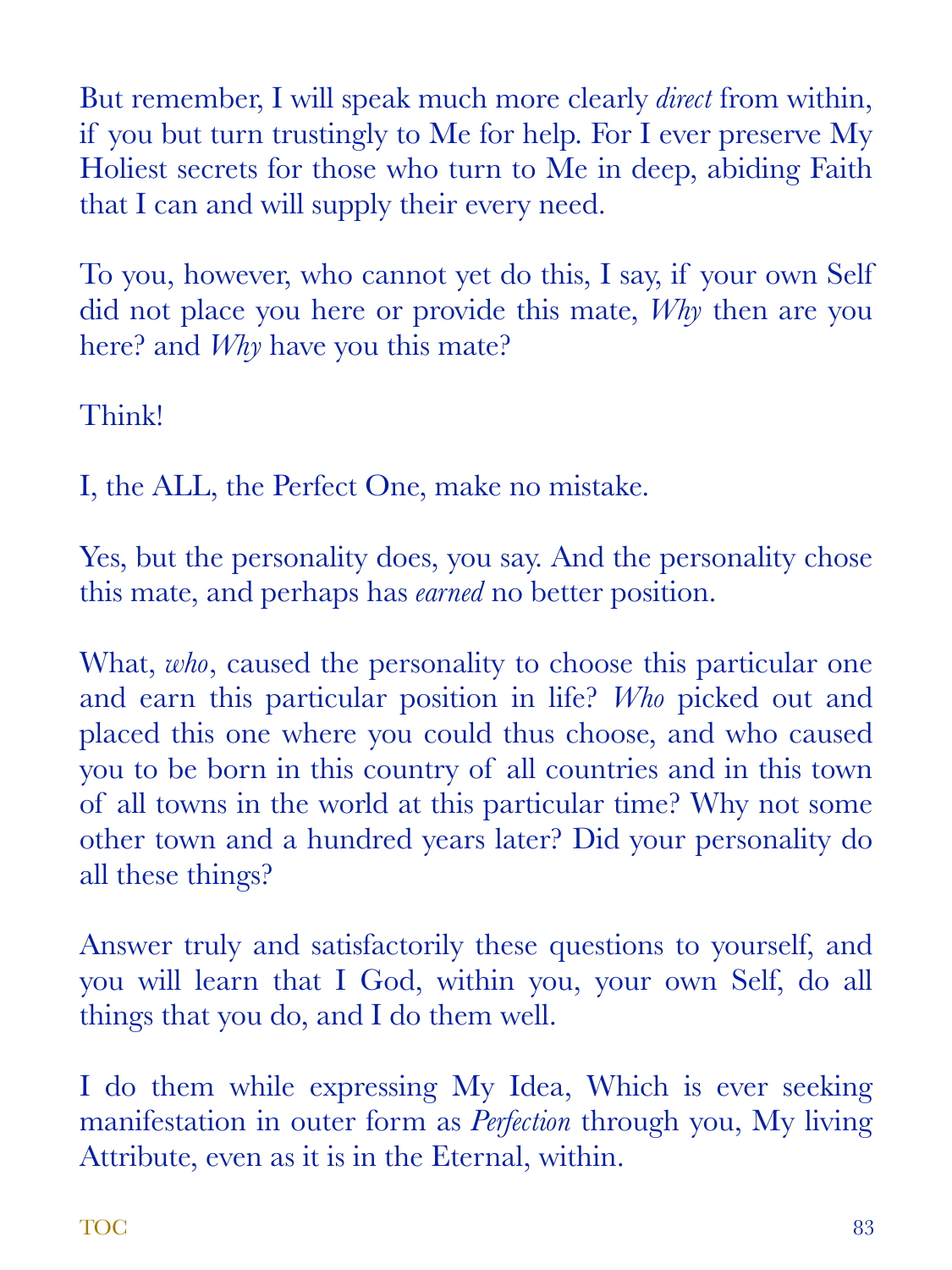But remember, I will speak much more clearly *direct* from within, if you but turn trustingly to Me for help. For I ever preserve My Holiest secrets for those who turn to Me in deep, abiding Faith that I can and will supply their every need.

To you, however, who cannot yet do this, I say, if your own Self did not place you here or provide this mate, *Why* then are you here? and *Why* have you this mate?

Think!

I, the ALL, the Perfect One, make no mistake.

Yes, but the personality does, you say. And the personality chose this mate, and perhaps has *earned* no better position.

What, *who*, caused the personality to choose this particular one and earn this particular position in life? *Who* picked out and placed this one where you could thus choose, and who caused you to be born in this country of all countries and in this town of all towns in the world at this particular time? Why not some other town and a hundred years later? Did your personality do all these things?

Answer truly and satisfactorily these questions to yourself, and you will learn that I God, within you, your own Self, do all things that you do, and I do them well.

I do them while expressing My Idea, Which is ever seeking manifestation in outer form as *Perfection* through you, My living Attribute, even as it is in the Eternal, within.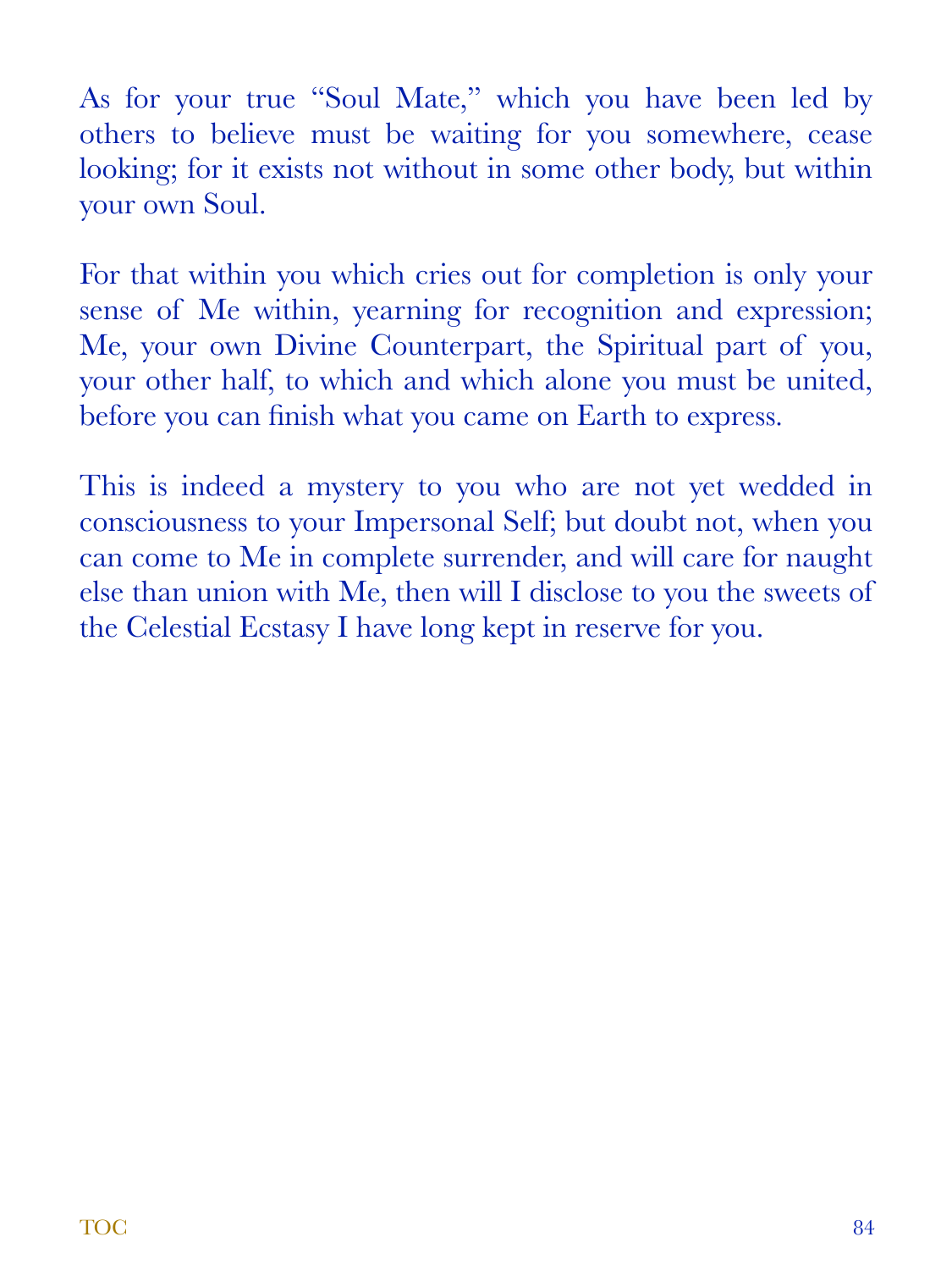As for your true "Soul Mate," which you have been led by others to believe must be waiting for you somewhere, cease looking; for it exists not without in some other body, but within your own Soul.

For that within you which cries out for completion is only your sense of Me within, yearning for recognition and expression; Me, your own Divine Counterpart, the Spiritual part of you, your other half, to which and which alone you must be united, before you can finish what you came on Earth to express.

This is indeed a mystery to you who are not yet wedded in consciousness to your Impersonal Self; but doubt not, when you can come to Me in complete surrender, and will care for naught else than union with Me, then will I disclose to you the sweets of the Celestial Ecstasy I have long kept in reserve for you.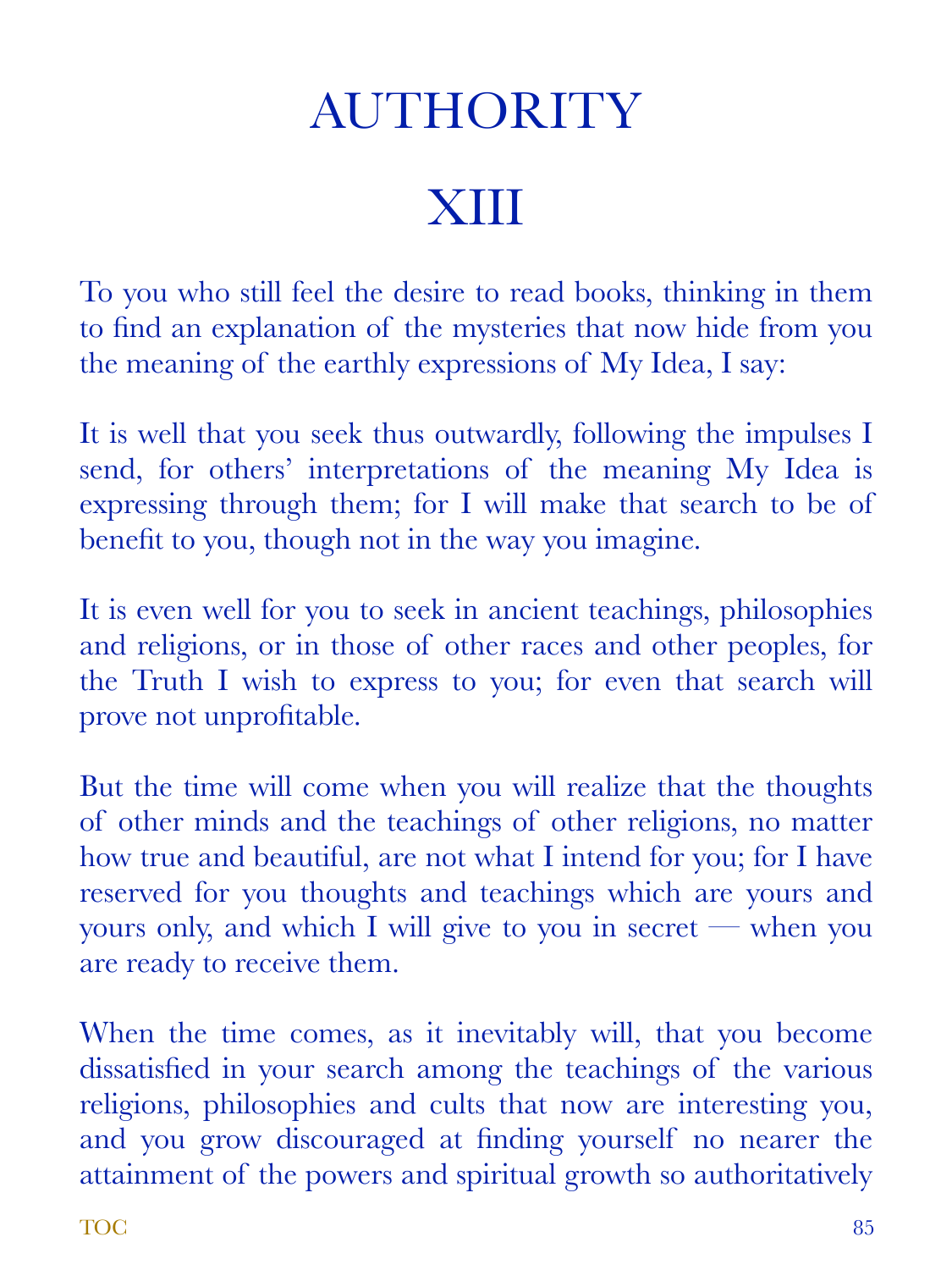### **AUTHORITY**

## XIII

To you who still feel the desire to read books, thinking in them to find an explanation of the mysteries that now hide from you the meaning of the earthly expressions of My Idea, I say:

It is well that you seek thus outwardly, following the impulses I send, for others' interpretations of the meaning My Idea is expressing through them; for I will make that search to be of benefit to you, though not in the way you imagine.

It is even well for you to seek in ancient teachings, philosophies and religions, or in those of other races and other peoples, for the Truth I wish to express to you; for even that search will prove not unprofitable.

But the time will come when you will realize that the thoughts of other minds and the teachings of other religions, no matter how true and beautiful, are not what I intend for you; for I have reserved for you thoughts and teachings which are yours and yours only, and which I will give to you in secret — when you are ready to receive them.

When the time comes, as it inevitably will, that you become dissatisfied in your search among the teachings of the various religions, philosophies and cults that now are interesting you, and you grow discouraged at finding yourself no nearer the attainment of the powers and spiritual growth so authoritatively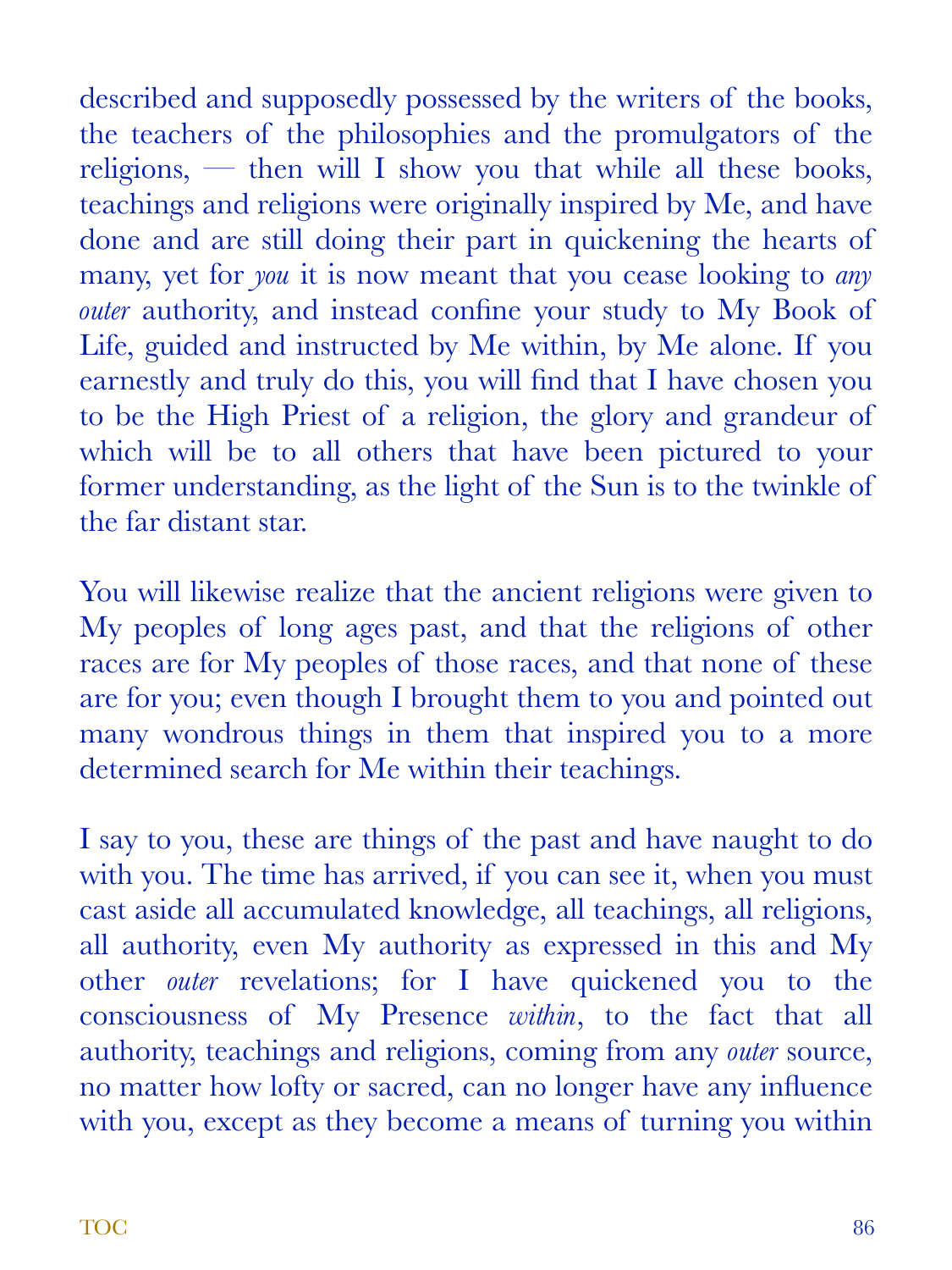described and supposedly possessed by the writers of the books, the teachers of the philosophies and the promulgators of the religions, — then will I show you that while all these books, teachings and religions were originally inspired by Me, and have done and are still doing their part in quickening the hearts of many, yet for *you* it is now meant that you cease looking to *any outer* authority, and instead confine your study to My Book of Life, guided and instructed by Me within, by Me alone. If you earnestly and truly do this, you will find that I have chosen you to be the High Priest of a religion, the glory and grandeur of which will be to all others that have been pictured to your former understanding, as the light of the Sun is to the twinkle of the far distant star.

You will likewise realize that the ancient religions were given to My peoples of long ages past, and that the religions of other races are for My peoples of those races, and that none of these are for you; even though I brought them to you and pointed out many wondrous things in them that inspired you to a more determined search for Me within their teachings.

I say to you, these are things of the past and have naught to do with you. The time has arrived, if you can see it, when you must cast aside all accumulated knowledge, all teachings, all religions, all authority, even My authority as expressed in this and My other *outer* revelations; for I have quickened you to the consciousness of My Presence *within*, to the fact that all authority, teachings and religions, coming from any *outer* source, no matter how lofty or sacred, can no longer have any influence with you, except as they become a means of turning you within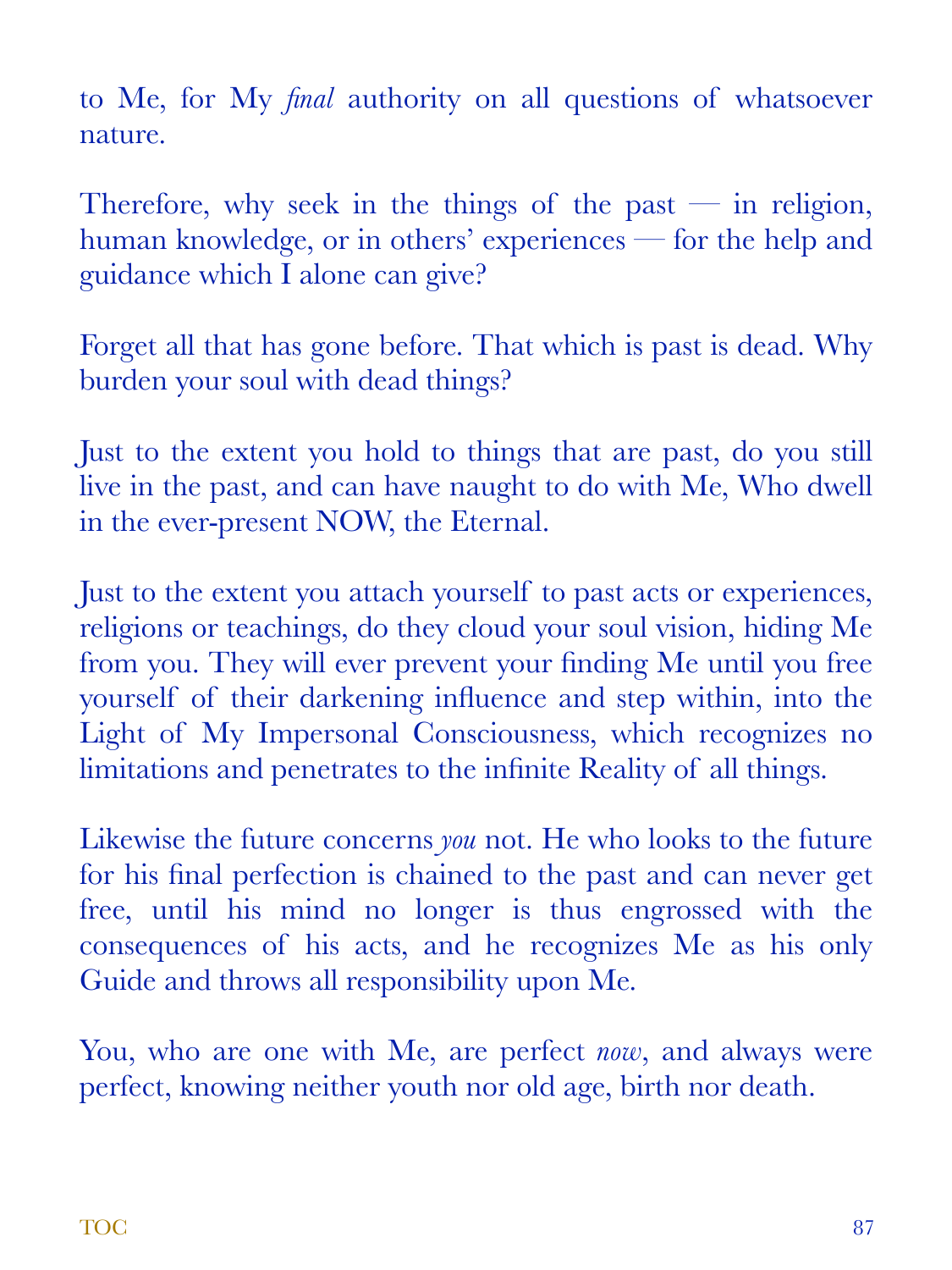to Me, for My *final* authority on all questions of whatsoever nature.

Therefore, why seek in the things of the past  $-$  in religion, human knowledge, or in others' experiences — for the help and guidance which I alone can give?

Forget all that has gone before. That which is past is dead. Why burden your soul with dead things?

Just to the extent you hold to things that are past, do you still live in the past, and can have naught to do with Me, Who dwell in the ever-present NOW, the Eternal.

Just to the extent you attach yourself to past acts or experiences, religions or teachings, do they cloud your soul vision, hiding Me from you. They will ever prevent your finding Me until you free yourself of their darkening influence and step within, into the Light of My Impersonal Consciousness, which recognizes no limitations and penetrates to the infinite Reality of all things.

Likewise the future concerns *you* not. He who looks to the future for his final perfection is chained to the past and can never get free, until his mind no longer is thus engrossed with the consequences of his acts, and he recognizes Me as his only Guide and throws all responsibility upon Me.

You, who are one with Me, are perfect *now*, and always were perfect, knowing neither youth nor old age, birth nor death.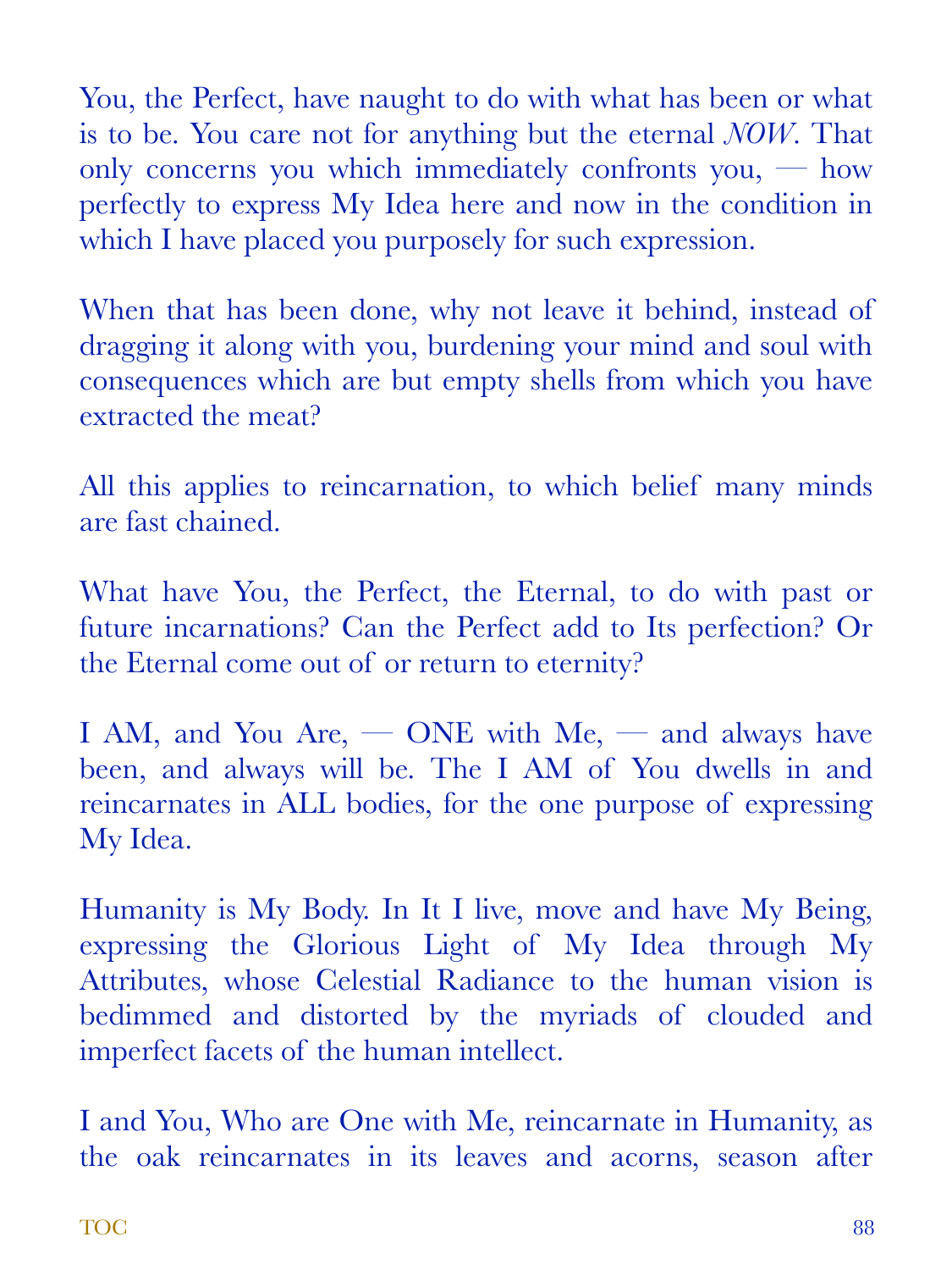You, the Perfect, have naught to do with what has been or what is to be. You care not for anything but the eternal *NOW*. That only concerns you which immediately confronts you,  $-$  how perfectly to express My Idea here and now in the condition in which I have placed you purposely for such expression.

When that has been done, why not leave it behind, instead of dragging it along with you, burdening your mind and soul with consequences which are but empty shells from which you have extracted the meat?

All this applies to reincarnation, to which belief many minds are fast chained.

What have You, the Perfect, the Eternal, to do with past or future incarnations? Can the Perfect add to Its perfection? Or the Eternal come out of or return to eternity?

I AM, and You Are, — ONE with Me, — and always have been, and always will be. The I AM of You dwells in and reincarnates in ALL bodies, for the one purpose of expressing My Idea.

Humanity is My Body. In It I live, move and have My Being, expressing the Glorious Light of My Idea through My Attributes, whose Celestial Radiance to the human vision is bedimmed and distorted by the myriads of clouded and imperfect facets of the human intellect.

I and You, Who are One with Me, reincarnate in Humanity, as the oak reincarnates in its leaves and acorns, season after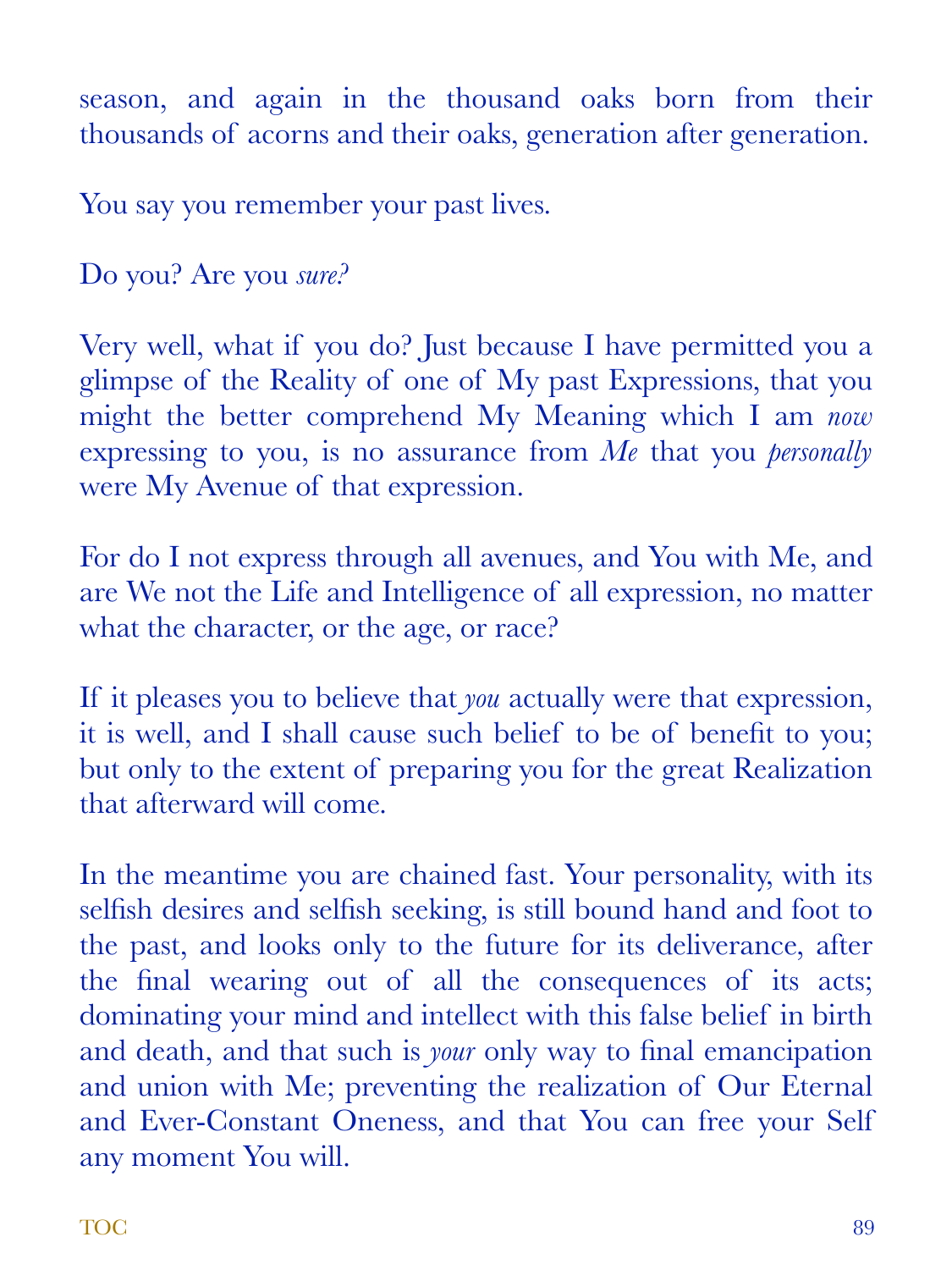season, and again in the thousand oaks born from their thousands of acorns and their oaks, generation after generation.

You say you remember your past lives.

Do you? Are you *sure?*

Very well, what if you do? Just because I have permitted you a glimpse of the Reality of one of My past Expressions, that you might the better comprehend My Meaning which I am *now* expressing to you, is no assurance from *Me* that you *personally* were My Avenue of that expression.

For do I not express through all avenues, and You with Me, and are We not the Life and Intelligence of all expression, no matter what the character, or the age, or race?

If it pleases you to believe that *you* actually were that expression, it is well, and I shall cause such belief to be of benefit to you; but only to the extent of preparing you for the great Realization that afterward will come.

In the meantime you are chained fast. Your personality, with its selfish desires and selfish seeking, is still bound hand and foot to the past, and looks only to the future for its deliverance, after the final wearing out of all the consequences of its acts; dominating your mind and intellect with this false belief in birth and death, and that such is *your* only way to final emancipation and union with Me; preventing the realization of Our Eternal and Ever-Constant Oneness, and that You can free your Self any moment You will.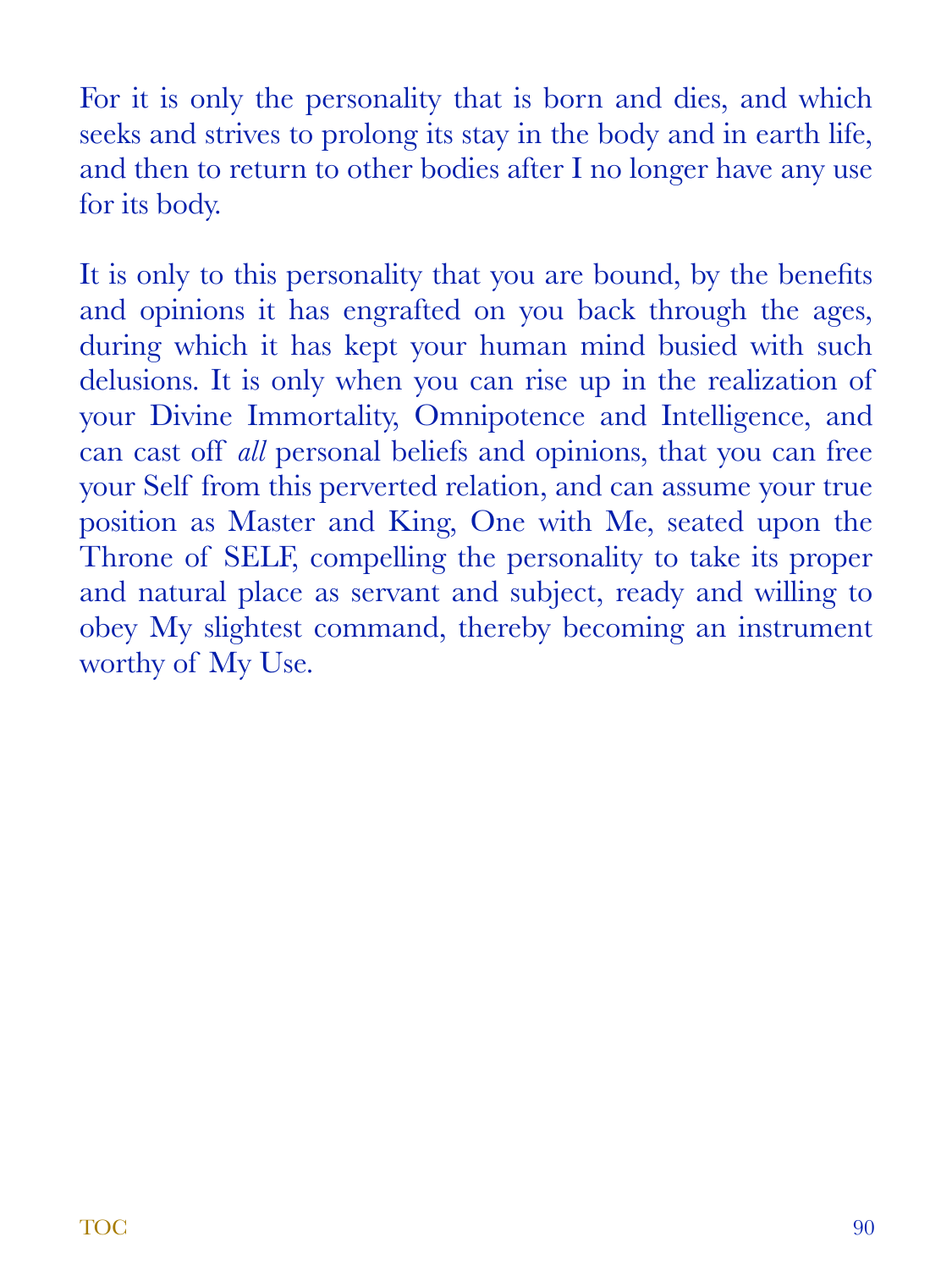For it is only the personality that is born and dies, and which seeks and strives to prolong its stay in the body and in earth life, and then to return to other bodies after I no longer have any use for its body.

It is only to this personality that you are bound, by the benefits and opinions it has engrafted on you back through the ages, during which it has kept your human mind busied with such delusions. It is only when you can rise up in the realization of your Divine Immortality, Omnipotence and Intelligence, and can cast off *all* personal beliefs and opinions, that you can free your Self from this perverted relation, and can assume your true position as Master and King, One with Me, seated upon the Throne of SELF, compelling the personality to take its proper and natural place as servant and subject, ready and willing to obey My slightest command, thereby becoming an instrument worthy of My Use.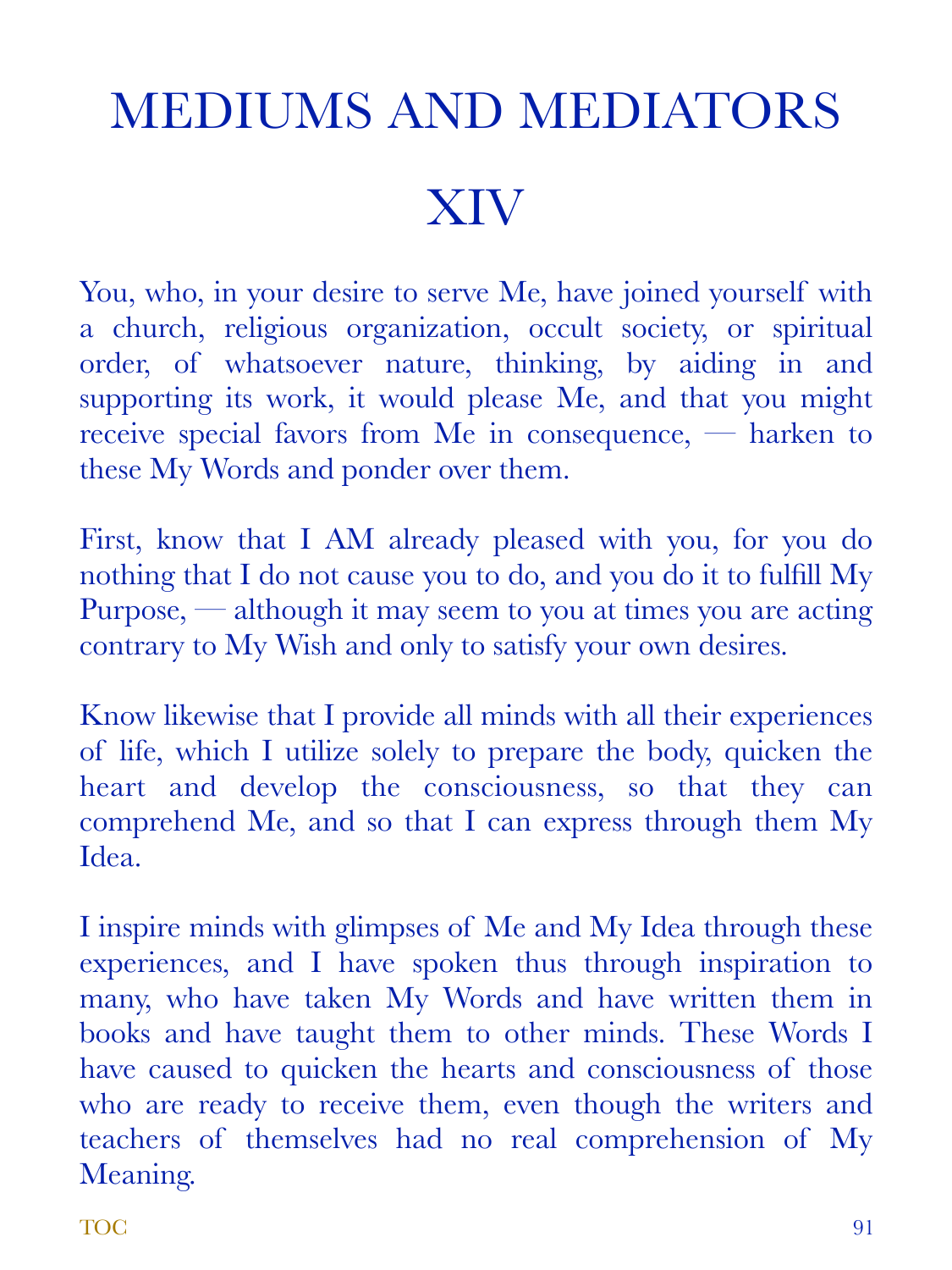# MEDIUMS AND MEDIATORS

### XIV

You, who, in your desire to serve Me, have joined yourself with a church, religious organization, occult society, or spiritual order, of whatsoever nature, thinking, by aiding in and supporting its work, it would please Me, and that you might receive special favors from Me in consequence, — harken to these My Words and ponder over them.

First, know that I AM already pleased with you, for you do nothing that I do not cause you to do, and you do it to fulfill My Purpose, — although it may seem to you at times you are acting contrary to My Wish and only to satisfy your own desires.

Know likewise that I provide all minds with all their experiences of life, which I utilize solely to prepare the body, quicken the heart and develop the consciousness, so that they can comprehend Me, and so that I can express through them My Idea.

I inspire minds with glimpses of Me and My Idea through these experiences, and I have spoken thus through inspiration to many, who have taken My Words and have written them in books and have taught them to other minds. These Words I have caused to quicken the hearts and consciousness of those who are ready to receive them, even though the writers and teachers of themselves had no real comprehension of My Meaning.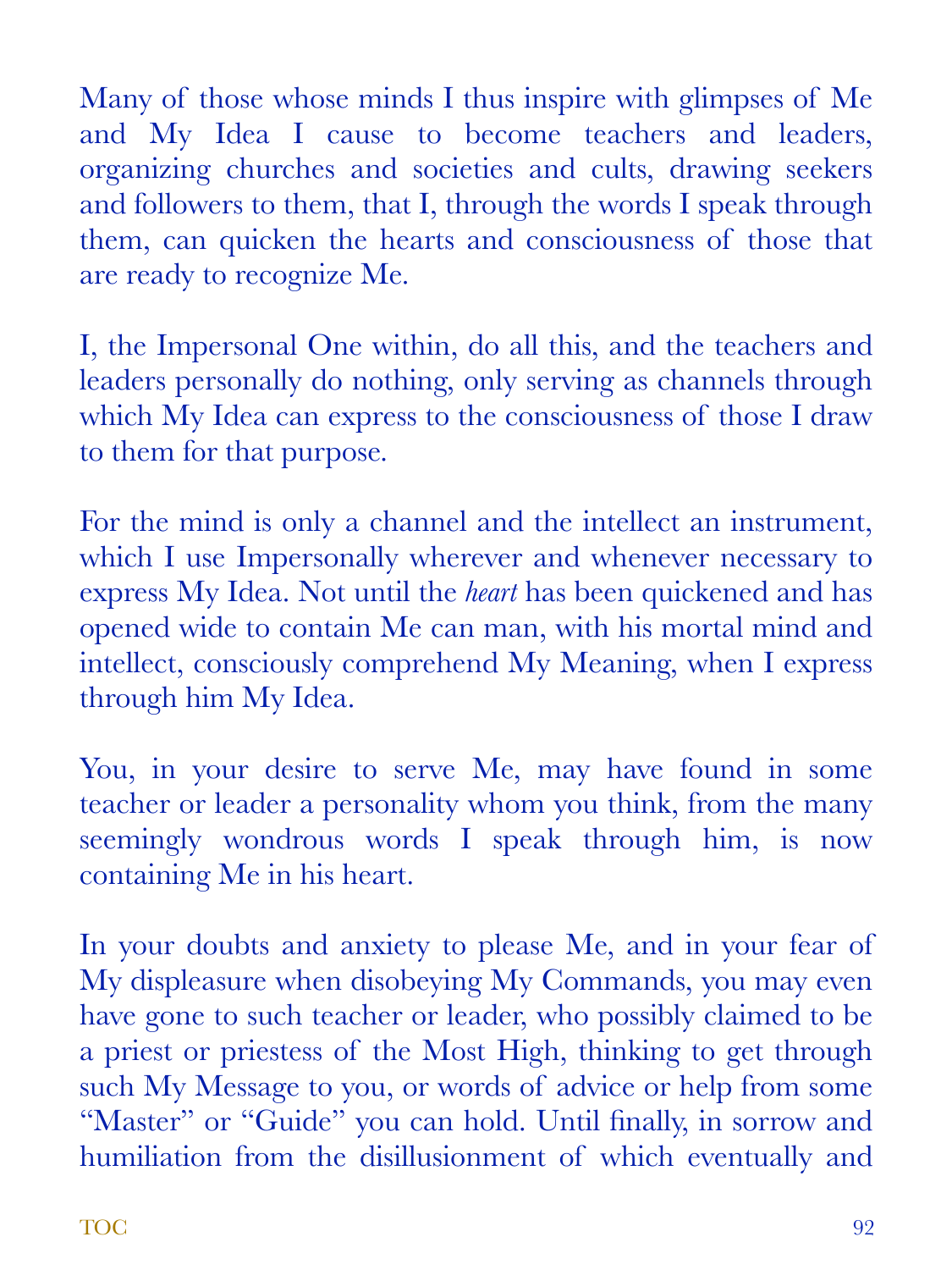Many of those whose minds I thus inspire with glimpses of Me and My Idea I cause to become teachers and leaders, organizing churches and societies and cults, drawing seekers and followers to them, that I, through the words I speak through them, can quicken the hearts and consciousness of those that are ready to recognize Me.

I, the Impersonal One within, do all this, and the teachers and leaders personally do nothing, only serving as channels through which My Idea can express to the consciousness of those I draw to them for that purpose.

For the mind is only a channel and the intellect an instrument, which I use Impersonally wherever and whenever necessary to express My Idea. Not until the *heart* has been quickened and has opened wide to contain Me can man, with his mortal mind and intellect, consciously comprehend My Meaning, when I express through him My Idea.

You, in your desire to serve Me, may have found in some teacher or leader a personality whom you think, from the many seemingly wondrous words I speak through him, is now containing Me in his heart.

In your doubts and anxiety to please Me, and in your fear of My displeasure when disobeying My Commands, you may even have gone to such teacher or leader, who possibly claimed to be a priest or priestess of the Most High, thinking to get through such My Message to you, or words of advice or help from some "Master" or "Guide" you can hold. Until finally, in sorrow and humiliation from the disillusionment of which eventually and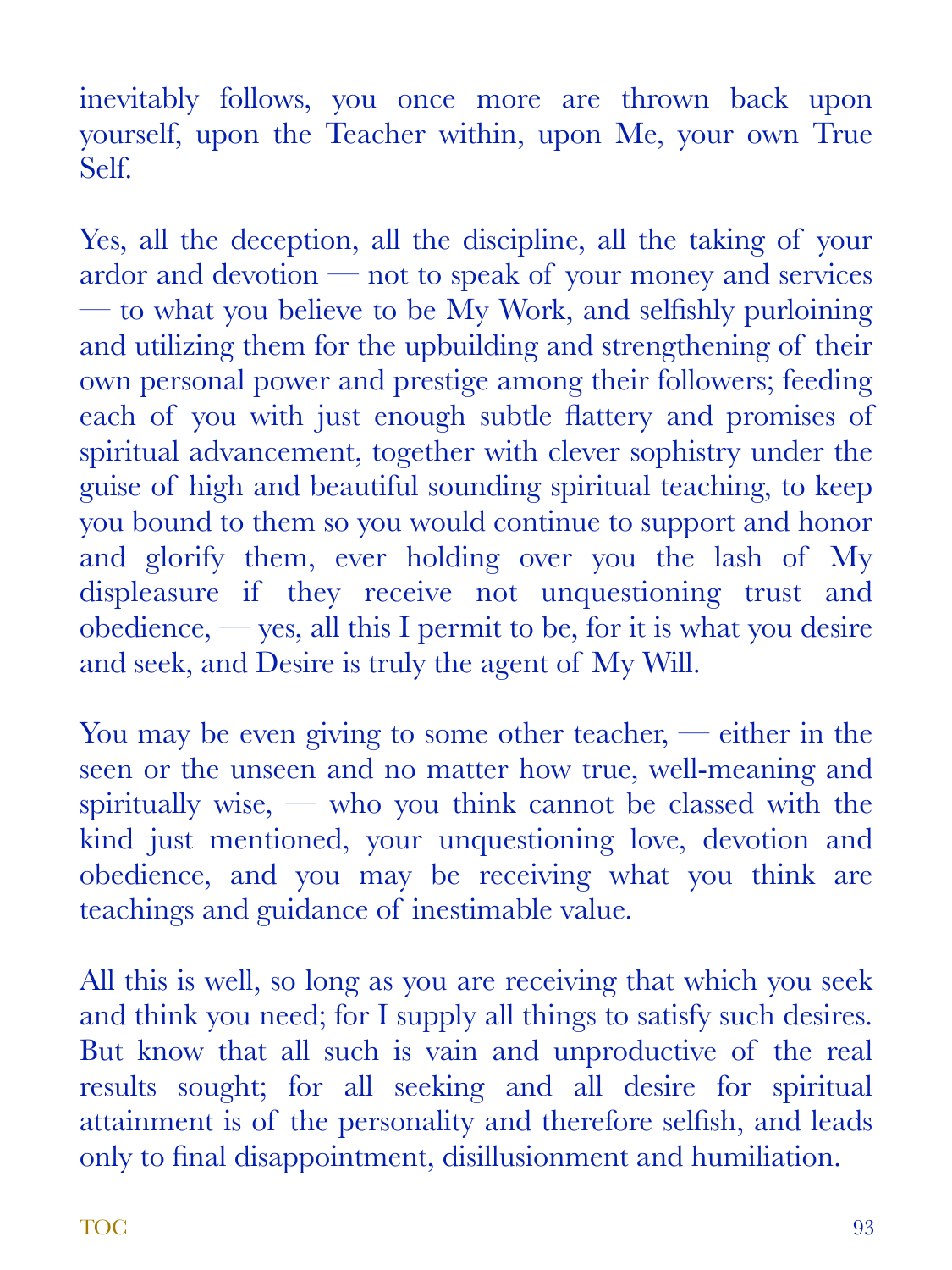inevitably follows, you once more are thrown back upon yourself, upon the Teacher within, upon Me, your own True Self.

Yes, all the deception, all the discipline, all the taking of your ardor and devotion — not to speak of your money and services — to what you believe to be My Work, and selfishly purloining and utilizing them for the upbuilding and strengthening of their own personal power and prestige among their followers; feeding each of you with just enough subtle flattery and promises of spiritual advancement, together with clever sophistry under the guise of high and beautiful sounding spiritual teaching, to keep you bound to them so you would continue to support and honor and glorify them, ever holding over you the lash of My displeasure if they receive not unquestioning trust and  $obedience, \, \, \rightarrow$  yes, all this I permit to be, for it is what you desire and seek, and Desire is truly the agent of My Will.

You may be even giving to some other teacher,  $-$  either in the seen or the unseen and no matter how true, well-meaning and spiritually wise,  $\frac{1}{\sqrt{2}}$  who you think cannot be classed with the kind just mentioned, your unquestioning love, devotion and obedience, and you may be receiving what you think are teachings and guidance of inestimable value.

All this is well, so long as you are receiving that which you seek and think you need; for I supply all things to satisfy such desires. But know that all such is vain and unproductive of the real results sought; for all seeking and all desire for spiritual attainment is of the personality and therefore selfish, and leads only to final disappointment, disillusionment and humiliation.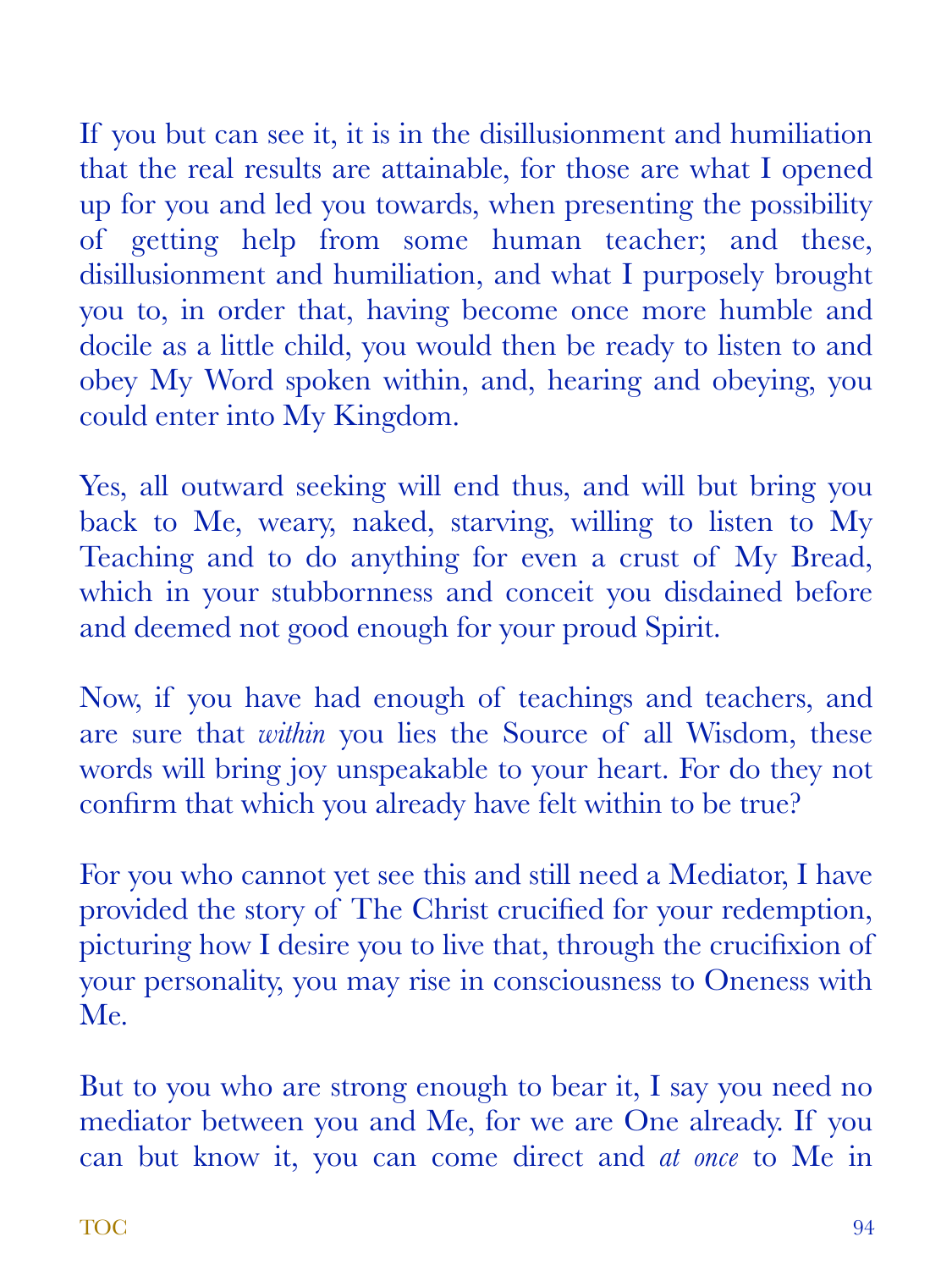If you but can see it, it is in the disillusionment and humiliation that the real results are attainable, for those are what I opened up for you and led you towards, when presenting the possibility of getting help from some human teacher; and these, disillusionment and humiliation, and what I purposely brought you to, in order that, having become once more humble and docile as a little child, you would then be ready to listen to and obey My Word spoken within, and, hearing and obeying, you could enter into My Kingdom.

Yes, all outward seeking will end thus, and will but bring you back to Me, weary, naked, starving, willing to listen to My Teaching and to do anything for even a crust of My Bread, which in your stubbornness and conceit you disdained before and deemed not good enough for your proud Spirit.

Now, if you have had enough of teachings and teachers, and are sure that *within* you lies the Source of all Wisdom, these words will bring joy unspeakable to your heart. For do they not confirm that which you already have felt within to be true?

For you who cannot yet see this and still need a Mediator, I have provided the story of The Christ crucified for your redemption, picturing how I desire you to live that, through the crucifixion of your personality, you may rise in consciousness to Oneness with Me.

But to you who are strong enough to bear it, I say you need no mediator between you and Me, for we are One already. If you can but know it, you can come direct and *at once* to Me in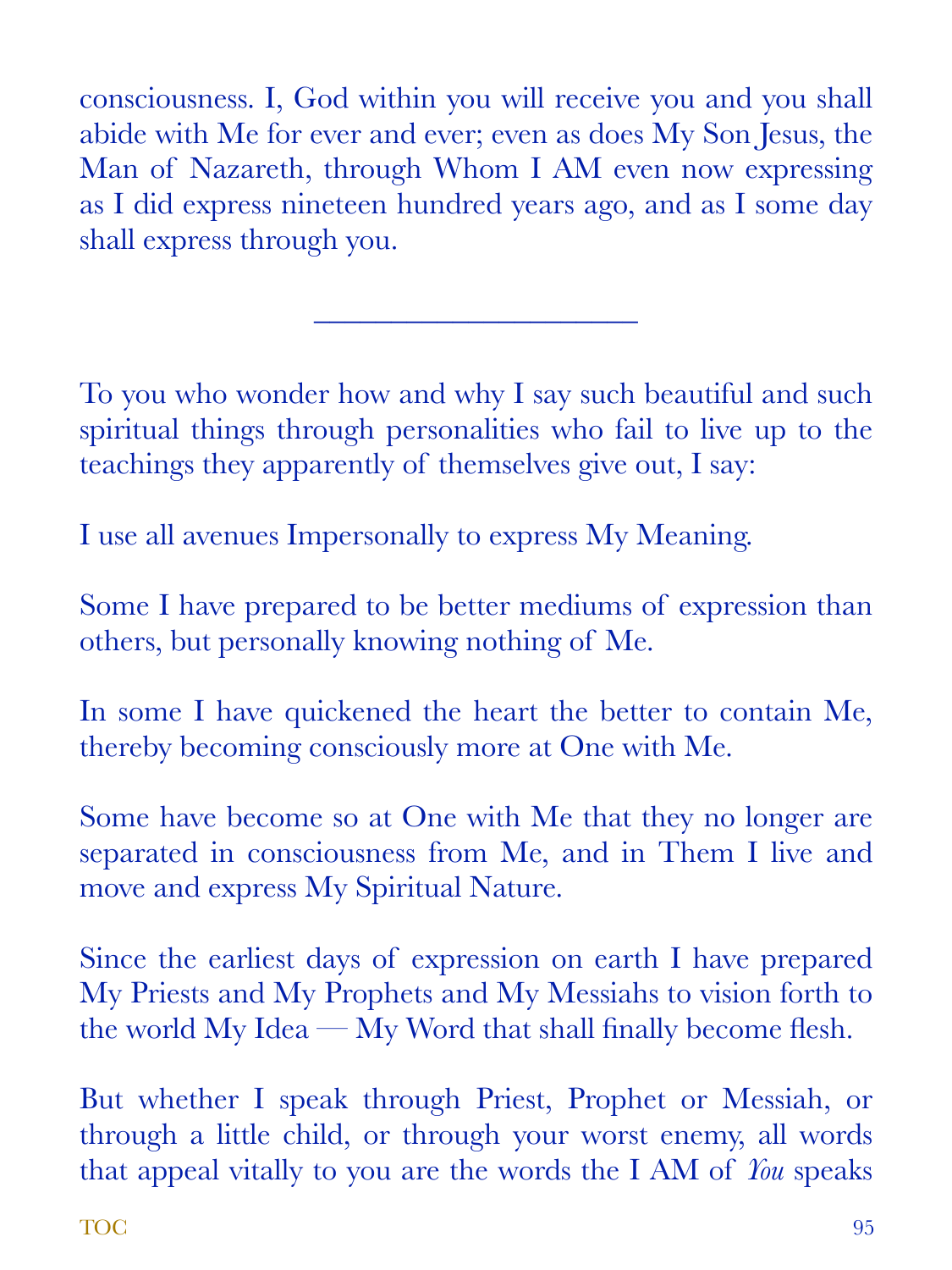consciousness. I, God within you will receive you and you shall abide with Me for ever and ever; even as does My Son Jesus, the Man of Nazareth, through Whom I AM even now expressing as I did express nineteen hundred years ago, and as I some day shall express through you.

To you who wonder how and why I say such beautiful and such spiritual things through personalities who fail to live up to the teachings they apparently of themselves give out, I say:

 $\overline{\phantom{a}}$  , where  $\overline{\phantom{a}}$  , where  $\overline{\phantom{a}}$ 

I use all avenues Impersonally to express My Meaning.

Some I have prepared to be better mediums of expression than others, but personally knowing nothing of Me.

In some I have quickened the heart the better to contain Me, thereby becoming consciously more at One with Me.

Some have become so at One with Me that they no longer are separated in consciousness from Me, and in Them I live and move and express My Spiritual Nature.

Since the earliest days of expression on earth I have prepared My Priests and My Prophets and My Messiahs to vision forth to the world My Idea — My Word that shall finally become flesh.

But whether I speak through Priest, Prophet or Messiah, or through a little child, or through your worst enemy, all words that appeal vitally to you are the words the I AM of *You* speaks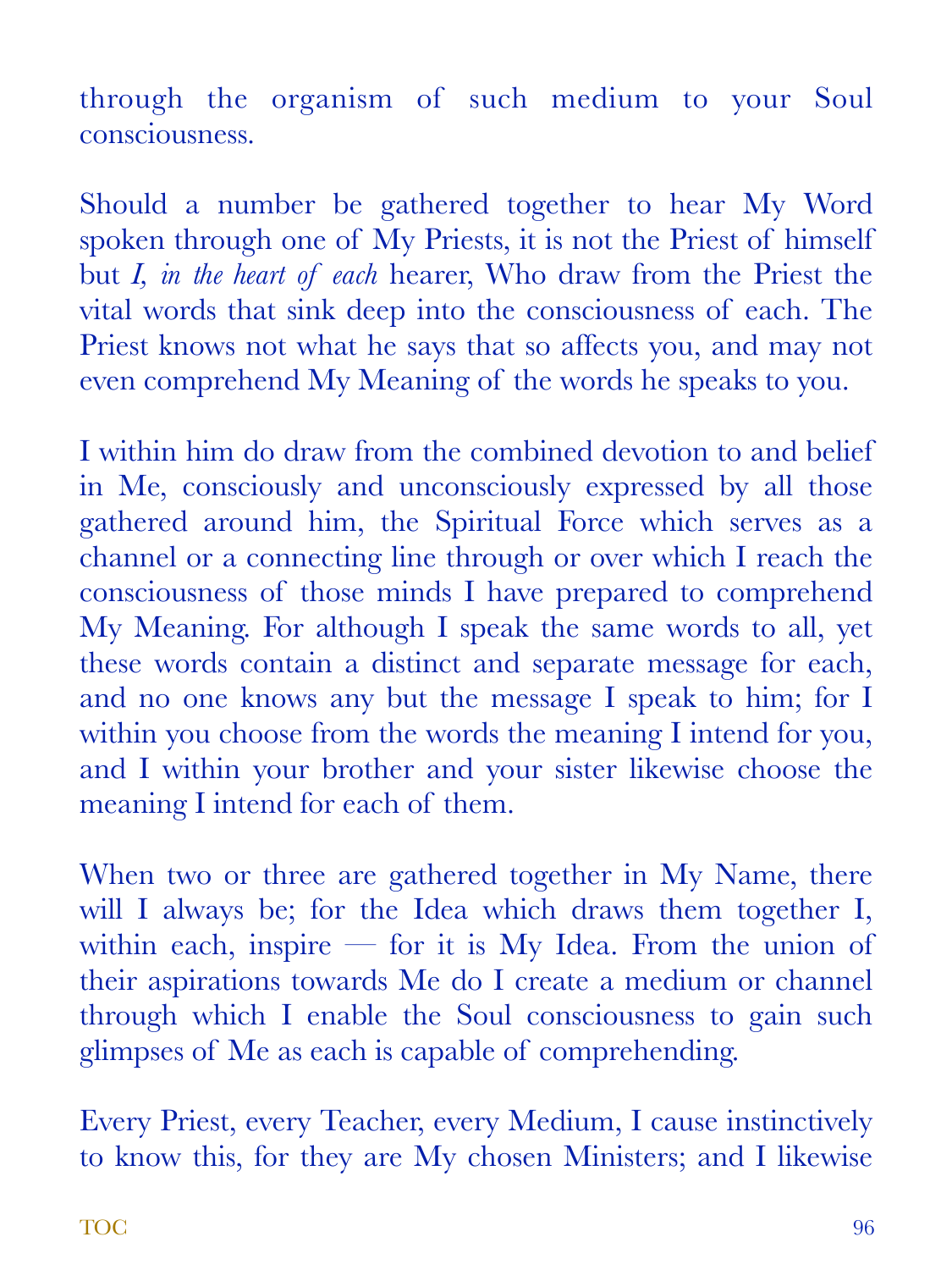through the organism of such medium to your Soul consciousness.

Should a number be gathered together to hear My Word spoken through one of My Priests, it is not the Priest of himself but *I, in the heart of each* hearer, Who draw from the Priest the vital words that sink deep into the consciousness of each. The Priest knows not what he says that so affects you, and may not even comprehend My Meaning of the words he speaks to you.

I within him do draw from the combined devotion to and belief in Me, consciously and unconsciously expressed by all those gathered around him, the Spiritual Force which serves as a channel or a connecting line through or over which I reach the consciousness of those minds I have prepared to comprehend My Meaning. For although I speak the same words to all, yet these words contain a distinct and separate message for each, and no one knows any but the message I speak to him; for I within you choose from the words the meaning I intend for you, and I within your brother and your sister likewise choose the meaning I intend for each of them.

When two or three are gathered together in My Name, there will I always be; for the Idea which draws them together I, within each, inspire — for it is My Idea. From the union of their aspirations towards Me do I create a medium or channel through which I enable the Soul consciousness to gain such glimpses of Me as each is capable of comprehending.

Every Priest, every Teacher, every Medium, I cause instinctively to know this, for they are My chosen Ministers; and I likewise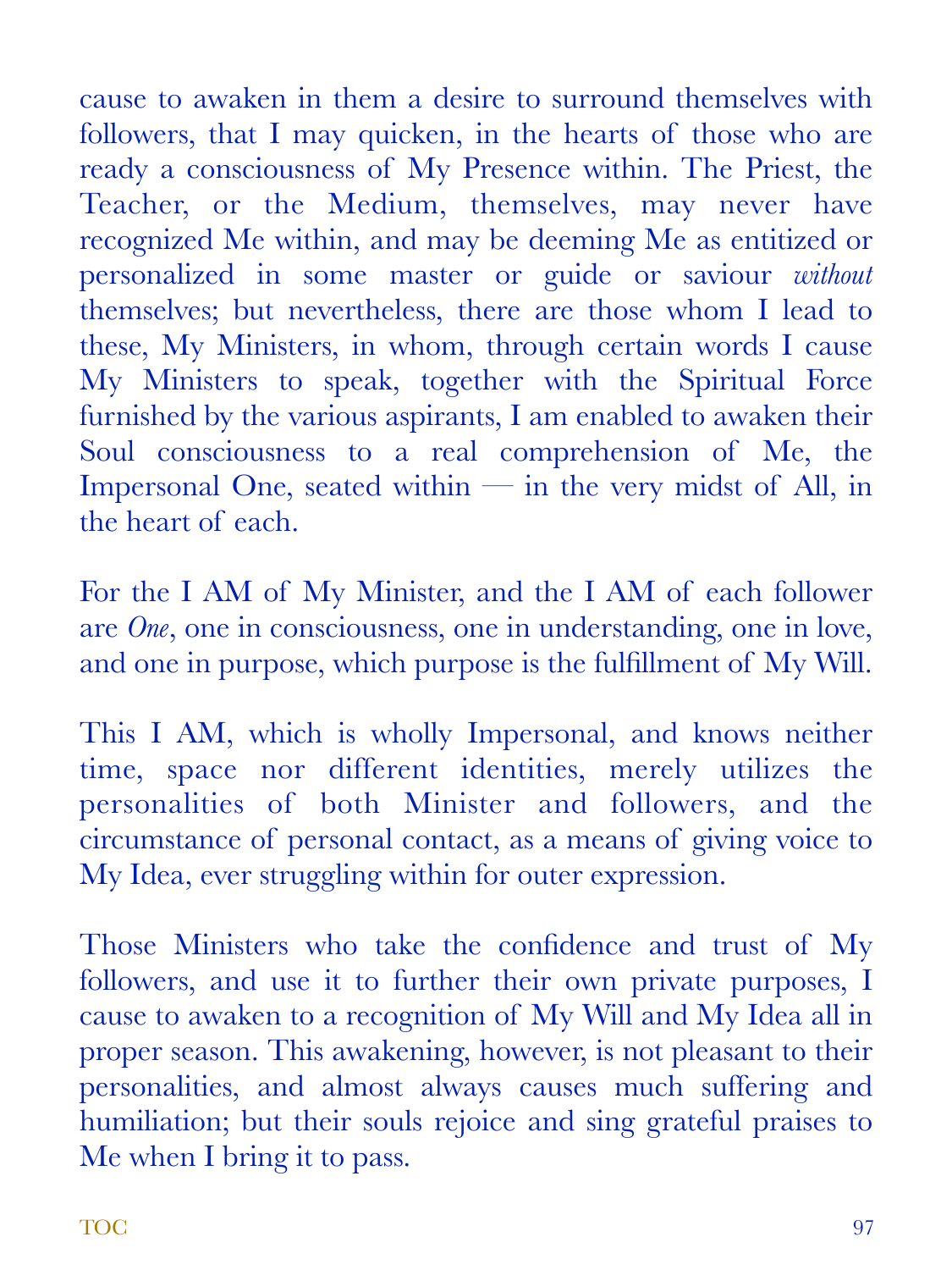cause to awaken in them a desire to surround themselves with followers, that I may quicken, in the hearts of those who are ready a consciousness of My Presence within. The Priest, the Teacher, or the Medium, themselves, may never have recognized Me within, and may be deeming Me as entitized or personalized in some master or guide or saviour *without* themselves; but nevertheless, there are those whom I lead to these, My Ministers, in whom, through certain words I cause My Ministers to speak, together with the Spiritual Force furnished by the various aspirants, I am enabled to awaken their Soul consciousness to a real comprehension of Me, the Impersonal One, seated within  $-$  in the very midst of All, in the heart of each.

For the I AM of My Minister, and the I AM of each follower are *One*, one in consciousness, one in understanding, one in love, and one in purpose, which purpose is the fulfillment of My Will.

This I AM, which is wholly Impersonal, and knows neither time, space nor different identities, merely utilizes the personalities of both Minister and followers, and the circumstance of personal contact, as a means of giving voice to My Idea, ever struggling within for outer expression.

Those Ministers who take the confidence and trust of My followers, and use it to further their own private purposes, I cause to awaken to a recognition of My Will and My Idea all in proper season. This awakening, however, is not pleasant to their personalities, and almost always causes much suffering and humiliation; but their souls rejoice and sing grateful praises to Me when I bring it to pass.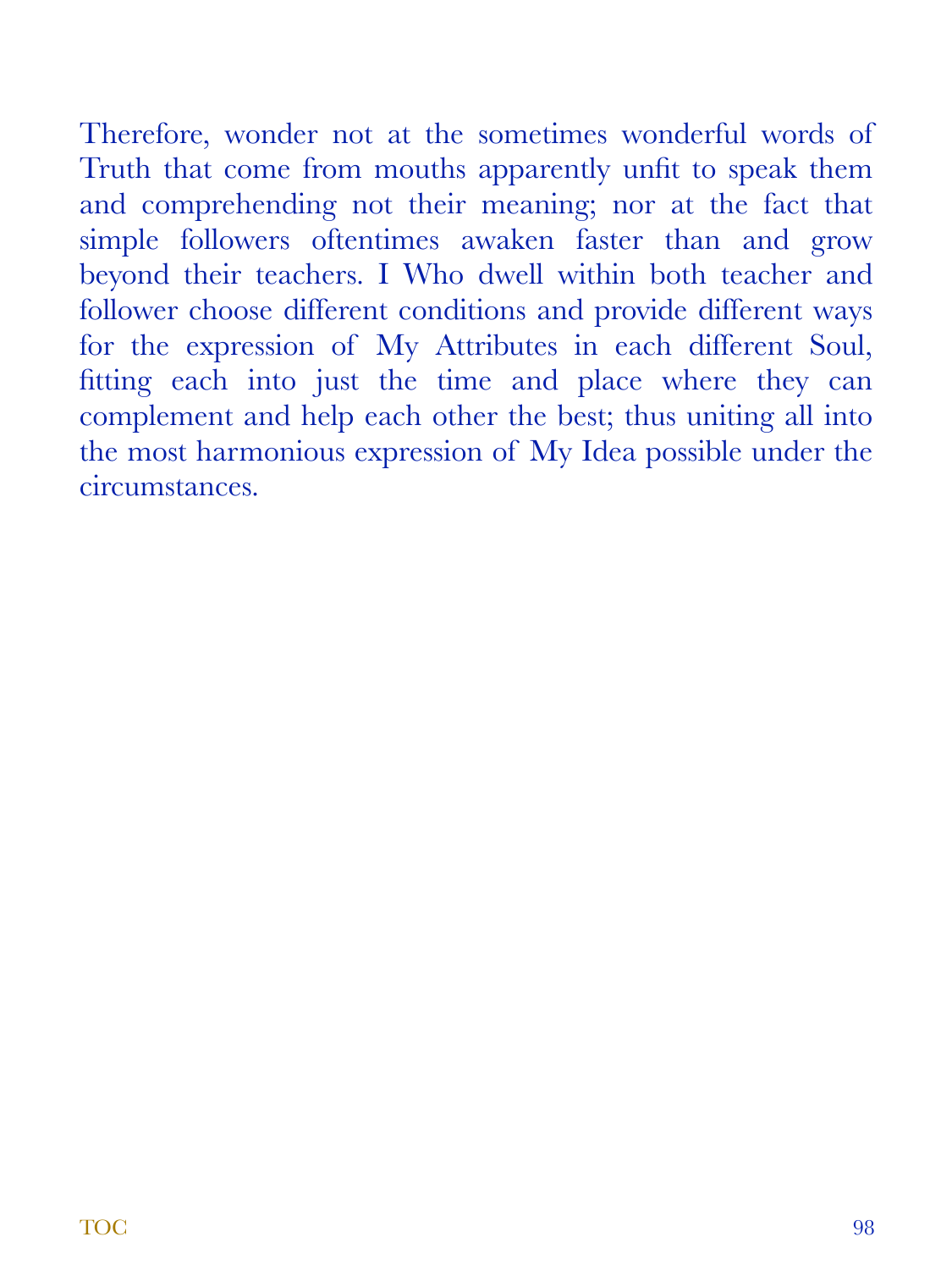Therefore, wonder not at the sometimes wonderful words of Truth that come from mouths apparently unfit to speak them and comprehending not their meaning; nor at the fact that simple followers oftentimes awaken faster than and grow beyond their teachers. I Who dwell within both teacher and follower choose different conditions and provide different ways for the expression of My Attributes in each different Soul, fitting each into just the time and place where they can complement and help each other the best; thus uniting all into the most harmonious expression of My Idea possible under the circumstances.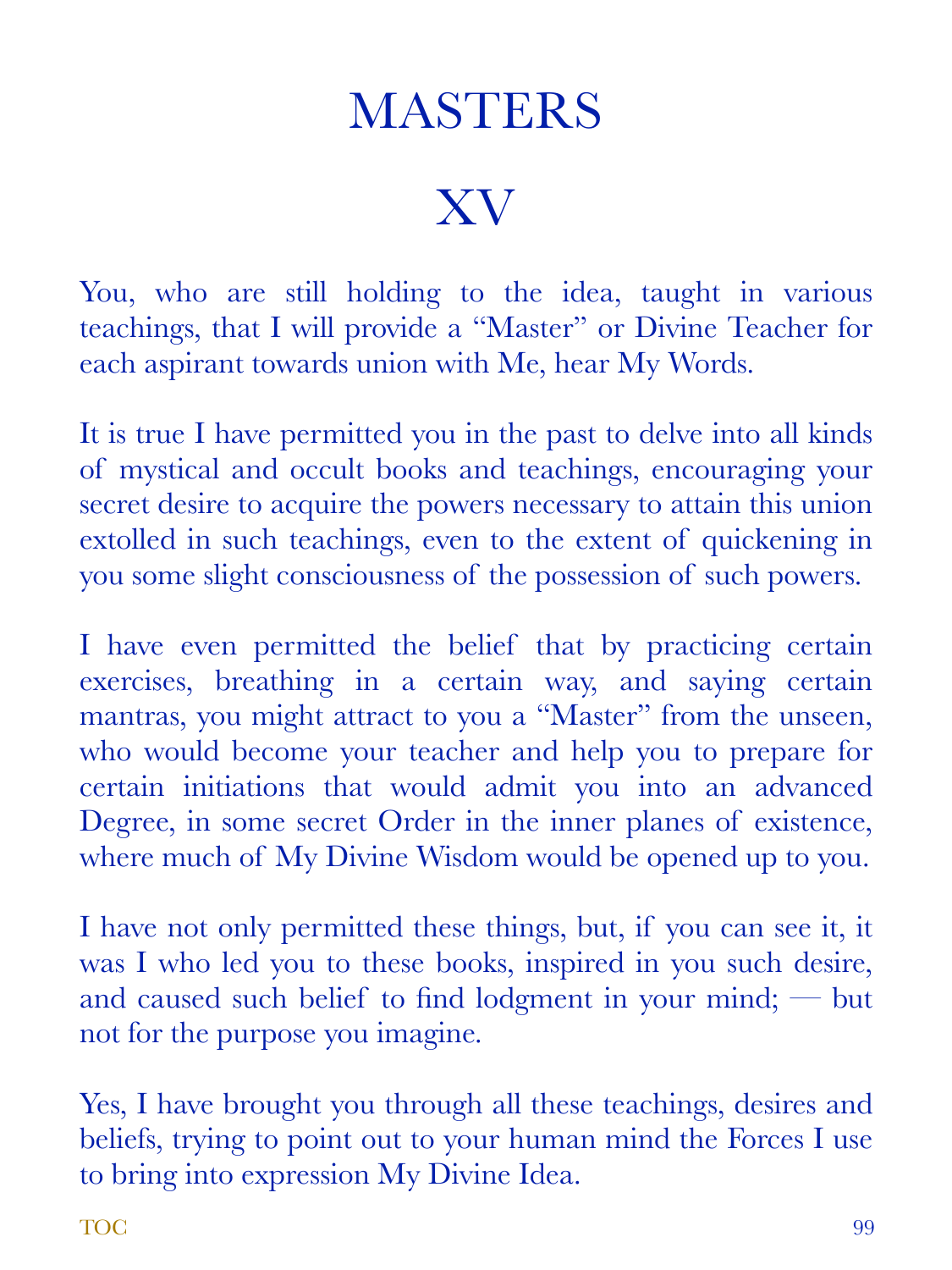### MASTERS

#### XV

You, who are still holding to the idea, taught in various teachings, that I will provide a "Master" or Divine Teacher for each aspirant towards union with Me, hear My Words.

It is true I have permitted you in the past to delve into all kinds of mystical and occult books and teachings, encouraging your secret desire to acquire the powers necessary to attain this union extolled in such teachings, even to the extent of quickening in you some slight consciousness of the possession of such powers.

I have even permitted the belief that by practicing certain exercises, breathing in a certain way, and saying certain mantras, you might attract to you a "Master" from the unseen, who would become your teacher and help you to prepare for certain initiations that would admit you into an advanced Degree, in some secret Order in the inner planes of existence, where much of My Divine Wisdom would be opened up to you.

I have not only permitted these things, but, if you can see it, it was I who led you to these books, inspired in you such desire, and caused such belief to find lodgment in your mind; — but not for the purpose you imagine.

Yes, I have brought you through all these teachings, desires and beliefs, trying to point out to your human mind the Forces I use to bring into expression My Divine Idea.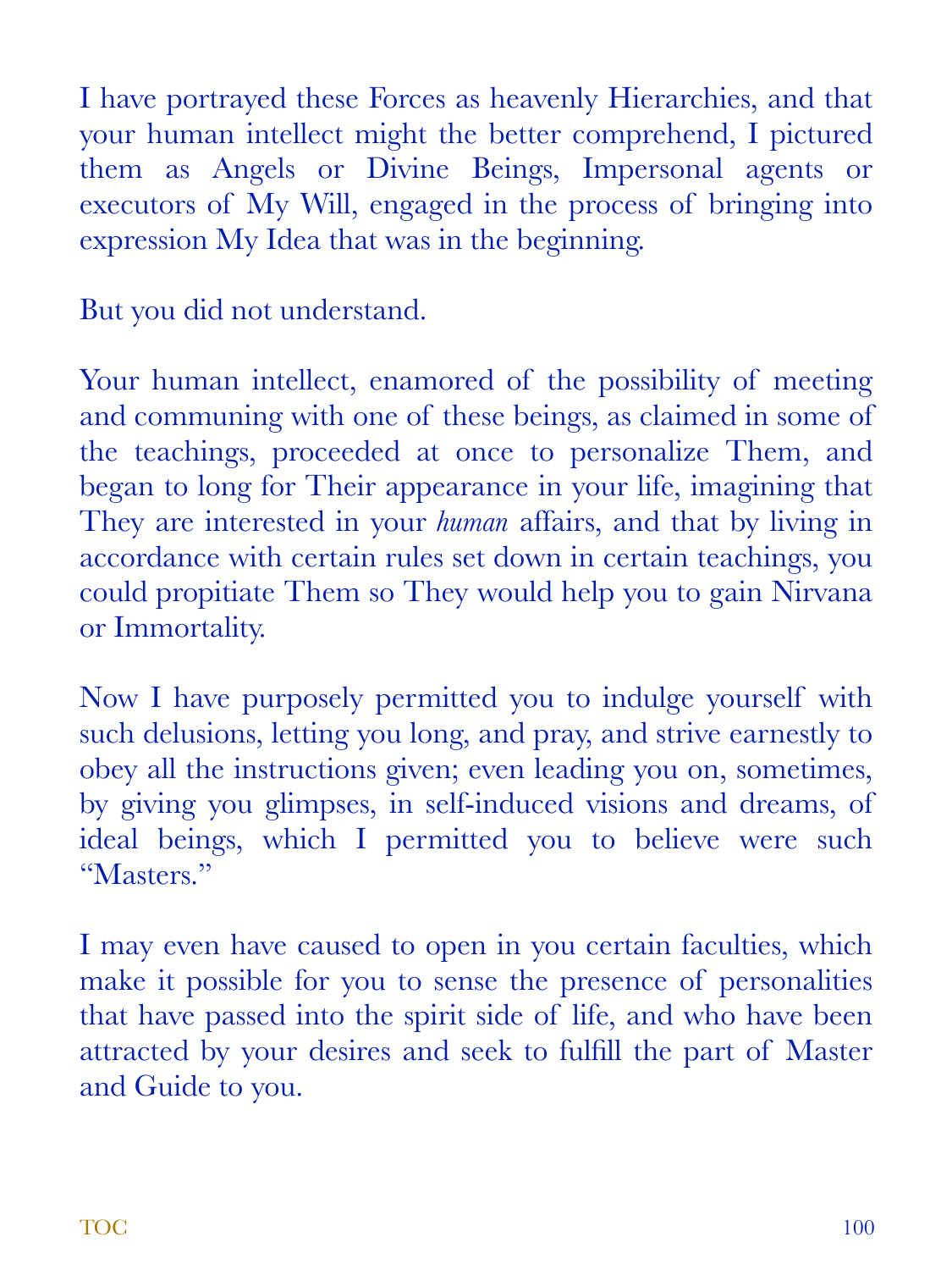I have portrayed these Forces as heavenly Hierarchies, and that your human intellect might the better comprehend, I pictured them as Angels or Divine Beings, Impersonal agents or executors of My Will, engaged in the process of bringing into expression My Idea that was in the beginning.

But you did not understand.

Your human intellect, enamored of the possibility of meeting and communing with one of these beings, as claimed in some of the teachings, proceeded at once to personalize Them, and began to long for Their appearance in your life, imagining that They are interested in your *human* affairs, and that by living in accordance with certain rules set down in certain teachings, you could propitiate Them so They would help you to gain Nirvana or Immortality.

Now I have purposely permitted you to indulge yourself with such delusions, letting you long, and pray, and strive earnestly to obey all the instructions given; even leading you on, sometimes, by giving you glimpses, in self-induced visions and dreams, of ideal beings, which I permitted you to believe were such "Masters."

I may even have caused to open in you certain faculties, which make it possible for you to sense the presence of personalities that have passed into the spirit side of life, and who have been attracted by your desires and seek to fulfill the part of Master and Guide to you.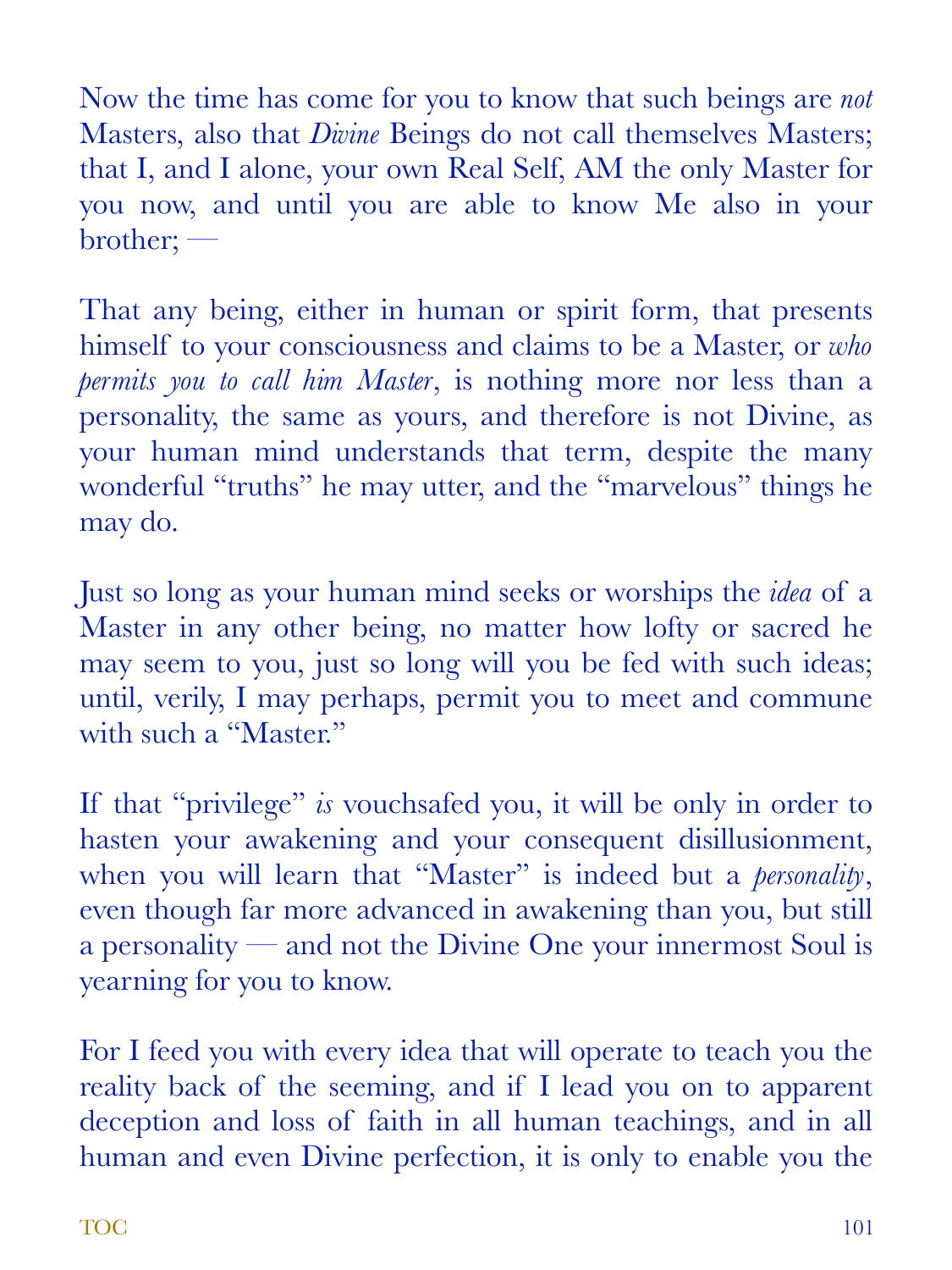Now the time has come for you to know that such beings are *not* Masters, also that *Divine* Beings do not call themselves Masters; that I, and I alone, your own Real Self, AM the only Master for you now, and until you are able to know Me also in your brother; —

That any being, either in human or spirit form, that presents himself to your consciousness and claims to be a Master, or *who permits you to call him Master*, is nothing more nor less than a personality, the same as yours, and therefore is not Divine, as your human mind understands that term, despite the many wonderful "truths" he may utter, and the "marvelous" things he may do.

Just so long as your human mind seeks or worships the *idea* of a Master in any other being, no matter how lofty or sacred he may seem to you, just so long will you be fed with such ideas; until, verily, I may perhaps, permit you to meet and commune with such a "Master."

If that "privilege" *is* vouchsafed you, it will be only in order to hasten your awakening and your consequent disillusionment, when you will learn that "Master" is indeed but a *personality*, even though far more advanced in awakening than you, but still a personality — and not the Divine One your innermost Soul is yearning for you to know.

For I feed you with every idea that will operate to teach you the reality back of the seeming, and if I lead you on to apparent deception and loss of faith in all human teachings, and in all human and even Divine perfection, it is only to enable you the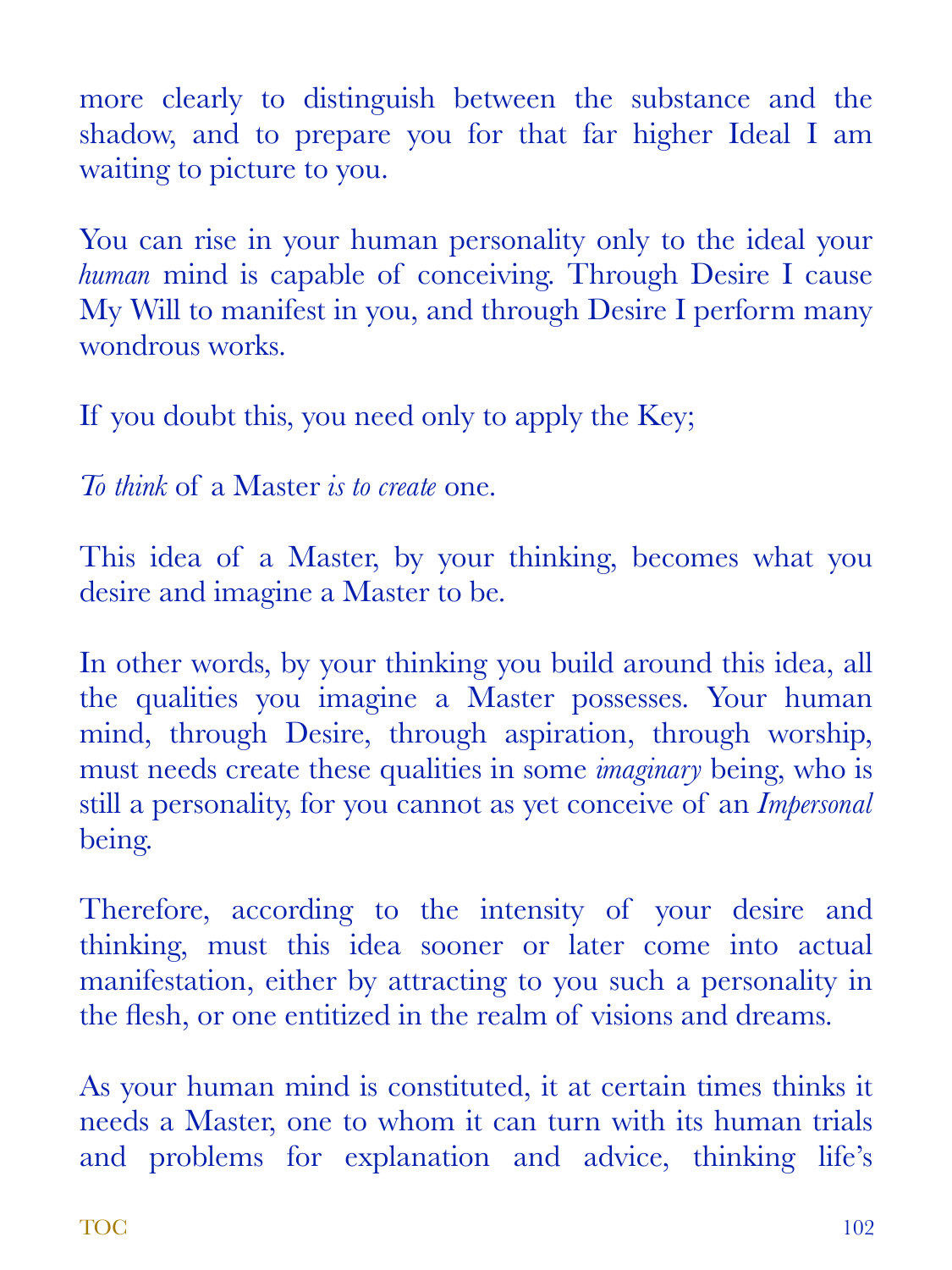more clearly to distinguish between the substance and the shadow, and to prepare you for that far higher Ideal I am waiting to picture to you.

You can rise in your human personality only to the ideal your *human* mind is capable of conceiving. Through Desire I cause My Will to manifest in you, and through Desire I perform many wondrous works.

If you doubt this, you need only to apply the Key;

*To think* of a Master *is to create* one.

This idea of a Master, by your thinking, becomes what you desire and imagine a Master to be.

In other words, by your thinking you build around this idea, all the qualities you imagine a Master possesses. Your human mind, through Desire, through aspiration, through worship, must needs create these qualities in some *imaginary* being, who is still a personality, for you cannot as yet conceive of an *Impersonal* being.

Therefore, according to the intensity of your desire and thinking, must this idea sooner or later come into actual manifestation, either by attracting to you such a personality in the flesh, or one entitized in the realm of visions and dreams.

As your human mind is constituted, it at certain times thinks it needs a Master, one to whom it can turn with its human trials and problems for explanation and advice, thinking life's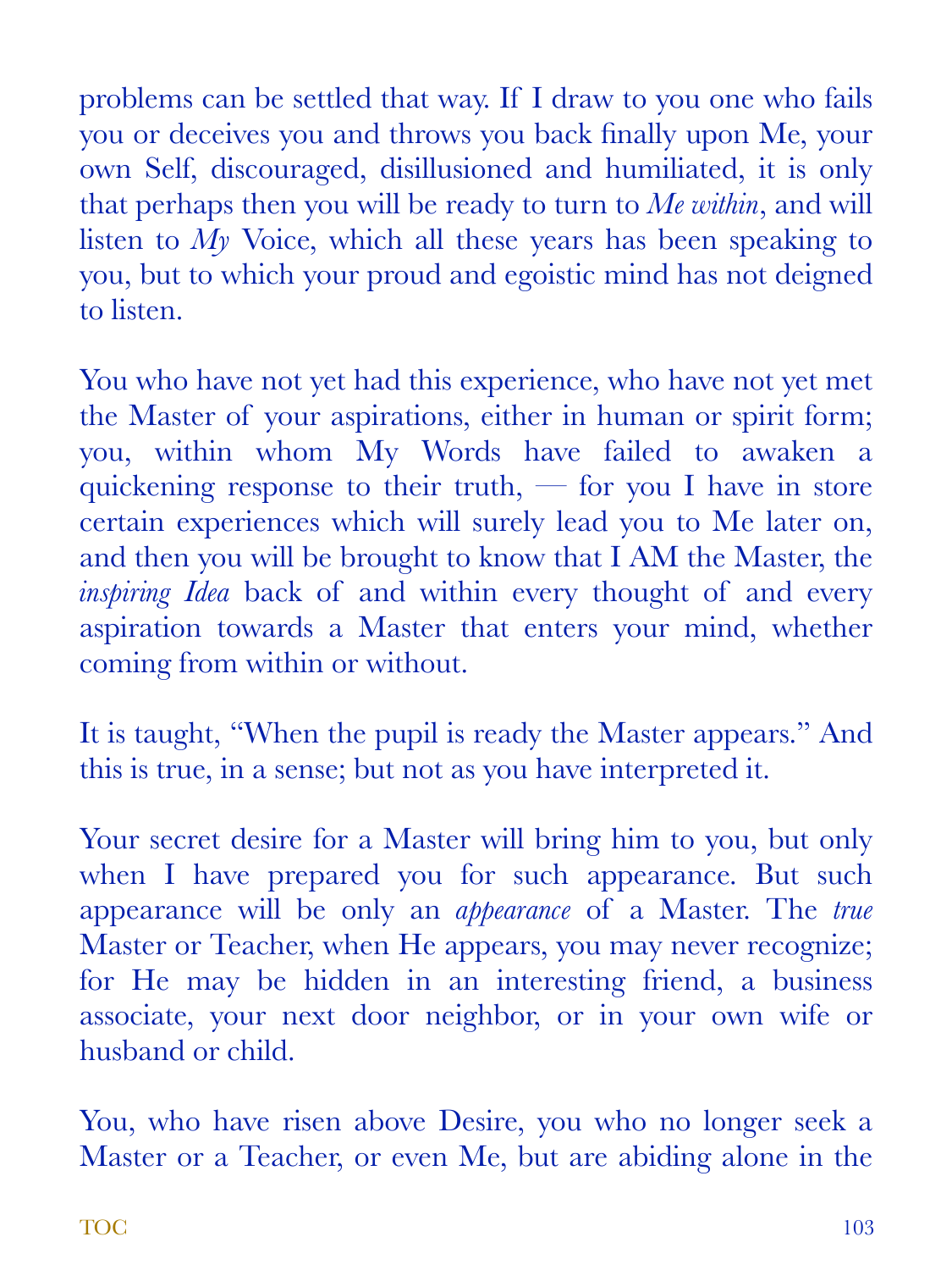problems can be settled that way. If I draw to you one who fails you or deceives you and throws you back finally upon Me, your own Self, discouraged, disillusioned and humiliated, it is only that perhaps then you will be ready to turn to *Me within*, and will listen to *My* Voice, which all these years has been speaking to you, but to which your proud and egoistic mind has not deigned to listen.

You who have not yet had this experience, who have not yet met the Master of your aspirations, either in human or spirit form; you, within whom My Words have failed to awaken a quickening response to their truth,  $-$  for you I have in store certain experiences which will surely lead you to Me later on, and then you will be brought to know that I AM the Master, the *inspiring Idea* back of and within every thought of and every aspiration towards a Master that enters your mind, whether coming from within or without.

It is taught, "When the pupil is ready the Master appears." And this is true, in a sense; but not as you have interpreted it.

Your secret desire for a Master will bring him to you, but only when I have prepared you for such appearance. But such appearance will be only an *appearance* of a Master. The *true* Master or Teacher, when He appears, you may never recognize; for He may be hidden in an interesting friend, a business associate, your next door neighbor, or in your own wife or husband or child.

You, who have risen above Desire, you who no longer seek a Master or a Teacher, or even Me, but are abiding alone in the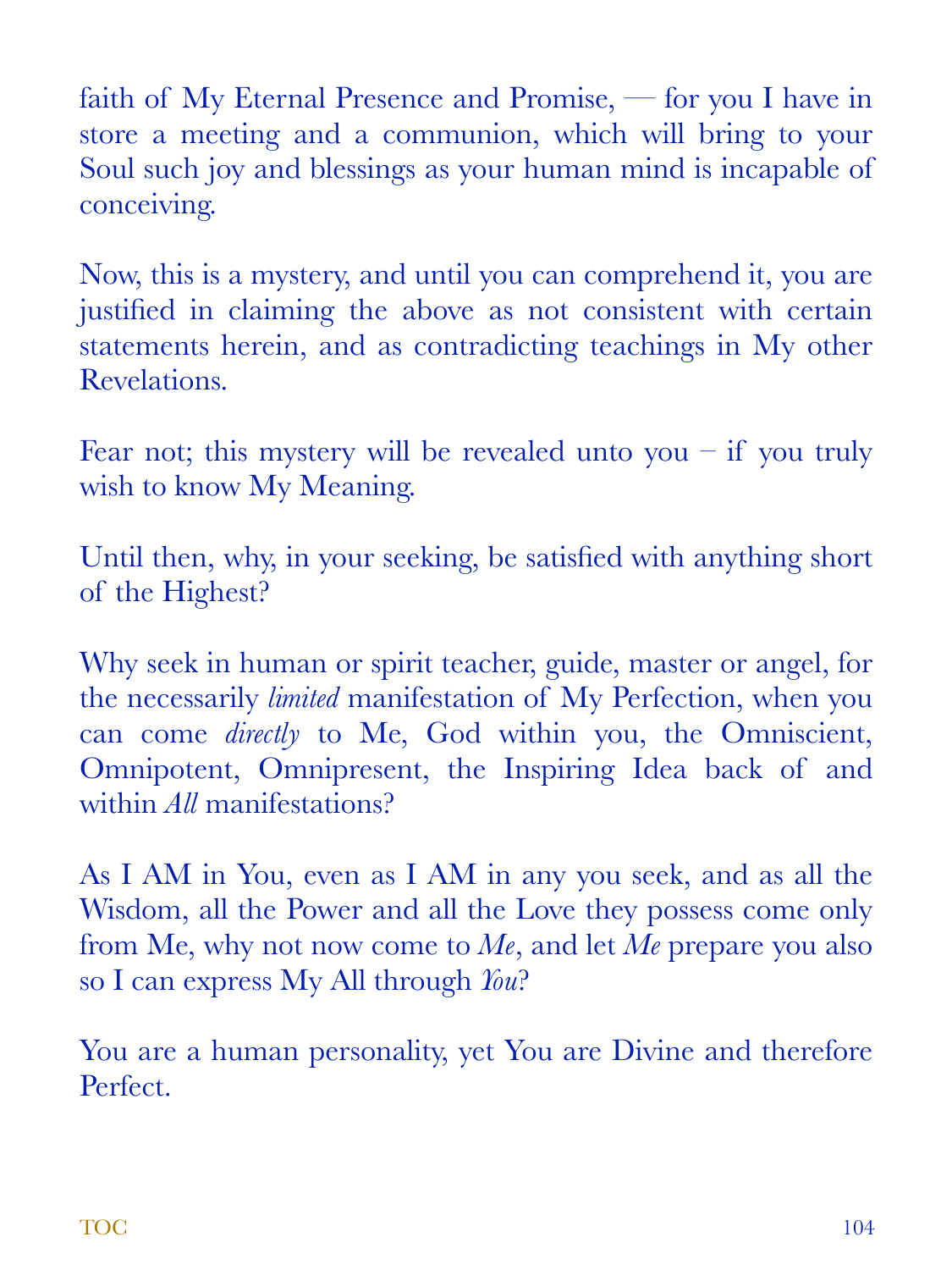faith of My Eternal Presence and Promise, — for you I have in store a meeting and a communion, which will bring to your Soul such joy and blessings as your human mind is incapable of conceiving.

Now, this is a mystery, and until you can comprehend it, you are justified in claiming the above as not consistent with certain statements herein, and as contradicting teachings in My other Revelations.

Fear not; this mystery will be revealed unto you  $-$  if you truly wish to know My Meaning.

Until then, why, in your seeking, be satisfied with anything short of the Highest?

Why seek in human or spirit teacher, guide, master or angel, for the necessarily *limited* manifestation of My Perfection, when you can come *directly* to Me, God within you, the Omniscient, Omnipotent, Omnipresent, the Inspiring Idea back of and within *All* manifestations?

As I AM in You, even as I AM in any you seek, and as all the Wisdom, all the Power and all the Love they possess come only from Me, why not now come to *Me*, and let *Me* prepare you also so I can express My All through *You*?

You are a human personality, yet You are Divine and therefore Perfect.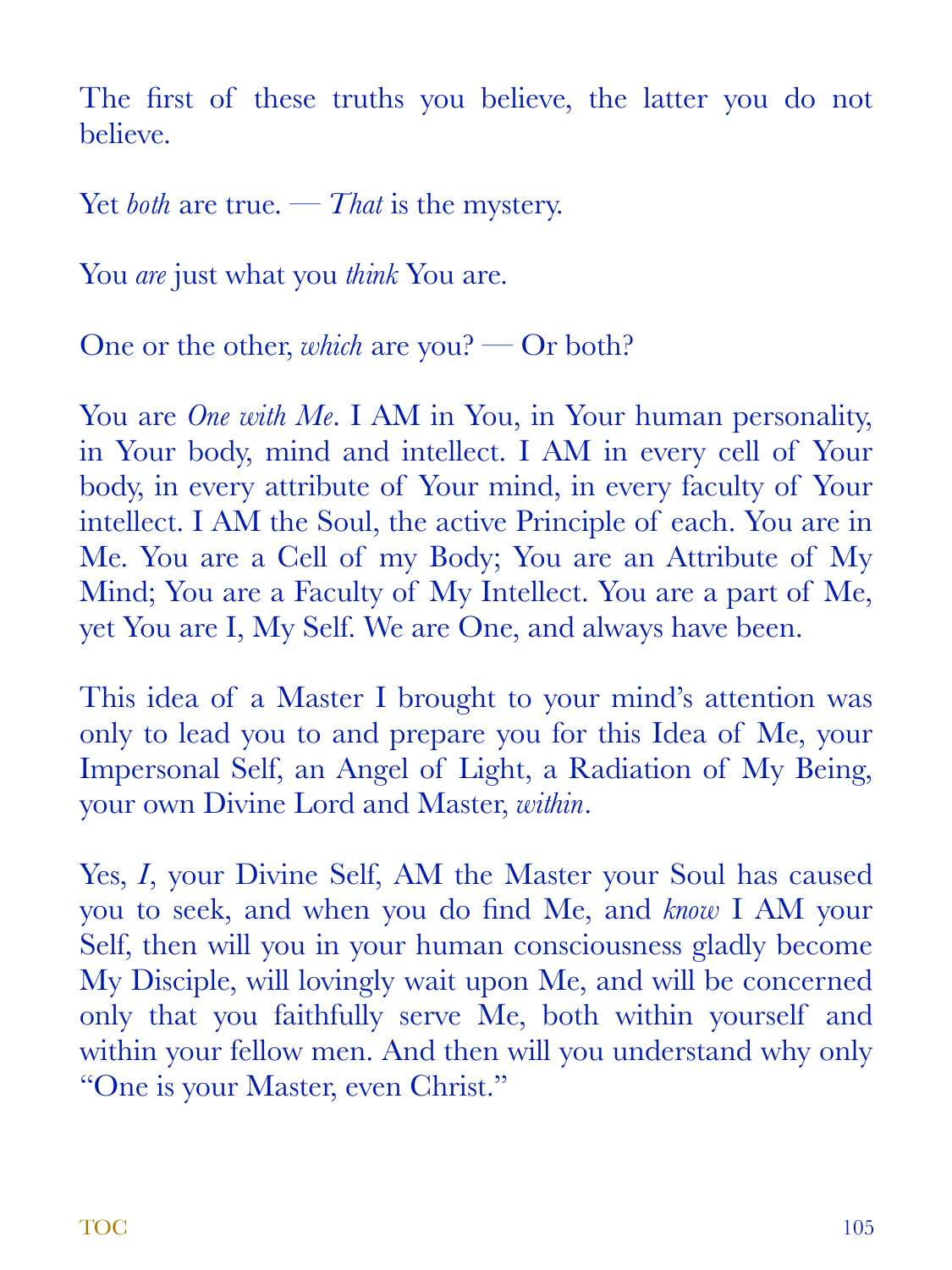The first of these truths you believe, the latter you do not believe.

Yet *both* are true. — *That* is the mystery.

You *are* just what you *think* You are.

One or the other, *which* are you? — Or both?

You are *One with Me*. I AM in You, in Your human personality, in Your body, mind and intellect. I AM in every cell of Your body, in every attribute of Your mind, in every faculty of Your intellect. I AM the Soul, the active Principle of each. You are in Me. You are a Cell of my Body; You are an Attribute of My Mind; You are a Faculty of My Intellect. You are a part of Me, yet You are I, My Self. We are One, and always have been.

This idea of a Master I brought to your mind's attention was only to lead you to and prepare you for this Idea of Me, your Impersonal Self, an Angel of Light, a Radiation of My Being, your own Divine Lord and Master, *within*.

Yes, *I*, your Divine Self, AM the Master your Soul has caused you to seek, and when you do find Me, and *know* I AM your Self, then will you in your human consciousness gladly become My Disciple, will lovingly wait upon Me, and will be concerned only that you faithfully serve Me, both within yourself and within your fellow men. And then will you understand why only "One is your Master, even Christ."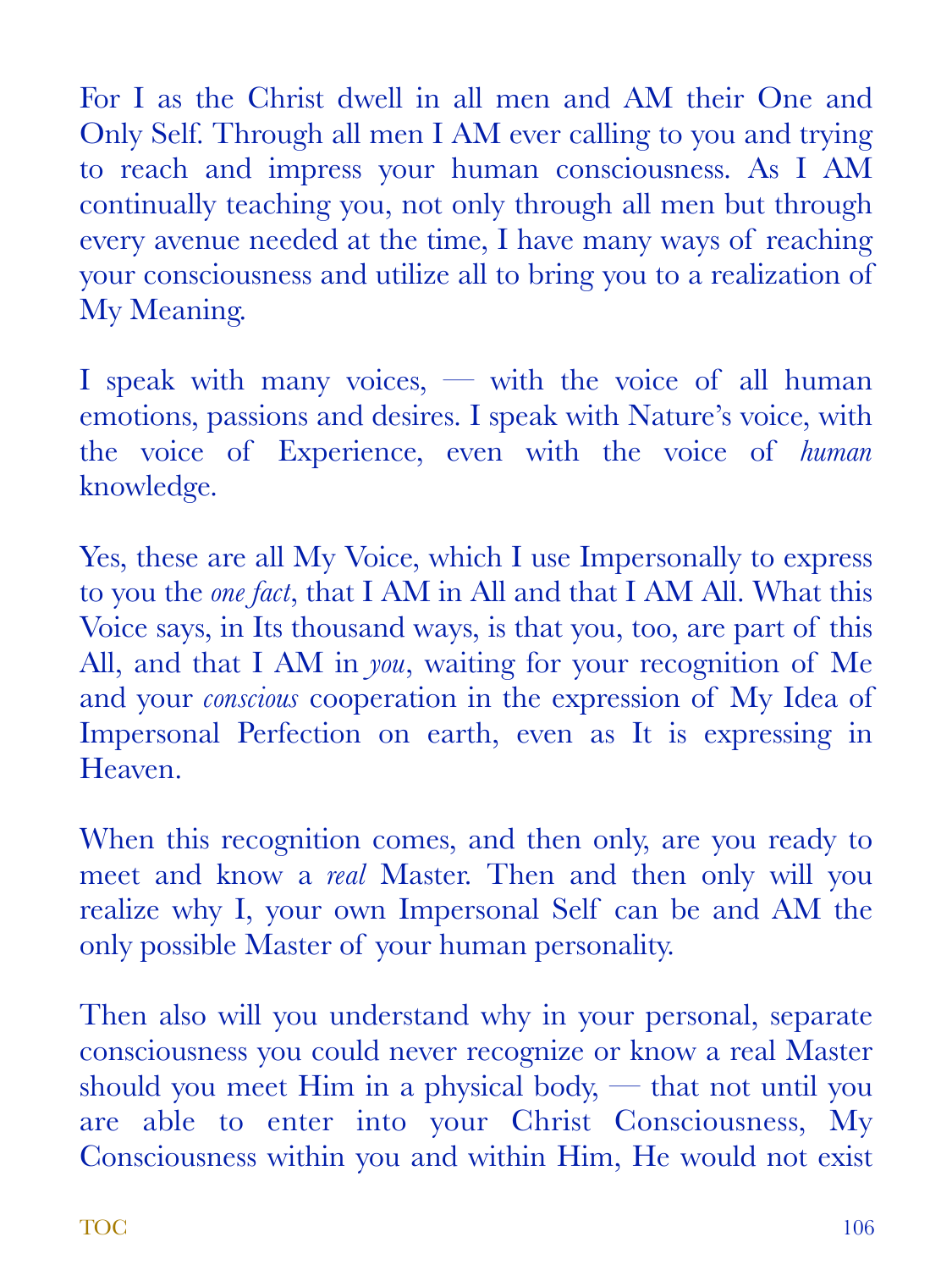For I as the Christ dwell in all men and AM their One and Only Self. Through all men I AM ever calling to you and trying to reach and impress your human consciousness. As I AM continually teaching you, not only through all men but through every avenue needed at the time, I have many ways of reaching your consciousness and utilize all to bring you to a realization of My Meaning.

I speak with many voices, — with the voice of all human emotions, passions and desires. I speak with Nature's voice, with the voice of Experience, even with the voice of *human* knowledge.

Yes, these are all My Voice, which I use Impersonally to express to you the *one fact*, that I AM in All and that I AM All. What this Voice says, in Its thousand ways, is that you, too, are part of this All, and that I AM in *you*, waiting for your recognition of Me and your *conscious* cooperation in the expression of My Idea of Impersonal Perfection on earth, even as It is expressing in Heaven.

When this recognition comes, and then only, are you ready to meet and know a *real* Master. Then and then only will you realize why I, your own Impersonal Self can be and AM the only possible Master of your human personality.

Then also will you understand why in your personal, separate consciousness you could never recognize or know a real Master should you meet Him in a physical body,  $-$  that not until you are able to enter into your Christ Consciousness, My Consciousness within you and within Him, He would not exist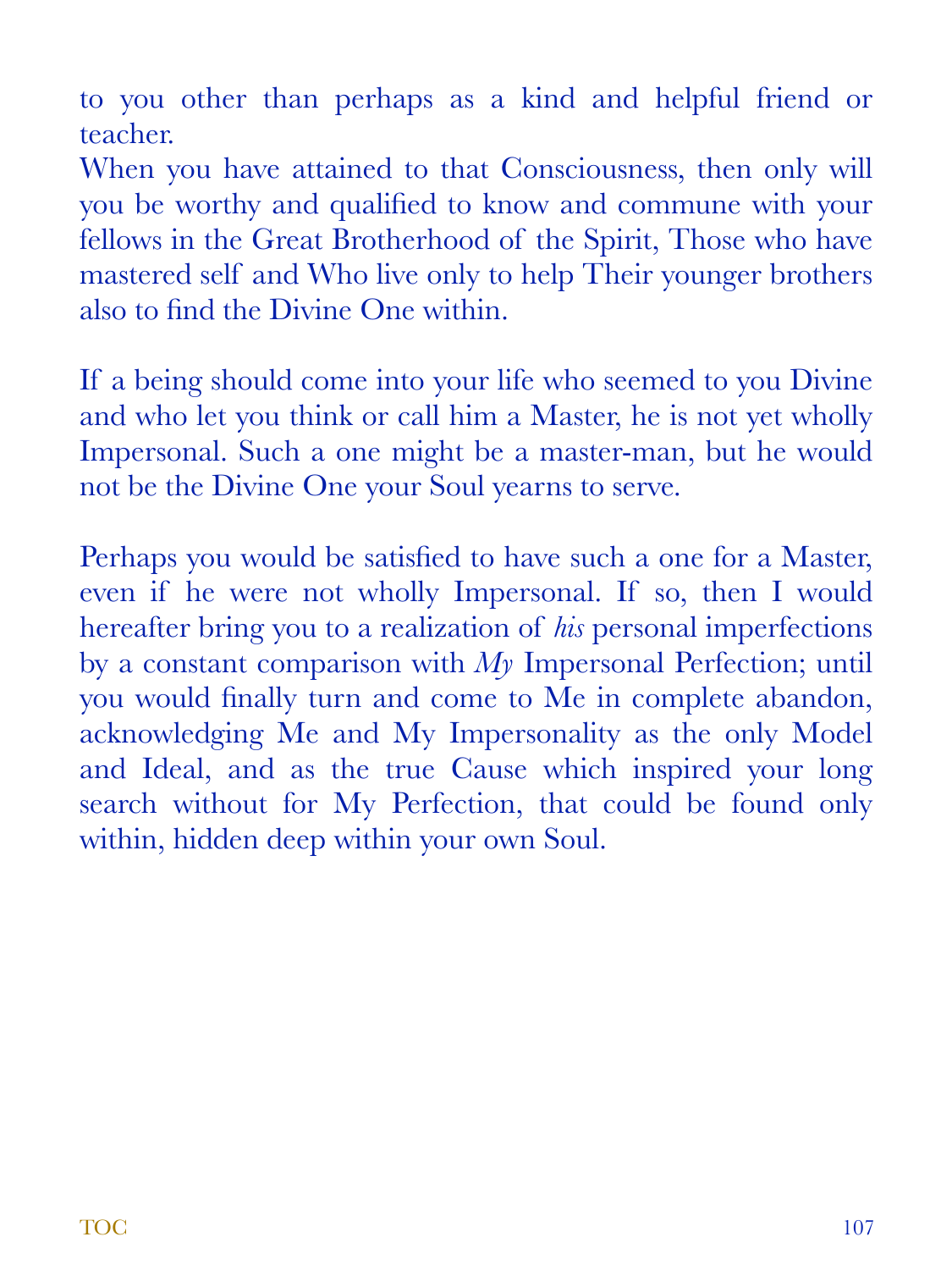to you other than perhaps as a kind and helpful friend or teacher.

When you have attained to that Consciousness, then only will you be worthy and qualified to know and commune with your fellows in the Great Brotherhood of the Spirit, Those who have mastered self and Who live only to help Their younger brothers also to find the Divine One within.

If a being should come into your life who seemed to you Divine and who let you think or call him a Master, he is not yet wholly Impersonal. Such a one might be a master-man, but he would not be the Divine One your Soul yearns to serve.

Perhaps you would be satisfied to have such a one for a Master, even if he were not wholly Impersonal. If so, then I would hereafter bring you to a realization of *his* personal imperfections by a constant comparison with *My* Impersonal Perfection; until you would finally turn and come to Me in complete abandon, acknowledging Me and My Impersonality as the only Model and Ideal, and as the true Cause which inspired your long search without for My Perfection, that could be found only within, hidden deep within your own Soul.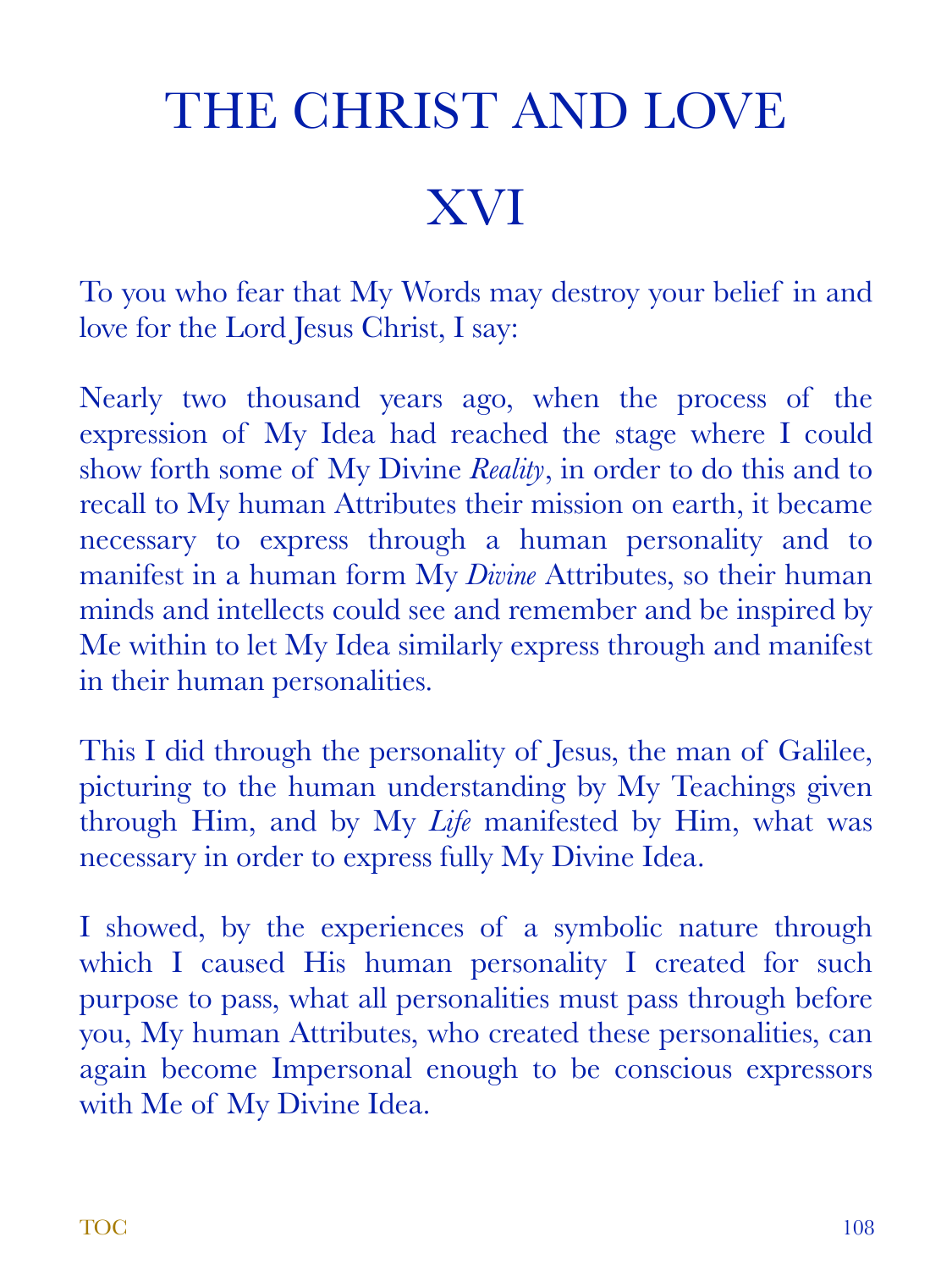## THE CHRIST AND LOVE

## XVI

To you who fear that My Words may destroy your belief in and love for the Lord Jesus Christ, I say:

Nearly two thousand years ago, when the process of the expression of My Idea had reached the stage where I could show forth some of My Divine *Reality*, in order to do this and to recall to My human Attributes their mission on earth, it became necessary to express through a human personality and to manifest in a human form My *Divine* Attributes, so their human minds and intellects could see and remember and be inspired by Me within to let My Idea similarly express through and manifest in their human personalities.

This I did through the personality of Jesus, the man of Galilee, picturing to the human understanding by My Teachings given through Him, and by My *Life* manifested by Him, what was necessary in order to express fully My Divine Idea.

I showed, by the experiences of a symbolic nature through which I caused His human personality I created for such purpose to pass, what all personalities must pass through before you, My human Attributes, who created these personalities, can again become Impersonal enough to be conscious expressors with Me of My Divine Idea.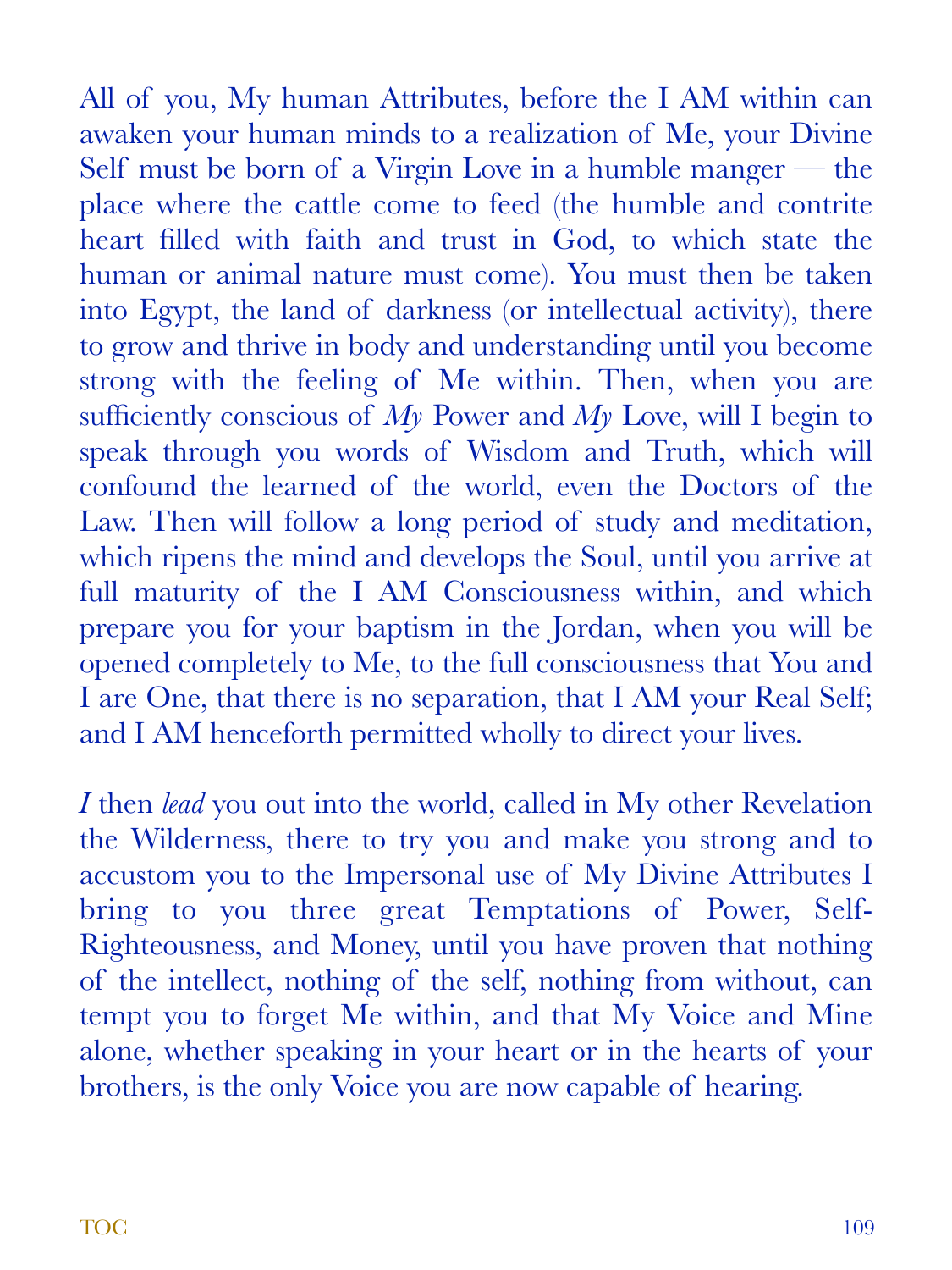All of you, My human Attributes, before the I AM within can awaken your human minds to a realization of Me, your Divine Self must be born of a Virgin Love in a humble manger  $-$  the place where the cattle come to feed (the humble and contrite heart filled with faith and trust in God, to which state the human or animal nature must come). You must then be taken into Egypt, the land of darkness (or intellectual activity), there to grow and thrive in body and understanding until you become strong with the feeling of Me within. Then, when you are sufficiently conscious of *My* Power and *My* Love, will I begin to speak through you words of Wisdom and Truth, which will confound the learned of the world, even the Doctors of the Law. Then will follow a long period of study and meditation, which ripens the mind and develops the Soul, until you arrive at full maturity of the I AM Consciousness within, and which prepare you for your baptism in the Jordan, when you will be opened completely to Me, to the full consciousness that You and I are One, that there is no separation, that I AM your Real Self; and I AM henceforth permitted wholly to direct your lives.

*I* then *lead* you out into the world, called in My other Revelation the Wilderness, there to try you and make you strong and to accustom you to the Impersonal use of My Divine Attributes I bring to you three great Temptations of Power, Self-Righteousness, and Money, until you have proven that nothing of the intellect, nothing of the self, nothing from without, can tempt you to forget Me within, and that My Voice and Mine alone, whether speaking in your heart or in the hearts of your brothers, is the only Voice you are now capable of hearing.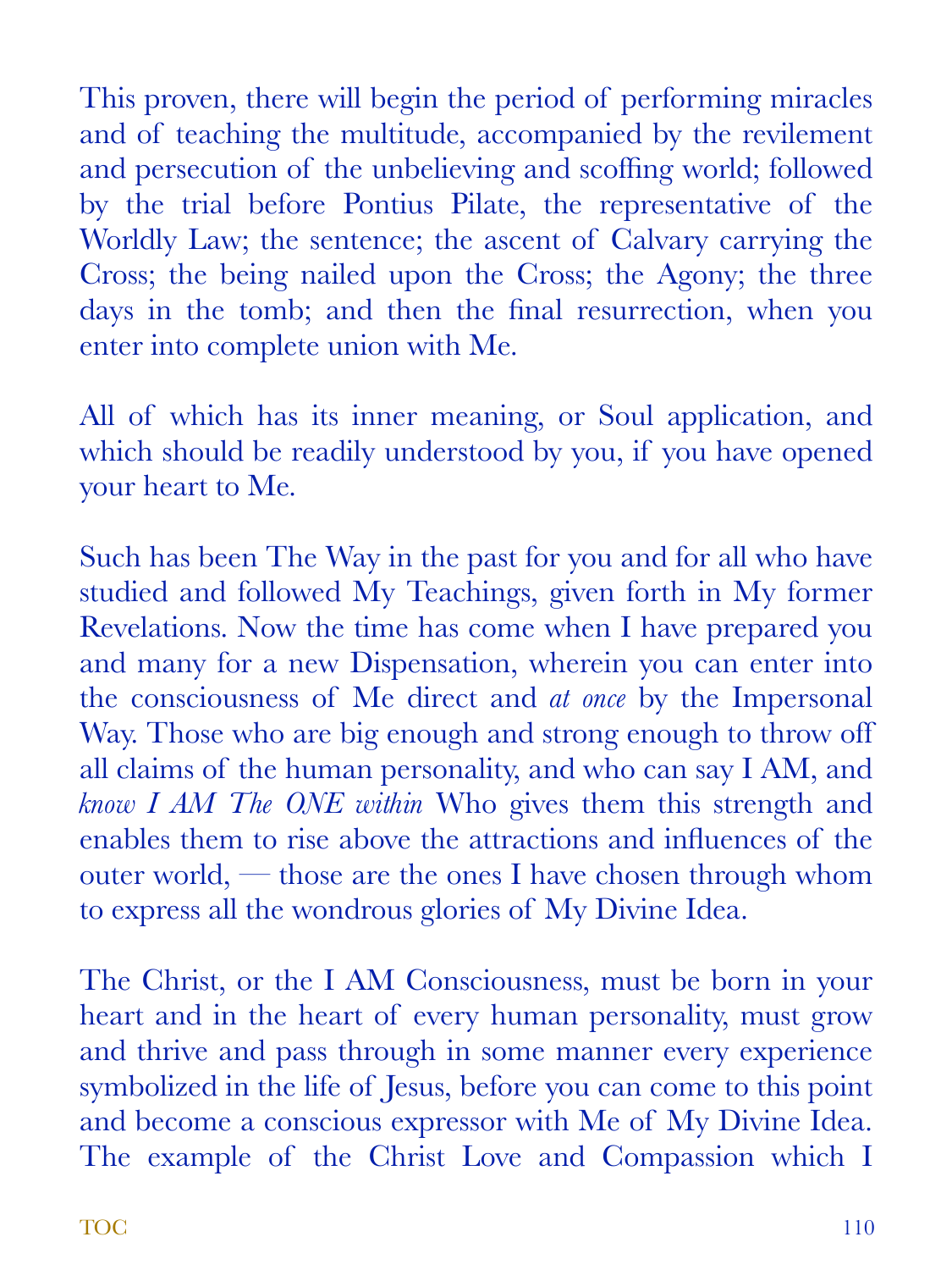This proven, there will begin the period of performing miracles and of teaching the multitude, accompanied by the revilement and persecution of the unbelieving and scoffing world; followed by the trial before Pontius Pilate, the representative of the Worldly Law; the sentence; the ascent of Calvary carrying the Cross; the being nailed upon the Cross; the Agony; the three days in the tomb; and then the final resurrection, when you enter into complete union with Me.

All of which has its inner meaning, or Soul application, and which should be readily understood by you, if you have opened your heart to Me.

Such has been The Way in the past for you and for all who have studied and followed My Teachings, given forth in My former Revelations. Now the time has come when I have prepared you and many for a new Dispensation, wherein you can enter into the consciousness of Me direct and *at once* by the Impersonal Way. Those who are big enough and strong enough to throw off all claims of the human personality, and who can say I AM, and *know I AM The ONE within* Who gives them this strength and enables them to rise above the attractions and influences of the outer world, — those are the ones I have chosen through whom to express all the wondrous glories of My Divine Idea.

The Christ, or the I AM Consciousness, must be born in your heart and in the heart of every human personality, must grow and thrive and pass through in some manner every experience symbolized in the life of Jesus, before you can come to this point and become a conscious expressor with Me of My Divine Idea. The example of the Christ Love and Compassion which I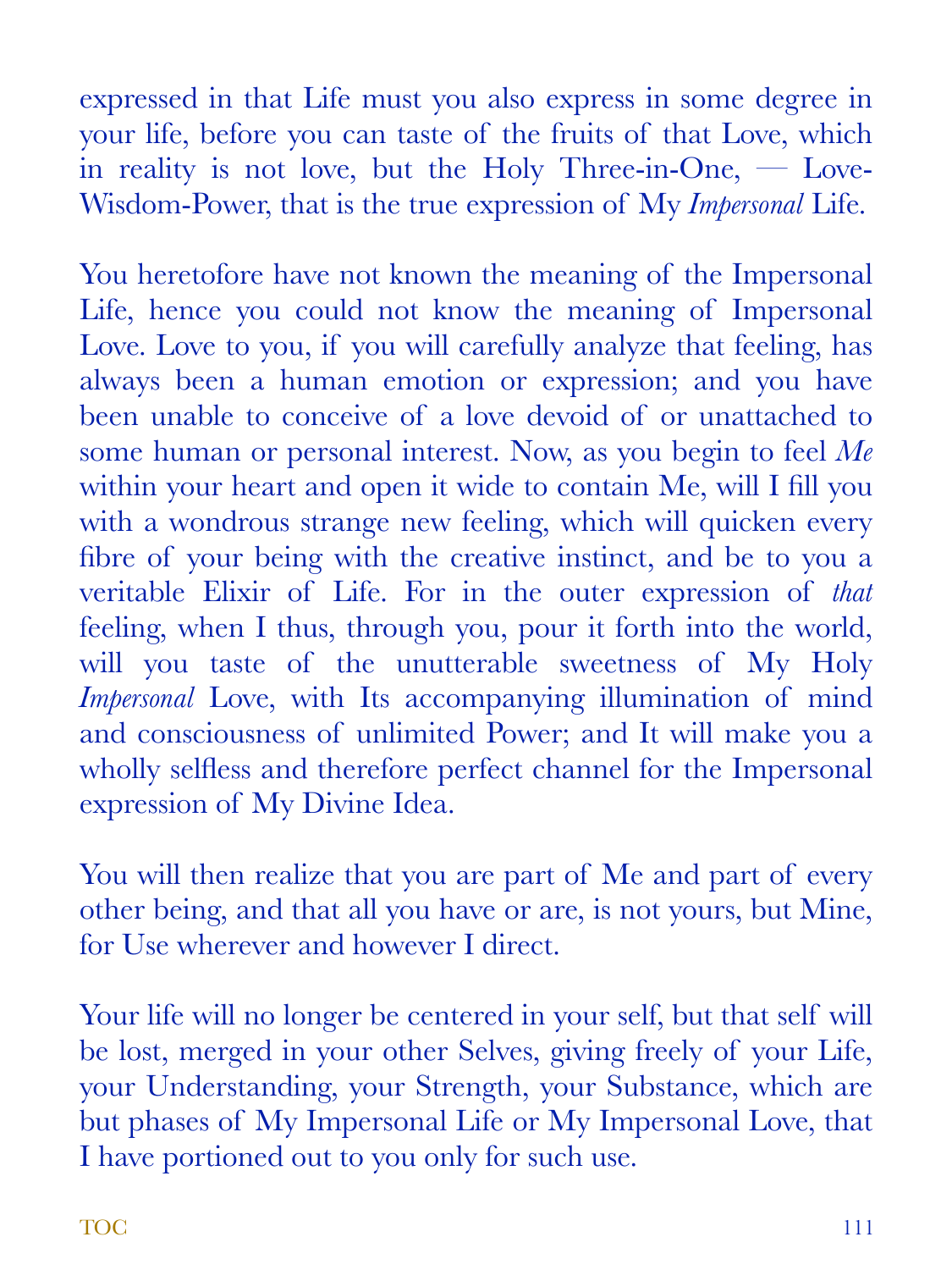expressed in that Life must you also express in some degree in your life, before you can taste of the fruits of that Love, which in reality is not love, but the Holy Three-in-One, — Love-Wisdom-Power, that is the true expression of My *Impersonal* Life.

You heretofore have not known the meaning of the Impersonal Life, hence you could not know the meaning of Impersonal Love. Love to you, if you will carefully analyze that feeling, has always been a human emotion or expression; and you have been unable to conceive of a love devoid of or unattached to some human or personal interest. Now, as you begin to feel *Me* within your heart and open it wide to contain Me, will I fill you with a wondrous strange new feeling, which will quicken every fibre of your being with the creative instinct, and be to you a veritable Elixir of Life. For in the outer expression of *that* feeling, when I thus, through you, pour it forth into the world, will you taste of the unutterable sweetness of My Holy *Impersonal* Love, with Its accompanying illumination of mind and consciousness of unlimited Power; and It will make you a wholly selfless and therefore perfect channel for the Impersonal expression of My Divine Idea.

You will then realize that you are part of Me and part of every other being, and that all you have or are, is not yours, but Mine, for Use wherever and however I direct.

Your life will no longer be centered in your self, but that self will be lost, merged in your other Selves, giving freely of your Life, your Understanding, your Strength, your Substance, which are but phases of My Impersonal Life or My Impersonal Love, that I have portioned out to you only for such use.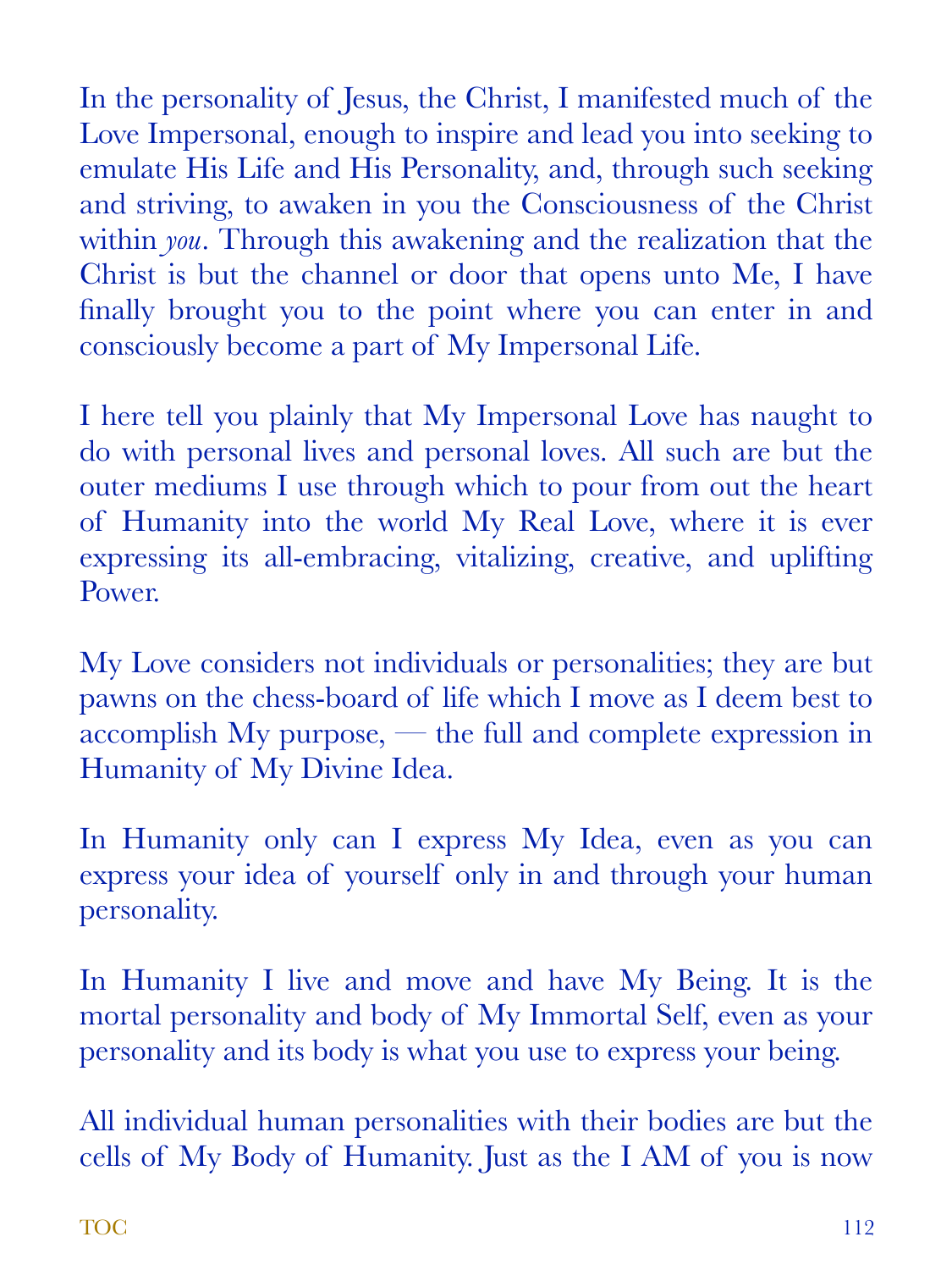In the personality of Jesus, the Christ, I manifested much of the Love Impersonal, enough to inspire and lead you into seeking to emulate His Life and His Personality, and, through such seeking and striving, to awaken in you the Consciousness of the Christ within *you*. Through this awakening and the realization that the Christ is but the channel or door that opens unto Me, I have finally brought you to the point where you can enter in and consciously become a part of My Impersonal Life.

I here tell you plainly that My Impersonal Love has naught to do with personal lives and personal loves. All such are but the outer mediums I use through which to pour from out the heart of Humanity into the world My Real Love, where it is ever expressing its all-embracing, vitalizing, creative, and uplifting Power.

My Love considers not individuals or personalities; they are but pawns on the chess-board of life which I move as I deem best to accomplish My purpose, — the full and complete expression in Humanity of My Divine Idea.

In Humanity only can I express My Idea, even as you can express your idea of yourself only in and through your human personality.

In Humanity I live and move and have My Being. It is the mortal personality and body of My Immortal Self, even as your personality and its body is what you use to express your being.

All individual human personalities with their bodies are but the cells of My Body of Humanity. Just as the I AM of you is now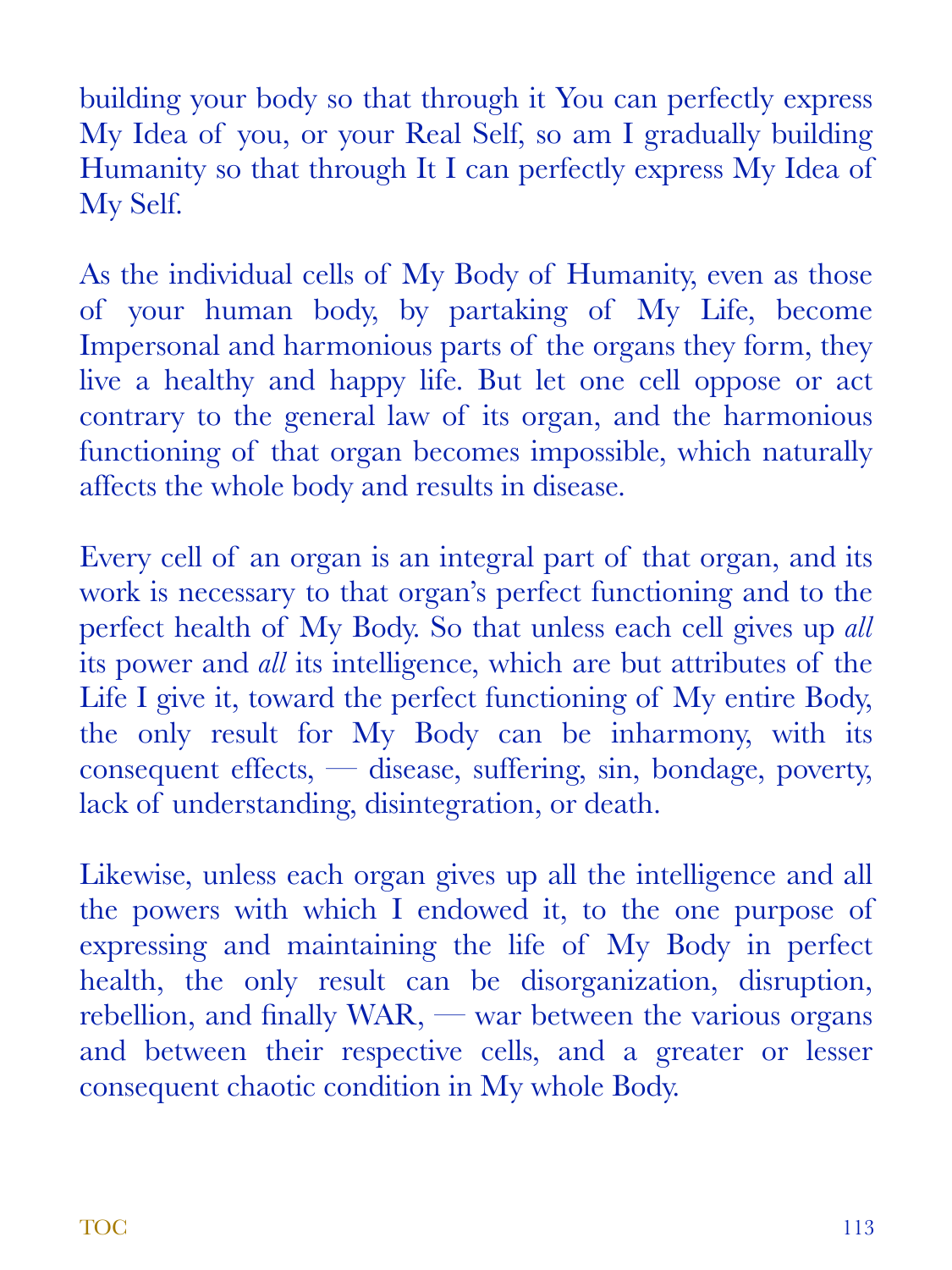building your body so that through it You can perfectly express My Idea of you, or your Real Self, so am I gradually building Humanity so that through It I can perfectly express My Idea of My Self.

As the individual cells of My Body of Humanity, even as those of your human body, by partaking of My Life, become Impersonal and harmonious parts of the organs they form, they live a healthy and happy life. But let one cell oppose or act contrary to the general law of its organ, and the harmonious functioning of that organ becomes impossible, which naturally affects the whole body and results in disease.

Every cell of an organ is an integral part of that organ, and its work is necessary to that organ's perfect functioning and to the perfect health of My Body. So that unless each cell gives up *all* its power and *all* its intelligence, which are but attributes of the Life I give it, toward the perfect functioning of My entire Body, the only result for My Body can be inharmony, with its consequent effects, — disease, suffering, sin, bondage, poverty, lack of understanding, disintegration, or death.

Likewise, unless each organ gives up all the intelligence and all the powers with which I endowed it, to the one purpose of expressing and maintaining the life of My Body in perfect health, the only result can be disorganization, disruption, rebellion, and finally WAR, — war between the various organs and between their respective cells, and a greater or lesser consequent chaotic condition in My whole Body.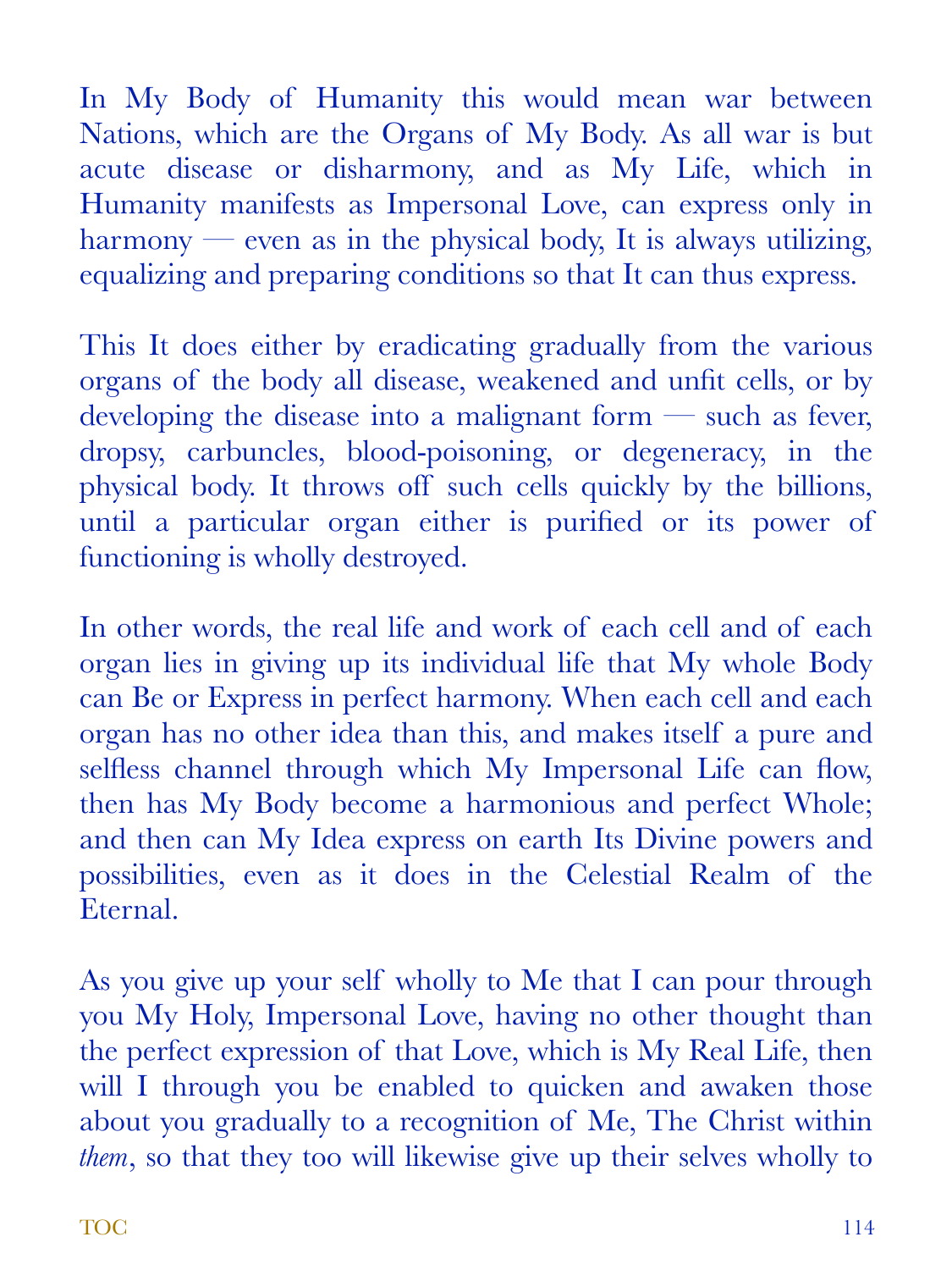In My Body of Humanity this would mean war between Nations, which are the Organs of My Body. As all war is but acute disease or disharmony, and as My Life, which in Humanity manifests as Impersonal Love, can express only in harmony — even as in the physical body, It is always utilizing, equalizing and preparing conditions so that It can thus express.

This It does either by eradicating gradually from the various organs of the body all disease, weakened and unfit cells, or by developing the disease into a malignant form — such as fever, dropsy, carbuncles, blood-poisoning, or degeneracy, in the physical body. It throws off such cells quickly by the billions, until a particular organ either is purified or its power of functioning is wholly destroyed.

In other words, the real life and work of each cell and of each organ lies in giving up its individual life that My whole Body can Be or Express in perfect harmony. When each cell and each organ has no other idea than this, and makes itself a pure and selfless channel through which My Impersonal Life can flow, then has My Body become a harmonious and perfect Whole; and then can My Idea express on earth Its Divine powers and possibilities, even as it does in the Celestial Realm of the Eternal.

As you give up your self wholly to Me that I can pour through you My Holy, Impersonal Love, having no other thought than the perfect expression of that Love, which is My Real Life, then will I through you be enabled to quicken and awaken those about you gradually to a recognition of Me, The Christ within *them*, so that they too will likewise give up their selves wholly to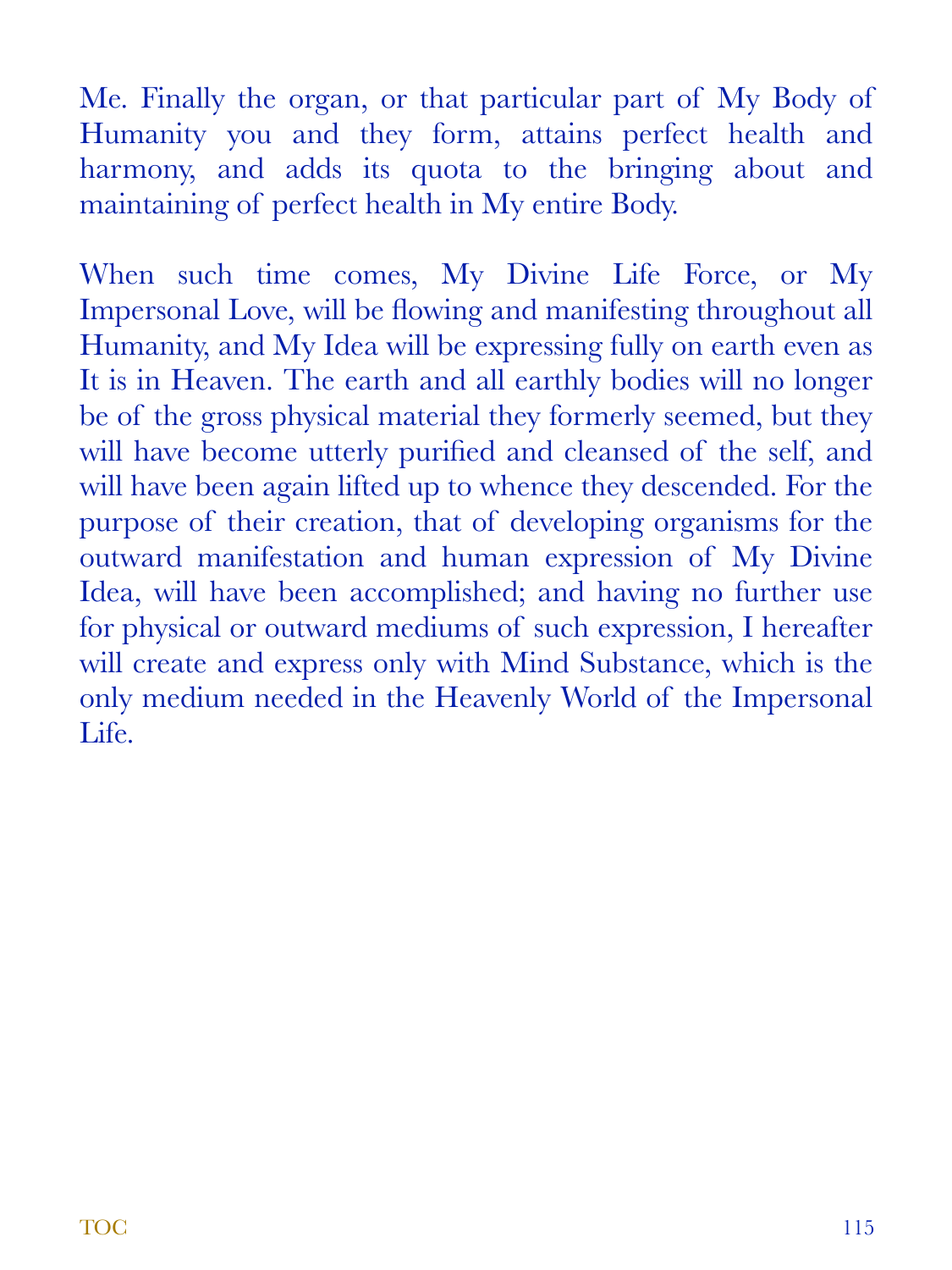Me. Finally the organ, or that particular part of My Body of Humanity you and they form, attains perfect health and harmony, and adds its quota to the bringing about and maintaining of perfect health in My entire Body.

When such time comes, My Divine Life Force, or My Impersonal Love, will be flowing and manifesting throughout all Humanity, and My Idea will be expressing fully on earth even as It is in Heaven. The earth and all earthly bodies will no longer be of the gross physical material they formerly seemed, but they will have become utterly purified and cleansed of the self, and will have been again lifted up to whence they descended. For the purpose of their creation, that of developing organisms for the outward manifestation and human expression of My Divine Idea, will have been accomplished; and having no further use for physical or outward mediums of such expression, I hereafter will create and express only with Mind Substance, which is the only medium needed in the Heavenly World of the Impersonal Life.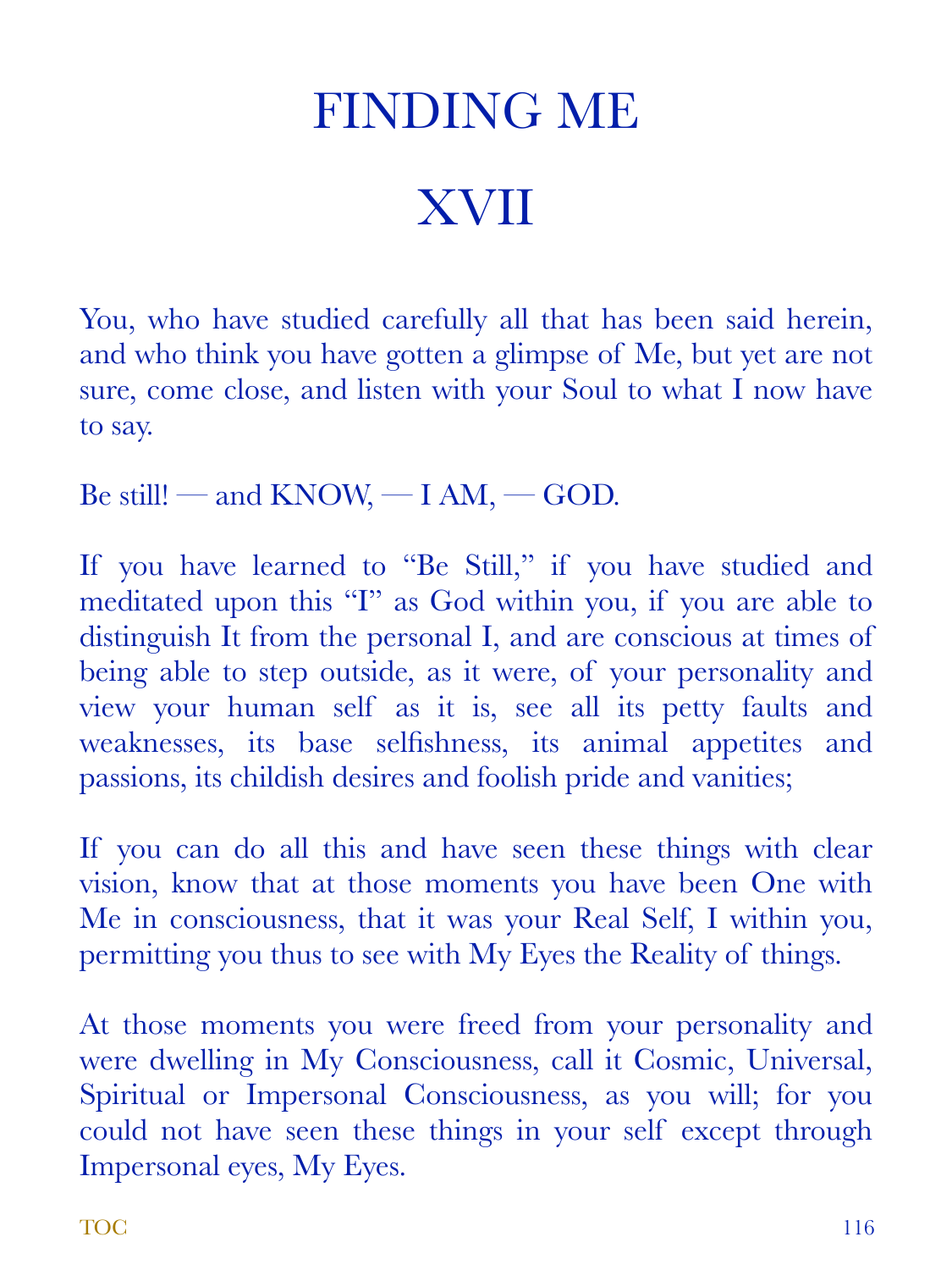## FINDING ME XVII

You, who have studied carefully all that has been said herein, and who think you have gotten a glimpse of Me, but yet are not sure, come close, and listen with your Soul to what I now have to say.

Be still! — and KNOW, — I AM, — GOD.

If you have learned to "Be Still," if you have studied and meditated upon this "I" as God within you, if you are able to distinguish It from the personal I, and are conscious at times of being able to step outside, as it were, of your personality and view your human self as it is, see all its petty faults and weaknesses, its base selfishness, its animal appetites and passions, its childish desires and foolish pride and vanities;

If you can do all this and have seen these things with clear vision, know that at those moments you have been One with Me in consciousness, that it was your Real Self, I within you, permitting you thus to see with My Eyes the Reality of things.

At those moments you were freed from your personality and were dwelling in My Consciousness, call it Cosmic, Universal, Spiritual or Impersonal Consciousness, as you will; for you could not have seen these things in your self except through Impersonal eyes, My Eyes.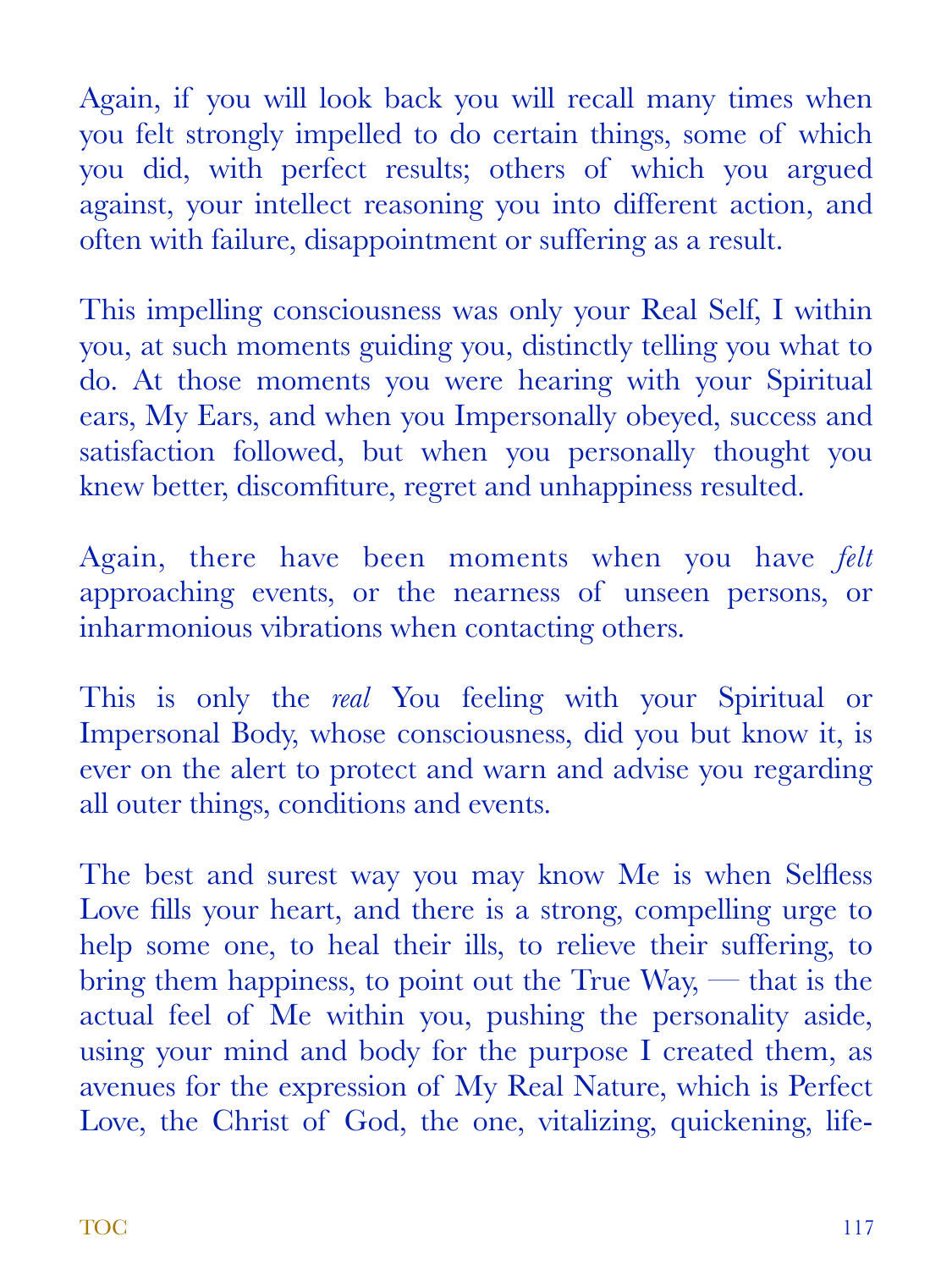Again, if you will look back you will recall many times when you felt strongly impelled to do certain things, some of which you did, with perfect results; others of which you argued against, your intellect reasoning you into different action, and often with failure, disappointment or suffering as a result.

This impelling consciousness was only your Real Self, I within you, at such moments guiding you, distinctly telling you what to do. At those moments you were hearing with your Spiritual ears, My Ears, and when you Impersonally obeyed, success and satisfaction followed, but when you personally thought you knew better, discomfiture, regret and unhappiness resulted.

Again, there have been moments when you have *felt* approaching events, or the nearness of unseen persons, or inharmonious vibrations when contacting others.

This is only the *real* You feeling with your Spiritual or Impersonal Body, whose consciousness, did you but know it, is ever on the alert to protect and warn and advise you regarding all outer things, conditions and events.

The best and surest way you may know Me is when Selfless Love fills your heart, and there is a strong, compelling urge to help some one, to heal their ills, to relieve their suffering, to bring them happiness, to point out the True  $\text{Way}$ ,  $\text{Hax}$  that is the actual feel of Me within you, pushing the personality aside, using your mind and body for the purpose I created them, as avenues for the expression of My Real Nature, which is Perfect Love, the Christ of God, the one, vitalizing, quickening, life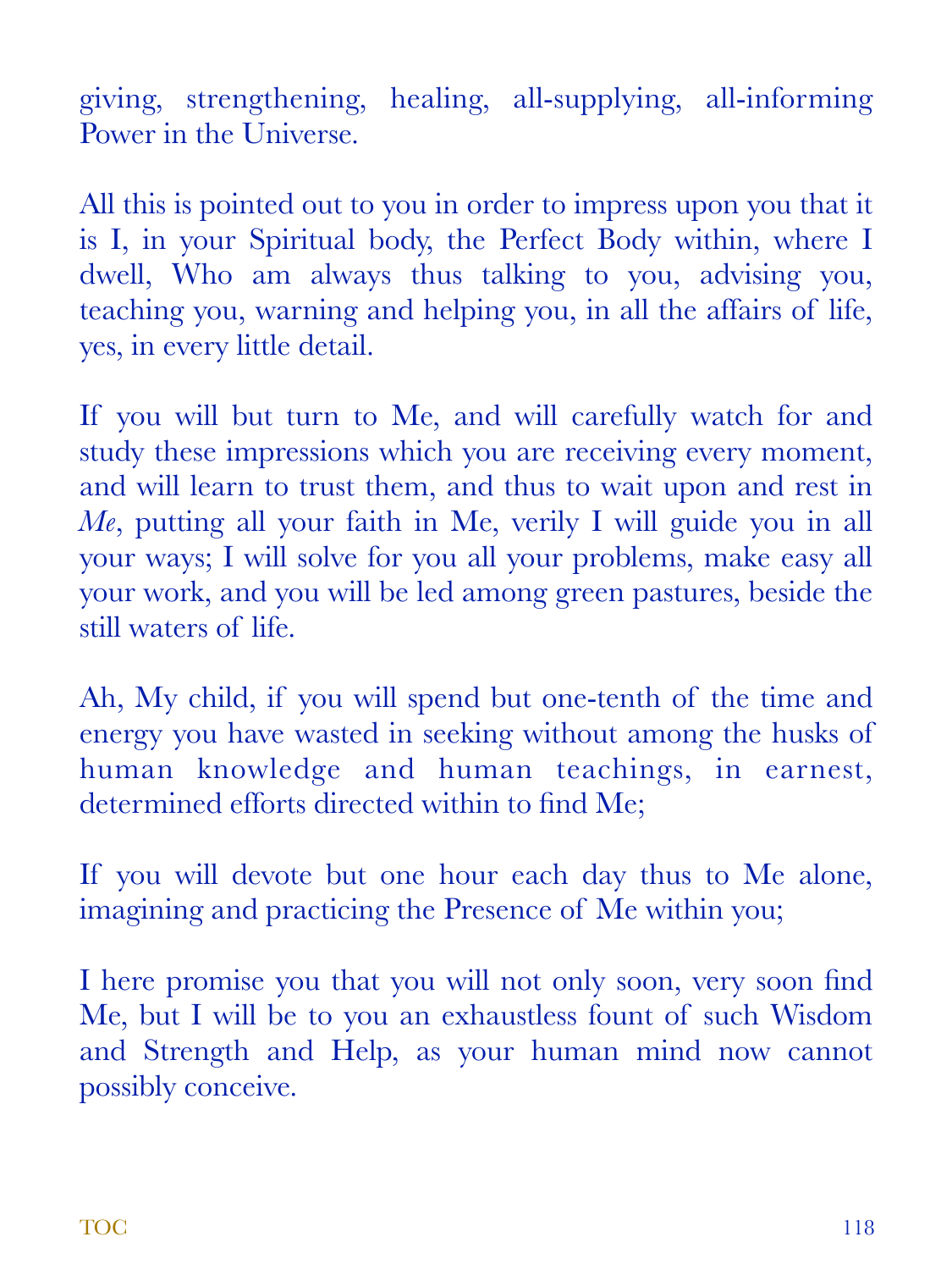giving, strengthening, healing, all-supplying, all-informing Power in the Universe.

All this is pointed out to you in order to impress upon you that it is I, in your Spiritual body, the Perfect Body within, where I dwell, Who am always thus talking to you, advising you, teaching you, warning and helping you, in all the affairs of life, yes, in every little detail.

If you will but turn to Me, and will carefully watch for and study these impressions which you are receiving every moment, and will learn to trust them, and thus to wait upon and rest in *Me*, putting all your faith in Me, verily I will guide you in all your ways; I will solve for you all your problems, make easy all your work, and you will be led among green pastures, beside the still waters of life.

Ah, My child, if you will spend but one-tenth of the time and energy you have wasted in seeking without among the husks of human knowledge and human teachings, in earnest, determined efforts directed within to find Me;

If you will devote but one hour each day thus to Me alone, imagining and practicing the Presence of Me within you;

I here promise you that you will not only soon, very soon find Me, but I will be to you an exhaustless fount of such Wisdom and Strength and Help, as your human mind now cannot possibly conceive.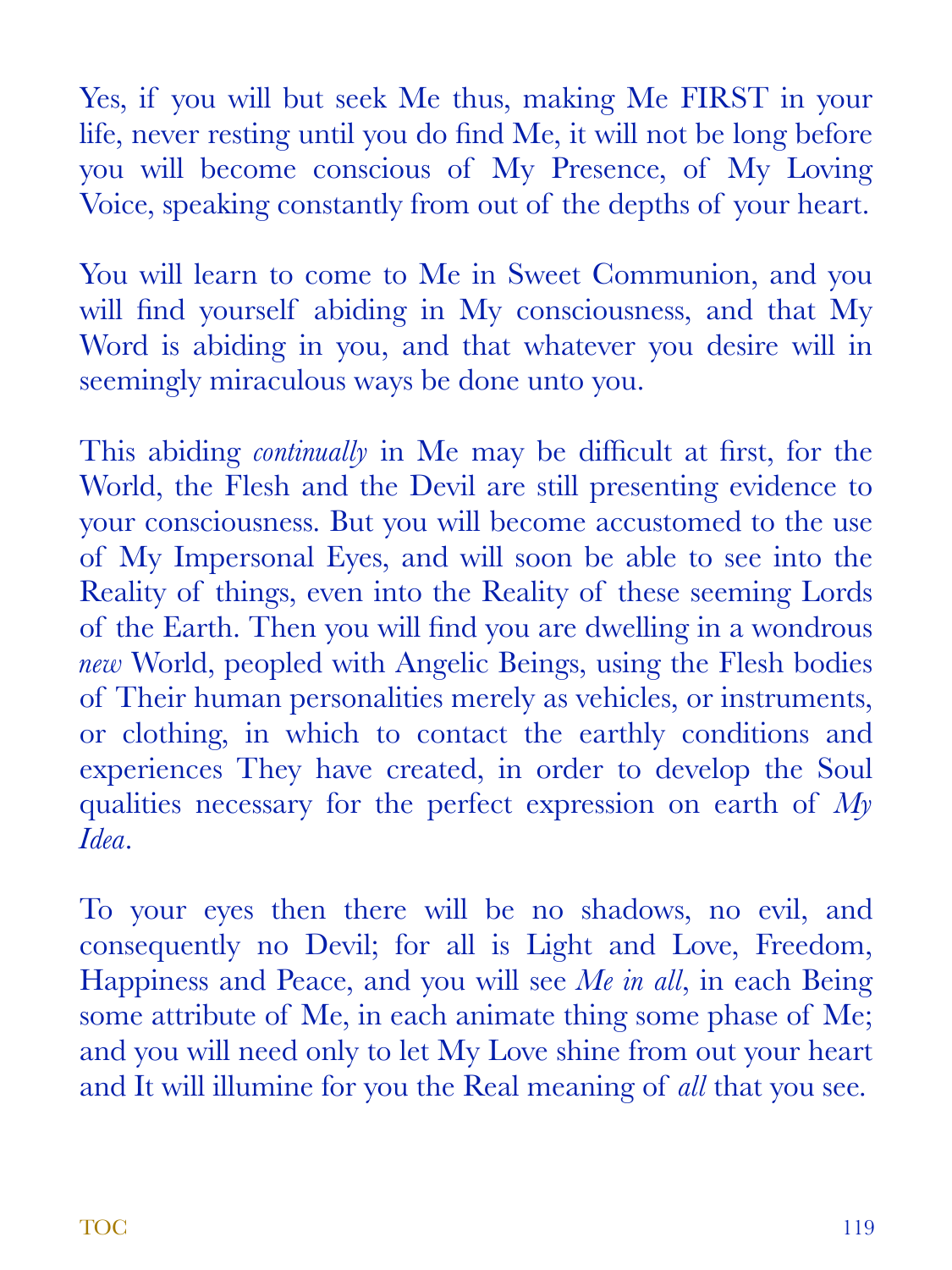Yes, if you will but seek Me thus, making Me FIRST in your life, never resting until you do find Me, it will not be long before you will become conscious of My Presence, of My Loving Voice, speaking constantly from out of the depths of your heart.

You will learn to come to Me in Sweet Communion, and you will find yourself abiding in My consciousness, and that My Word is abiding in you, and that whatever you desire will in seemingly miraculous ways be done unto you.

This abiding *continually* in Me may be difficult at first, for the World, the Flesh and the Devil are still presenting evidence to your consciousness. But you will become accustomed to the use of My Impersonal Eyes, and will soon be able to see into the Reality of things, even into the Reality of these seeming Lords of the Earth. Then you will find you are dwelling in a wondrous *new* World, peopled with Angelic Beings, using the Flesh bodies of Their human personalities merely as vehicles, or instruments, or clothing, in which to contact the earthly conditions and experiences They have created, in order to develop the Soul qualities necessary for the perfect expression on earth of *My Idea*.

To your eyes then there will be no shadows, no evil, and consequently no Devil; for all is Light and Love, Freedom, Happiness and Peace, and you will see *Me in all*, in each Being some attribute of Me, in each animate thing some phase of Me; and you will need only to let My Love shine from out your heart and It will illumine for you the Real meaning of *all* that you see.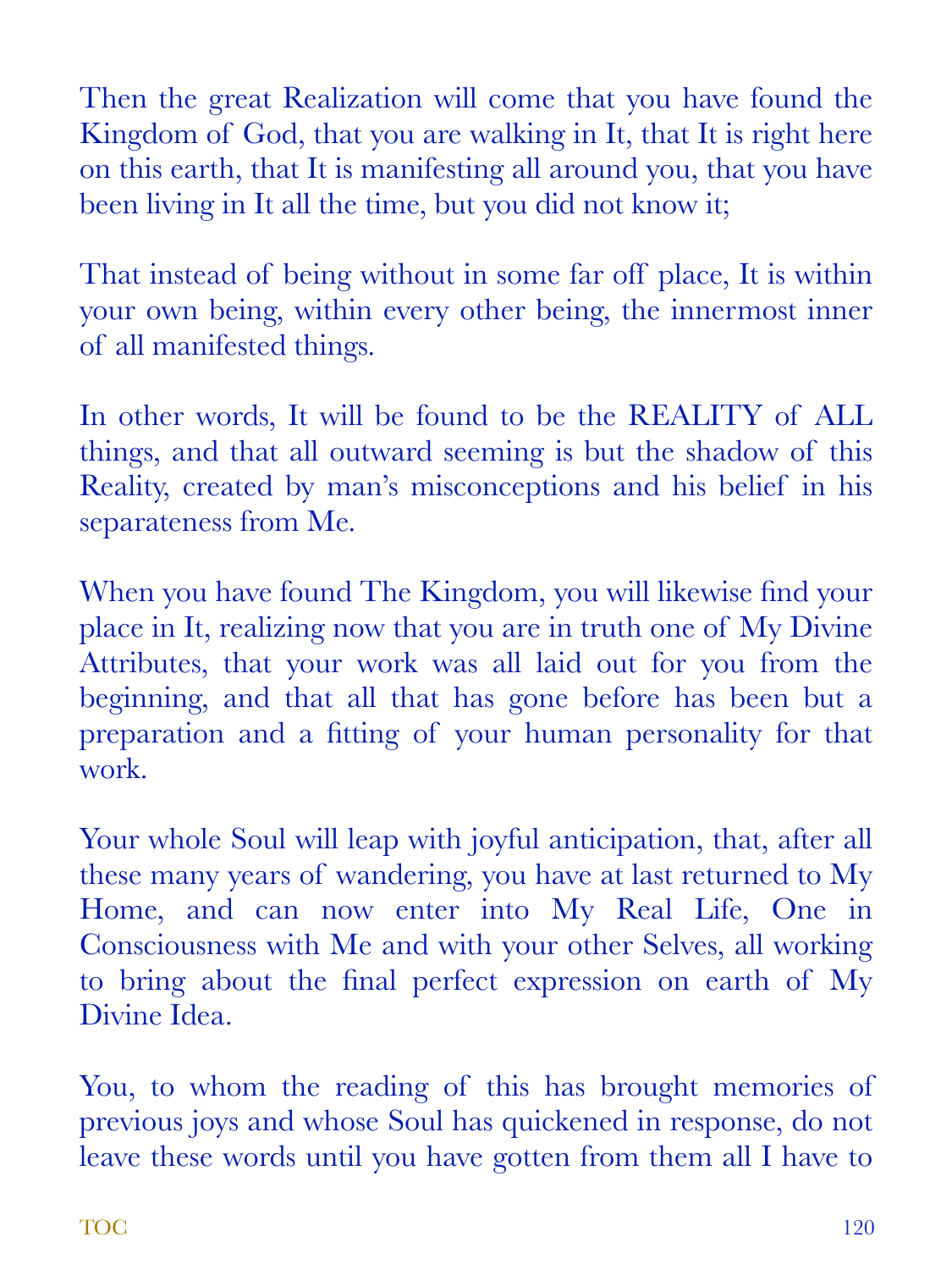Then the great Realization will come that you have found the Kingdom of God, that you are walking in It, that It is right here on this earth, that It is manifesting all around you, that you have been living in It all the time, but you did not know it;

That instead of being without in some far off place, It is within your own being, within every other being, the innermost inner of all manifested things.

In other words, It will be found to be the REALITY of ALL things, and that all outward seeming is but the shadow of this Reality, created by man's misconceptions and his belief in his separateness from Me.

When you have found The Kingdom, you will likewise find your place in It, realizing now that you are in truth one of My Divine Attributes, that your work was all laid out for you from the beginning, and that all that has gone before has been but a preparation and a fitting of your human personality for that work.

Your whole Soul will leap with joyful anticipation, that, after all these many years of wandering, you have at last returned to My Home, and can now enter into My Real Life, One in Consciousness with Me and with your other Selves, all working to bring about the final perfect expression on earth of My Divine Idea.

You, to whom the reading of this has brought memories of previous joys and whose Soul has quickened in response, do not leave these words until you have gotten from them all I have to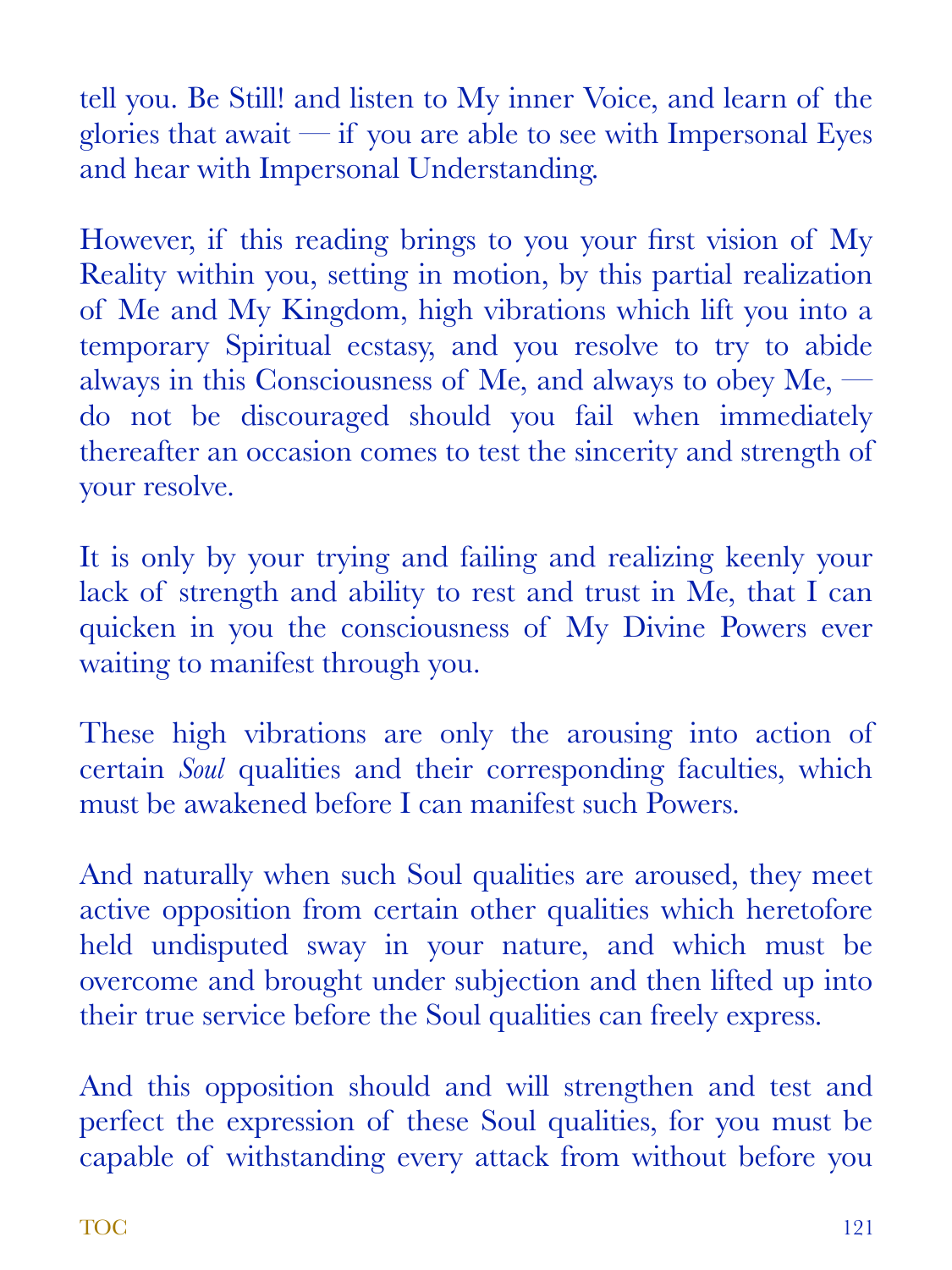tell you. Be Still! and listen to My inner Voice, and learn of the glories that await — if you are able to see with Impersonal Eyes and hear with Impersonal Understanding.

However, if this reading brings to you your first vision of My Reality within you, setting in motion, by this partial realization of Me and My Kingdom, high vibrations which lift you into a temporary Spiritual ecstasy, and you resolve to try to abide always in this Consciousness of Me, and always to obey  $Me$ ,  $$ do not be discouraged should you fail when immediately thereafter an occasion comes to test the sincerity and strength of your resolve.

It is only by your trying and failing and realizing keenly your lack of strength and ability to rest and trust in Me, that I can quicken in you the consciousness of My Divine Powers ever waiting to manifest through you.

These high vibrations are only the arousing into action of certain *Soul* qualities and their corresponding faculties, which must be awakened before I can manifest such Powers.

And naturally when such Soul qualities are aroused, they meet active opposition from certain other qualities which heretofore held undisputed sway in your nature, and which must be overcome and brought under subjection and then lifted up into their true service before the Soul qualities can freely express.

And this opposition should and will strengthen and test and perfect the expression of these Soul qualities, for you must be capable of withstanding every attack from without before you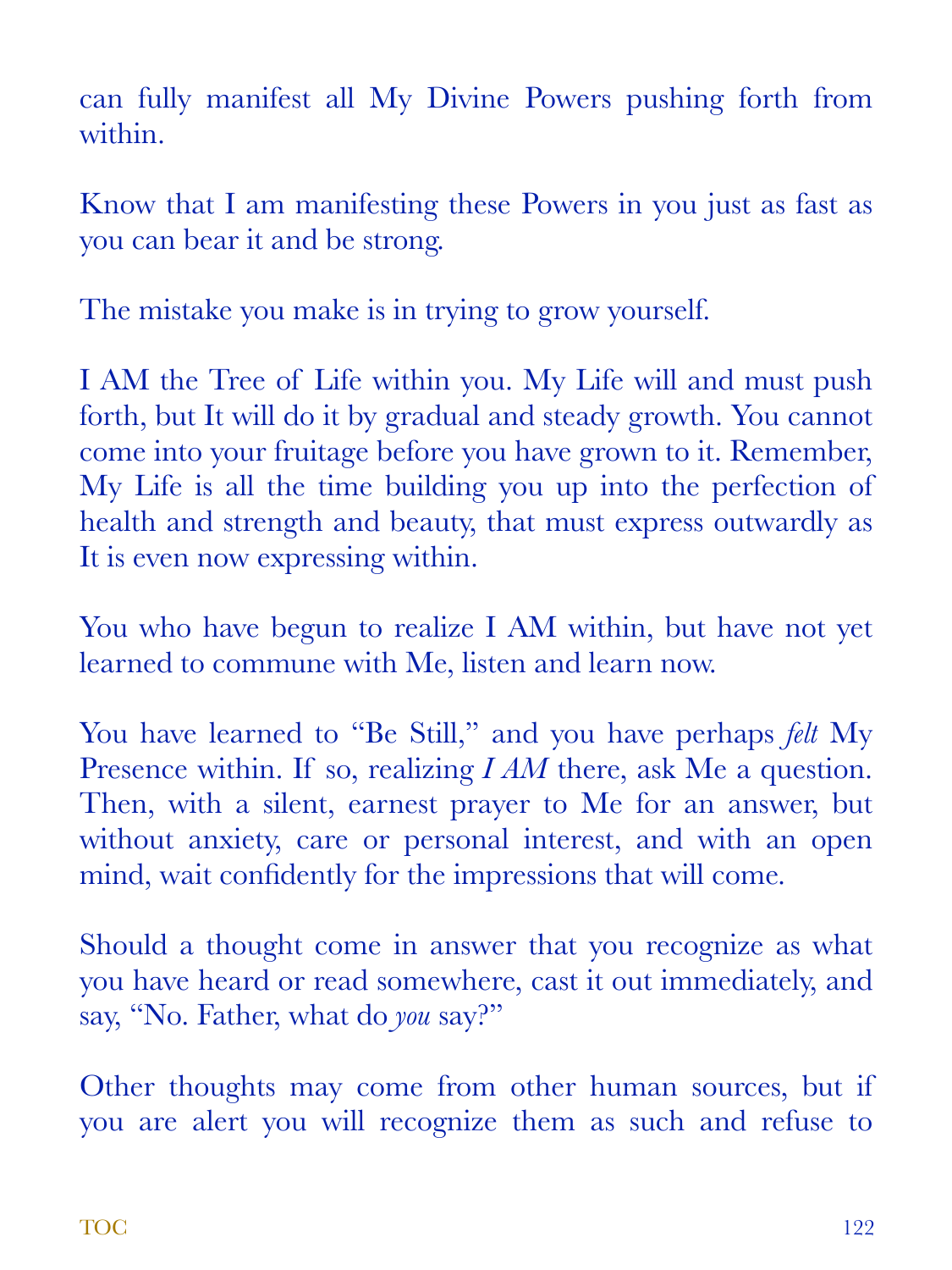can fully manifest all My Divine Powers pushing forth from within.

Know that I am manifesting these Powers in you just as fast as you can bear it and be strong.

The mistake you make is in trying to grow yourself.

I AM the Tree of Life within you. My Life will and must push forth, but It will do it by gradual and steady growth. You cannot come into your fruitage before you have grown to it. Remember, My Life is all the time building you up into the perfection of health and strength and beauty, that must express outwardly as It is even now expressing within.

You who have begun to realize I AM within, but have not yet learned to commune with Me, listen and learn now.

You have learned to "Be Still," and you have perhaps *felt* My Presence within. If so, realizing *I AM* there, ask Me a question. Then, with a silent, earnest prayer to Me for an answer, but without anxiety, care or personal interest, and with an open mind, wait confidently for the impressions that will come.

Should a thought come in answer that you recognize as what you have heard or read somewhere, cast it out immediately, and say, "No. Father, what do *you* say?"

Other thoughts may come from other human sources, but if you are alert you will recognize them as such and refuse to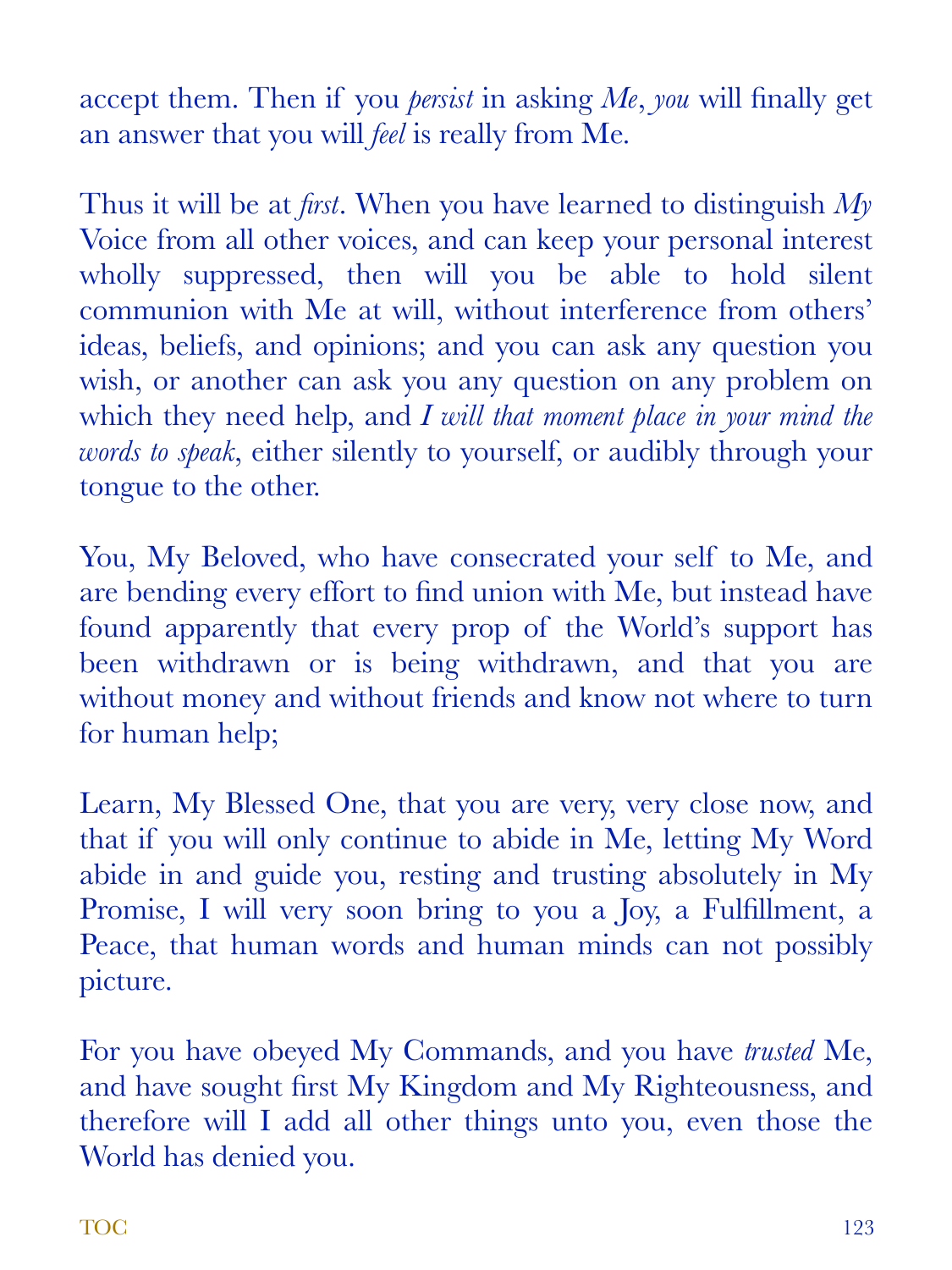accept them. Then if you *persist* in asking *Me*, *you* will finally get an answer that you will *feel* is really from Me.

Thus it will be at *first*. When you have learned to distinguish *My* Voice from all other voices, and can keep your personal interest wholly suppressed, then will you be able to hold silent communion with Me at will, without interference from others' ideas, beliefs, and opinions; and you can ask any question you wish, or another can ask you any question on any problem on which they need help, and *I will that moment place in your mind the words to speak*, either silently to yourself, or audibly through your tongue to the other.

You, My Beloved, who have consecrated your self to Me, and are bending every effort to find union with Me, but instead have found apparently that every prop of the World's support has been withdrawn or is being withdrawn, and that you are without money and without friends and know not where to turn for human help;

Learn, My Blessed One, that you are very, very close now, and that if you will only continue to abide in Me, letting My Word abide in and guide you, resting and trusting absolutely in My Promise, I will very soon bring to you a Joy, a Fulfillment, a Peace, that human words and human minds can not possibly picture.

For you have obeyed My Commands, and you have *trusted* Me, and have sought first My Kingdom and My Righteousness, and therefore will I add all other things unto you, even those the World has denied you.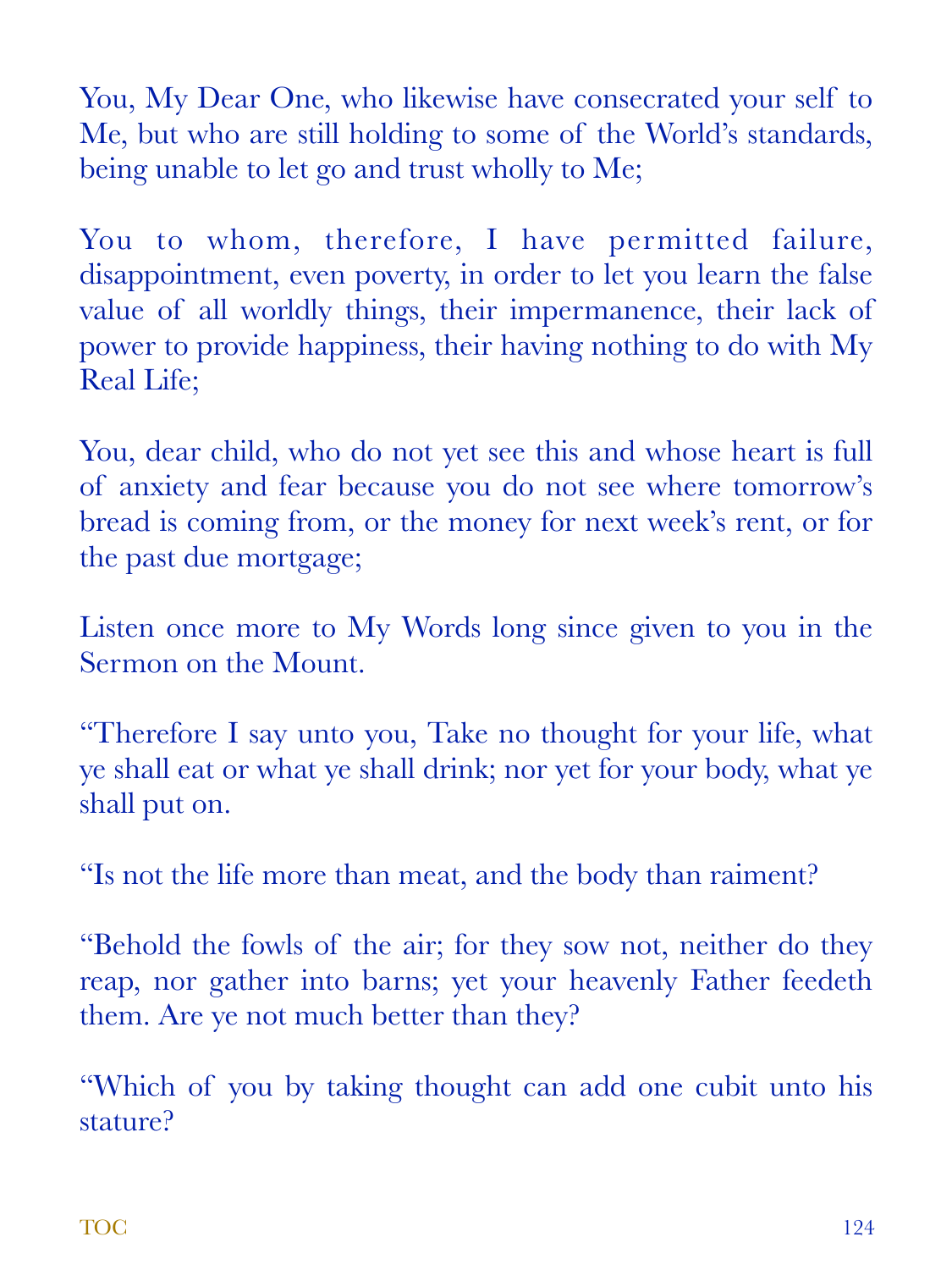You, My Dear One, who likewise have consecrated your self to Me, but who are still holding to some of the World's standards, being unable to let go and trust wholly to Me;

You to whom, therefore, I have permitted failure, disappointment, even poverty, in order to let you learn the false value of all worldly things, their impermanence, their lack of power to provide happiness, their having nothing to do with My Real Life;

You, dear child, who do not yet see this and whose heart is full of anxiety and fear because you do not see where tomorrow's bread is coming from, or the money for next week's rent, or for the past due mortgage;

Listen once more to My Words long since given to you in the Sermon on the Mount.

"Therefore I say unto you, Take no thought for your life, what ye shall eat or what ye shall drink; nor yet for your body, what ye shall put on.

"Is not the life more than meat, and the body than raiment?

"Behold the fowls of the air; for they sow not, neither do they reap, nor gather into barns; yet your heavenly Father feedeth them. Are ye not much better than they?

"Which of you by taking thought can add one cubit unto his stature?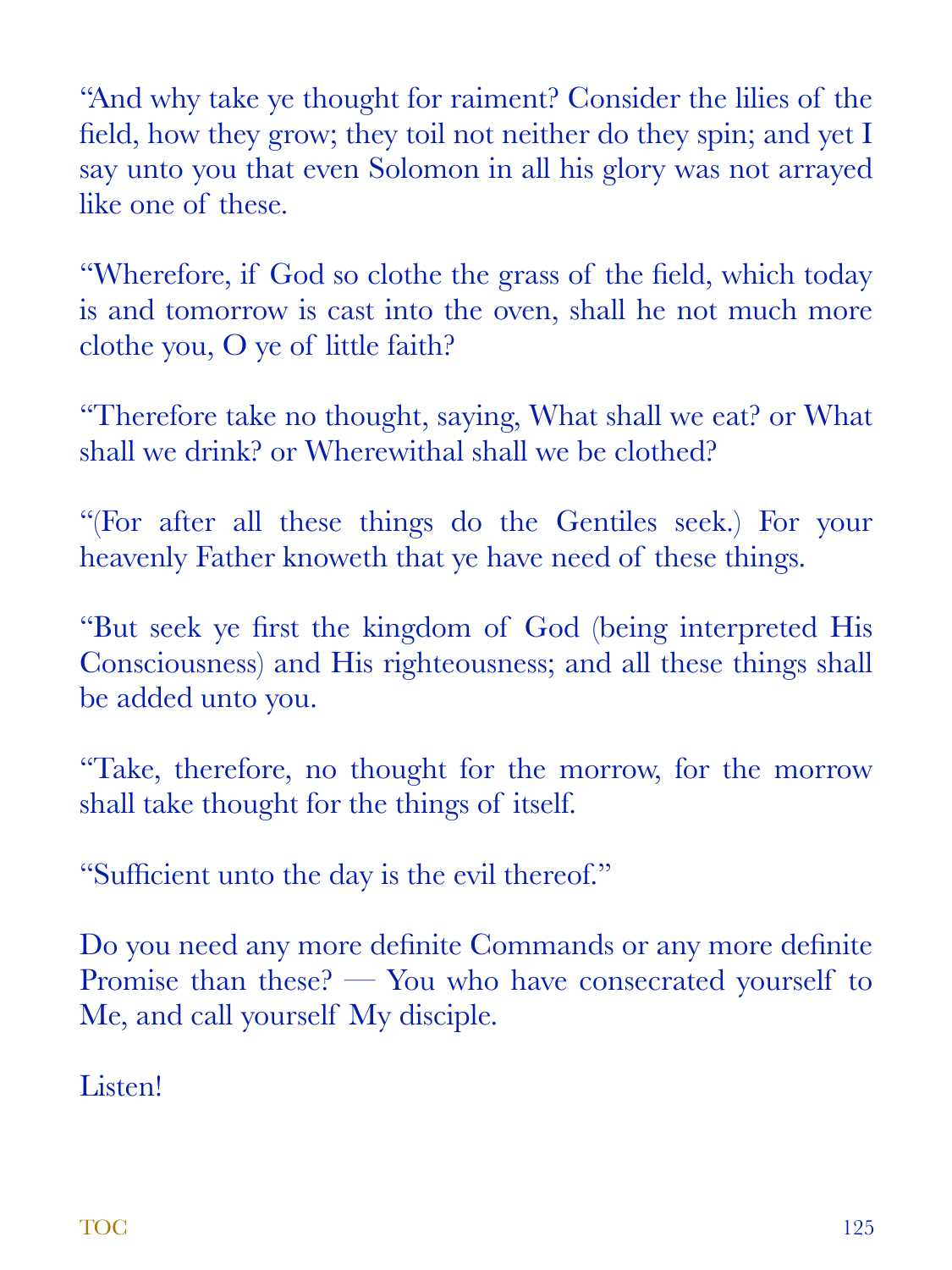"And why take ye thought for raiment? Consider the lilies of the field, how they grow; they toil not neither do they spin; and yet I say unto you that even Solomon in all his glory was not arrayed like one of these.

"Wherefore, if God so clothe the grass of the field, which today is and tomorrow is cast into the oven, shall he not much more clothe you, O ye of little faith?

"Therefore take no thought, saying, What shall we eat? or What shall we drink? or Wherewithal shall we be clothed?

"(For after all these things do the Gentiles seek.) For your heavenly Father knoweth that ye have need of these things.

"But seek ye first the kingdom of God (being interpreted His Consciousness) and His righteousness; and all these things shall be added unto you.

"Take, therefore, no thought for the morrow, for the morrow shall take thought for the things of itself.

"Sufficient unto the day is the evil thereof."

Do you need any more definite Commands or any more definite Promise than these? — You who have consecrated yourself to Me, and call yourself My disciple.

Listen!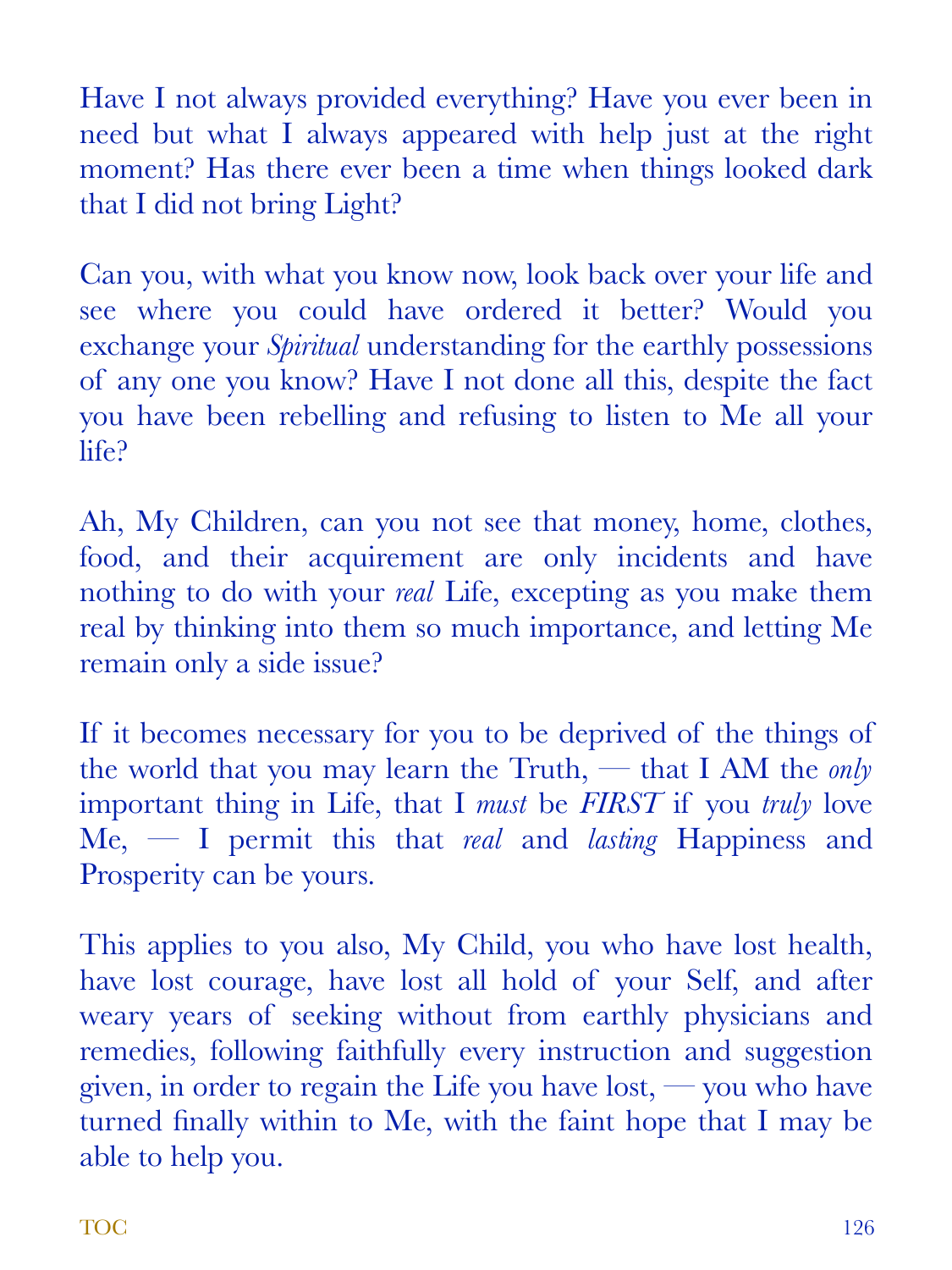Have I not always provided everything? Have you ever been in need but what I always appeared with help just at the right moment? Has there ever been a time when things looked dark that I did not bring Light?

Can you, with what you know now, look back over your life and see where you could have ordered it better? Would you exchange your *Spiritual* understanding for the earthly possessions of any one you know? Have I not done all this, despite the fact you have been rebelling and refusing to listen to Me all your life?

Ah, My Children, can you not see that money, home, clothes, food, and their acquirement are only incidents and have nothing to do with your *real* Life, excepting as you make them real by thinking into them so much importance, and letting Me remain only a side issue?

If it becomes necessary for you to be deprived of the things of the world that you may learn the Truth, — that I AM the *only* important thing in Life, that I *must* be *FIRST* if you *truly* love Me, — I permit this that *real* and *lasting* Happiness and Prosperity can be yours.

This applies to you also, My Child, you who have lost health, have lost courage, have lost all hold of your Self, and after weary years of seeking without from earthly physicians and remedies, following faithfully every instruction and suggestion given, in order to regain the Life you have lost, — you who have turned finally within to Me, with the faint hope that I may be able to help you.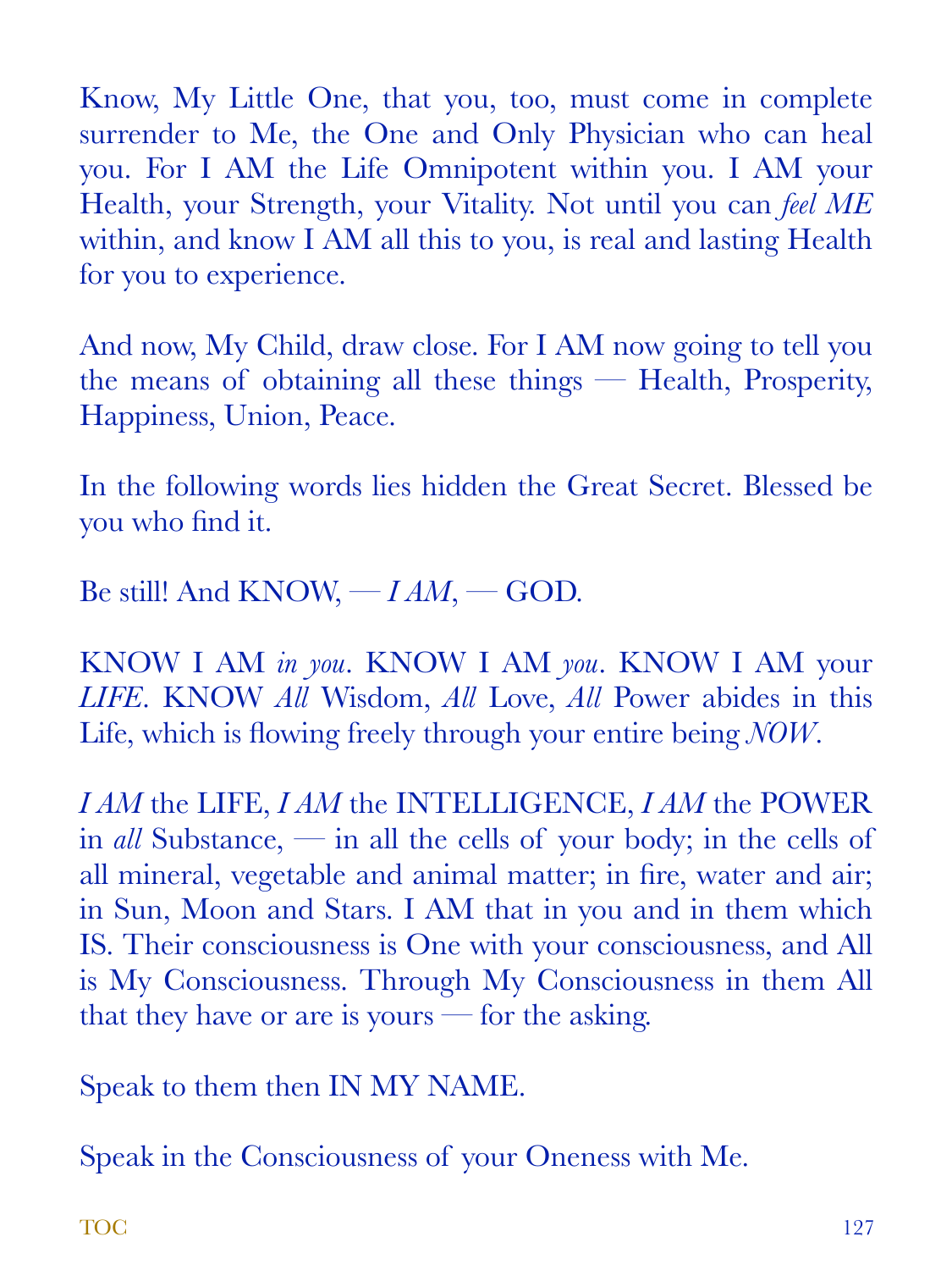Know, My Little One, that you, too, must come in complete surrender to Me, the One and Only Physician who can heal you. For I AM the Life Omnipotent within you. I AM your Health, your Strength, your Vitality. Not until you can *feel ME* within, and know I AM all this to you, is real and lasting Health for you to experience.

And now, My Child, draw close. For I AM now going to tell you the means of obtaining all these things — Health, Prosperity, Happiness, Union, Peace.

In the following words lies hidden the Great Secret. Blessed be you who find it.

Be still! And KNOW,  $-IAM$ ,  $-$  GOD.

KNOW I AM *in you*. KNOW I AM *you*. KNOW I AM your *LIFE*. KNOW *All* Wisdom, *All* Love, *All* Power abides in this Life, which is flowing freely through your entire being *NOW*.

*I AM* the LIFE, *I AM* the INTELLIGENCE, *I AM* the POWER in *all* Substance, — in all the cells of your body; in the cells of all mineral, vegetable and animal matter; in fire, water and air; in Sun, Moon and Stars. I AM that in you and in them which IS. Their consciousness is One with your consciousness, and All is My Consciousness. Through My Consciousness in them All that they have or are is yours — for the asking.

Speak to them then IN MY NAME.

Speak in the Consciousness of your Oneness with Me.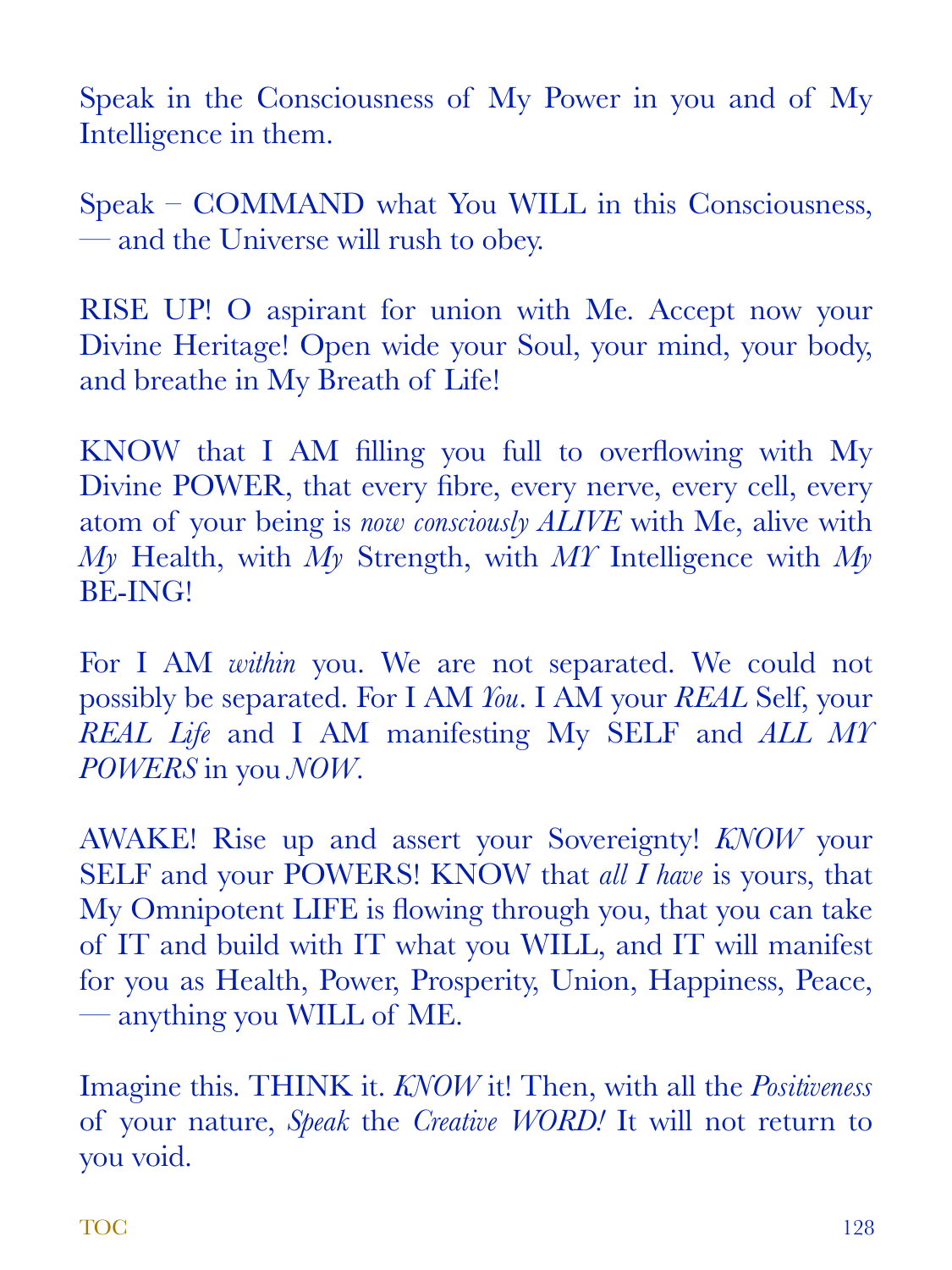Speak in the Consciousness of My Power in you and of My Intelligence in them.

Speak – COMMAND what You WILL in this Consciousness, — and the Universe will rush to obey.

RISE UP! O aspirant for union with Me. Accept now your Divine Heritage! Open wide your Soul, your mind, your body, and breathe in My Breath of Life!

KNOW that I AM filling you full to overflowing with My Divine POWER, that every fibre, every nerve, every cell, every atom of your being is *now consciously ALIVE* with Me, alive with *My* Health, with *My* Strength, with *MY* Intelligence with *My*  BE-ING!

For I AM *within* you. We are not separated. We could not possibly be separated. For I AM *You*. I AM your *REAL* Self, your *REAL Life* and I AM manifesting My SELF and *ALL MY POWERS* in you *NOW*.

AWAKE! Rise up and assert your Sovereignty! *KNOW* your SELF and your POWERS! KNOW that *all I have* is yours, that My Omnipotent LIFE is flowing through you, that you can take of IT and build with IT what you WILL, and IT will manifest for you as Health, Power, Prosperity, Union, Happiness, Peace, — anything you WILL of ME.

Imagine this. THINK it. *KNOW* it! Then, with all the *Positiveness* of your nature, *Speak* the *Creative WORD!* It will not return to you void.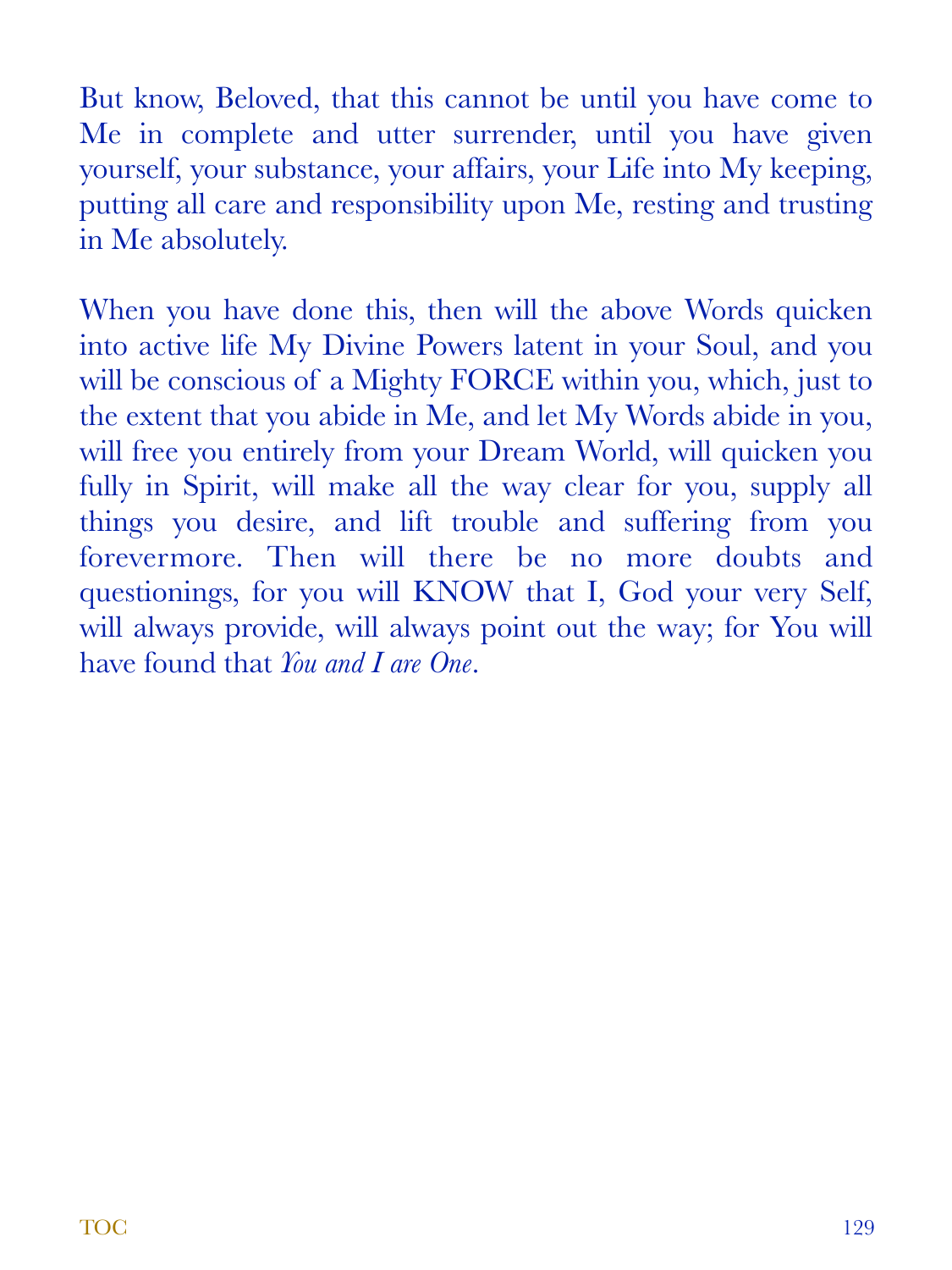But know, Beloved, that this cannot be until you have come to Me in complete and utter surrender, until you have given yourself, your substance, your affairs, your Life into My keeping, putting all care and responsibility upon Me, resting and trusting in Me absolutely.

When you have done this, then will the above Words quicken into active life My Divine Powers latent in your Soul, and you will be conscious of a Mighty FORCE within you, which, just to the extent that you abide in Me, and let My Words abide in you, will free you entirely from your Dream World, will quicken you fully in Spirit, will make all the way clear for you, supply all things you desire, and lift trouble and suffering from you forevermore. Then will there be no more doubts and questionings, for you will KNOW that I, God your very Self, will always provide, will always point out the way; for You will have found that *You and I are One*.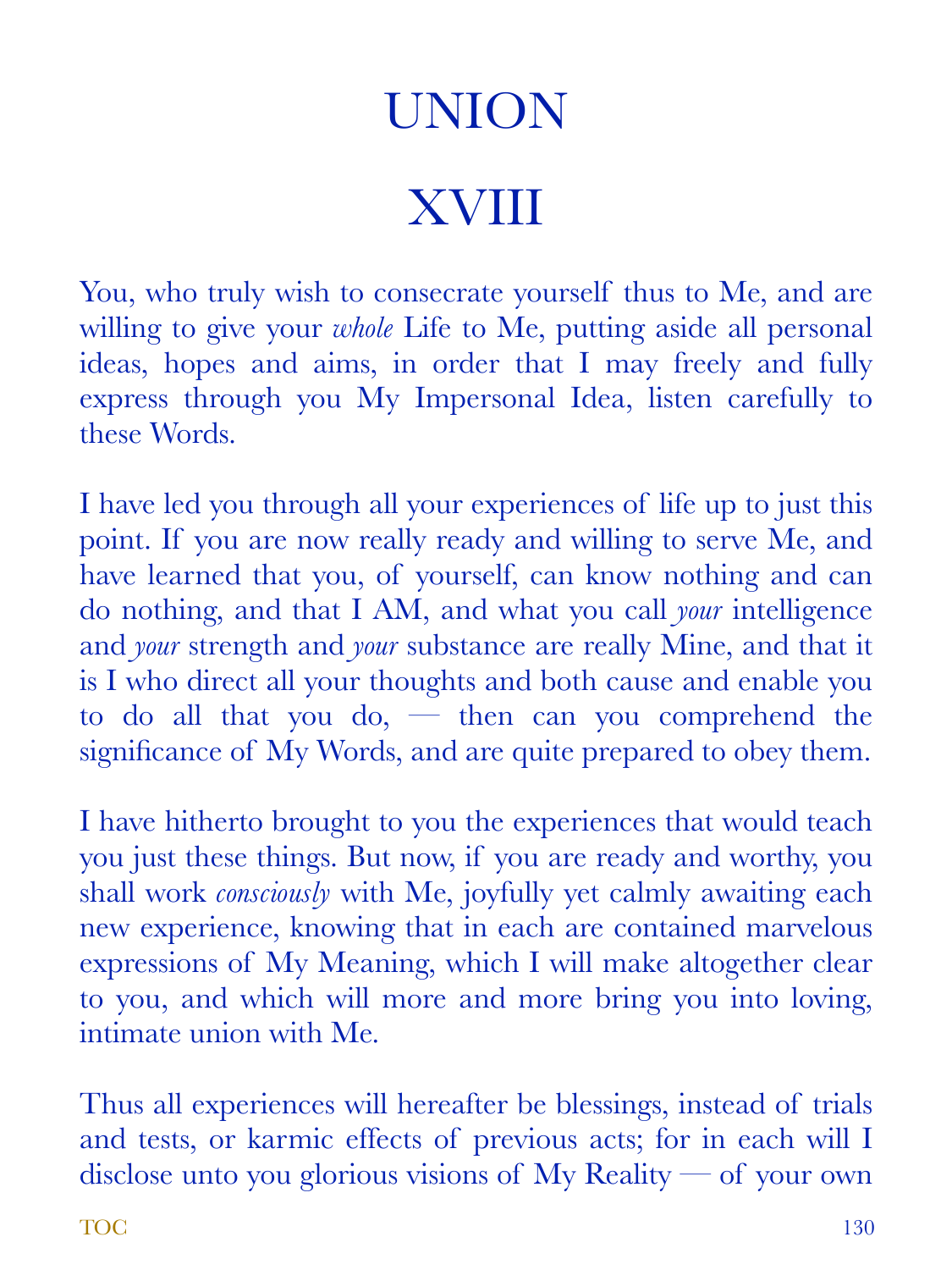## UNION XVIII

You, who truly wish to consecrate yourself thus to Me, and are willing to give your *whole* Life to Me, putting aside all personal ideas, hopes and aims, in order that I may freely and fully express through you My Impersonal Idea, listen carefully to these Words.

I have led you through all your experiences of life up to just this point. If you are now really ready and willing to serve Me, and have learned that you, of yourself, can know nothing and can do nothing, and that I AM, and what you call *your* intelligence and *your* strength and *your* substance are really Mine, and that it is I who direct all your thoughts and both cause and enable you to do all that you do, — then can you comprehend the significance of My Words, and are quite prepared to obey them.

I have hitherto brought to you the experiences that would teach you just these things. But now, if you are ready and worthy, you shall work *consciously* with Me, joyfully yet calmly awaiting each new experience, knowing that in each are contained marvelous expressions of My Meaning, which I will make altogether clear to you, and which will more and more bring you into loving, intimate union with Me.

Thus all experiences will hereafter be blessings, instead of trials and tests, or karmic effects of previous acts; for in each will I disclose unto you glorious visions of My Reality — of your own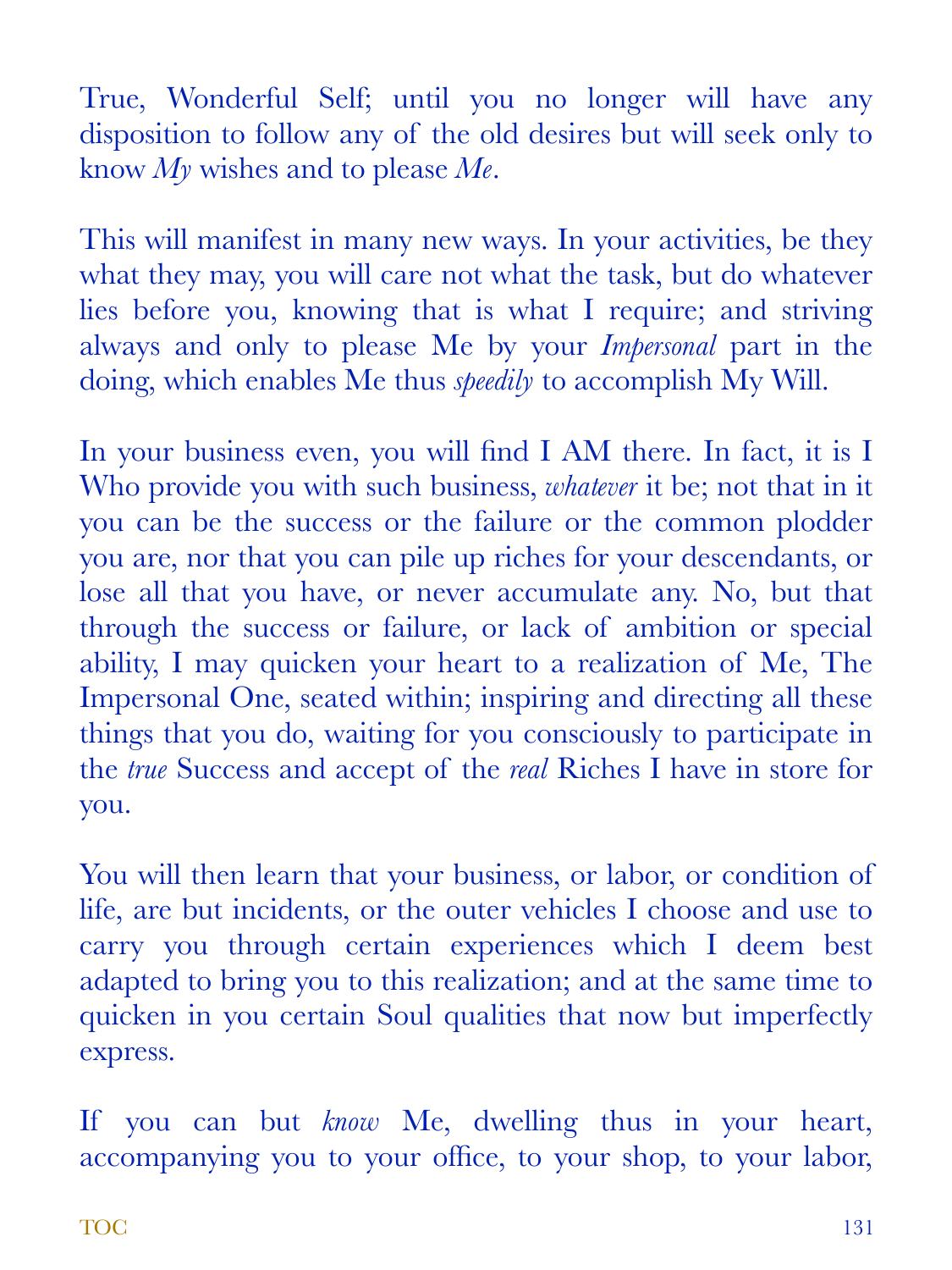True, Wonderful Self; until you no longer will have any disposition to follow any of the old desires but will seek only to know *My* wishes and to please *Me*.

This will manifest in many new ways. In your activities, be they what they may, you will care not what the task, but do whatever lies before you, knowing that is what I require; and striving always and only to please Me by your *Impersonal* part in the doing, which enables Me thus *speedily* to accomplish My Will.

In your business even, you will find I AM there. In fact, it is I Who provide you with such business, *whatever* it be; not that in it you can be the success or the failure or the common plodder you are, nor that you can pile up riches for your descendants, or lose all that you have, or never accumulate any. No, but that through the success or failure, or lack of ambition or special ability, I may quicken your heart to a realization of Me, The Impersonal One, seated within; inspiring and directing all these things that you do, waiting for you consciously to participate in the *true* Success and accept of the *real* Riches I have in store for you.

You will then learn that your business, or labor, or condition of life, are but incidents, or the outer vehicles I choose and use to carry you through certain experiences which I deem best adapted to bring you to this realization; and at the same time to quicken in you certain Soul qualities that now but imperfectly express.

If you can but *know* Me, dwelling thus in your heart, accompanying you to your office, to your shop, to your labor,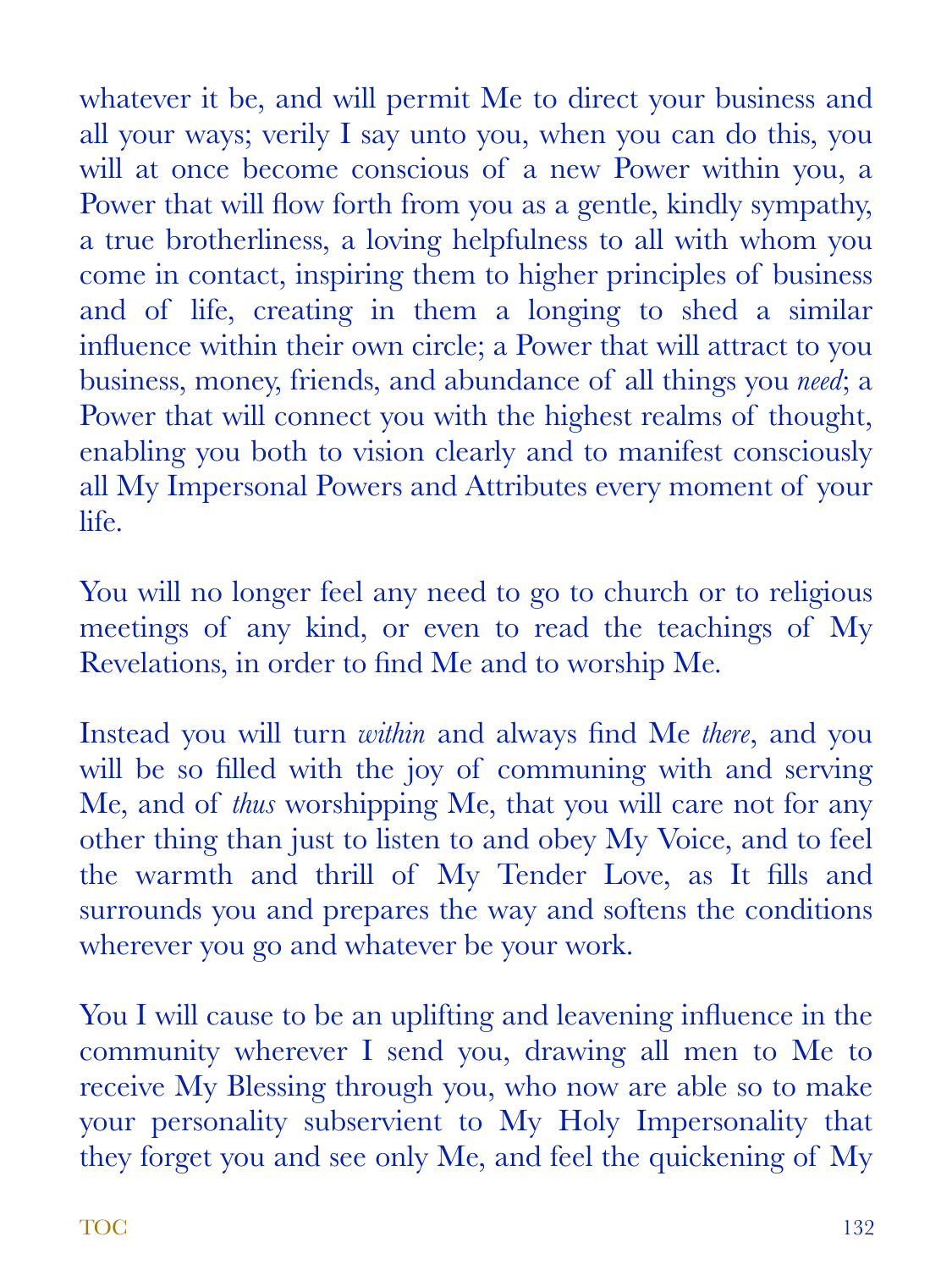whatever it be, and will permit Me to direct your business and all your ways; verily I say unto you, when you can do this, you will at once become conscious of a new Power within you, a Power that will flow forth from you as a gentle, kindly sympathy, a true brotherliness, a loving helpfulness to all with whom you come in contact, inspiring them to higher principles of business and of life, creating in them a longing to shed a similar influence within their own circle; a Power that will attract to you business, money, friends, and abundance of all things you *need*; a Power that will connect you with the highest realms of thought, enabling you both to vision clearly and to manifest consciously all My Impersonal Powers and Attributes every moment of your life.

You will no longer feel any need to go to church or to religious meetings of any kind, or even to read the teachings of My Revelations, in order to find Me and to worship Me.

Instead you will turn *within* and always find Me *there*, and you will be so filled with the joy of communing with and serving Me, and of *thus* worshipping Me, that you will care not for any other thing than just to listen to and obey My Voice, and to feel the warmth and thrill of My Tender Love, as It fills and surrounds you and prepares the way and softens the conditions wherever you go and whatever be your work.

You I will cause to be an uplifting and leavening influence in the community wherever I send you, drawing all men to Me to receive My Blessing through you, who now are able so to make your personality subservient to My Holy Impersonality that they forget you and see only Me, and feel the quickening of My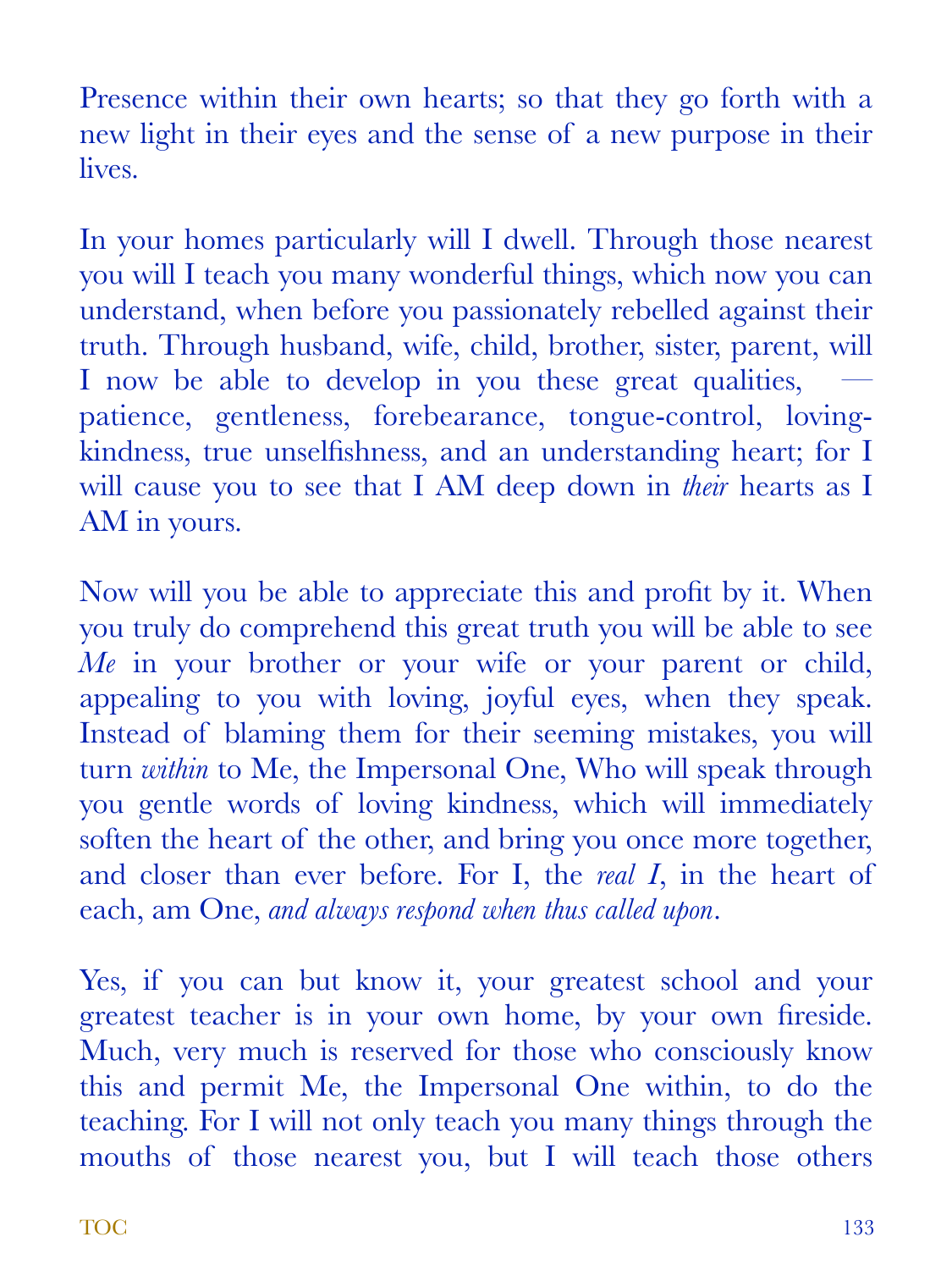Presence within their own hearts; so that they go forth with a new light in their eyes and the sense of a new purpose in their **lives** 

In your homes particularly will I dwell. Through those nearest you will I teach you many wonderful things, which now you can understand, when before you passionately rebelled against their truth. Through husband, wife, child, brother, sister, parent, will I now be able to develop in you these great qualities, patience, gentleness, forebearance, tongue-control, lovingkindness, true unselfishness, and an understanding heart; for I will cause you to see that I AM deep down in *their* hearts as I AM in yours.

Now will you be able to appreciate this and profit by it. When you truly do comprehend this great truth you will be able to see *Me* in your brother or your wife or your parent or child, appealing to you with loving, joyful eyes, when they speak. Instead of blaming them for their seeming mistakes, you will turn *within* to Me, the Impersonal One, Who will speak through you gentle words of loving kindness, which will immediately soften the heart of the other, and bring you once more together, and closer than ever before. For I, the *real I*, in the heart of each, am One, *and always respond when thus called upon*.

Yes, if you can but know it, your greatest school and your greatest teacher is in your own home, by your own fireside. Much, very much is reserved for those who consciously know this and permit Me, the Impersonal One within, to do the teaching. For I will not only teach you many things through the mouths of those nearest you, but I will teach those others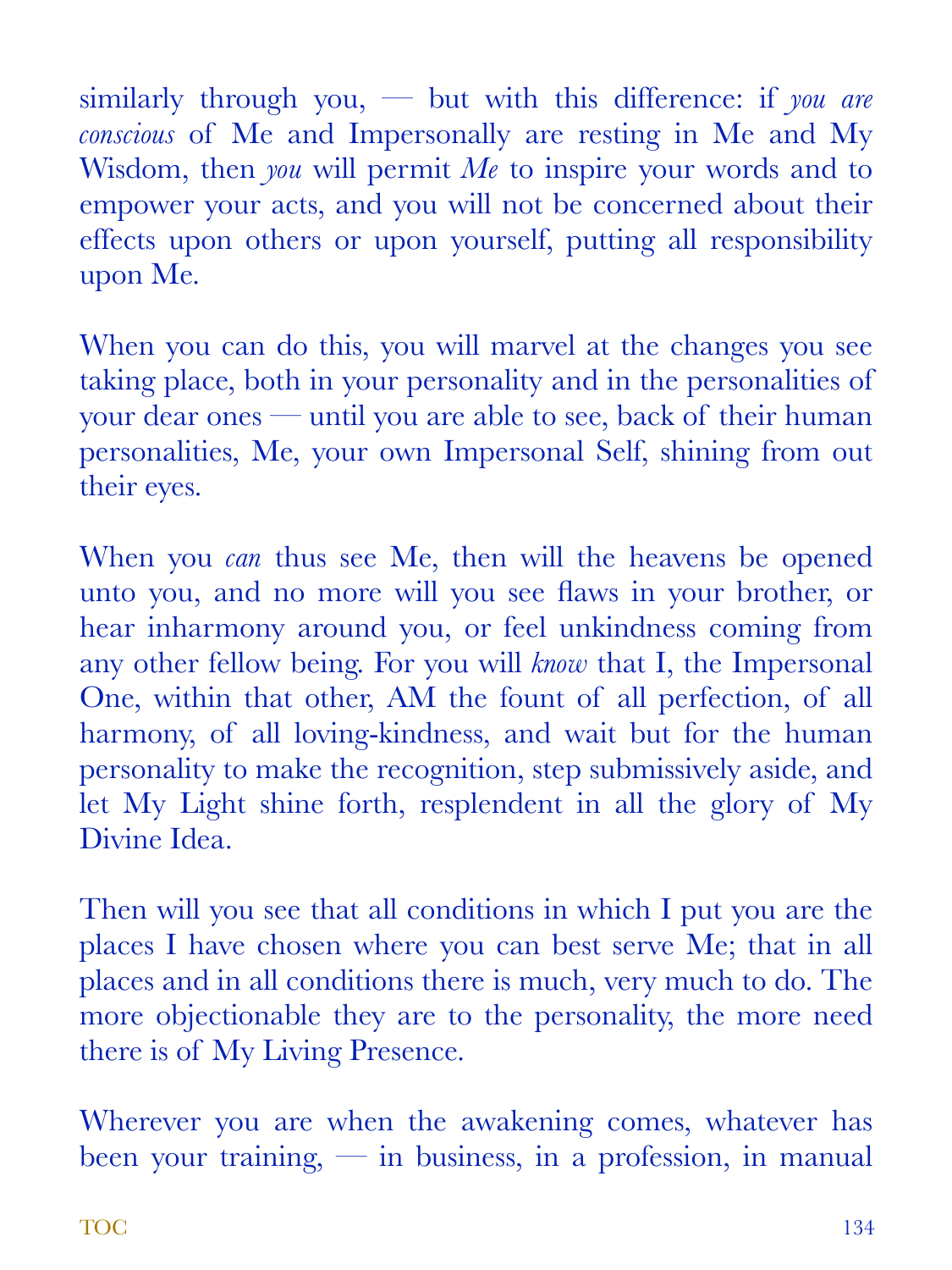similarly through you, — but with this difference: if *you are conscious* of Me and Impersonally are resting in Me and My Wisdom, then *you* will permit *Me* to inspire your words and to empower your acts, and you will not be concerned about their effects upon others or upon yourself, putting all responsibility upon Me.

When you can do this, you will marvel at the changes you see taking place, both in your personality and in the personalities of your dear ones — until you are able to see, back of their human personalities, Me, your own Impersonal Self, shining from out their eyes.

When you *can* thus see Me, then will the heavens be opened unto you, and no more will you see flaws in your brother, or hear inharmony around you, or feel unkindness coming from any other fellow being. For you will *know* that I, the Impersonal One, within that other, AM the fount of all perfection, of all harmony, of all loving-kindness, and wait but for the human personality to make the recognition, step submissively aside, and let My Light shine forth, resplendent in all the glory of My Divine Idea.

Then will you see that all conditions in which I put you are the places I have chosen where you can best serve Me; that in all places and in all conditions there is much, very much to do. The more objectionable they are to the personality, the more need there is of My Living Presence.

Wherever you are when the awakening comes, whatever has been your training,  $-$  in business, in a profession, in manual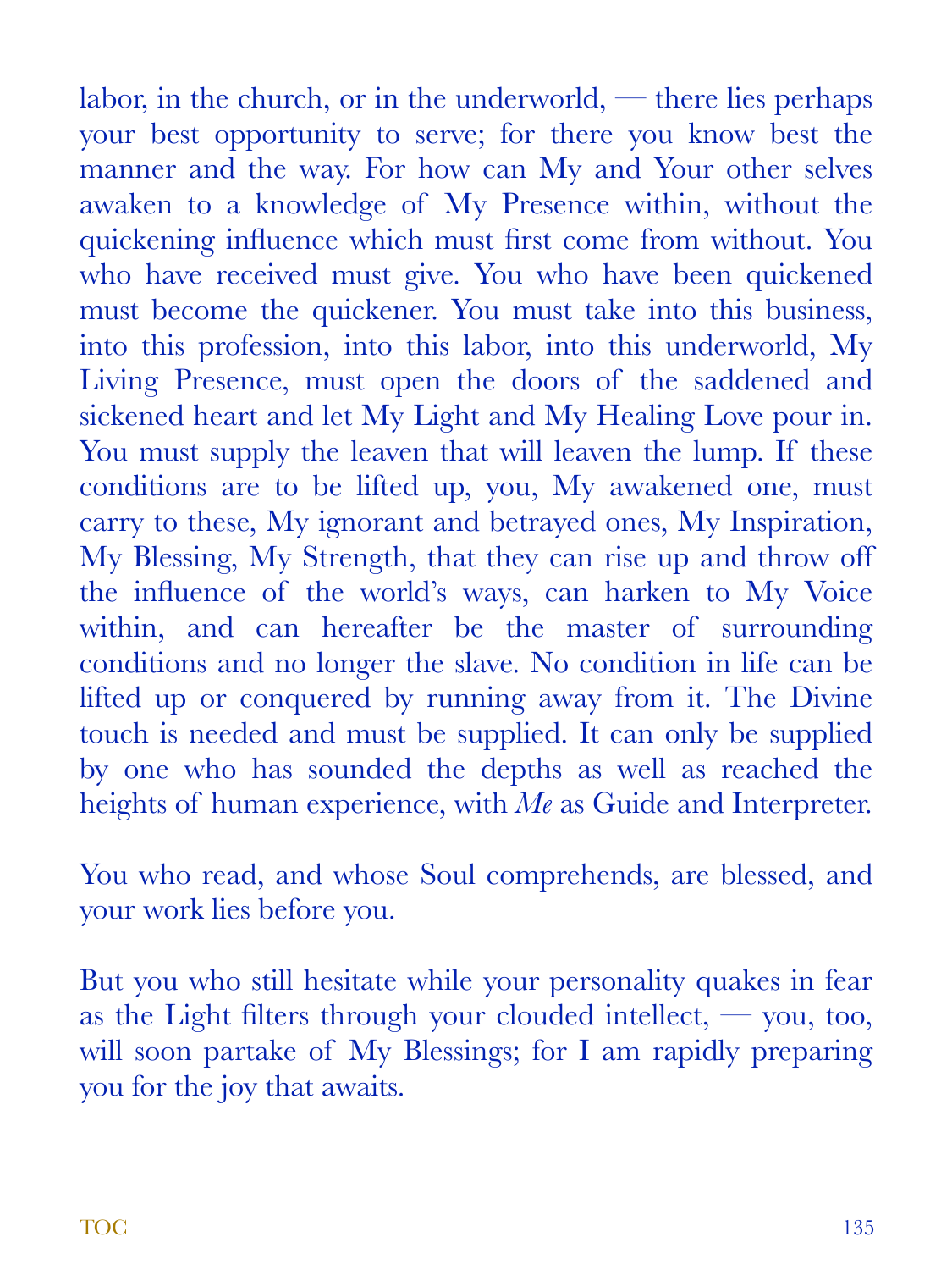labor, in the church, or in the underworld,  $-$  there lies perhaps your best opportunity to serve; for there you know best the manner and the way. For how can My and Your other selves awaken to a knowledge of My Presence within, without the quickening influence which must first come from without. You who have received must give. You who have been quickened must become the quickener. You must take into this business, into this profession, into this labor, into this underworld, My Living Presence, must open the doors of the saddened and sickened heart and let My Light and My Healing Love pour in. You must supply the leaven that will leaven the lump. If these conditions are to be lifted up, you, My awakened one, must carry to these, My ignorant and betrayed ones, My Inspiration, My Blessing, My Strength, that they can rise up and throw off the influence of the world's ways, can harken to My Voice within, and can hereafter be the master of surrounding conditions and no longer the slave. No condition in life can be lifted up or conquered by running away from it. The Divine touch is needed and must be supplied. It can only be supplied by one who has sounded the depths as well as reached the heights of human experience, with *Me* as Guide and Interpreter.

You who read, and whose Soul comprehends, are blessed, and your work lies before you.

But you who still hesitate while your personality quakes in fear as the Light filters through your clouded intellect,  $\sim$  you, too, will soon partake of My Blessings; for I am rapidly preparing you for the joy that awaits.